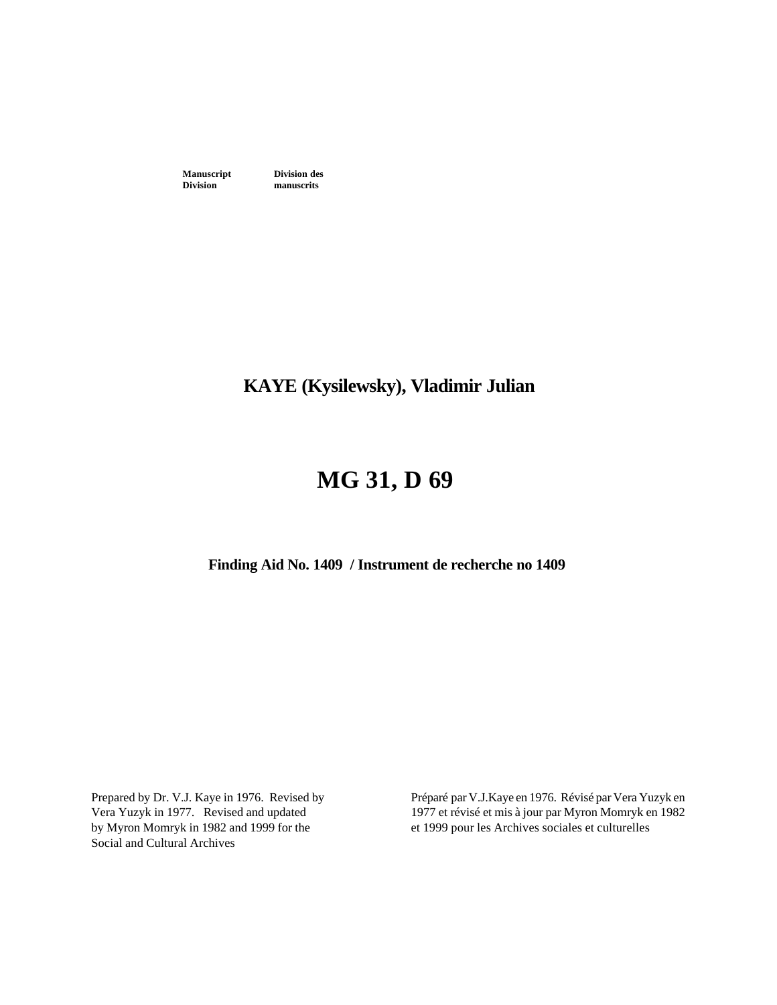**Manuscript Division des**<br>**Division manuscrits** 

**manuscrits** 

## **KAYE (Kysilewsky), Vladimir Julian**

# **MG 31, D 69**

**Finding Aid No. 1409 / Instrument de recherche no 1409** 

Prepared by Dr. V.J. Kaye in 1976. Revised by Vera Yuzyk in 1977. Revised and updated by Myron Momryk in 1982 and 1999 for the Social and Cultural Archives

Préparé par V.J.Kaye en 1976. Révisé par Vera Yuzyk en 1977 et révisé et mis à jour par Myron Momryk en 1982 et 1999 pour les Archives sociales et culturelles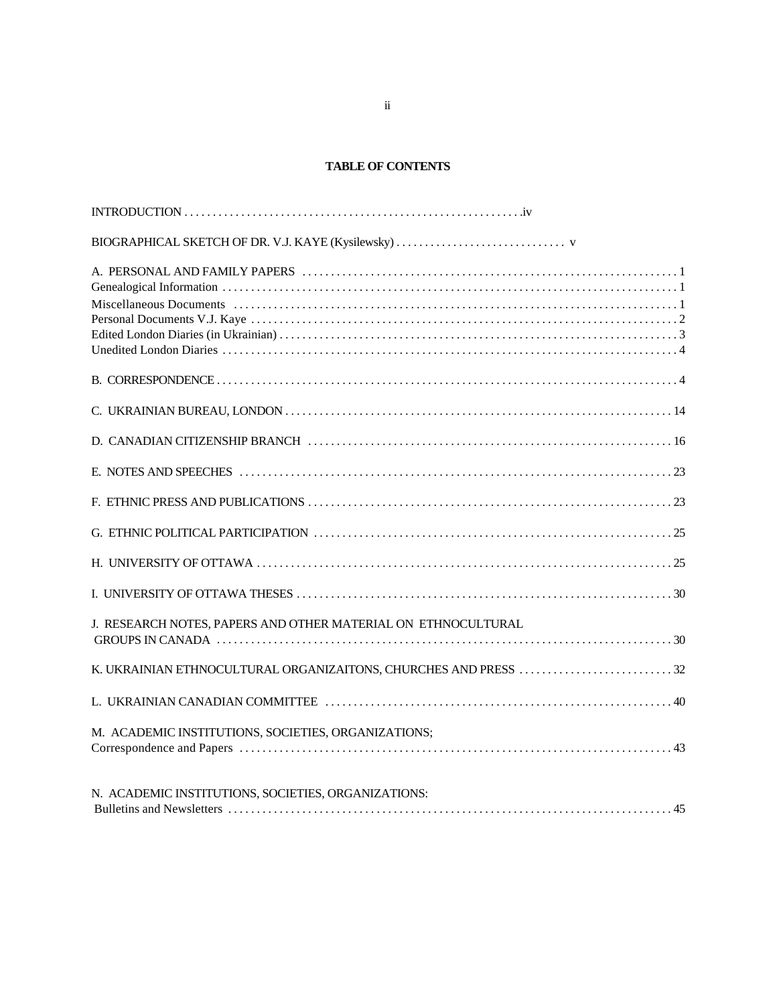#### **TABLE OF CONTENTS**

| J. RESEARCH NOTES, PAPERS AND OTHER MATERIAL ON ETHNOCULTURAL   |
|-----------------------------------------------------------------|
| K. UKRAINIAN ETHNOCULTURAL ORGANIZAITONS, CHURCHES AND PRESS 32 |
|                                                                 |
| M. ACADEMIC INSTITUTIONS, SOCIETIES, ORGANIZATIONS;             |
| N. ACADEMIC INSTITUTIONS, SOCIETIES, ORGANIZATIONS:             |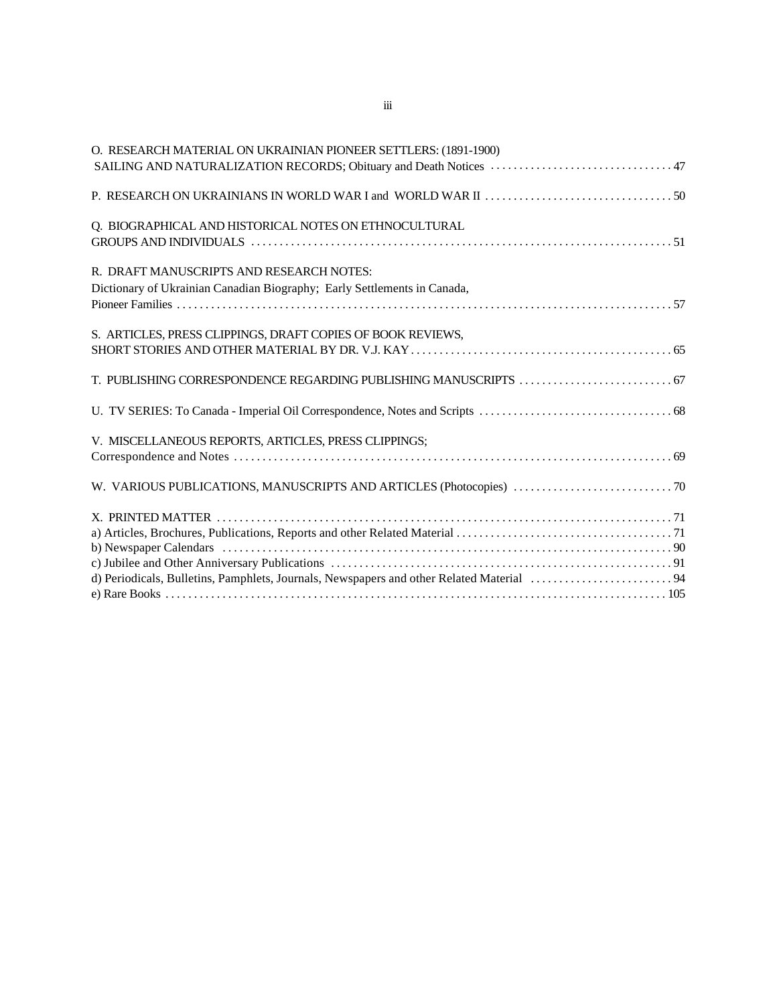| O. RESEARCH MATERIAL ON UKRAINIAN PIONEER SETTLERS: (1891-1900)          |  |
|--------------------------------------------------------------------------|--|
|                                                                          |  |
|                                                                          |  |
| Q. BIOGRAPHICAL AND HISTORICAL NOTES ON ETHNOCULTURAL                    |  |
|                                                                          |  |
| R. DRAFT MANUSCRIPTS AND RESEARCH NOTES:                                 |  |
| Dictionary of Ukrainian Canadian Biography; Early Settlements in Canada, |  |
|                                                                          |  |
| S. ARTICLES, PRESS CLIPPINGS, DRAFT COPIES OF BOOK REVIEWS,              |  |
|                                                                          |  |
|                                                                          |  |
|                                                                          |  |
| V. MISCELLANEOUS REPORTS, ARTICLES, PRESS CLIPPINGS;                     |  |
|                                                                          |  |
|                                                                          |  |
|                                                                          |  |
|                                                                          |  |
|                                                                          |  |
|                                                                          |  |
|                                                                          |  |
|                                                                          |  |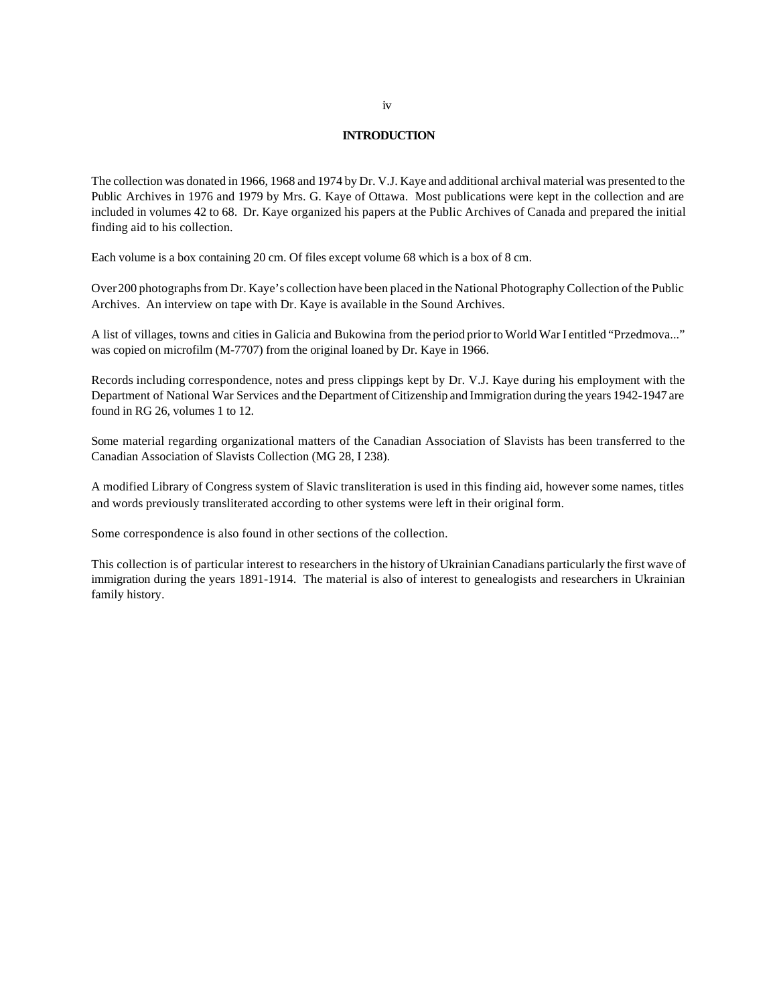#### **INTRODUCTION**

The collection was donated in 1966, 1968 and 1974 by Dr. V.J. Kaye and additional archival material was presented to the Public Archives in 1976 and 1979 by Mrs. G. Kaye of Ottawa. Most publications were kept in the collection and are included in volumes 42 to 68. Dr. Kaye organized his papers at the Public Archives of Canada and prepared the initial finding aid to his collection.

Each volume is a box containing 20 cm. Of files except volume 68 which is a box of 8 cm.

Over 200 photographs from Dr. Kaye's collection have been placed in the National Photography Collection of the Public Archives. An interview on tape with Dr. Kaye is available in the Sound Archives.

A list of villages, towns and cities in Galicia and Bukowina from the period prior to World War I entitled "Przedmova..." was copied on microfilm (M-7707) from the original loaned by Dr. Kaye in 1966.

Records including correspondence, notes and press clippings kept by Dr. V.J. Kaye during his employment with the Department of National War Services and the Department of Citizenship and Immigration during the years 1942-1947 are found in RG 26, volumes 1 to 12.

Some material regarding organizational matters of the Canadian Association of Slavists has been transferred to the Canadian Association of Slavists Collection (MG 28, I 238).

A modified Library of Congress system of Slavic transliteration is used in this finding aid, however some names, titles and words previously transliterated according to other systems were left in their original form.

Some correspondence is also found in other sections of the collection.

This collection is of particular interest to researchers in the history of Ukrainian Canadians particularly the first wave of immigration during the years 1891-1914. The material is also of interest to genealogists and researchers in Ukrainian family history.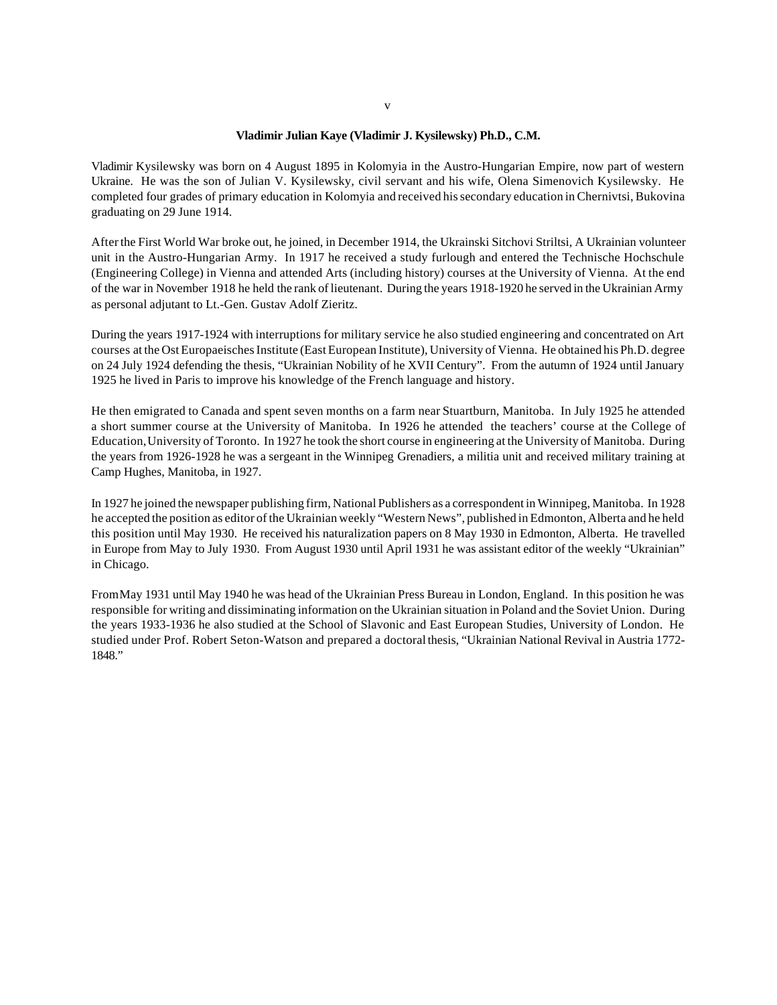#### **Vladimir Julian Kaye (Vladimir J. Kysilewsky) Ph.D., C.M.**

Vladimir Kysilewsky was born on 4 August 1895 in Kolomyia in the Austro-Hungarian Empire, now part of western Ukraine. He was the son of Julian V. Kysilewsky, civil servant and his wife, Olena Simenovich Kysilewsky. He completed four grades of primary education in Kolomyia and received his secondary education in Chernivtsi, Bukovina graduating on 29 June 1914.

After the First World War broke out, he joined, in December 1914, the Ukrainski Sitchovi Striltsi, A Ukrainian volunteer unit in the Austro-Hungarian Army. In 1917 he received a study furlough and entered the Technische Hochschule (Engineering College) in Vienna and attended Arts (including history) courses at the University of Vienna. At the end of the war in November 1918 he held the rank of lieutenant. During the years 1918-1920 he served in the Ukrainian Army as personal adjutant to Lt.-Gen. Gustav Adolf Zieritz.

During the years 1917-1924 with interruptions for military service he also studied engineering and concentrated on Art courses at the Ost Europaeisches Institute (East European Institute), University of Vienna. He obtained his Ph.D. degree on 24 July 1924 defending the thesis, "Ukrainian Nobility of he XVII Century". From the autumn of 1924 until January 1925 he lived in Paris to improve his knowledge of the French language and history.

He then emigrated to Canada and spent seven months on a farm near Stuartburn, Manitoba. In July 1925 he attended a short summer course at the University of Manitoba. In 1926 he attended the teachers' course at the College of Education, University of Toronto. In 1927 he took the short course in engineering at the University of Manitoba. During the years from 1926-1928 he was a sergeant in the Winnipeg Grenadiers, a militia unit and received military training at Camp Hughes, Manitoba, in 1927.

In 1927 he joined the newspaper publishing firm, National Publishers as a correspondent in Winnipeg, Manitoba. In 1928 he accepted the position as editor of the Ukrainian weekly "Western News", published in Edmonton, Alberta and he held this position until May 1930. He received his naturalization papers on 8 May 1930 in Edmonton, Alberta. He travelled in Europe from May to July 1930. From August 1930 until April 1931 he was assistant editor of the weekly "Ukrainian" in Chicago.

From May 1931 until May 1940 he was head of the Ukrainian Press Bureau in London, England. In this position he was responsible for writing and dissiminating information on the Ukrainian situation in Poland and the Soviet Union. During the years 1933-1936 he also studied at the School of Slavonic and East European Studies, University of London. He studied under Prof. Robert Seton-Watson and prepared a doctoral thesis, "Ukrainian National Revival in Austria 1772- 1848."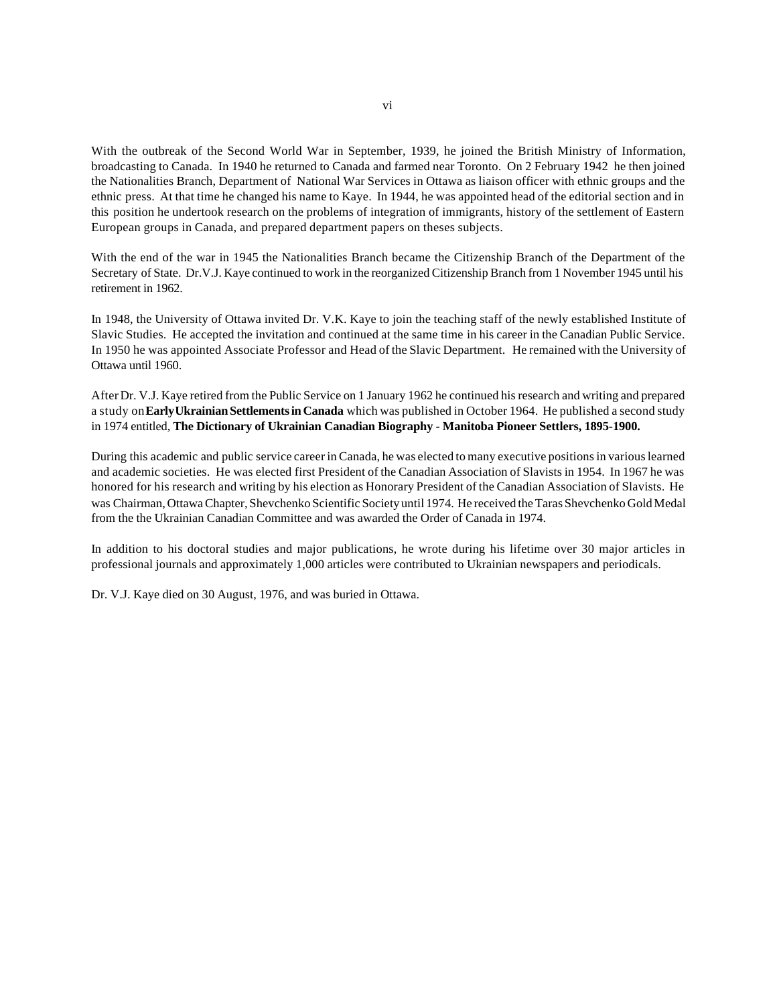With the outbreak of the Second World War in September, 1939, he joined the British Ministry of Information, broadcasting to Canada. In 1940 he returned to Canada and farmed near Toronto. On 2 February 1942 he then joined the Nationalities Branch, Department of National War Services in Ottawa as liaison officer with ethnic groups and the ethnic press. At that time he changed his name to Kaye. In 1944, he was appointed head of the editorial section and in this position he undertook research on the problems of integration of immigrants, history of the settlement of Eastern European groups in Canada, and prepared department papers on theses subjects.

With the end of the war in 1945 the Nationalities Branch became the Citizenship Branch of the Department of the Secretary of State. Dr.V.J. Kaye continued to work in the reorganized Citizenship Branch from 1 November 1945 until his retirement in 1962.

In 1948, the University of Ottawa invited Dr. V.K. Kaye to join the teaching staff of the newly established Institute of Slavic Studies. He accepted the invitation and continued at the same time in his career in the Canadian Public Service. In 1950 he was appointed Associate Professor and Head of the Slavic Department. He remained with the University of Ottawa until 1960.

After Dr. V.J. Kaye retired from the Public Service on 1 January 1962 he continued his research and writing and prepared a study on **Early Ukrainian Settlements in Canada** which was published in October 1964. He published a second study in 1974 entitled, **The Dictionary of Ukrainian Canadian Biography - Manitoba Pioneer Settlers, 1895-1900.**

During this academic and public service career in Canada, he was elected to many executive positions in various learned and academic societies. He was elected first President of the Canadian Association of Slavists in 1954. In 1967 he was honored for his research and writing by his election as Honorary President of the Canadian Association of Slavists. He was Chairman, Ottawa Chapter, Shevchenko Scientific Society until 1974. He received the Taras Shevchenko Gold Medal from the the Ukrainian Canadian Committee and was awarded the Order of Canada in 1974.

In addition to his doctoral studies and major publications, he wrote during his lifetime over 30 major articles in professional journals and approximately 1,000 articles were contributed to Ukrainian newspapers and periodicals.

Dr. V.J. Kaye died on 30 August, 1976, and was buried in Ottawa.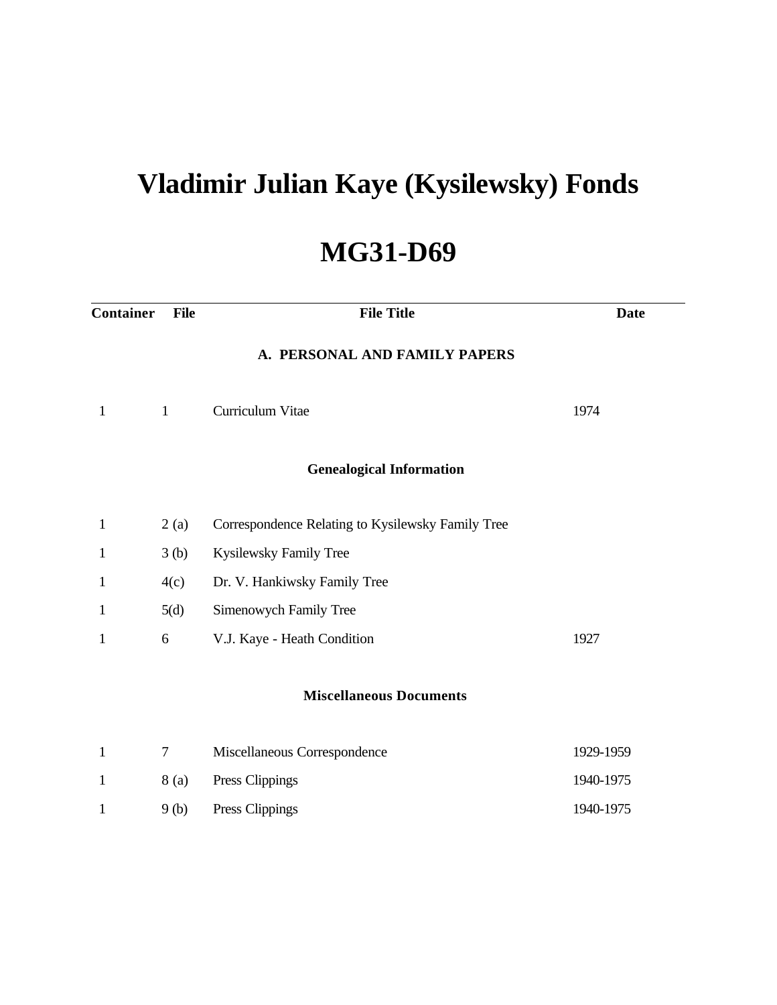# **Vladimir Julian Kaye (Kysilewsky) Fonds**

# **MG31-D69**

| <b>Container</b> | <b>File</b>  | <b>File Title</b>                                 | <b>Date</b> |
|------------------|--------------|---------------------------------------------------|-------------|
|                  |              | A. PERSONAL AND FAMILY PAPERS                     |             |
| $\mathbf{1}$     | $\mathbf{1}$ | Curriculum Vitae                                  | 1974        |
|                  |              | <b>Genealogical Information</b>                   |             |
| $\mathbf{1}$     | 2(a)         | Correspondence Relating to Kysilewsky Family Tree |             |
| 1                | 3(b)         | Kysilewsky Family Tree                            |             |
| $\mathbf 1$      | 4(c)         | Dr. V. Hankiwsky Family Tree                      |             |
| $\mathbf 1$      | 5(d)         | Simenowych Family Tree                            |             |
| $\mathbf 1$      | 6            | V.J. Kaye - Heath Condition                       | 1927        |
|                  |              | <b>Miscellaneous Documents</b>                    |             |
| $\mathbf{1}$     | 7            | Miscellaneous Correspondence                      | 1929-1959   |
| $\mathbf 1$      | 8 (a)        | Press Clippings                                   | 1940-1975   |
| $\mathbf{1}$     | 9(b)         | Press Clippings                                   | 1940-1975   |
|                  |              |                                                   |             |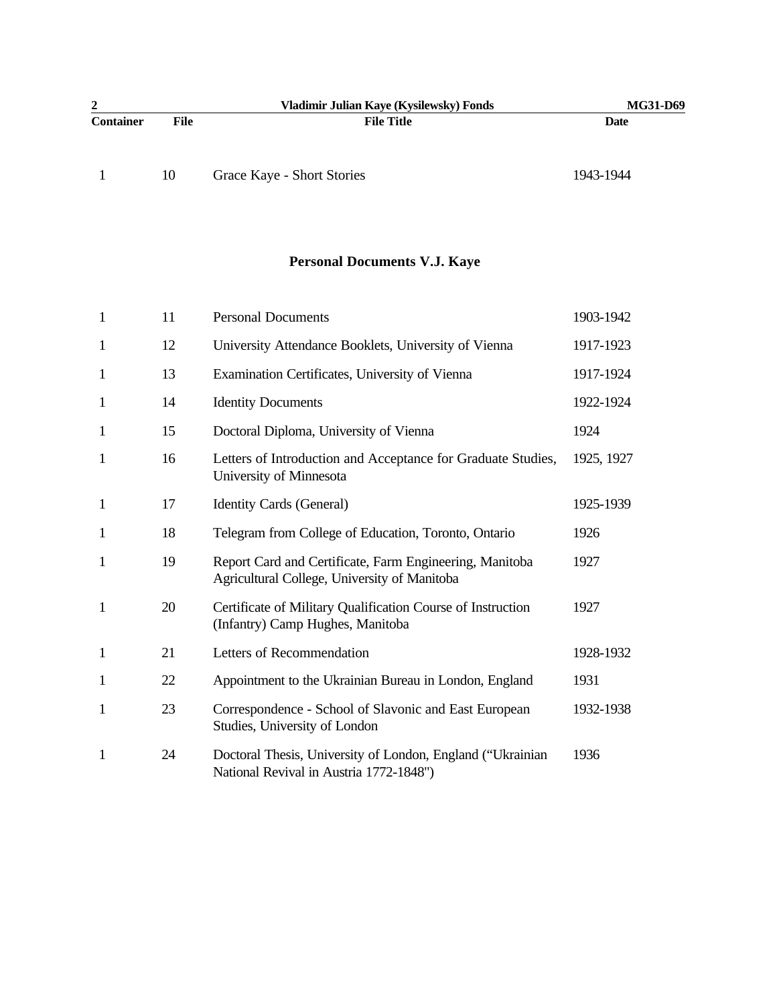| 2<br>Vladimir Julian Kaye (Kysilewsky) Fonds |      |                            | <b>MG31-D69</b> |
|----------------------------------------------|------|----------------------------|-----------------|
| <b>Container</b>                             | File | <b>File Title</b>          | Date            |
|                                              |      |                            |                 |
|                                              | 10   | Grace Kaye - Short Stories | 1943-1944       |

## **Personal Documents V.J. Kaye**

| $\mathbf{1}$ | 11 | <b>Personal Documents</b>                                                                               | 1903-1942  |
|--------------|----|---------------------------------------------------------------------------------------------------------|------------|
| $\mathbf{1}$ | 12 | University Attendance Booklets, University of Vienna                                                    | 1917-1923  |
| $\mathbf{1}$ | 13 | Examination Certificates, University of Vienna                                                          | 1917-1924  |
| $\mathbf{1}$ | 14 | <b>Identity Documents</b>                                                                               | 1922-1924  |
| $\mathbf{1}$ | 15 | Doctoral Diploma, University of Vienna                                                                  | 1924       |
| $\mathbf{1}$ | 16 | Letters of Introduction and Acceptance for Graduate Studies,<br>University of Minnesota                 | 1925, 1927 |
| $\mathbf{1}$ | 17 | Identity Cards (General)                                                                                | 1925-1939  |
| $\mathbf{1}$ | 18 | Telegram from College of Education, Toronto, Ontario                                                    | 1926       |
| $\mathbf{1}$ | 19 | Report Card and Certificate, Farm Engineering, Manitoba<br>Agricultural College, University of Manitoba | 1927       |
| $\mathbf{1}$ | 20 | Certificate of Military Qualification Course of Instruction<br>(Infantry) Camp Hughes, Manitoba         | 1927       |
| $\mathbf{1}$ | 21 | Letters of Recommendation                                                                               | 1928-1932  |
| $\mathbf{1}$ | 22 | Appointment to the Ukrainian Bureau in London, England                                                  | 1931       |
| $\mathbf{1}$ | 23 | Correspondence - School of Slavonic and East European<br>Studies, University of London                  | 1932-1938  |
| $\mathbf{1}$ | 24 | Doctoral Thesis, University of London, England ("Ukrainian<br>National Revival in Austria 1772-1848")   | 1936       |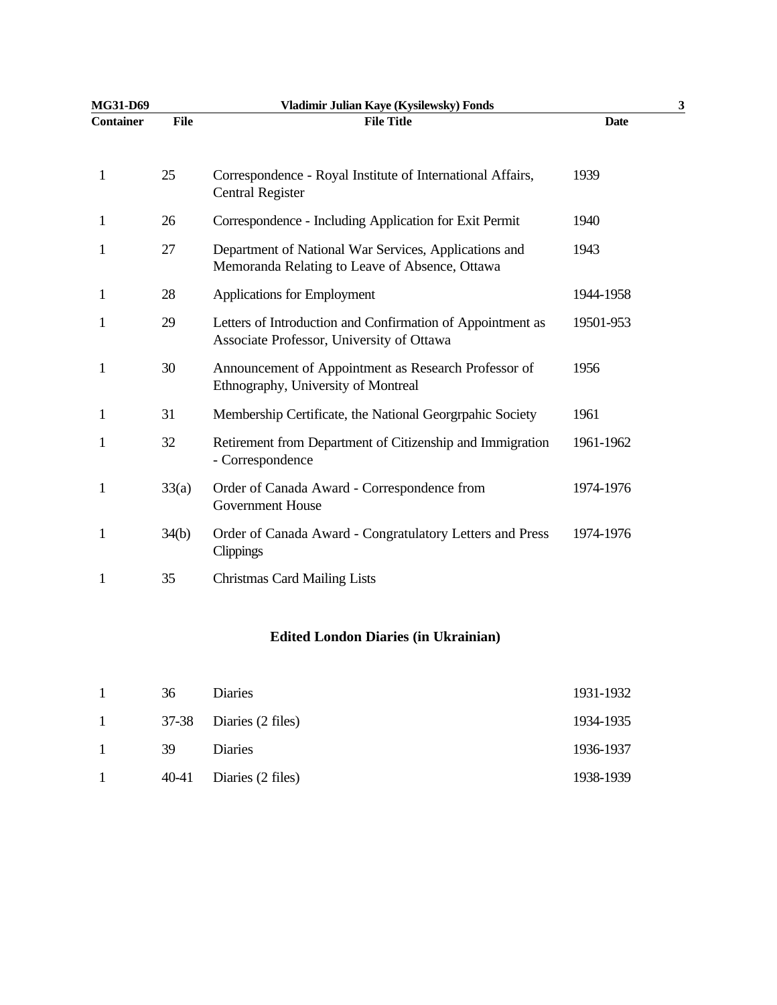| MG31-D69         |             | Vladimir Julian Kaye (Kysilewsky) Fonds                                                                 |             | 3 |
|------------------|-------------|---------------------------------------------------------------------------------------------------------|-------------|---|
| <b>Container</b> | <b>File</b> | <b>File Title</b>                                                                                       | <b>Date</b> |   |
| 1                | 25          | Correspondence - Royal Institute of International Affairs,<br><b>Central Register</b>                   | 1939        |   |
| 1                | 26          | Correspondence - Including Application for Exit Permit                                                  | 1940        |   |
| 1                | 27          | Department of National War Services, Applications and<br>Memoranda Relating to Leave of Absence, Ottawa | 1943        |   |
| 1                | 28          | Applications for Employment                                                                             | 1944-1958   |   |
| 1                | 29          | Letters of Introduction and Confirmation of Appointment as<br>Associate Professor, University of Ottawa | 19501-953   |   |
| 1                | 30          | Announcement of Appointment as Research Professor of<br>Ethnography, University of Montreal             | 1956        |   |
| 1                | 31          | Membership Certificate, the National Georgrpahic Society                                                | 1961        |   |
| 1                | 32          | Retirement from Department of Citizenship and Immigration<br>- Correspondence                           | 1961-1962   |   |
| $\mathbf{1}$     | 33(a)       | Order of Canada Award - Correspondence from<br><b>Government House</b>                                  | 1974-1976   |   |
| $\mathbf{1}$     | 34(b)       | Order of Canada Award - Congratulatory Letters and Press<br>Clippings                                   | 1974-1976   |   |
| 1                | 35          | <b>Christmas Card Mailing Lists</b>                                                                     |             |   |

#### **Edited London Diaries (in Ukrainian)**

| $\mathbf{1}$   | 36 | Diaries                 | 1931-1932 |
|----------------|----|-------------------------|-----------|
| $\mathbf{1}$   |    | 37-38 Diaries (2 files) | 1934-1935 |
| $\overline{1}$ | 39 | Diaries                 | 1936-1937 |
| $\mathbf{1}$   |    | 40-41 Diaries (2 files) | 1938-1939 |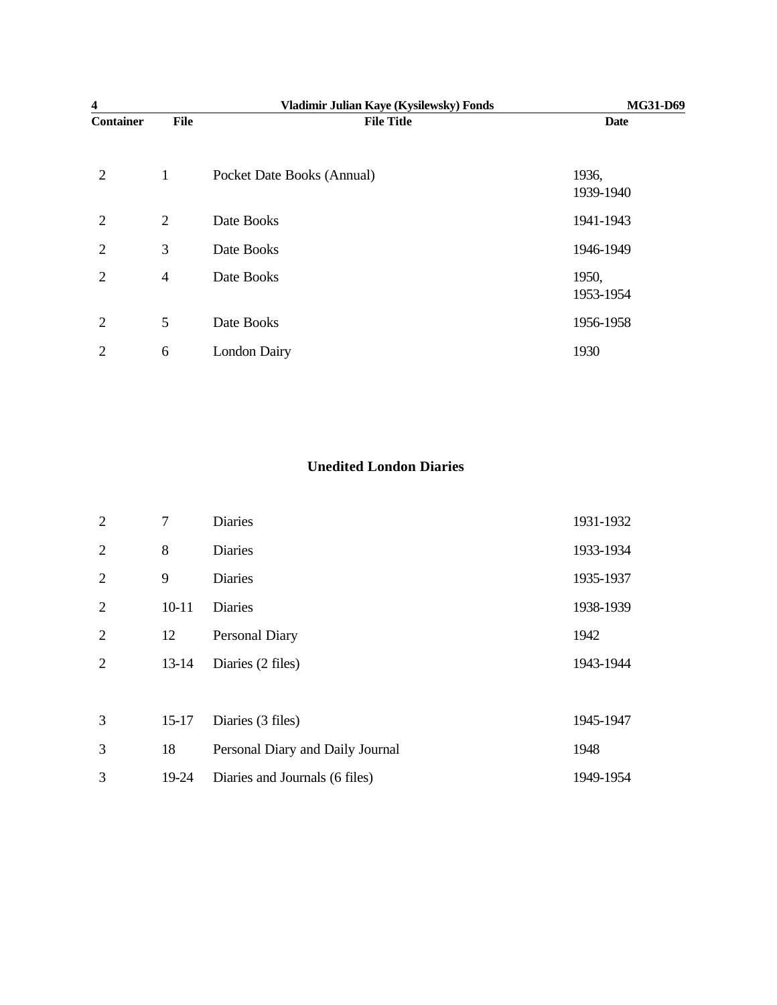| 4                |                | Vladimir Julian Kaye (Kysilewsky) Fonds | MG31-D69           |
|------------------|----------------|-----------------------------------------|--------------------|
| <b>Container</b> | <b>File</b>    | <b>File Title</b>                       | <b>Date</b>        |
| 2                | $\mathbf{1}$   | Pocket Date Books (Annual)              | 1936,<br>1939-1940 |
| 2                | 2              | Date Books                              | 1941-1943          |
| 2                | 3              | Date Books                              | 1946-1949          |
| $\overline{2}$   | $\overline{4}$ | Date Books                              | 1950,<br>1953-1954 |
| $\overline{2}$   | 5              | Date Books                              | 1956-1958          |
| $\overline{2}$   | 6              | <b>London Dairy</b>                     | 1930               |

### **Unedited London Diaries**

| 2              | 7         | <b>Diaries</b>                   | 1931-1932 |
|----------------|-----------|----------------------------------|-----------|
| 2              | 8         | Diaries                          | 1933-1934 |
| $\overline{2}$ | 9         | Diaries                          | 1935-1937 |
| 2              | $10 - 11$ | Diaries                          | 1938-1939 |
| 2              | 12        | Personal Diary                   | 1942      |
| $\overline{2}$ | $13-14$   | Diaries (2 files)                | 1943-1944 |
|                |           |                                  |           |
| 3              | $15-17$   | Diaries (3 files)                | 1945-1947 |
| 3              | 18        | Personal Diary and Daily Journal | 1948      |
| 3              | 19-24     | Diaries and Journals (6 files)   | 1949-1954 |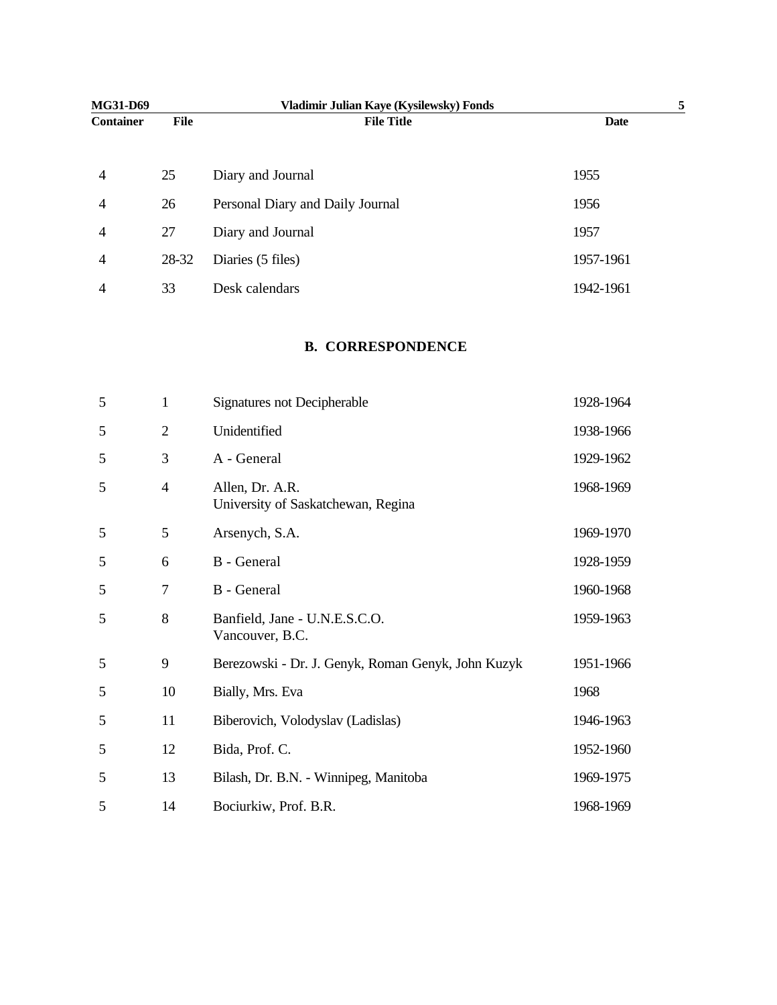| MG31-D69         |       | Vladimir Julian Kaye (Kysilewsky) Fonds |             |  |
|------------------|-------|-----------------------------------------|-------------|--|
| <b>Container</b> | File  | <b>File Title</b>                       | <b>Date</b> |  |
|                  |       |                                         |             |  |
| $\overline{4}$   | 25    | Diary and Journal                       | 1955        |  |
| $\overline{4}$   | 26    | Personal Diary and Daily Journal        | 1956        |  |
| $\overline{4}$   | 27    | Diary and Journal                       | 1957        |  |
| $\overline{4}$   | 28-32 | Diaries (5 files)                       | 1957-1961   |  |
| 4                | 33    | Desk calendars                          | 1942-1961   |  |

#### **B. CORRESPONDENCE**

| 5 | $\mathbf{1}$   | Signatures not Decipherable                           | 1928-1964 |
|---|----------------|-------------------------------------------------------|-----------|
| 5 | $\overline{2}$ | Unidentified                                          | 1938-1966 |
| 5 | 3              | A - General                                           | 1929-1962 |
| 5 | $\overline{4}$ | Allen, Dr. A.R.<br>University of Saskatchewan, Regina | 1968-1969 |
| 5 | 5              | Arsenych, S.A.                                        | 1969-1970 |
| 5 | 6              | B - General                                           | 1928-1959 |
| 5 | 7              | B - General                                           | 1960-1968 |
| 5 | 8              | Banfield, Jane - U.N.E.S.C.O.<br>Vancouver, B.C.      | 1959-1963 |
| 5 | 9              | Berezowski - Dr. J. Genyk, Roman Genyk, John Kuzyk    | 1951-1966 |
| 5 | 10             | Bially, Mrs. Eva                                      | 1968      |
| 5 | 11             | Biberovich, Volodyslav (Ladislas)                     | 1946-1963 |
| 5 | 12             | Bida, Prof. C.                                        | 1952-1960 |
| 5 | 13             | Bilash, Dr. B.N. - Winnipeg, Manitoba                 | 1969-1975 |
| 5 | 14             | Bociurkiw, Prof. B.R.                                 | 1968-1969 |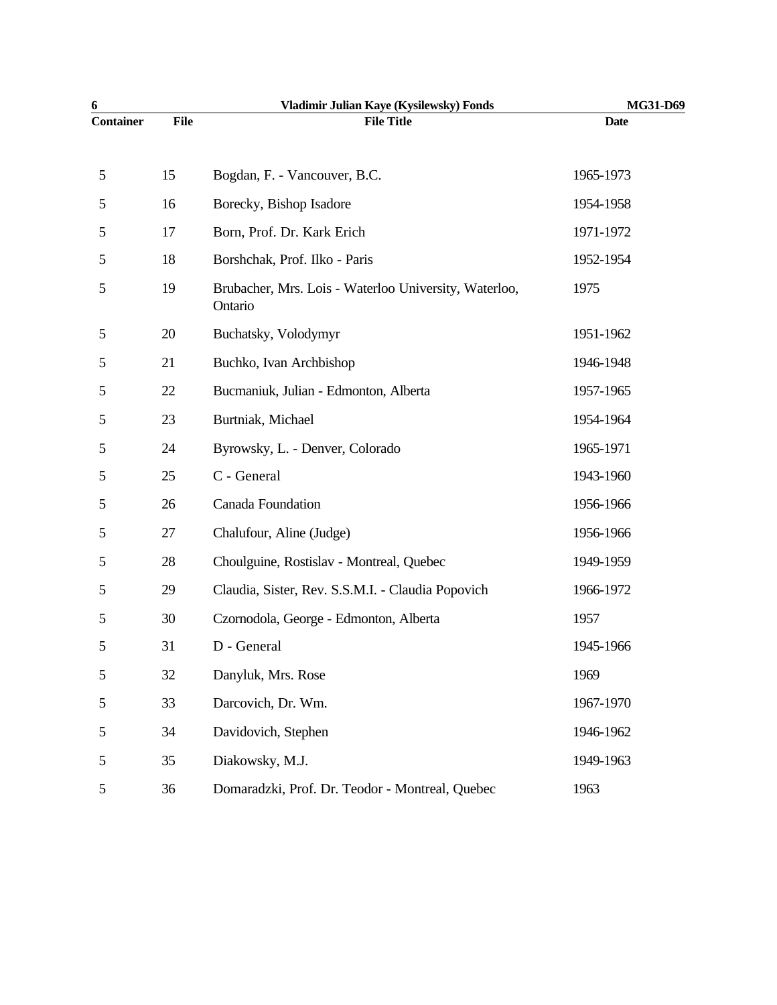| 6                |             | Vladimir Julian Kaye (Kysilewsky) Fonds                          | MG31-D69    |
|------------------|-------------|------------------------------------------------------------------|-------------|
| <b>Container</b> | <b>File</b> | <b>File Title</b>                                                | <b>Date</b> |
| 5                | 15          | Bogdan, F. - Vancouver, B.C.                                     | 1965-1973   |
| 5                | 16          | Borecky, Bishop Isadore                                          | 1954-1958   |
| 5                | 17          | Born, Prof. Dr. Kark Erich                                       | 1971-1972   |
| 5                | 18          | Borshchak, Prof. Ilko - Paris                                    | 1952-1954   |
| 5                | 19          | Brubacher, Mrs. Lois - Waterloo University, Waterloo,<br>Ontario | 1975        |
| 5                | 20          | Buchatsky, Volodymyr                                             | 1951-1962   |
| 5                | 21          | Buchko, Ivan Archbishop                                          | 1946-1948   |
| 5                | 22          | Bucmaniuk, Julian - Edmonton, Alberta                            | 1957-1965   |
| 5                | 23          | Burtniak, Michael                                                | 1954-1964   |
| 5                | 24          | Byrowsky, L. - Denver, Colorado                                  | 1965-1971   |
| 5                | 25          | C - General                                                      | 1943-1960   |
| 5                | 26          | Canada Foundation                                                | 1956-1966   |
| 5                | 27          | Chalufour, Aline (Judge)                                         | 1956-1966   |
| 5                | 28          | Choulguine, Rostislav - Montreal, Quebec                         | 1949-1959   |
| 5                | 29          | Claudia, Sister, Rev. S.S.M.I. - Claudia Popovich                | 1966-1972   |
| 5                | 30          | Czornodola, George - Edmonton, Alberta                           | 1957        |
| 5                | 31          | D - General                                                      | 1945-1966   |
| 5                | 32          | Danyluk, Mrs. Rose                                               | 1969        |
| 5                | 33          | Darcovich, Dr. Wm.                                               | 1967-1970   |
| 5                | 34          | Davidovich, Stephen                                              | 1946-1962   |
| 5                | 35          | Diakowsky, M.J.                                                  | 1949-1963   |
| 5                | 36          | Domaradzki, Prof. Dr. Teodor - Montreal, Quebec                  | 1963        |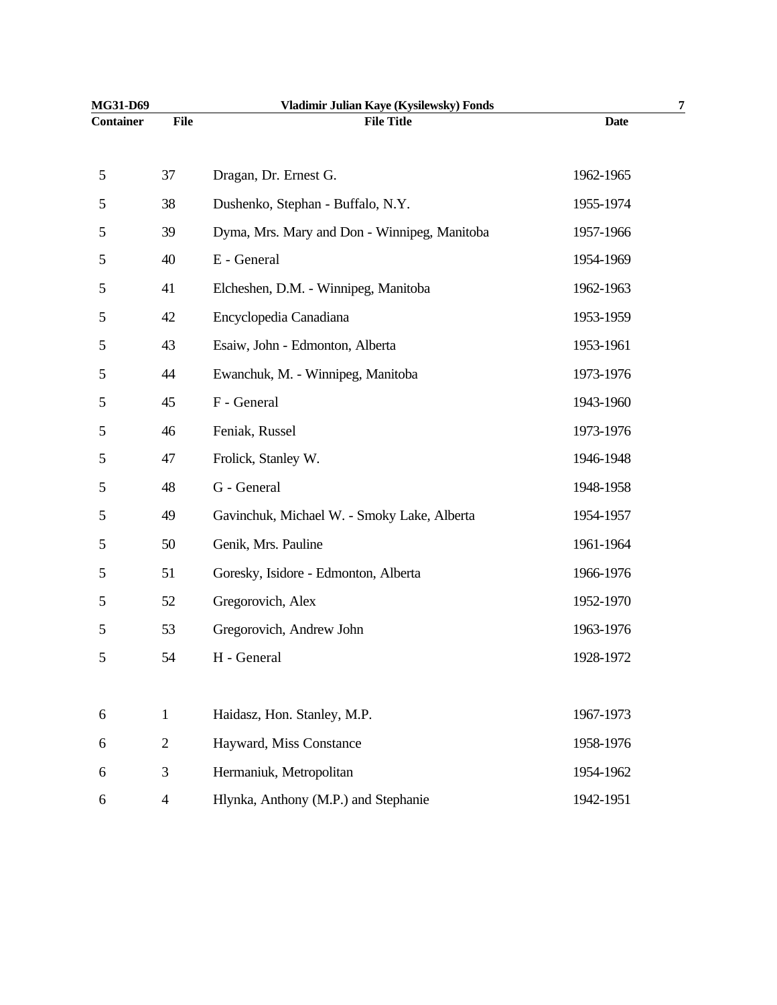| MG31-D69         |                | Vladimir Julian Kaye (Kysilewsky) Fonds      |             | 7 |
|------------------|----------------|----------------------------------------------|-------------|---|
| <b>Container</b> | <b>File</b>    | <b>File Title</b>                            | <b>Date</b> |   |
| 5                | 37             | Dragan, Dr. Ernest G.                        | 1962-1965   |   |
| 5                | 38             | Dushenko, Stephan - Buffalo, N.Y.            | 1955-1974   |   |
| 5                | 39             | Dyma, Mrs. Mary and Don - Winnipeg, Manitoba | 1957-1966   |   |
| 5                | 40             | E - General                                  | 1954-1969   |   |
| 5                | 41             | Elcheshen, D.M. - Winnipeg, Manitoba         | 1962-1963   |   |
| 5                | 42             | Encyclopedia Canadiana                       | 1953-1959   |   |
| 5                | 43             | Esaiw, John - Edmonton, Alberta              | 1953-1961   |   |
| 5                | 44             | Ewanchuk, M. - Winnipeg, Manitoba            | 1973-1976   |   |
| 5                | 45             | F - General                                  | 1943-1960   |   |
| 5                | 46             | Feniak, Russel                               | 1973-1976   |   |
| 5                | 47             | Frolick, Stanley W.                          | 1946-1948   |   |
| 5                | 48             | G - General                                  | 1948-1958   |   |
| 5                | 49             | Gavinchuk, Michael W. - Smoky Lake, Alberta  | 1954-1957   |   |
| 5                | 50             | Genik, Mrs. Pauline                          | 1961-1964   |   |
| 5                | 51             | Goresky, Isidore - Edmonton, Alberta         | 1966-1976   |   |
| 5                | 52             | Gregorovich, Alex                            | 1952-1970   |   |
| 5                | 53             | Gregorovich, Andrew John                     | 1963-1976   |   |
| 5                | 54             | H - General                                  | 1928-1972   |   |
|                  |                |                                              |             |   |
| 6                | $\mathbf{1}$   | Haidasz, Hon. Stanley, M.P.                  | 1967-1973   |   |
| 6                | $\overline{2}$ | Hayward, Miss Constance                      | 1958-1976   |   |
| 6                | 3              | Hermaniuk, Metropolitan                      | 1954-1962   |   |
| 6                | $\overline{4}$ | Hlynka, Anthony (M.P.) and Stephanie         | 1942-1951   |   |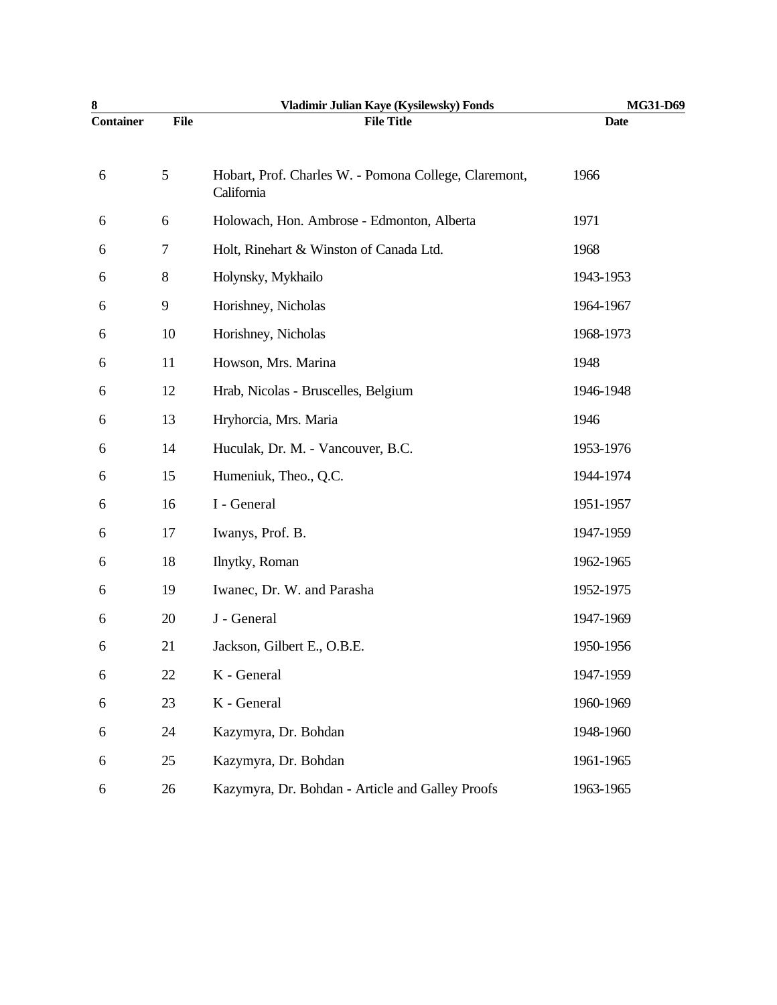| 8                |             | Vladimir Julian Kaye (Kysilewsky) Fonds                             | MG31-D69    |
|------------------|-------------|---------------------------------------------------------------------|-------------|
| <b>Container</b> | <b>File</b> | <b>File Title</b>                                                   | <b>Date</b> |
| 6                | 5           | Hobart, Prof. Charles W. - Pomona College, Claremont,<br>California | 1966        |
| 6                | 6           | Holowach, Hon. Ambrose - Edmonton, Alberta                          | 1971        |
| 6                | $\tau$      | Holt, Rinehart & Winston of Canada Ltd.                             | 1968        |
| 6                | $8\,$       | Holynsky, Mykhailo                                                  | 1943-1953   |
| 6                | 9           | Horishney, Nicholas                                                 | 1964-1967   |
| 6                | 10          | Horishney, Nicholas                                                 | 1968-1973   |
| 6                | 11          | Howson, Mrs. Marina                                                 | 1948        |
| 6                | 12          | Hrab, Nicolas - Bruscelles, Belgium                                 | 1946-1948   |
| 6                | 13          | Hryhorcia, Mrs. Maria                                               | 1946        |
| 6                | 14          | Huculak, Dr. M. - Vancouver, B.C.                                   | 1953-1976   |
| 6                | 15          | Humeniuk, Theo., Q.C.                                               | 1944-1974   |
| 6                | 16          | I - General                                                         | 1951-1957   |
| 6                | 17          | Iwanys, Prof. B.                                                    | 1947-1959   |
| 6                | 18          | Ilnytky, Roman                                                      | 1962-1965   |
| 6                | 19          | Iwanec, Dr. W. and Parasha                                          | 1952-1975   |
| 6                | 20          | J - General                                                         | 1947-1969   |
| 6                | 21          | Jackson, Gilbert E., O.B.E.                                         | 1950-1956   |
| 6                | 22          | K - General                                                         | 1947-1959   |
| 6                | 23          | K - General                                                         | 1960-1969   |
| 6                | 24          | Kazymyra, Dr. Bohdan                                                | 1948-1960   |
| 6                | 25          | Kazymyra, Dr. Bohdan                                                | 1961-1965   |
| 6                | 26          | Kazymyra, Dr. Bohdan - Article and Galley Proofs                    | 1963-1965   |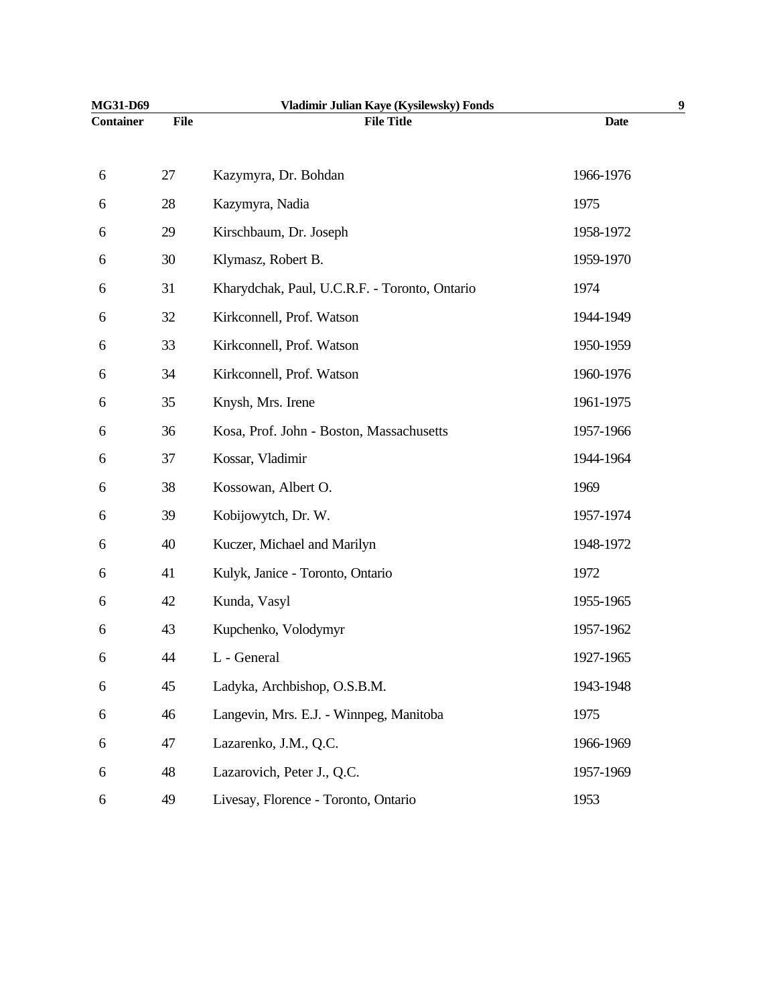| MG31-D69         |             | Vladimir Julian Kaye (Kysilewsky) Fonds       |             | 9 |
|------------------|-------------|-----------------------------------------------|-------------|---|
| <b>Container</b> | <b>File</b> | <b>File Title</b>                             | <b>Date</b> |   |
| 6                | 27          | Kazymyra, Dr. Bohdan                          | 1966-1976   |   |
| 6                | 28          | Kazymyra, Nadia                               | 1975        |   |
| 6                | 29          | Kirschbaum, Dr. Joseph                        | 1958-1972   |   |
| 6                | 30          | Klymasz, Robert B.                            | 1959-1970   |   |
| 6                | 31          | Kharydchak, Paul, U.C.R.F. - Toronto, Ontario | 1974        |   |
| 6                | 32          | Kirkconnell, Prof. Watson                     | 1944-1949   |   |
| 6                | 33          | Kirkconnell, Prof. Watson                     | 1950-1959   |   |
| 6                | 34          | Kirkconnell, Prof. Watson                     | 1960-1976   |   |
| 6                | 35          | Knysh, Mrs. Irene                             | 1961-1975   |   |
| 6                | 36          | Kosa, Prof. John - Boston, Massachusetts      | 1957-1966   |   |
| 6                | 37          | Kossar, Vladimir                              | 1944-1964   |   |
| 6                | 38          | Kossowan, Albert O.                           | 1969        |   |
| 6                | 39          | Kobijowytch, Dr. W.                           | 1957-1974   |   |
| 6                | 40          | Kuczer, Michael and Marilyn                   | 1948-1972   |   |
| 6                | 41          | Kulyk, Janice - Toronto, Ontario              | 1972        |   |
| 6                | 42          | Kunda, Vasyl                                  | 1955-1965   |   |
| 6                | 43          | Kupchenko, Volodymyr                          | 1957-1962   |   |
| 6                | 44          | L - General                                   | 1927-1965   |   |
| 6                | 45          | Ladyka, Archbishop, O.S.B.M.                  | 1943-1948   |   |
| 6                | 46          | Langevin, Mrs. E.J. - Winnpeg, Manitoba       | 1975        |   |
| 6                | 47          | Lazarenko, J.M., Q.C.                         | 1966-1969   |   |
| 6                | 48          | Lazarovich, Peter J., Q.C.                    | 1957-1969   |   |
| 6                | 49          | Livesay, Florence - Toronto, Ontario          | 1953        |   |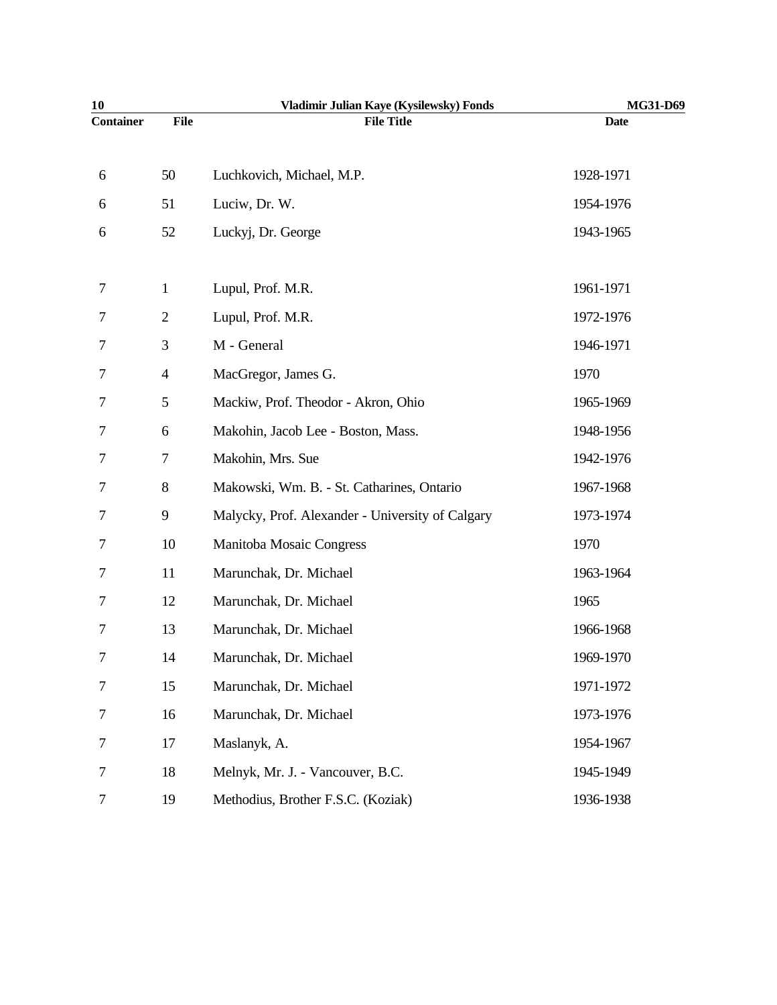| 10               |                | Vladimir Julian Kaye (Kysilewsky) Fonds          | MG31-D69    |
|------------------|----------------|--------------------------------------------------|-------------|
| <b>Container</b> | <b>File</b>    | <b>File Title</b>                                | <b>Date</b> |
|                  |                |                                                  |             |
| 6                | 50             | Luchkovich, Michael, M.P.                        | 1928-1971   |
| 6                | 51             | Luciw, Dr. W.                                    | 1954-1976   |
| 6                | 52             | Luckyj, Dr. George                               | 1943-1965   |
| 7                | $\mathbf{1}$   | Lupul, Prof. M.R.                                | 1961-1971   |
| 7                | $\overline{2}$ | Lupul, Prof. M.R.                                | 1972-1976   |
| 7                | 3              | M - General                                      | 1946-1971   |
| 7                | $\overline{4}$ | MacGregor, James G.                              | 1970        |
| 7                | 5              | Mackiw, Prof. Theodor - Akron, Ohio              | 1965-1969   |
| 7                | 6              | Makohin, Jacob Lee - Boston, Mass.               | 1948-1956   |
| 7                | 7              | Makohin, Mrs. Sue                                | 1942-1976   |
| 7                | 8              | Makowski, Wm. B. - St. Catharines, Ontario       | 1967-1968   |
| 7                | 9              | Malycky, Prof. Alexander - University of Calgary | 1973-1974   |
| 7                | 10             | Manitoba Mosaic Congress                         | 1970        |
| 7                | 11             | Marunchak, Dr. Michael                           | 1963-1964   |
| 7                | 12             | Marunchak, Dr. Michael                           | 1965        |
| 7                | 13             | Marunchak, Dr. Michael                           | 1966-1968   |
| 7                | 14             | Marunchak, Dr. Michael                           | 1969-1970   |
| 7                | 15             | Marunchak, Dr. Michael                           | 1971-1972   |
| 7                | 16             | Marunchak, Dr. Michael                           | 1973-1976   |
| 7                | 17             | Maslanyk, A.                                     | 1954-1967   |
| 7                | 18             | Melnyk, Mr. J. - Vancouver, B.C.                 | 1945-1949   |
| 7                | 19             | Methodius, Brother F.S.C. (Koziak)               | 1936-1938   |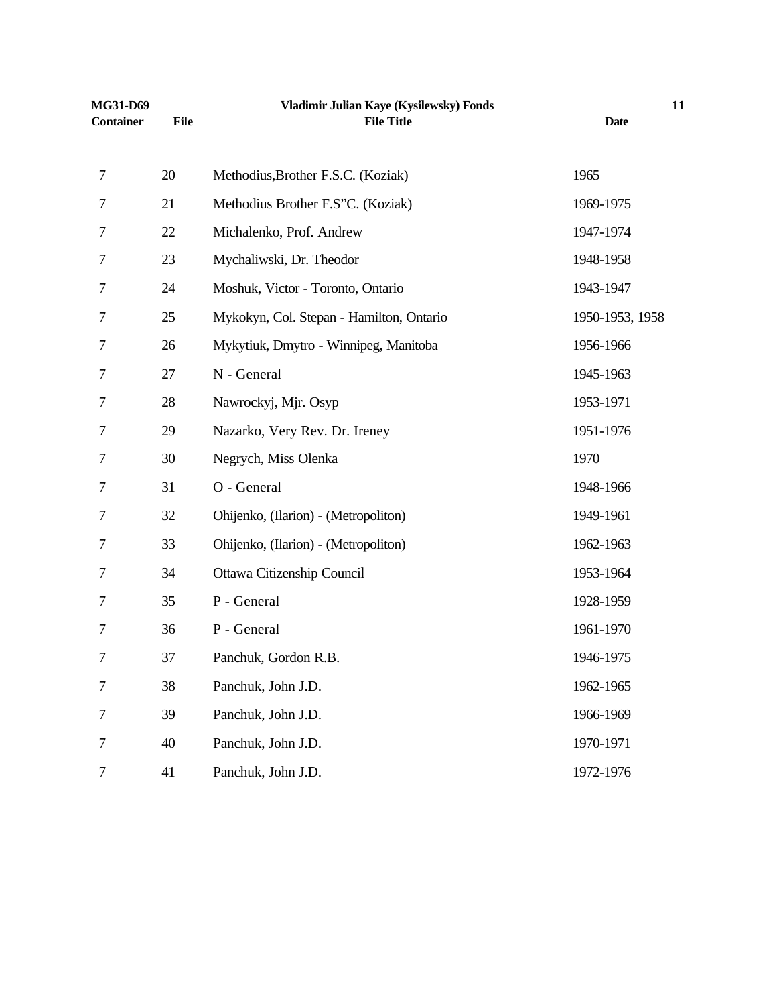| MG31-D69         |             | Vladimir Julian Kaye (Kysilewsky) Fonds  | 11              |
|------------------|-------------|------------------------------------------|-----------------|
| <b>Container</b> | <b>File</b> | <b>File Title</b>                        | <b>Date</b>     |
| 7                | 20          | Methodius, Brother F.S.C. (Koziak)       | 1965            |
| 7                | 21          | Methodius Brother F.S"C. (Koziak)        | 1969-1975       |
| 7                | 22          | Michalenko, Prof. Andrew                 | 1947-1974       |
| 7                | 23          | Mychaliwski, Dr. Theodor                 | 1948-1958       |
| 7                | 24          | Moshuk, Victor - Toronto, Ontario        | 1943-1947       |
| 7                | 25          | Mykokyn, Col. Stepan - Hamilton, Ontario | 1950-1953, 1958 |
| 7                | 26          | Mykytiuk, Dmytro - Winnipeg, Manitoba    | 1956-1966       |
| 7                | 27          | N - General                              | 1945-1963       |
| 7                | 28          | Nawrockyj, Mjr. Osyp                     | 1953-1971       |
| 7                | 29          | Nazarko, Very Rev. Dr. Ireney            | 1951-1976       |
| 7                | 30          | Negrych, Miss Olenka                     | 1970            |
| 7                | 31          | O - General                              | 1948-1966       |
| 7                | 32          | Ohijenko, (Ilarion) - (Metropoliton)     | 1949-1961       |
| 7                | 33          | Ohijenko, (Ilarion) - (Metropoliton)     | 1962-1963       |
| 7                | 34          | Ottawa Citizenship Council               | 1953-1964       |
| 7                | 35          | P - General                              | 1928-1959       |
| 7                | 36          | P - General                              | 1961-1970       |
| 7                | 37          | Panchuk, Gordon R.B.                     | 1946-1975       |
| 7                | 38          | Panchuk, John J.D.                       | 1962-1965       |
| 7                | 39          | Panchuk, John J.D.                       | 1966-1969       |
| 7                | 40          | Panchuk, John J.D.                       | 1970-1971       |
| 7                | 41          | Panchuk, John J.D.                       | 1972-1976       |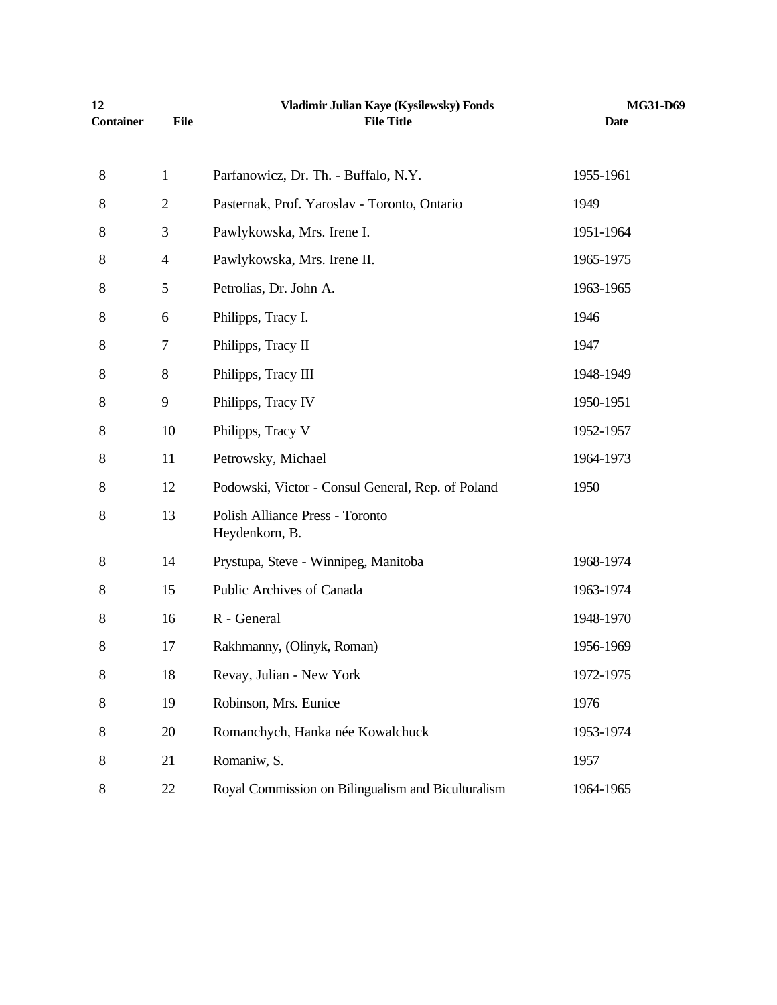| 12               |                          | Vladimir Julian Kaye (Kysilewsky) Fonds            | MG31-D69    |
|------------------|--------------------------|----------------------------------------------------|-------------|
| <b>Container</b> | <b>File</b>              | <b>File Title</b>                                  | <b>Date</b> |
| 8                | $\mathbf{1}$             | Parfanowicz, Dr. Th. - Buffalo, N.Y.               | 1955-1961   |
| 8                | $\sqrt{2}$               | Pasternak, Prof. Yaroslav - Toronto, Ontario       | 1949        |
| 8                | 3                        | Pawlykowska, Mrs. Irene I.                         | 1951-1964   |
| 8                | $\overline{\mathcal{A}}$ | Pawlykowska, Mrs. Irene II.                        | 1965-1975   |
| 8                | 5                        | Petrolias, Dr. John A.                             | 1963-1965   |
| 8                | 6                        | Philipps, Tracy I.                                 | 1946        |
| 8                | 7                        | Philipps, Tracy II                                 | 1947        |
| 8                | 8                        | Philipps, Tracy III                                | 1948-1949   |
| 8                | $\overline{9}$           | Philipps, Tracy IV                                 | 1950-1951   |
| 8                | 10                       | Philipps, Tracy V                                  | 1952-1957   |
| 8                | 11                       | Petrowsky, Michael                                 | 1964-1973   |
| 8                | 12                       | Podowski, Victor - Consul General, Rep. of Poland  | 1950        |
| 8                | 13                       | Polish Alliance Press - Toronto<br>Heydenkorn, B.  |             |
| 8                | 14                       | Prystupa, Steve - Winnipeg, Manitoba               | 1968-1974   |
| 8                | 15                       | <b>Public Archives of Canada</b>                   | 1963-1974   |
| 8                | 16                       | R - General                                        | 1948-1970   |
| 8                | 17                       | Rakhmanny, (Olinyk, Roman)                         | 1956-1969   |
| 8                | 18                       | Revay, Julian - New York                           | 1972-1975   |
| 8                | 19                       | Robinson, Mrs. Eunice                              | 1976        |
| 8                | 20                       | Romanchych, Hanka née Kowalchuck                   | 1953-1974   |
| 8                | 21                       | Romaniw, S.                                        | 1957        |
| 8                | 22                       | Royal Commission on Bilingualism and Biculturalism | 1964-1965   |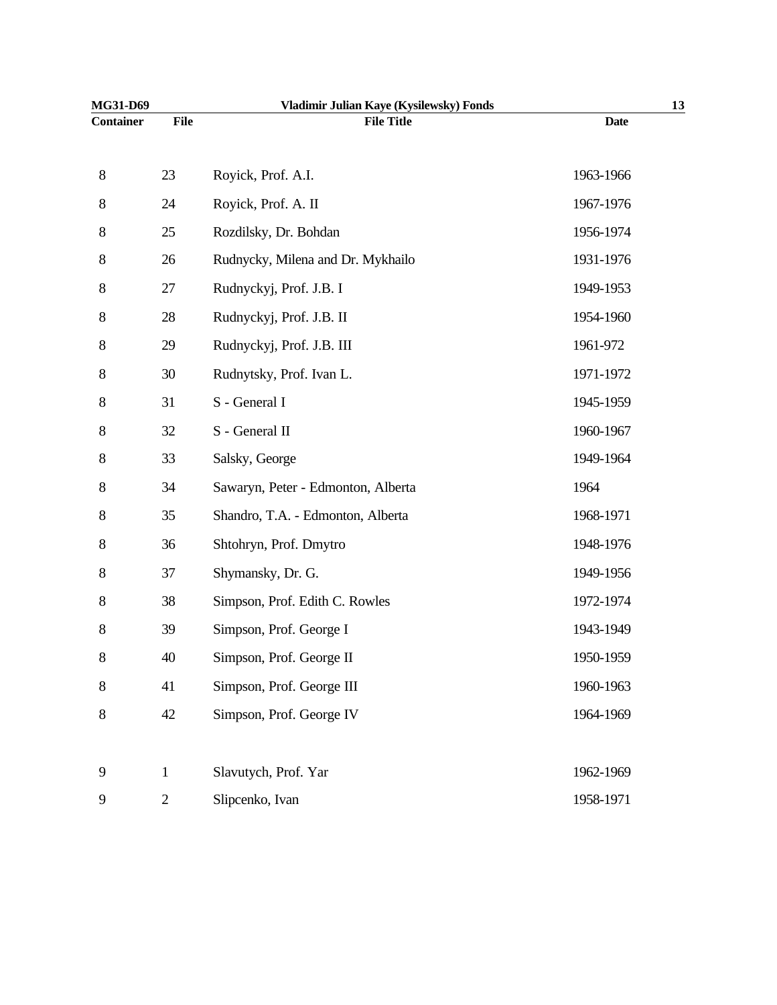| MG31-D69         |              | Vladimir Julian Kaye (Kysilewsky) Fonds |             | 13 |
|------------------|--------------|-----------------------------------------|-------------|----|
| <b>Container</b> | <b>File</b>  | <b>File Title</b>                       | <b>Date</b> |    |
| $8\,$            | 23           | Royick, Prof. A.I.                      | 1963-1966   |    |
| $8\,$            | 24           | Royick, Prof. A. II                     | 1967-1976   |    |
| $8\,$            | 25           | Rozdilsky, Dr. Bohdan                   | 1956-1974   |    |
| 8                | 26           | Rudnycky, Milena and Dr. Mykhailo       | 1931-1976   |    |
| 8                | 27           | Rudnyckyj, Prof. J.B. I                 | 1949-1953   |    |
| 8                | 28           | Rudnyckyj, Prof. J.B. II                | 1954-1960   |    |
| 8                | 29           | Rudnyckyj, Prof. J.B. III               | 1961-972    |    |
| 8                | 30           | Rudnytsky, Prof. Ivan L.                | 1971-1972   |    |
| $8\,$            | 31           | S - General I                           | 1945-1959   |    |
| $8\,$            | 32           | S - General II                          | 1960-1967   |    |
| $8\,$            | 33           | Salsky, George                          | 1949-1964   |    |
| 8                | 34           | Sawaryn, Peter - Edmonton, Alberta      | 1964        |    |
| 8                | 35           | Shandro, T.A. - Edmonton, Alberta       | 1968-1971   |    |
| 8                | 36           | Shtohryn, Prof. Dmytro                  | 1948-1976   |    |
| 8                | 37           | Shymansky, Dr. G.                       | 1949-1956   |    |
| 8                | 38           | Simpson, Prof. Edith C. Rowles          | 1972-1974   |    |
| 8                | 39           | Simpson, Prof. George I                 | 1943-1949   |    |
| $8\,$            | 40           | Simpson, Prof. George II                | 1950-1959   |    |
| 8                | 41           | Simpson, Prof. George III               | 1960-1963   |    |
| $8\,$            | 42           | Simpson, Prof. George IV                | 1964-1969   |    |
| 9                | $\mathbf{1}$ | Slavutych, Prof. Yar                    | 1962-1969   |    |
| 9                | $\mathbf{2}$ | Slipcenko, Ivan                         | 1958-1971   |    |
|                  |              |                                         |             |    |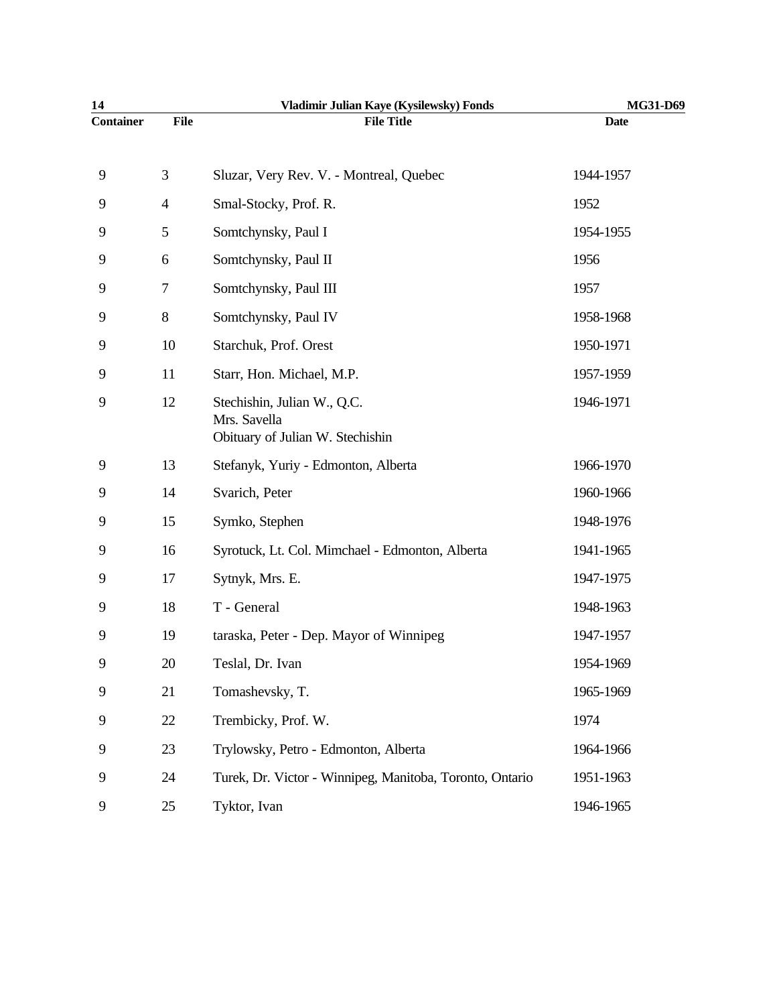| 14               |                | Vladimir Julian Kaye (Kysilewsky) Fonds                  | MG31-D69    |
|------------------|----------------|----------------------------------------------------------|-------------|
| <b>Container</b> | <b>File</b>    | <b>File Title</b>                                        | <b>Date</b> |
| 9                | $\mathfrak{Z}$ | Sluzar, Very Rev. V. - Montreal, Quebec                  | 1944-1957   |
| 9                | $\overline{4}$ | Smal-Stocky, Prof. R.                                    | 1952        |
| 9                | 5              | Somtchynsky, Paul I                                      | 1954-1955   |
| 9                | 6              | Somtchynsky, Paul II                                     | 1956        |
| 9                | 7              | Somtchynsky, Paul III                                    | 1957        |
| 9                | $8\,$          | Somtchynsky, Paul IV                                     | 1958-1968   |
| 9                | 10             | Starchuk, Prof. Orest                                    | 1950-1971   |
| 9                | 11             | Starr, Hon. Michael, M.P.                                | 1957-1959   |
| 9                | 12             | Stechishin, Julian W., Q.C.<br>Mrs. Savella              | 1946-1971   |
|                  |                | Obituary of Julian W. Stechishin                         |             |
| 9                | 13             | Stefanyk, Yuriy - Edmonton, Alberta                      | 1966-1970   |
| 9                | 14             | Svarich, Peter                                           | 1960-1966   |
| 9                | 15             | Symko, Stephen                                           | 1948-1976   |
| 9                | 16             | Syrotuck, Lt. Col. Mimchael - Edmonton, Alberta          | 1941-1965   |
| 9                | 17             | Sytnyk, Mrs. E.                                          | 1947-1975   |
| 9                | 18             | T - General                                              | 1948-1963   |
| 9                | 19             | taraska, Peter - Dep. Mayor of Winnipeg                  | 1947-1957   |
| 9                | 20             | Teslal, Dr. Ivan                                         | 1954-1969   |
| 9                | 21             | Tomashevsky, T.                                          | 1965-1969   |
| 9                | 22             | Trembicky, Prof. W.                                      | 1974        |
| 9                | 23             | Trylowsky, Petro - Edmonton, Alberta                     | 1964-1966   |
| 9                | 24             | Turek, Dr. Victor - Winnipeg, Manitoba, Toronto, Ontario | 1951-1963   |
| 9                | 25             | Tyktor, Ivan                                             | 1946-1965   |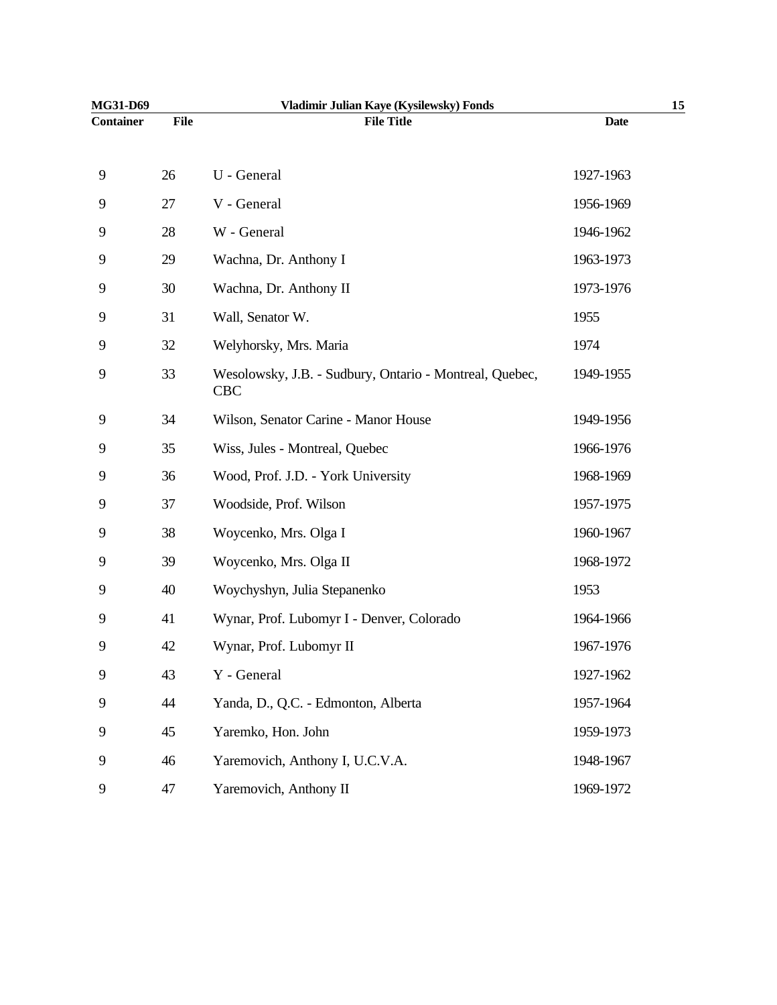| MG31-D69         |             | Vladimir Julian Kaye (Kysilewsky) Fonds                               |             | 15 |
|------------------|-------------|-----------------------------------------------------------------------|-------------|----|
| <b>Container</b> | <b>File</b> | <b>File Title</b>                                                     | <b>Date</b> |    |
|                  |             |                                                                       |             |    |
| 9                | 26          | U - General                                                           | 1927-1963   |    |
| 9                | 27          | V - General                                                           | 1956-1969   |    |
| 9                | 28          | W - General                                                           | 1946-1962   |    |
| 9                | 29          | Wachna, Dr. Anthony I                                                 | 1963-1973   |    |
| 9                | 30          | Wachna, Dr. Anthony II                                                | 1973-1976   |    |
| 9                | 31          | Wall, Senator W.                                                      | 1955        |    |
| 9                | 32          | Welyhorsky, Mrs. Maria                                                | 1974        |    |
| 9                | 33          | Wesolowsky, J.B. - Sudbury, Ontario - Montreal, Quebec,<br><b>CBC</b> | 1949-1955   |    |
| 9                | 34          | Wilson, Senator Carine - Manor House                                  | 1949-1956   |    |
| 9                | 35          | Wiss, Jules - Montreal, Quebec                                        | 1966-1976   |    |
| 9                | 36          | Wood, Prof. J.D. - York University                                    | 1968-1969   |    |
| 9                | 37          | Woodside, Prof. Wilson                                                | 1957-1975   |    |
| 9                | 38          | Woycenko, Mrs. Olga I                                                 | 1960-1967   |    |
| 9                | 39          | Woycenko, Mrs. Olga II                                                | 1968-1972   |    |
| 9                | 40          | Woychyshyn, Julia Stepanenko                                          | 1953        |    |
| 9                | 41          | Wynar, Prof. Lubomyr I - Denver, Colorado                             | 1964-1966   |    |
| 9                | 42          | Wynar, Prof. Lubomyr II                                               | 1967-1976   |    |
| 9                | 43          | Y - General                                                           | 1927-1962   |    |
| 9                | 44          | Yanda, D., Q.C. - Edmonton, Alberta                                   | 1957-1964   |    |
| 9                | 45          | Yaremko, Hon. John                                                    | 1959-1973   |    |
| 9                | 46          | Yaremovich, Anthony I, U.C.V.A.                                       | 1948-1967   |    |
| 9                | 47          | Yaremovich, Anthony II                                                | 1969-1972   |    |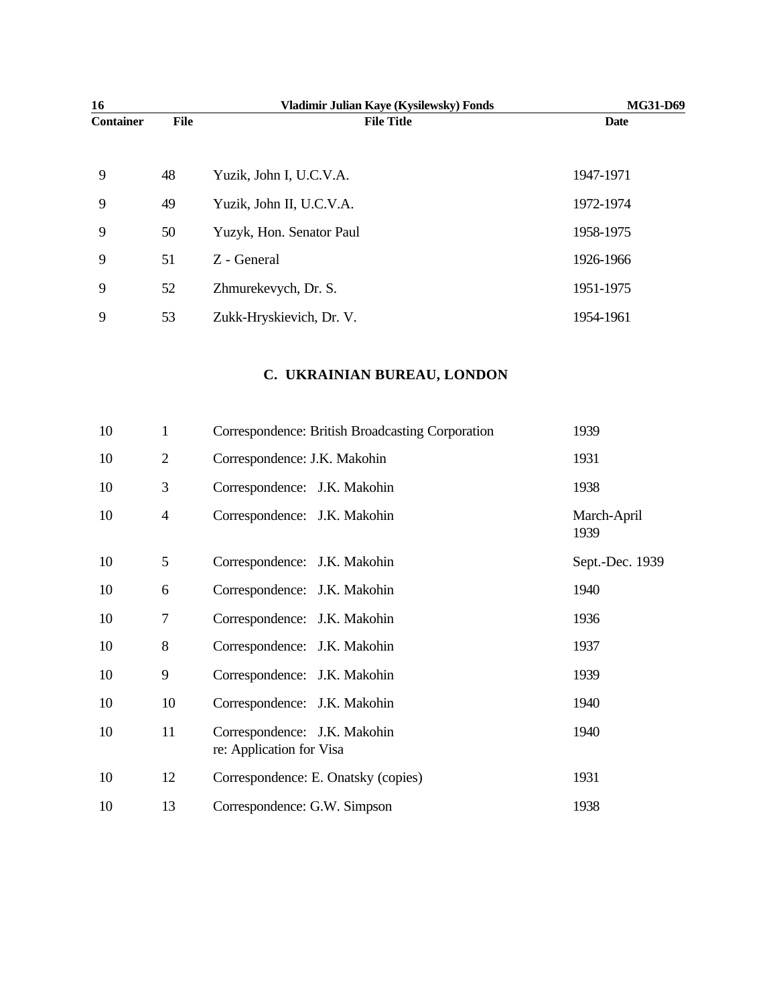| 16               |             | Vladimir Julian Kaye (Kysilewsky) Fonds | <b>MG31-D69</b> |
|------------------|-------------|-----------------------------------------|-----------------|
| <b>Container</b> | <b>File</b> | <b>File Title</b>                       | Date            |
|                  |             |                                         |                 |
| 9                | 48          | Yuzik, John I, U.C.V.A.                 | 1947-1971       |
| 9                | 49          | Yuzik, John II, U.C.V.A.                | 1972-1974       |
| 9                | 50          | Yuzyk, Hon. Senator Paul                | 1958-1975       |
| 9                | 51          | Z - General                             | 1926-1966       |
| 9                | 52          | Zhmurekevych, Dr. S.                    | 1951-1975       |
| 9                | 53          | Zukk-Hryskievich, Dr. V.                | 1954-1961       |

## **C. UKRAINIAN BUREAU, LONDON**

| 10 | $\mathbf{1}$   | Correspondence: British Broadcasting Corporation         | 1939                |
|----|----------------|----------------------------------------------------------|---------------------|
| 10 | $\overline{2}$ | Correspondence: J.K. Makohin                             | 1931                |
| 10 | 3              | Correspondence: J.K. Makohin                             | 1938                |
| 10 | $\overline{4}$ | Correspondence: J.K. Makohin                             | March-April<br>1939 |
| 10 | 5              | Correspondence: J.K. Makohin                             | Sept.-Dec. 1939     |
| 10 | 6              | Correspondence: J.K. Makohin                             | 1940                |
| 10 | 7              | Correspondence: J.K. Makohin                             | 1936                |
| 10 | 8              | Correspondence: J.K. Makohin                             | 1937                |
| 10 | 9              | Correspondence: J.K. Makohin                             | 1939                |
| 10 | 10             | Correspondence: J.K. Makohin                             | 1940                |
| 10 | 11             | Correspondence: J.K. Makohin<br>re: Application for Visa | 1940                |
| 10 | 12             | Correspondence: E. Onatsky (copies)                      | 1931                |
| 10 | 13             | Correspondence: G.W. Simpson                             | 1938                |
|    |                |                                                          |                     |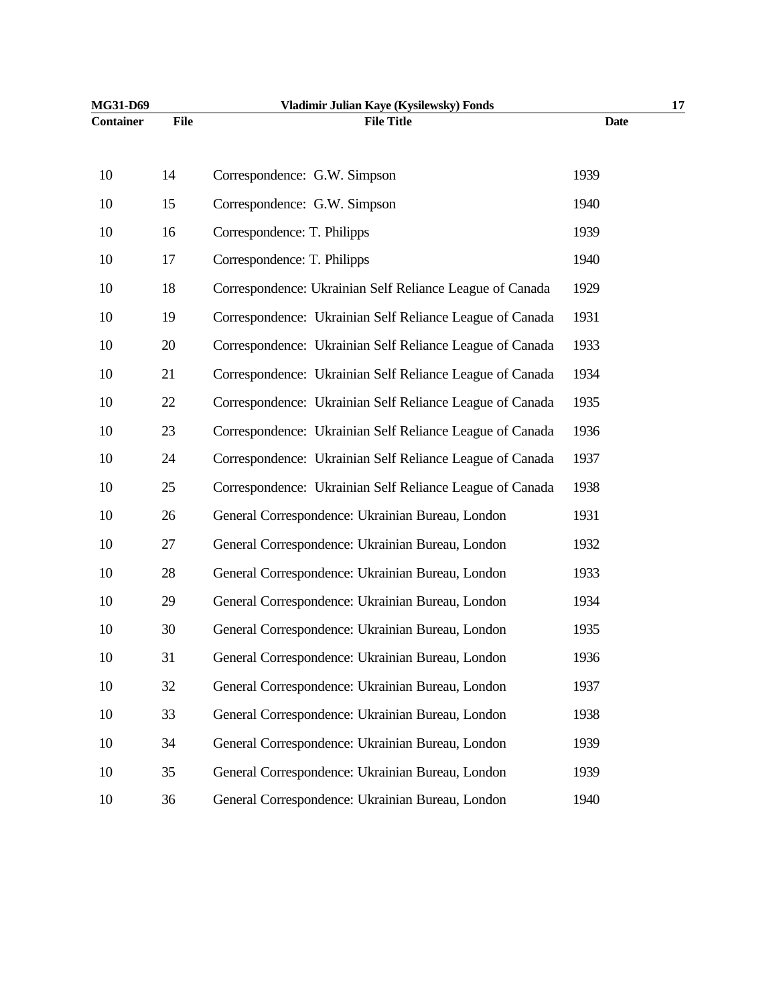| MG31-D69         |      | Vladimir Julian Kaye (Kysilewsky) Fonds                  | 17          |
|------------------|------|----------------------------------------------------------|-------------|
| <b>Container</b> | File | <b>File Title</b>                                        | <b>Date</b> |
| 10               | 14   | Correspondence: G.W. Simpson                             | 1939        |
| 10               | 15   | Correspondence: G.W. Simpson                             | 1940        |
| 10               | 16   | Correspondence: T. Philipps                              | 1939        |
| 10               | 17   | Correspondence: T. Philipps                              | 1940        |
| 10               | 18   | Correspondence: Ukrainian Self Reliance League of Canada | 1929        |
| 10               | 19   | Correspondence: Ukrainian Self Reliance League of Canada | 1931        |
| 10               | 20   | Correspondence: Ukrainian Self Reliance League of Canada | 1933        |
| 10               | 21   | Correspondence: Ukrainian Self Reliance League of Canada | 1934        |
| 10               | 22   | Correspondence: Ukrainian Self Reliance League of Canada | 1935        |
| 10               | 23   | Correspondence: Ukrainian Self Reliance League of Canada | 1936        |
| 10               | 24   | Correspondence: Ukrainian Self Reliance League of Canada | 1937        |
| 10               | 25   | Correspondence: Ukrainian Self Reliance League of Canada | 1938        |
| 10               | 26   | General Correspondence: Ukrainian Bureau, London         | 1931        |
| 10               | 27   | General Correspondence: Ukrainian Bureau, London         | 1932        |
| 10               | 28   | General Correspondence: Ukrainian Bureau, London         | 1933        |
| 10               | 29   | General Correspondence: Ukrainian Bureau, London         | 1934        |
| 10               | 30   | General Correspondence: Ukrainian Bureau, London         | 1935        |
| 10               | 31   | General Correspondence: Ukrainian Bureau, London         | 1936        |
| 10               | 32   | General Correspondence: Ukrainian Bureau, London         | 1937        |
| 10               | 33   | General Correspondence: Ukrainian Bureau, London         | 1938        |
| 10               | 34   | General Correspondence: Ukrainian Bureau, London         | 1939        |
| 10               | 35   | General Correspondence: Ukrainian Bureau, London         | 1939        |
| 10               | 36   | General Correspondence: Ukrainian Bureau, London         | 1940        |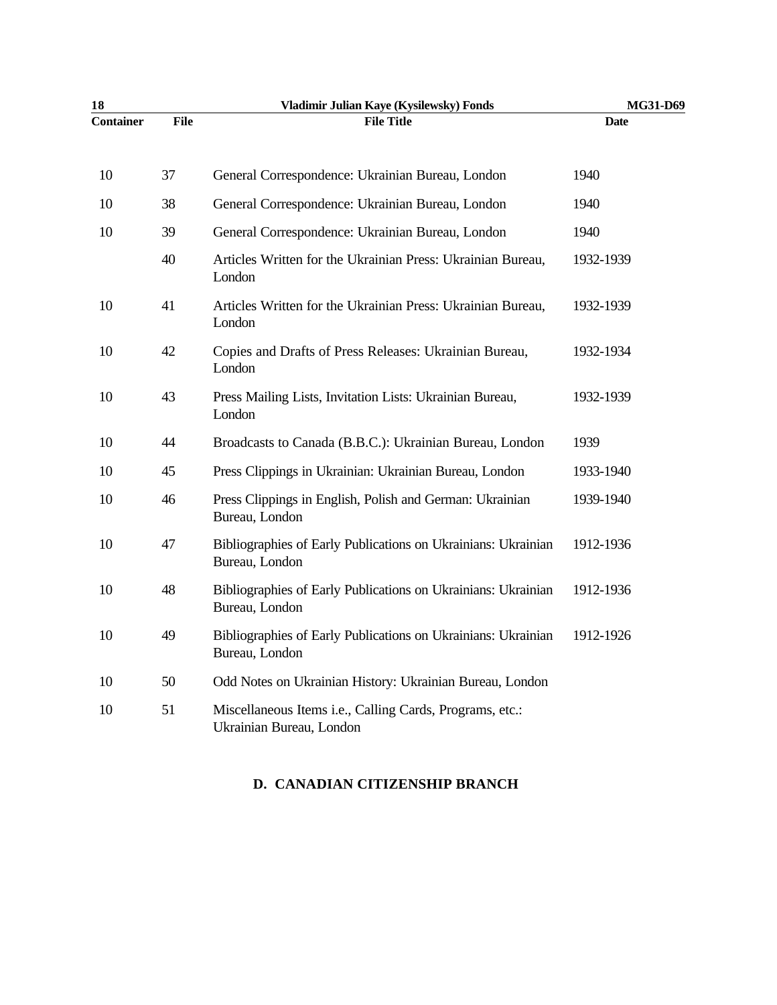| 18               |             | Vladimir Julian Kaye (Kysilewsky) Fonds                                              | MG31-D69    |
|------------------|-------------|--------------------------------------------------------------------------------------|-------------|
| <b>Container</b> | <b>File</b> | <b>File Title</b>                                                                    | <b>Date</b> |
|                  |             |                                                                                      | 1940        |
| 10               | 37          | General Correspondence: Ukrainian Bureau, London                                     |             |
| 10               | 38          | General Correspondence: Ukrainian Bureau, London                                     | 1940        |
| 10               | 39          | General Correspondence: Ukrainian Bureau, London                                     | 1940        |
|                  | 40          | Articles Written for the Ukrainian Press: Ukrainian Bureau,<br>London                | 1932-1939   |
| 10               | 41          | Articles Written for the Ukrainian Press: Ukrainian Bureau,<br>London                | 1932-1939   |
| 10               | 42          | Copies and Drafts of Press Releases: Ukrainian Bureau,<br>London                     | 1932-1934   |
| 10               | 43          | Press Mailing Lists, Invitation Lists: Ukrainian Bureau,<br>London                   | 1932-1939   |
| 10               | 44          | Broadcasts to Canada (B.B.C.): Ukrainian Bureau, London                              | 1939        |
| 10               | 45          | Press Clippings in Ukrainian: Ukrainian Bureau, London                               | 1933-1940   |
| 10               | 46          | Press Clippings in English, Polish and German: Ukrainian<br>Bureau, London           | 1939-1940   |
| 10               | 47          | Bibliographies of Early Publications on Ukrainians: Ukrainian<br>Bureau, London      | 1912-1936   |
| 10               | 48          | Bibliographies of Early Publications on Ukrainians: Ukrainian<br>Bureau, London      | 1912-1936   |
| 10               | 49          | Bibliographies of Early Publications on Ukrainians: Ukrainian<br>Bureau, London      | 1912-1926   |
| 10               | 50          | Odd Notes on Ukrainian History: Ukrainian Bureau, London                             |             |
| 10               | 51          | Miscellaneous Items i.e., Calling Cards, Programs, etc.:<br>Ukrainian Bureau, London |             |

#### **D. CANADIAN CITIZENSHIP BRANCH**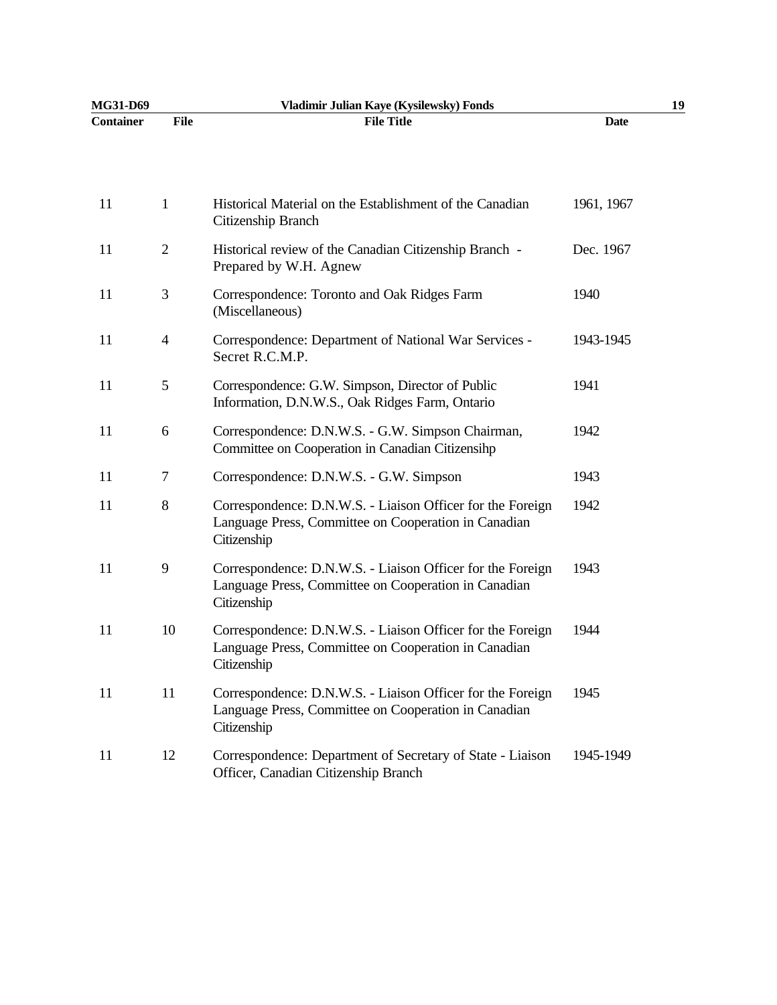| MG31-D69         |                | Vladimir Julian Kaye (Kysilewsky) Fonds                                                                                           | 19          |
|------------------|----------------|-----------------------------------------------------------------------------------------------------------------------------------|-------------|
| <b>Container</b> | <b>File</b>    | <b>File Title</b>                                                                                                                 | <b>Date</b> |
|                  |                |                                                                                                                                   |             |
| 11               | 1              | Historical Material on the Establishment of the Canadian<br>Citizenship Branch                                                    | 1961, 1967  |
| 11               | $\overline{2}$ | Historical review of the Canadian Citizenship Branch -<br>Prepared by W.H. Agnew                                                  | Dec. 1967   |
| 11               | 3              | Correspondence: Toronto and Oak Ridges Farm<br>(Miscellaneous)                                                                    | 1940        |
| 11               | $\overline{4}$ | Correspondence: Department of National War Services -<br>Secret R.C.M.P.                                                          | 1943-1945   |
| 11               | 5              | Correspondence: G.W. Simpson, Director of Public<br>Information, D.N.W.S., Oak Ridges Farm, Ontario                               | 1941        |
| 11               | 6              | Correspondence: D.N.W.S. - G.W. Simpson Chairman,<br>Committee on Cooperation in Canadian Citizensihp                             | 1942        |
| 11               | $\tau$         | Correspondence: D.N.W.S. - G.W. Simpson                                                                                           | 1943        |
| 11               | $8\,$          | Correspondence: D.N.W.S. - Liaison Officer for the Foreign<br>Language Press, Committee on Cooperation in Canadian<br>Citizenship | 1942        |
| 11               | 9              | Correspondence: D.N.W.S. - Liaison Officer for the Foreign<br>Language Press, Committee on Cooperation in Canadian<br>Citizenship | 1943        |
| 11               | 10             | Correspondence: D.N.W.S. - Liaison Officer for the Foreign<br>Language Press, Committee on Cooperation in Canadian<br>Citizenship | 1944        |
| 11               | 11             | Correspondence: D.N.W.S. - Liaison Officer for the Foreign<br>Language Press, Committee on Cooperation in Canadian<br>Citizenship | 1945        |
| 11               | 12             | Correspondence: Department of Secretary of State - Liaison<br>Officer, Canadian Citizenship Branch                                | 1945-1949   |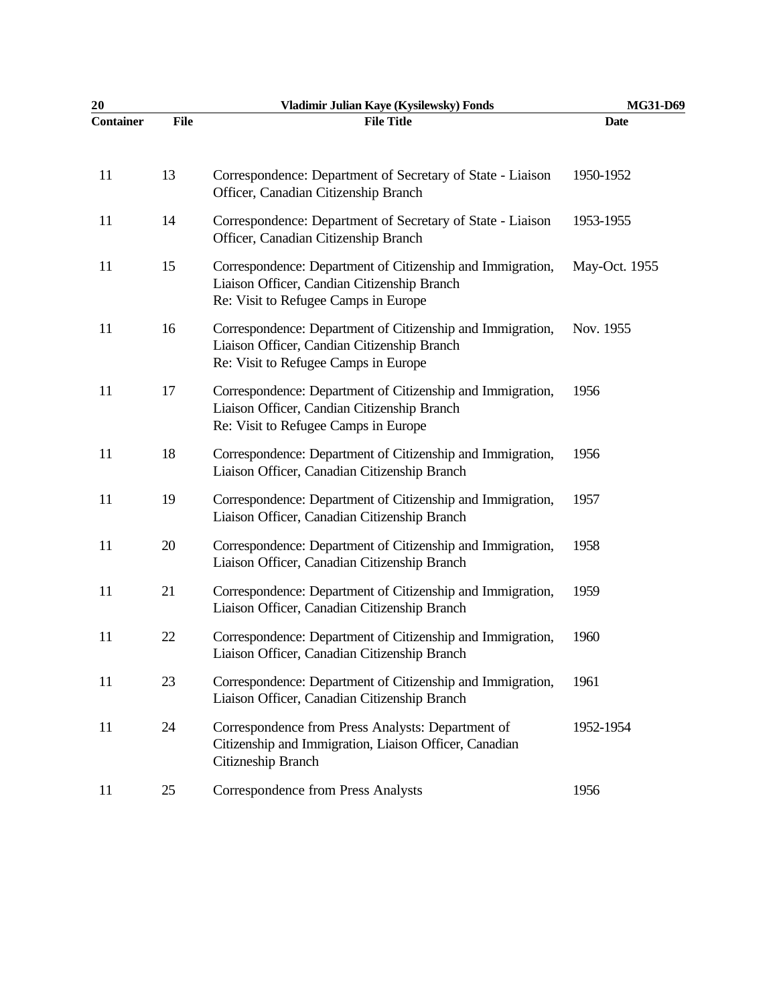| 20               |             | Vladimir Julian Kaye (Kysilewsky) Fonds                                                                                                           | MG31-D69      |
|------------------|-------------|---------------------------------------------------------------------------------------------------------------------------------------------------|---------------|
| <b>Container</b> | <b>File</b> | <b>File Title</b>                                                                                                                                 | <b>Date</b>   |
| 11               | 13          | Correspondence: Department of Secretary of State - Liaison<br>Officer, Canadian Citizenship Branch                                                | 1950-1952     |
| 11               | 14          | Correspondence: Department of Secretary of State - Liaison<br>Officer, Canadian Citizenship Branch                                                | 1953-1955     |
| 11               | 15          | Correspondence: Department of Citizenship and Immigration,<br>Liaison Officer, Candian Citizenship Branch<br>Re: Visit to Refugee Camps in Europe | May-Oct. 1955 |
| 11               | 16          | Correspondence: Department of Citizenship and Immigration,<br>Liaison Officer, Candian Citizenship Branch<br>Re: Visit to Refugee Camps in Europe | Nov. 1955     |
| 11               | 17          | Correspondence: Department of Citizenship and Immigration,<br>Liaison Officer, Candian Citizenship Branch<br>Re: Visit to Refugee Camps in Europe | 1956          |
| 11               | 18          | Correspondence: Department of Citizenship and Immigration,<br>Liaison Officer, Canadian Citizenship Branch                                        | 1956          |
| 11               | 19          | Correspondence: Department of Citizenship and Immigration,<br>Liaison Officer, Canadian Citizenship Branch                                        | 1957          |
| 11               | 20          | Correspondence: Department of Citizenship and Immigration,<br>Liaison Officer, Canadian Citizenship Branch                                        | 1958          |
| 11               | 21          | Correspondence: Department of Citizenship and Immigration,<br>Liaison Officer, Canadian Citizenship Branch                                        | 1959          |
| 11               | 22          | Correspondence: Department of Citizenship and Immigration,<br>Liaison Officer, Canadian Citizenship Branch                                        | 1960          |
| 11               | 23          | Correspondence: Department of Citizenship and Immigration,<br>Liaison Officer, Canadian Citizenship Branch                                        | 1961          |
| 11               | 24          | Correspondence from Press Analysts: Department of<br>Citizenship and Immigration, Liaison Officer, Canadian<br>Citizneship Branch                 | 1952-1954     |
| 11               | 25          | <b>Correspondence from Press Analysts</b>                                                                                                         | 1956          |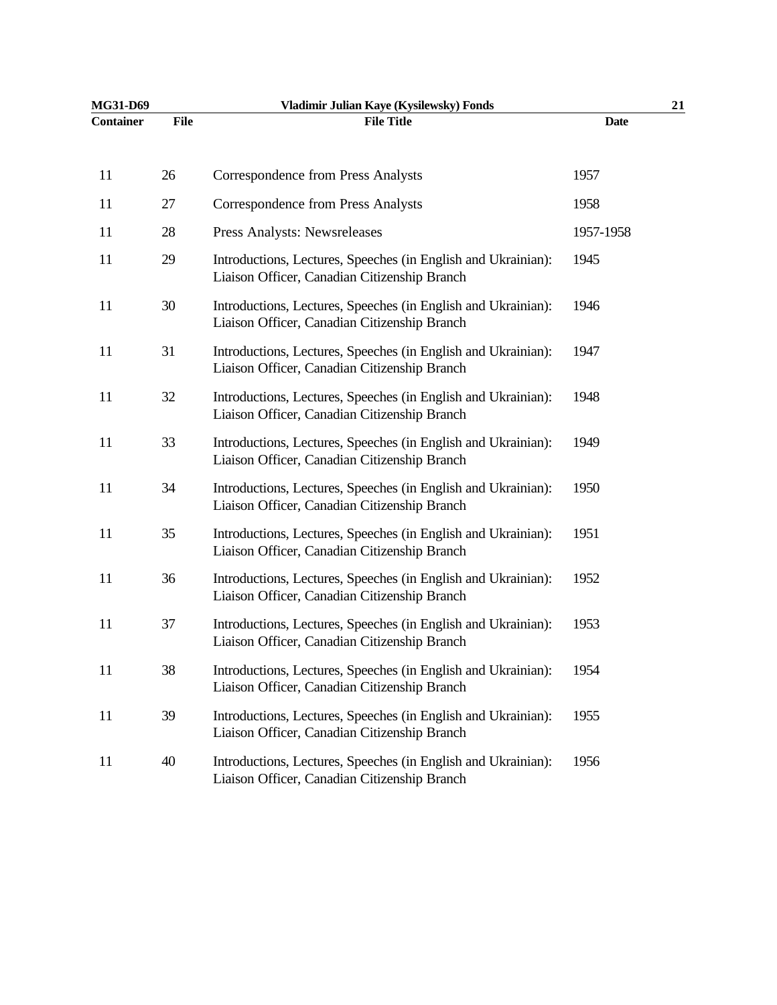| MG31-D69         |             | Vladimir Julian Kaye (Kysilewsky) Fonds                                                                       | 21          |  |
|------------------|-------------|---------------------------------------------------------------------------------------------------------------|-------------|--|
| <b>Container</b> | <b>File</b> | <b>File Title</b>                                                                                             | <b>Date</b> |  |
| 11               | 26          | <b>Correspondence from Press Analysts</b>                                                                     | 1957        |  |
| 11               | 27          | <b>Correspondence from Press Analysts</b>                                                                     | 1958        |  |
| 11               | 28          | Press Analysts: Newsreleases                                                                                  | 1957-1958   |  |
| 11               | 29          | Introductions, Lectures, Speeches (in English and Ukrainian):<br>Liaison Officer, Canadian Citizenship Branch | 1945        |  |
| 11               | 30          | Introductions, Lectures, Speeches (in English and Ukrainian):<br>Liaison Officer, Canadian Citizenship Branch | 1946        |  |
| 11               | 31          | Introductions, Lectures, Speeches (in English and Ukrainian):<br>Liaison Officer, Canadian Citizenship Branch | 1947        |  |
| 11               | 32          | Introductions, Lectures, Speeches (in English and Ukrainian):<br>Liaison Officer, Canadian Citizenship Branch | 1948        |  |
| 11               | 33          | Introductions, Lectures, Speeches (in English and Ukrainian):<br>Liaison Officer, Canadian Citizenship Branch | 1949        |  |
| 11               | 34          | Introductions, Lectures, Speeches (in English and Ukrainian):<br>Liaison Officer, Canadian Citizenship Branch | 1950        |  |
| 11               | 35          | Introductions, Lectures, Speeches (in English and Ukrainian):<br>Liaison Officer, Canadian Citizenship Branch | 1951        |  |
| 11               | 36          | Introductions, Lectures, Speeches (in English and Ukrainian):<br>Liaison Officer, Canadian Citizenship Branch | 1952        |  |
| 11               | 37          | Introductions, Lectures, Speeches (in English and Ukrainian):<br>Liaison Officer, Canadian Citizenship Branch | 1953        |  |
| 11               | 38          | Introductions, Lectures, Speeches (in English and Ukrainian):<br>Liaison Officer, Canadian Citizenship Branch | 1954        |  |
| 11               | 39          | Introductions, Lectures, Speeches (in English and Ukrainian):<br>Liaison Officer, Canadian Citizenship Branch | 1955        |  |
| 11               | 40          | Introductions, Lectures, Speeches (in English and Ukrainian):<br>Liaison Officer, Canadian Citizenship Branch | 1956        |  |
|                  |             |                                                                                                               |             |  |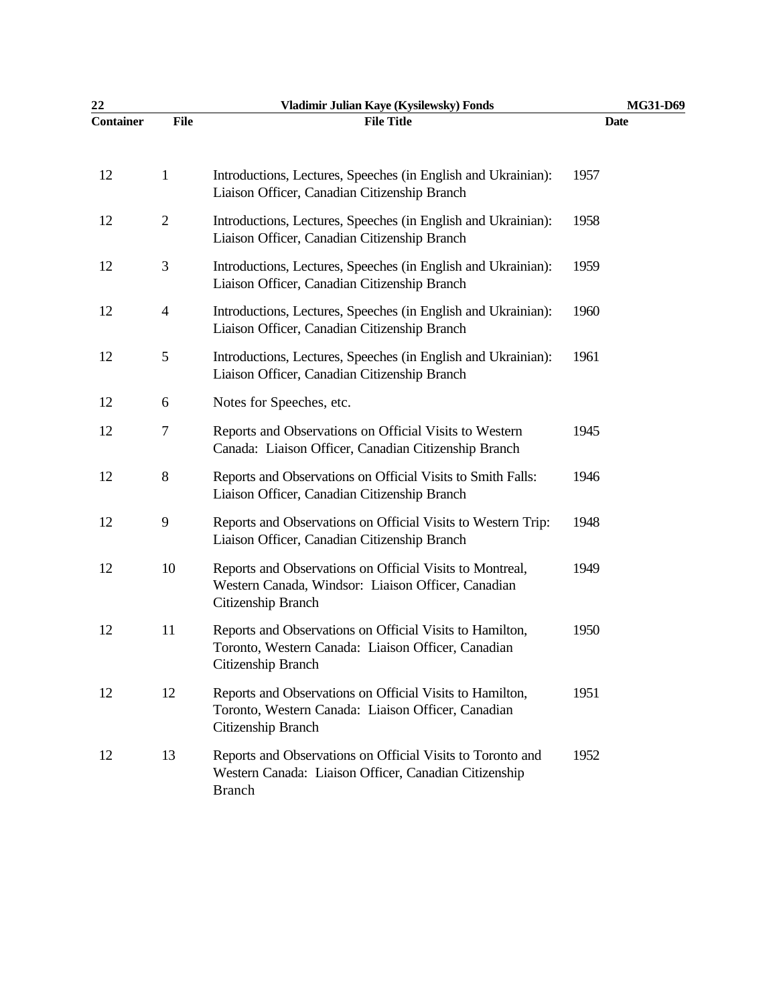| 22               |                          | Vladimir Julian Kaye (Kysilewsky) Fonds                                                                                              | MG31-D69 |
|------------------|--------------------------|--------------------------------------------------------------------------------------------------------------------------------------|----------|
| <b>Container</b> | <b>File</b>              | <b>File Title</b>                                                                                                                    | Date     |
| 12               | $\mathbf{1}$             | Introductions, Lectures, Speeches (in English and Ukrainian):<br>Liaison Officer, Canadian Citizenship Branch                        | 1957     |
| 12               | $\overline{2}$           | Introductions, Lectures, Speeches (in English and Ukrainian):<br>Liaison Officer, Canadian Citizenship Branch                        | 1958     |
| 12               | 3                        | Introductions, Lectures, Speeches (in English and Ukrainian):<br>Liaison Officer, Canadian Citizenship Branch                        | 1959     |
| 12               | $\overline{\mathcal{A}}$ | Introductions, Lectures, Speeches (in English and Ukrainian):<br>Liaison Officer, Canadian Citizenship Branch                        | 1960     |
| 12               | $\mathfrak{S}$           | Introductions, Lectures, Speeches (in English and Ukrainian):<br>Liaison Officer, Canadian Citizenship Branch                        | 1961     |
| 12               | 6                        | Notes for Speeches, etc.                                                                                                             |          |
| 12               | $\tau$                   | Reports and Observations on Official Visits to Western<br>Canada: Liaison Officer, Canadian Citizenship Branch                       | 1945     |
| 12               | 8                        | Reports and Observations on Official Visits to Smith Falls:<br>Liaison Officer, Canadian Citizenship Branch                          | 1946     |
| 12               | 9                        | Reports and Observations on Official Visits to Western Trip:<br>Liaison Officer, Canadian Citizenship Branch                         | 1948     |
| 12               | 10                       | Reports and Observations on Official Visits to Montreal,<br>Western Canada, Windsor: Liaison Officer, Canadian<br>Citizenship Branch | 1949     |
| 12               | 11                       | Reports and Observations on Official Visits to Hamilton,<br>Toronto, Western Canada: Liaison Officer, Canadian<br>Citizenship Branch | 1950     |
| 12               | 12                       | Reports and Observations on Official Visits to Hamilton,<br>Toronto, Western Canada: Liaison Officer, Canadian<br>Citizenship Branch | 1951     |
| 12               | 13                       | Reports and Observations on Official Visits to Toronto and<br>Western Canada: Liaison Officer, Canadian Citizenship<br><b>Branch</b> | 1952     |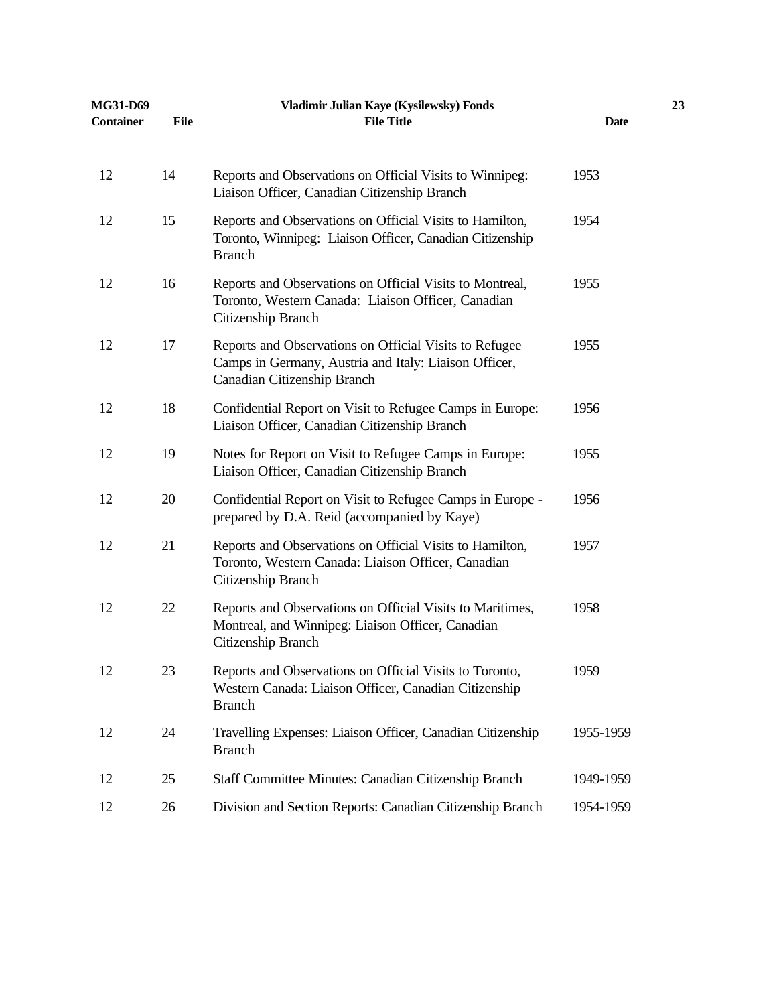| MG31-D69         |             | Vladimir Julian Kaye (Kysilewsky) Fonds                                                                                                        |             | 23 |
|------------------|-------------|------------------------------------------------------------------------------------------------------------------------------------------------|-------------|----|
| <b>Container</b> | <b>File</b> | <b>File Title</b>                                                                                                                              | <b>Date</b> |    |
| 12               | 14          | Reports and Observations on Official Visits to Winnipeg:<br>Liaison Officer, Canadian Citizenship Branch                                       | 1953        |    |
| 12               | 15          | Reports and Observations on Official Visits to Hamilton,<br>Toronto, Winnipeg: Liaison Officer, Canadian Citizenship<br><b>Branch</b>          | 1954        |    |
| 12               | 16          | Reports and Observations on Official Visits to Montreal,<br>Toronto, Western Canada: Liaison Officer, Canadian<br>Citizenship Branch           | 1955        |    |
| 12               | 17          | Reports and Observations on Official Visits to Refugee<br>Camps in Germany, Austria and Italy: Liaison Officer,<br>Canadian Citizenship Branch | 1955        |    |
| 12               | 18          | Confidential Report on Visit to Refugee Camps in Europe:<br>Liaison Officer, Canadian Citizenship Branch                                       | 1956        |    |
| 12               | 19          | Notes for Report on Visit to Refugee Camps in Europe:<br>Liaison Officer, Canadian Citizenship Branch                                          | 1955        |    |
| 12               | 20          | Confidential Report on Visit to Refugee Camps in Europe -<br>prepared by D.A. Reid (accompanied by Kaye)                                       | 1956        |    |
| 12               | 21          | Reports and Observations on Official Visits to Hamilton,<br>Toronto, Western Canada: Liaison Officer, Canadian<br>Citizenship Branch           | 1957        |    |
| 12               | 22          | Reports and Observations on Official Visits to Maritimes,<br>Montreal, and Winnipeg: Liaison Officer, Canadian<br>Citizenship Branch           | 1958        |    |
| 12               | 23          | Reports and Observations on Official Visits to Toronto,<br>Western Canada: Liaison Officer, Canadian Citizenship<br><b>Branch</b>              | 1959        |    |
| 12               | 24          | Travelling Expenses: Liaison Officer, Canadian Citizenship<br><b>Branch</b>                                                                    | 1955-1959   |    |
| 12               | 25          | Staff Committee Minutes: Canadian Citizenship Branch                                                                                           | 1949-1959   |    |
| 12               | 26          | Division and Section Reports: Canadian Citizenship Branch                                                                                      | 1954-1959   |    |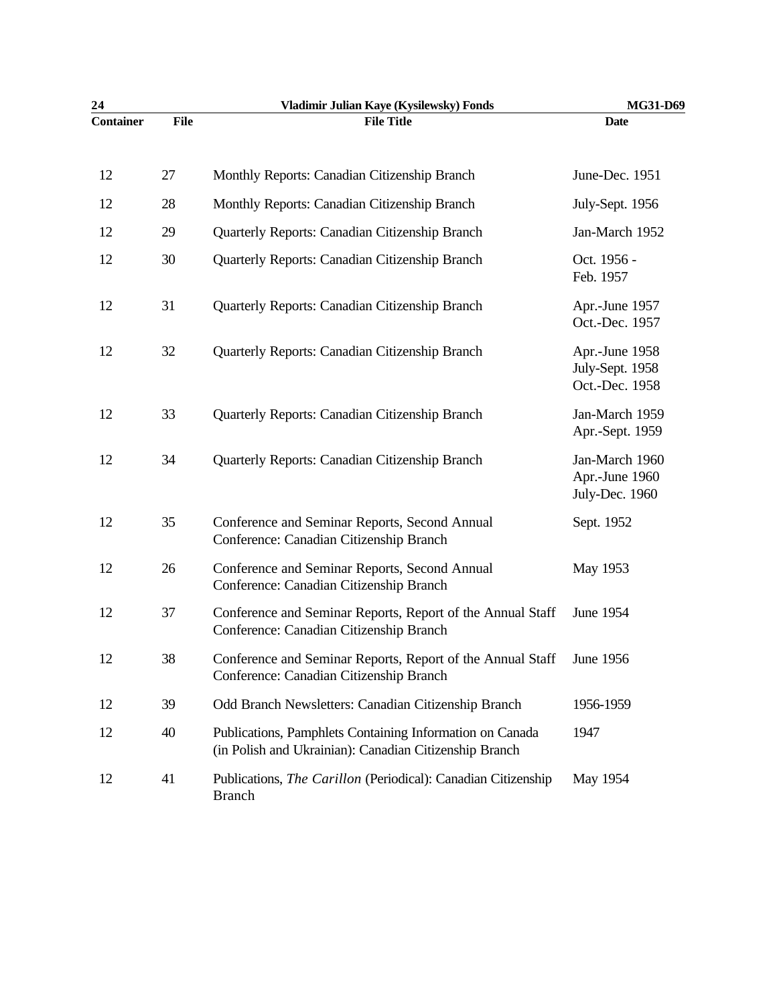| 24               |             | Vladimir Julian Kaye (Kysilewsky) Fonds                                                                            | MG31-D69                                            |
|------------------|-------------|--------------------------------------------------------------------------------------------------------------------|-----------------------------------------------------|
| <b>Container</b> | <b>File</b> | <b>File Title</b>                                                                                                  | <b>Date</b>                                         |
| 12               | 27          | Monthly Reports: Canadian Citizenship Branch                                                                       | June-Dec. 1951                                      |
| 12               | 28          | Monthly Reports: Canadian Citizenship Branch                                                                       | July-Sept. 1956                                     |
| 12               | 29          | Quarterly Reports: Canadian Citizenship Branch                                                                     | Jan-March 1952                                      |
| 12               | 30          | Quarterly Reports: Canadian Citizenship Branch                                                                     | Oct. 1956 -<br>Feb. 1957                            |
| 12               | 31          | Quarterly Reports: Canadian Citizenship Branch                                                                     | Apr.-June 1957<br>Oct.-Dec. 1957                    |
| 12               | 32          | Quarterly Reports: Canadian Citizenship Branch                                                                     | Apr.-June 1958<br>July-Sept. 1958<br>Oct.-Dec. 1958 |
| 12               | 33          | Quarterly Reports: Canadian Citizenship Branch                                                                     | Jan-March 1959<br>Apr.-Sept. 1959                   |
| 12               | 34          | Quarterly Reports: Canadian Citizenship Branch                                                                     | Jan-March 1960<br>Apr.-June 1960<br>July-Dec. 1960  |
| 12               | 35          | Conference and Seminar Reports, Second Annual<br>Conference: Canadian Citizenship Branch                           | Sept. 1952                                          |
| 12               | 26          | Conference and Seminar Reports, Second Annual<br>Conference: Canadian Citizenship Branch                           | May 1953                                            |
| 12               | 37          | Conference and Seminar Reports, Report of the Annual Staff<br>Conference: Canadian Citizenship Branch              | June 1954                                           |
| 12               | 38          | Conference and Seminar Reports, Report of the Annual Staff<br>Conference: Canadian Citizenship Branch              | June 1956                                           |
| 12               | 39          | Odd Branch Newsletters: Canadian Citizenship Branch                                                                | 1956-1959                                           |
| 12               | 40          | Publications, Pamphlets Containing Information on Canada<br>(in Polish and Ukrainian): Canadian Citizenship Branch | 1947                                                |
| 12               | 41          | Publications, <i>The Carillon</i> (Periodical): Canadian Citizenship<br><b>Branch</b>                              | May 1954                                            |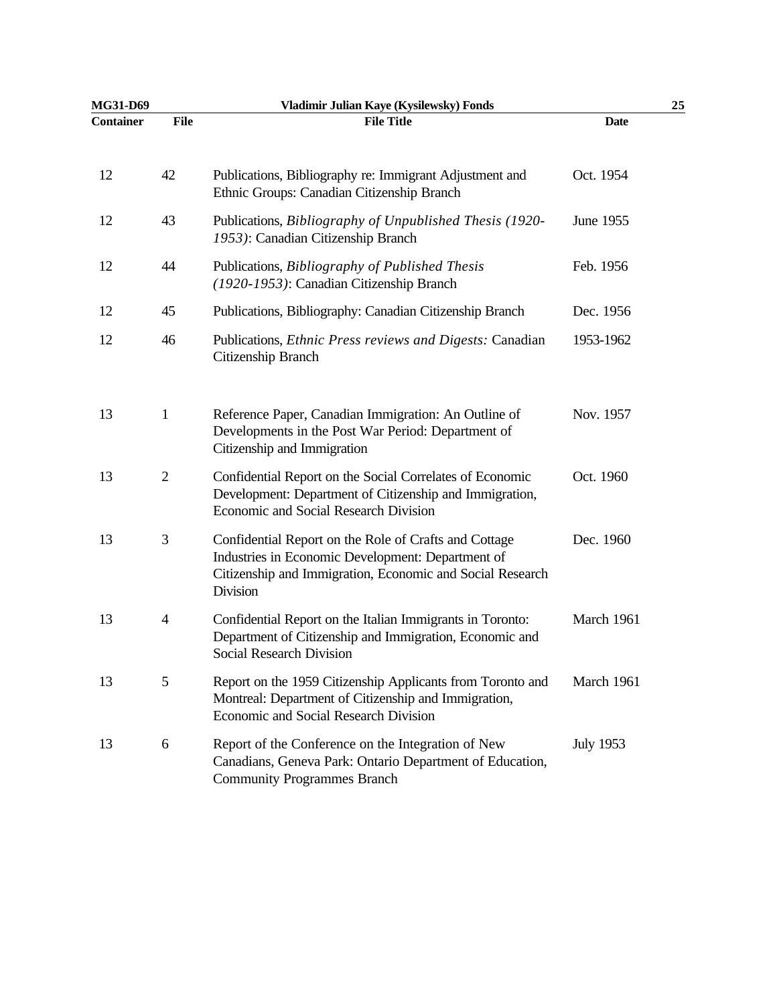| MG31-D69         |                | Vladimir Julian Kaye (Kysilewsky) Fonds                                                                                                                                             |                  | 25 |
|------------------|----------------|-------------------------------------------------------------------------------------------------------------------------------------------------------------------------------------|------------------|----|
| <b>Container</b> | <b>File</b>    | <b>File Title</b>                                                                                                                                                                   | <b>Date</b>      |    |
| 12               | 42             | Publications, Bibliography re: Immigrant Adjustment and<br>Ethnic Groups: Canadian Citizenship Branch                                                                               | Oct. 1954        |    |
| 12               | 43             | Publications, Bibliography of Unpublished Thesis (1920-<br>1953): Canadian Citizenship Branch                                                                                       | June 1955        |    |
| 12               | 44             | Publications, Bibliography of Published Thesis<br>(1920-1953): Canadian Citizenship Branch                                                                                          | Feb. 1956        |    |
| 12               | 45             | Publications, Bibliography: Canadian Citizenship Branch                                                                                                                             | Dec. 1956        |    |
| 12               | 46             | Publications, Ethnic Press reviews and Digests: Canadian<br>Citizenship Branch                                                                                                      | 1953-1962        |    |
| 13               | $\mathbf{1}$   | Reference Paper, Canadian Immigration: An Outline of<br>Developments in the Post War Period: Department of<br>Citizenship and Immigration                                           | Nov. 1957        |    |
| 13               | $\sqrt{2}$     | Confidential Report on the Social Correlates of Economic<br>Development: Department of Citizenship and Immigration,<br>Economic and Social Research Division                        | Oct. 1960        |    |
| 13               | $\mathfrak{Z}$ | Confidential Report on the Role of Crafts and Cottage<br>Industries in Economic Development: Department of<br>Citizenship and Immigration, Economic and Social Research<br>Division | Dec. 1960        |    |
| 13               | $\overline{4}$ | Confidential Report on the Italian Immigrants in Toronto:<br>Department of Citizenship and Immigration, Economic and<br>Social Research Division                                    | March 1961       |    |
| 13               | 5              | Report on the 1959 Citizenship Applicants from Toronto and<br>Montreal: Department of Citizenship and Immigration,<br>Economic and Social Research Division                         | March 1961       |    |
| 13               | 6              | Report of the Conference on the Integration of New<br>Canadians, Geneva Park: Ontario Department of Education,<br><b>Community Programmes Branch</b>                                | <b>July 1953</b> |    |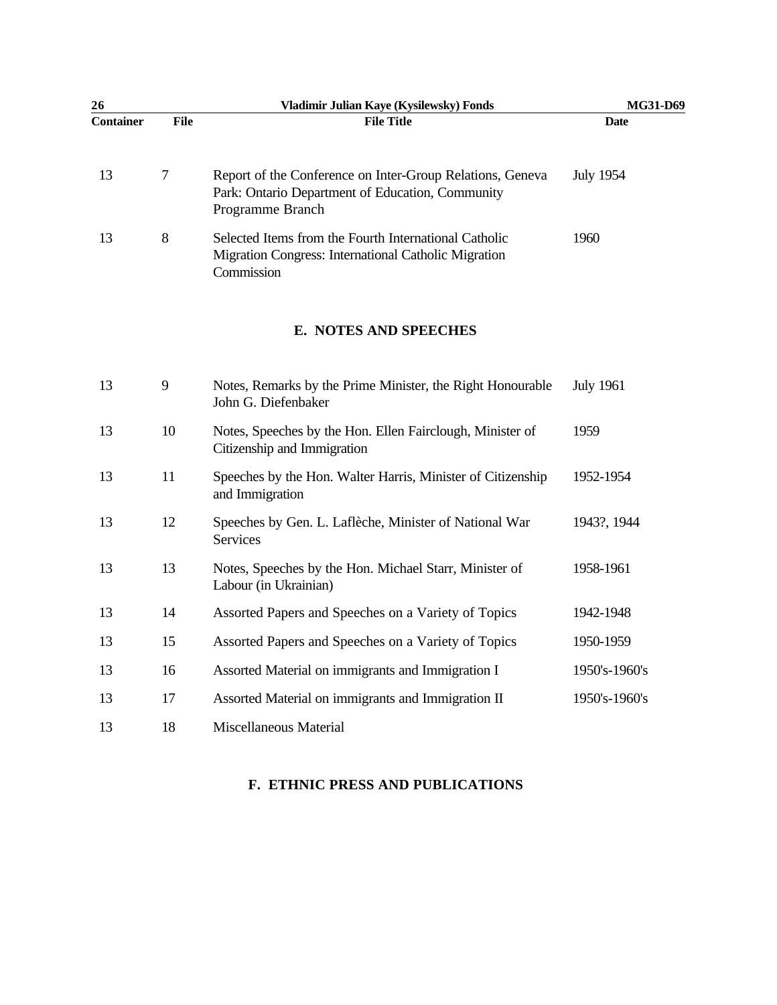| 26               |             | Vladimir Julian Kaye (Kysilewsky) Fonds                                                                                           | MG31-D69         |  |
|------------------|-------------|-----------------------------------------------------------------------------------------------------------------------------------|------------------|--|
| <b>Container</b> | <b>File</b> | <b>File Title</b>                                                                                                                 | <b>Date</b>      |  |
| 13               | 7           | Report of the Conference on Inter-Group Relations, Geneva<br>Park: Ontario Department of Education, Community<br>Programme Branch | <b>July 1954</b> |  |
| 13               | 8           | Selected Items from the Fourth International Catholic<br>Migration Congress: International Catholic Migration<br>Commission       | 1960             |  |

### **E. NOTES AND SPEECHES**

| 13 | 9  | Notes, Remarks by the Prime Minister, the Right Honourable<br>John G. Diefenbaker        | <b>July 1961</b> |
|----|----|------------------------------------------------------------------------------------------|------------------|
| 13 | 10 | Notes, Speeches by the Hon. Ellen Fairclough, Minister of<br>Citizenship and Immigration | 1959             |
| 13 | 11 | Speeches by the Hon. Walter Harris, Minister of Citizenship<br>and Immigration           | 1952-1954        |
| 13 | 12 | Speeches by Gen. L. Laflèche, Minister of National War<br>Services                       | 1943?, 1944      |
| 13 | 13 | Notes, Speeches by the Hon. Michael Starr, Minister of<br>Labour (in Ukrainian)          | 1958-1961        |
| 13 | 14 | Assorted Papers and Speeches on a Variety of Topics                                      | 1942-1948        |
| 13 | 15 | Assorted Papers and Speeches on a Variety of Topics                                      | 1950-1959        |
| 13 | 16 | Assorted Material on immigrants and Immigration I                                        | 1950's-1960's    |
| 13 | 17 | Assorted Material on immigrants and Immigration II                                       | 1950's-1960's    |
| 13 | 18 | Miscellaneous Material                                                                   |                  |

### **F. ETHNIC PRESS AND PUBLICATIONS**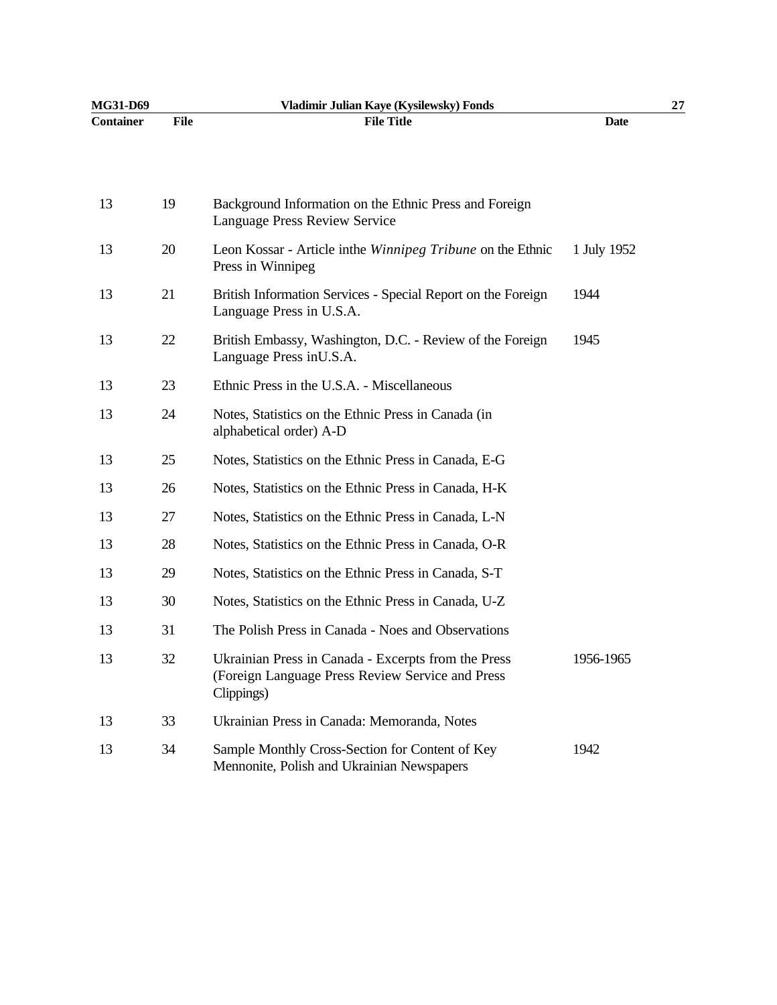| MG31-D69         |             | Vladimir Julian Kaye (Kysilewsky) Fonds                                                                                |             | 27 |
|------------------|-------------|------------------------------------------------------------------------------------------------------------------------|-------------|----|
| <b>Container</b> | <b>File</b> | <b>File Title</b>                                                                                                      | <b>Date</b> |    |
|                  |             |                                                                                                                        |             |    |
| 13               | 19          | Background Information on the Ethnic Press and Foreign<br>Language Press Review Service                                |             |    |
| 13               | 20          | Leon Kossar - Article in the <i>Winnipeg Tribune</i> on the Ethnic<br>Press in Winnipeg                                | 1 July 1952 |    |
| 13               | 21          | British Information Services - Special Report on the Foreign<br>Language Press in U.S.A.                               | 1944        |    |
| 13               | 22          | British Embassy, Washington, D.C. - Review of the Foreign<br>Language Press in U.S.A.                                  | 1945        |    |
| 13               | 23          | Ethnic Press in the U.S.A. - Miscellaneous                                                                             |             |    |
| 13               | 24          | Notes, Statistics on the Ethnic Press in Canada (in<br>alphabetical order) A-D                                         |             |    |
| 13               | 25          | Notes, Statistics on the Ethnic Press in Canada, E-G                                                                   |             |    |
| 13               | 26          | Notes, Statistics on the Ethnic Press in Canada, H-K                                                                   |             |    |
| 13               | 27          | Notes, Statistics on the Ethnic Press in Canada, L-N                                                                   |             |    |
| 13               | 28          | Notes, Statistics on the Ethnic Press in Canada, O-R                                                                   |             |    |
| 13               | 29          | Notes, Statistics on the Ethnic Press in Canada, S-T                                                                   |             |    |
| 13               | 30          | Notes, Statistics on the Ethnic Press in Canada, U-Z                                                                   |             |    |
| 13               | 31          | The Polish Press in Canada - Noes and Observations                                                                     |             |    |
| 13               | 32          | Ukrainian Press in Canada - Excerpts from the Press<br>(Foreign Language Press Review Service and Press)<br>Clippings) | 1956-1965   |    |
| 13               | 33          | Ukrainian Press in Canada: Memoranda, Notes                                                                            |             |    |
| 13               | 34          | Sample Monthly Cross-Section for Content of Key<br>Mennonite, Polish and Ukrainian Newspapers                          | 1942        |    |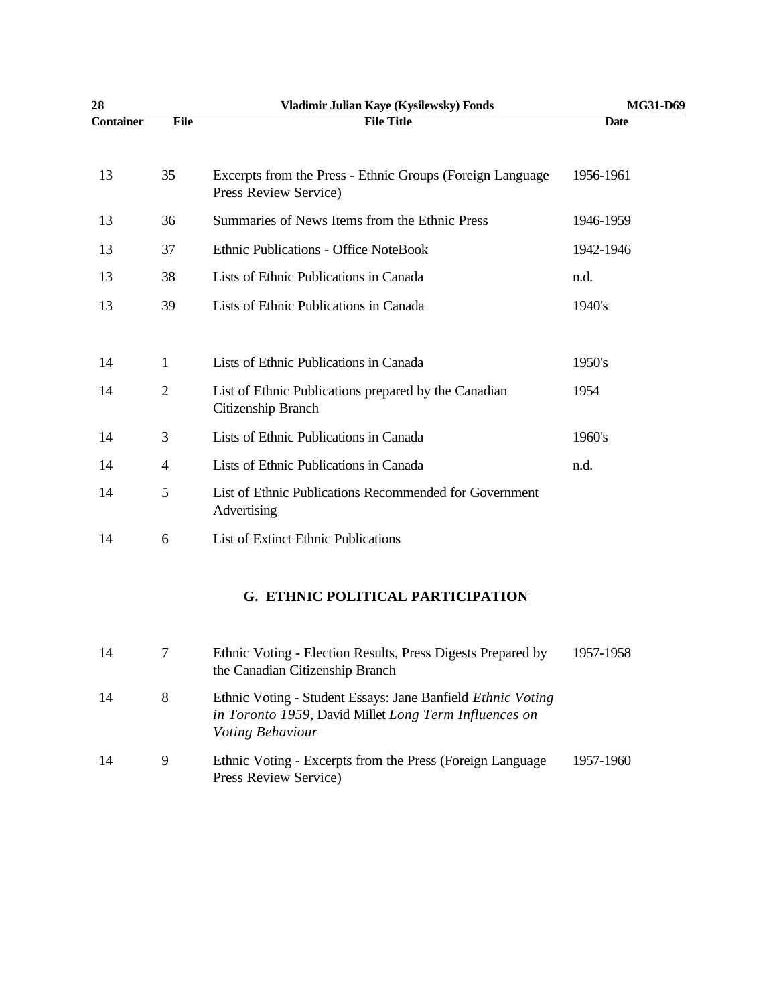| 28               |                | Vladimir Julian Kaye (Kysilewsky) Fonds                                                        | MG31-D69    |
|------------------|----------------|------------------------------------------------------------------------------------------------|-------------|
| <b>Container</b> | File           | <b>File Title</b>                                                                              | <b>Date</b> |
| 13               | 35             | Excerpts from the Press - Ethnic Groups (Foreign Language)<br>Press Review Service)            | 1956-1961   |
| 13               | 36             | Summaries of News Items from the Ethnic Press                                                  | 1946-1959   |
| 13               | 37             | <b>Ethnic Publications - Office NoteBook</b>                                                   | 1942-1946   |
| 13               | 38             | Lists of Ethnic Publications in Canada                                                         | n.d.        |
| 13               | 39             | Lists of Ethnic Publications in Canada                                                         | 1940's      |
| 14               | $\mathbf{1}$   | Lists of Ethnic Publications in Canada                                                         | 1950's      |
| 14               | $\sqrt{2}$     | List of Ethnic Publications prepared by the Canadian<br>Citizenship Branch                     | 1954        |
| 14               | 3              | Lists of Ethnic Publications in Canada                                                         | 1960's      |
| 14               | $\overline{4}$ | Lists of Ethnic Publications in Canada                                                         | n.d.        |
| 14               | 5              | List of Ethnic Publications Recommended for Government<br>Advertising                          |             |
| 14               | 6              | <b>List of Extinct Ethnic Publications</b>                                                     |             |
|                  |                | <b>G. ETHNIC POLITICAL PARTICIPATION</b>                                                       |             |
| 14               | 7              | Ethnic Voting - Election Results, Press Digests Prepared by<br>the Canadian Citizenship Branch | 1957-1958   |

- 14 8 Ethnic Voting Student Essays: Jane Banfield *Ethnic Voting in Toronto 1959*, David Millet *Long Term Influences on Voting Behaviour*
- 14 9 Ethnic Voting Excerpts from the Press (Foreign Language Press Review Service) 1957-1960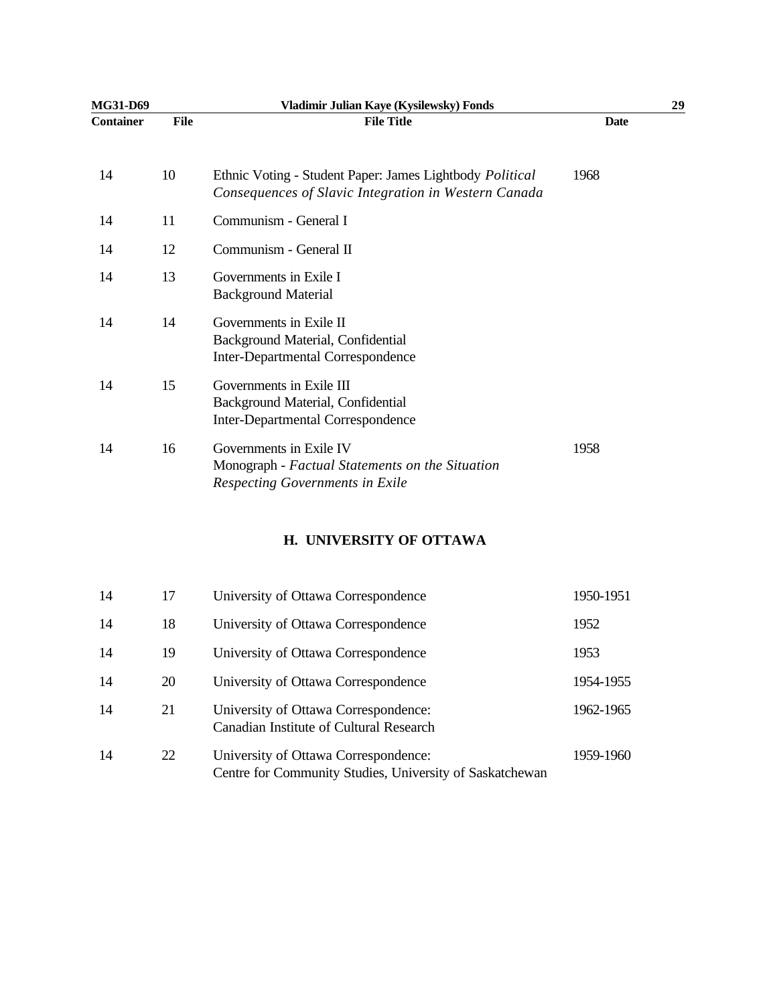| MG31-D69         |             | Vladimir Julian Kaye (Kysilewsky) Fonds                                                                          |             | 29 |
|------------------|-------------|------------------------------------------------------------------------------------------------------------------|-------------|----|
| <b>Container</b> | <b>File</b> | <b>File Title</b>                                                                                                | <b>Date</b> |    |
| 14               | 10          | Ethnic Voting - Student Paper: James Lightbody Political<br>Consequences of Slavic Integration in Western Canada | 1968        |    |
| 14               | 11          | Communism - General I                                                                                            |             |    |
| 14               | 12          | Communism - General II                                                                                           |             |    |
| 14               | 13          | Governments in Exile I<br><b>Background Material</b>                                                             |             |    |
| 14               | 14          | Governments in Exile II<br>Background Material, Confidential<br><b>Inter-Departmental Correspondence</b>         |             |    |
| 14               | 15          | Governments in Exile III<br>Background Material, Confidential<br><b>Inter-Departmental Correspondence</b>        |             |    |
| 14               | 16          | Governments in Exile IV<br>Monograph - Factual Statements on the Situation<br>Respecting Governments in Exile    | 1958        |    |
|                  |             |                                                                                                                  |             |    |

### **H. UNIVERSITY OF OTTAWA**

| 14 | 17 | University of Ottawa Correspondence                                                              | 1950-1951 |
|----|----|--------------------------------------------------------------------------------------------------|-----------|
| 14 | 18 | University of Ottawa Correspondence                                                              | 1952      |
| 14 | 19 | University of Ottawa Correspondence                                                              | 1953      |
| 14 | 20 | University of Ottawa Correspondence                                                              | 1954-1955 |
| 14 | 21 | University of Ottawa Correspondence:<br>Canadian Institute of Cultural Research                  | 1962-1965 |
| 14 | 22 | University of Ottawa Correspondence:<br>Centre for Community Studies, University of Saskatchewan | 1959-1960 |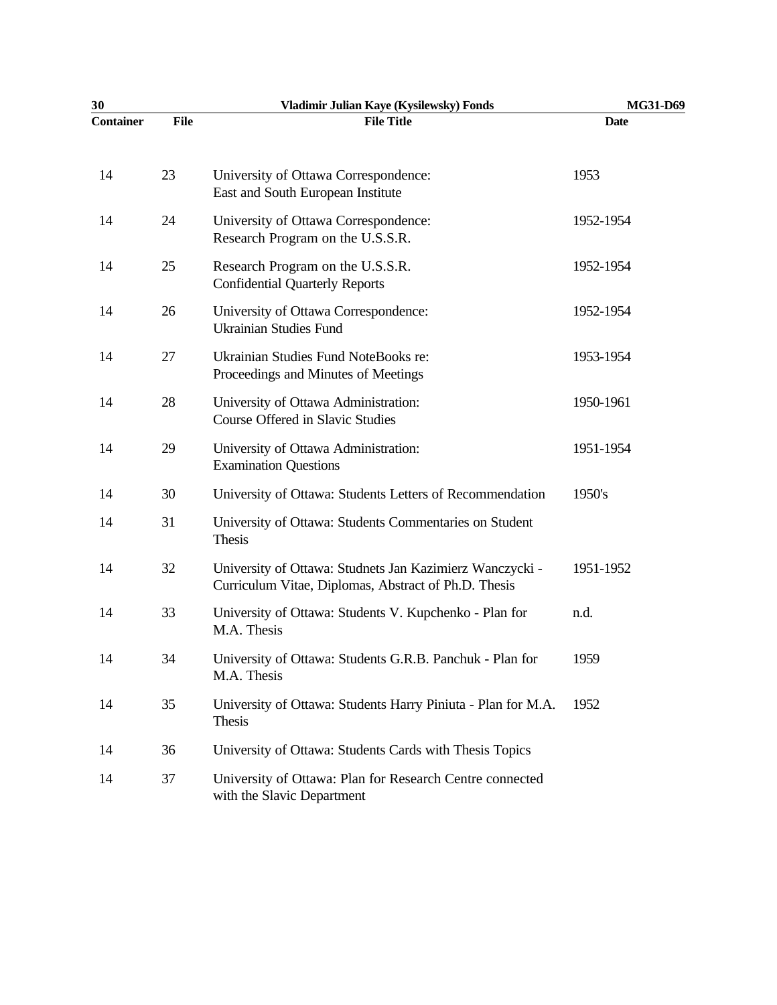| 30               |             | Vladimir Julian Kaye (Kysilewsky) Fonds                                                                          | MG31-D69    |
|------------------|-------------|------------------------------------------------------------------------------------------------------------------|-------------|
| <b>Container</b> | <b>File</b> | <b>File Title</b>                                                                                                | <b>Date</b> |
| 14               | 23          | University of Ottawa Correspondence:<br>East and South European Institute                                        | 1953        |
| 14               | 24          | University of Ottawa Correspondence:<br>Research Program on the U.S.S.R.                                         | 1952-1954   |
| 14               | 25          | Research Program on the U.S.S.R.<br><b>Confidential Quarterly Reports</b>                                        | 1952-1954   |
| 14               | 26          | University of Ottawa Correspondence:<br><b>Ukrainian Studies Fund</b>                                            | 1952-1954   |
| 14               | 27          | Ukrainian Studies Fund NoteBooks re:<br>Proceedings and Minutes of Meetings                                      | 1953-1954   |
| 14               | 28          | University of Ottawa Administration:<br>Course Offered in Slavic Studies                                         | 1950-1961   |
| 14               | 29          | University of Ottawa Administration:<br><b>Examination Questions</b>                                             | 1951-1954   |
| 14               | 30          | University of Ottawa: Students Letters of Recommendation                                                         | 1950's      |
| 14               | 31          | University of Ottawa: Students Commentaries on Student<br>Thesis                                                 |             |
| 14               | 32          | University of Ottawa: Studnets Jan Kazimierz Wanczycki -<br>Curriculum Vitae, Diplomas, Abstract of Ph.D. Thesis | 1951-1952   |
| 14               | 33          | University of Ottawa: Students V. Kupchenko - Plan for<br>M.A. Thesis                                            | n.d.        |
| 14               | 34          | University of Ottawa: Students G.R.B. Panchuk - Plan for<br>M.A. Thesis                                          | 1959        |
| 14               | 35          | University of Ottawa: Students Harry Piniuta - Plan for M.A.<br>Thesis                                           | 1952        |
| 14               | 36          | University of Ottawa: Students Cards with Thesis Topics                                                          |             |
| 14               | 37          | University of Ottawa: Plan for Research Centre connected<br>with the Slavic Department                           |             |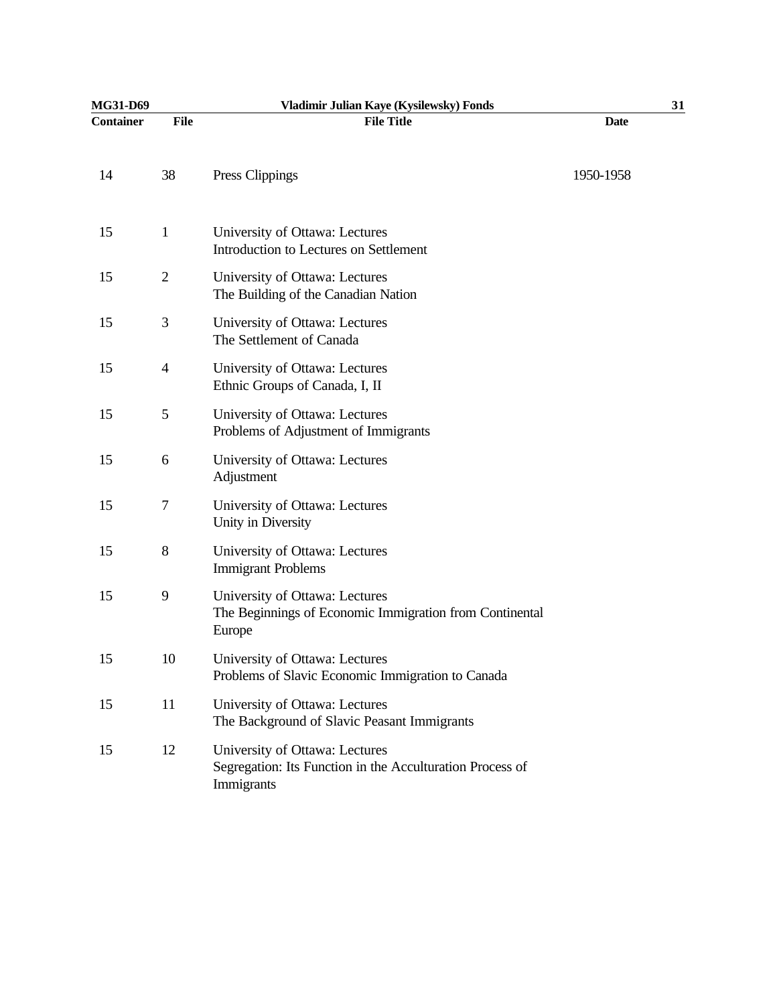| MG31-D69         |                | Vladimir Julian Kaye (Kysilewsky) Fonds                                                                   |             | 31 |
|------------------|----------------|-----------------------------------------------------------------------------------------------------------|-------------|----|
| <b>Container</b> | <b>File</b>    | <b>File Title</b>                                                                                         | <b>Date</b> |    |
| 14               | 38             | Press Clippings                                                                                           | 1950-1958   |    |
| 15               | $\mathbf{1}$   | University of Ottawa: Lectures<br>Introduction to Lectures on Settlement                                  |             |    |
| 15               | $\overline{c}$ | University of Ottawa: Lectures<br>The Building of the Canadian Nation                                     |             |    |
| 15               | 3              | University of Ottawa: Lectures<br>The Settlement of Canada                                                |             |    |
| 15               | $\overline{4}$ | University of Ottawa: Lectures<br>Ethnic Groups of Canada, I, II                                          |             |    |
| 15               | 5              | University of Ottawa: Lectures<br>Problems of Adjustment of Immigrants                                    |             |    |
| 15               | 6              | University of Ottawa: Lectures<br>Adjustment                                                              |             |    |
| 15               | 7              | University of Ottawa: Lectures<br>Unity in Diversity                                                      |             |    |
| 15               | 8              | University of Ottawa: Lectures<br><b>Immigrant Problems</b>                                               |             |    |
| 15               | 9              | University of Ottawa: Lectures<br>The Beginnings of Economic Immigration from Continental<br>Europe       |             |    |
| 15               | 10             | University of Ottawa: Lectures<br>Problems of Slavic Economic Immigration to Canada                       |             |    |
| 15               | 11             | University of Ottawa: Lectures<br>The Background of Slavic Peasant Immigrants                             |             |    |
| 15               | 12             | University of Ottawa: Lectures<br>Segregation: Its Function in the Acculturation Process of<br>Immigrants |             |    |
|                  |                |                                                                                                           |             |    |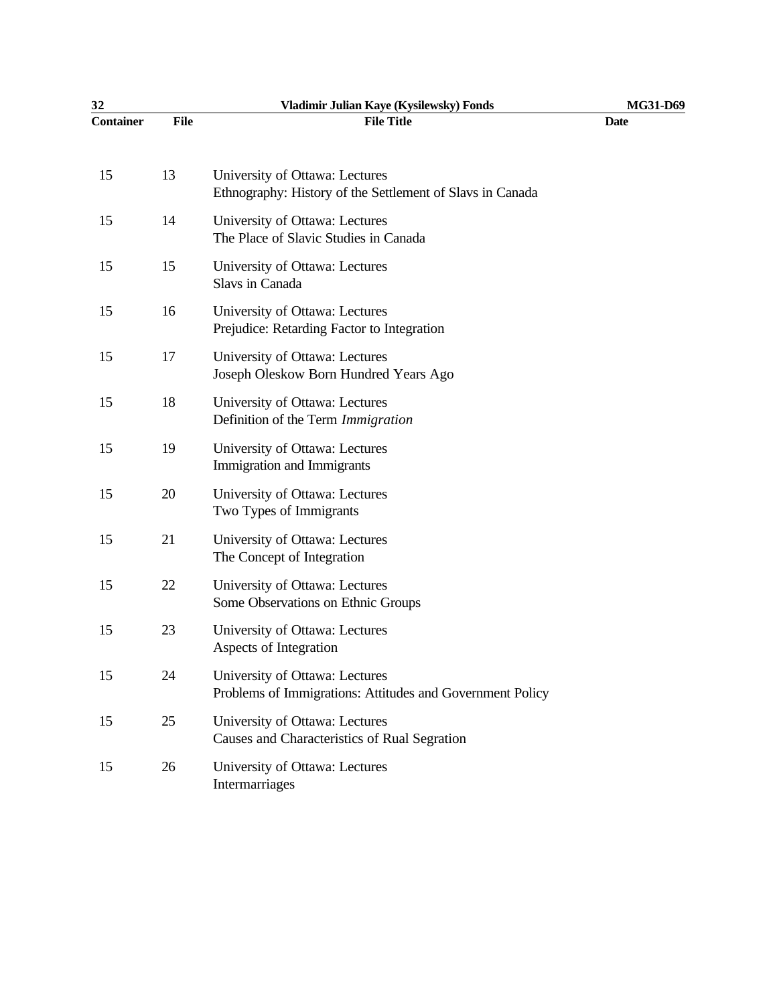| 32               |             | Vladimir Julian Kaye (Kysilewsky) Fonds                                                     | MG31-D69    |
|------------------|-------------|---------------------------------------------------------------------------------------------|-------------|
| <b>Container</b> | <b>File</b> | <b>File Title</b>                                                                           | <b>Date</b> |
| 15               | 13          | University of Ottawa: Lectures<br>Ethnography: History of the Settlement of Slavs in Canada |             |
| 15               | 14          | University of Ottawa: Lectures<br>The Place of Slavic Studies in Canada                     |             |
| 15               | 15          | University of Ottawa: Lectures<br>Slavs in Canada                                           |             |
| 15               | 16          | University of Ottawa: Lectures<br>Prejudice: Retarding Factor to Integration                |             |
| 15               | 17          | University of Ottawa: Lectures<br>Joseph Oleskow Born Hundred Years Ago                     |             |
| 15               | 18          | University of Ottawa: Lectures<br>Definition of the Term Immigration                        |             |
| 15               | 19          | University of Ottawa: Lectures<br>Immigration and Immigrants                                |             |
| 15               | 20          | University of Ottawa: Lectures<br>Two Types of Immigrants                                   |             |
| 15               | 21          | University of Ottawa: Lectures<br>The Concept of Integration                                |             |
| 15               | 22          | University of Ottawa: Lectures<br>Some Observations on Ethnic Groups                        |             |
| 15               | 23          | University of Ottawa: Lectures<br>Aspects of Integration                                    |             |
| 15               | 24          | University of Ottawa: Lectures<br>Problems of Immigrations: Attitudes and Government Policy |             |
| 15               | 25          | University of Ottawa: Lectures<br>Causes and Characteristics of Rual Segration              |             |
| 15               | 26          | University of Ottawa: Lectures<br>Intermarriages                                            |             |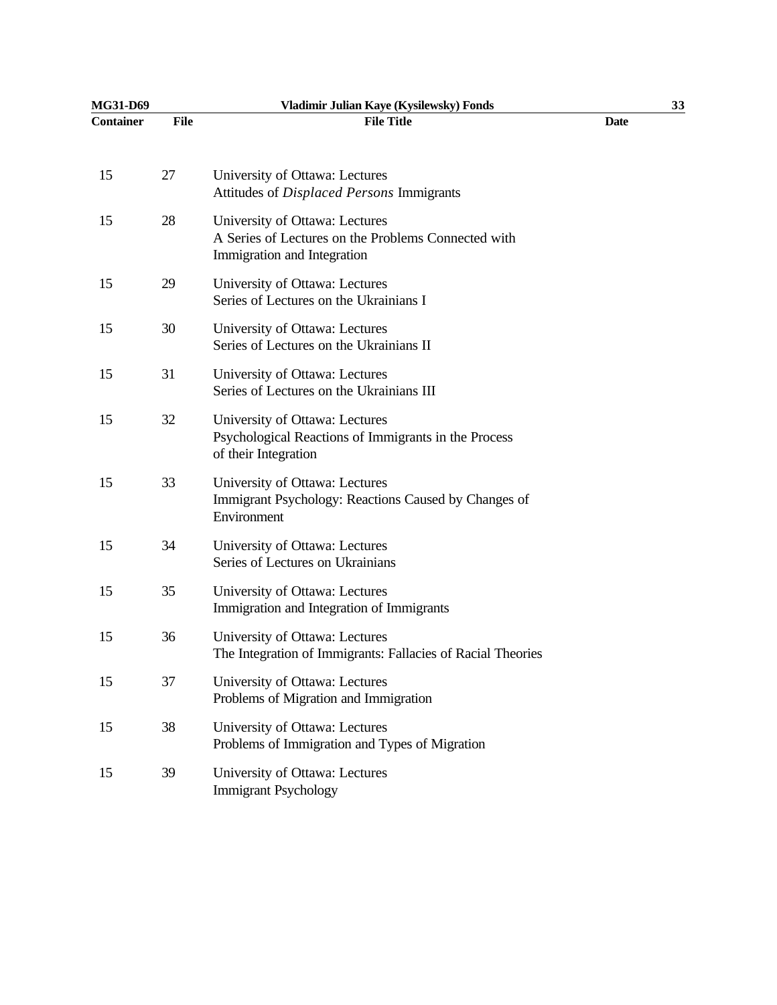| MG31-D69         |             | Vladimir Julian Kaye (Kysilewsky) Fonds                                                                              |             | 33 |
|------------------|-------------|----------------------------------------------------------------------------------------------------------------------|-------------|----|
| <b>Container</b> | <b>File</b> | <b>File Title</b>                                                                                                    | <b>Date</b> |    |
| 15               | 27          | University of Ottawa: Lectures<br>Attitudes of Displaced Persons Immigrants                                          |             |    |
| 15               | 28          | University of Ottawa: Lectures<br>A Series of Lectures on the Problems Connected with<br>Immigration and Integration |             |    |
| 15               | 29          | University of Ottawa: Lectures<br>Series of Lectures on the Ukrainians I                                             |             |    |
| 15               | 30          | University of Ottawa: Lectures<br>Series of Lectures on the Ukrainians II                                            |             |    |
| 15               | 31          | University of Ottawa: Lectures<br>Series of Lectures on the Ukrainians III                                           |             |    |
| 15               | 32          | University of Ottawa: Lectures<br>Psychological Reactions of Immigrants in the Process<br>of their Integration       |             |    |
| 15               | 33          | University of Ottawa: Lectures<br>Immigrant Psychology: Reactions Caused by Changes of<br>Environment                |             |    |
| 15               | 34          | University of Ottawa: Lectures<br>Series of Lectures on Ukrainians                                                   |             |    |
| 15               | 35          | University of Ottawa: Lectures<br>Immigration and Integration of Immigrants                                          |             |    |
| 15               | 36          | University of Ottawa: Lectures<br>The Integration of Immigrants: Fallacies of Racial Theories                        |             |    |
| 15               | 37          | University of Ottawa: Lectures<br>Problems of Migration and Immigration                                              |             |    |
| 15               | 38          | University of Ottawa: Lectures<br>Problems of Immigration and Types of Migration                                     |             |    |
| 15               | 39          | University of Ottawa: Lectures<br><b>Immigrant Psychology</b>                                                        |             |    |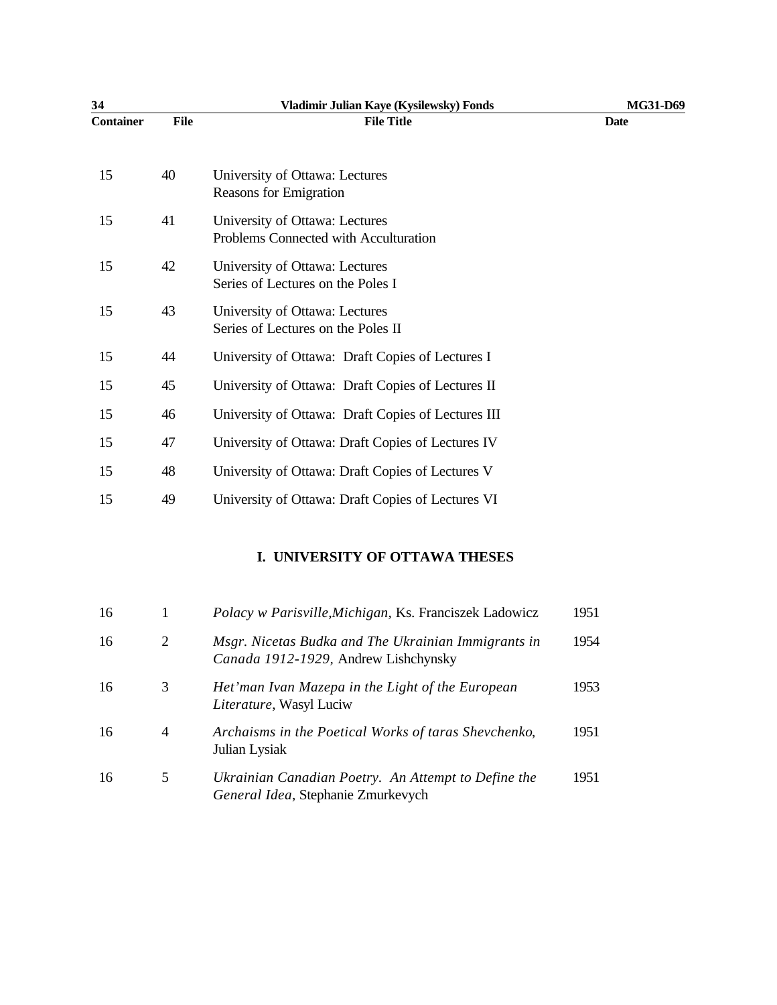| 34               |             | Vladimir Julian Kaye (Kysilewsky) Fonds                                 | MG31-D69    |
|------------------|-------------|-------------------------------------------------------------------------|-------------|
| <b>Container</b> | <b>File</b> | <b>File Title</b>                                                       | <b>Date</b> |
| 15               | 40          | University of Ottawa: Lectures<br><b>Reasons for Emigration</b>         |             |
| 15               | 41          | University of Ottawa: Lectures<br>Problems Connected with Acculturation |             |
| 15               | 42          | University of Ottawa: Lectures<br>Series of Lectures on the Poles I     |             |
| 15               | 43          | University of Ottawa: Lectures<br>Series of Lectures on the Poles II    |             |
| 15               | 44          | University of Ottawa: Draft Copies of Lectures I                        |             |
| 15               | 45          | University of Ottawa: Draft Copies of Lectures II                       |             |
| 15               | 46          | University of Ottawa: Draft Copies of Lectures III                      |             |
| 15               | 47          | University of Ottawa: Draft Copies of Lectures IV                       |             |
| 15               | 48          | University of Ottawa: Draft Copies of Lectures V                        |             |
| 15               | 49          | University of Ottawa: Draft Copies of Lectures VI                       |             |

# **I. UNIVERSITY OF OTTAWA THESES**

| 16 |                | Polacy w Parisville, Michigan, Ks. Franciszek Ladowicz                                      | 1951 |
|----|----------------|---------------------------------------------------------------------------------------------|------|
| 16 | 2              | Msgr. Nicetas Budka and The Ukrainian Immigrants in<br>Canada 1912-1929, Andrew Lishchynsky | 1954 |
| 16 | 3              | Het'man Ivan Mazepa in the Light of the European<br>Literature, Wasyl Luciw                 | 1953 |
| 16 | $\overline{4}$ | Archaisms in the Poetical Works of taras Shevchenko,<br>Julian Lysiak                       | 1951 |
| 16 | 5              | Ukrainian Canadian Poetry. An Attempt to Define the<br>General Idea, Stephanie Zmurkevych   | 1951 |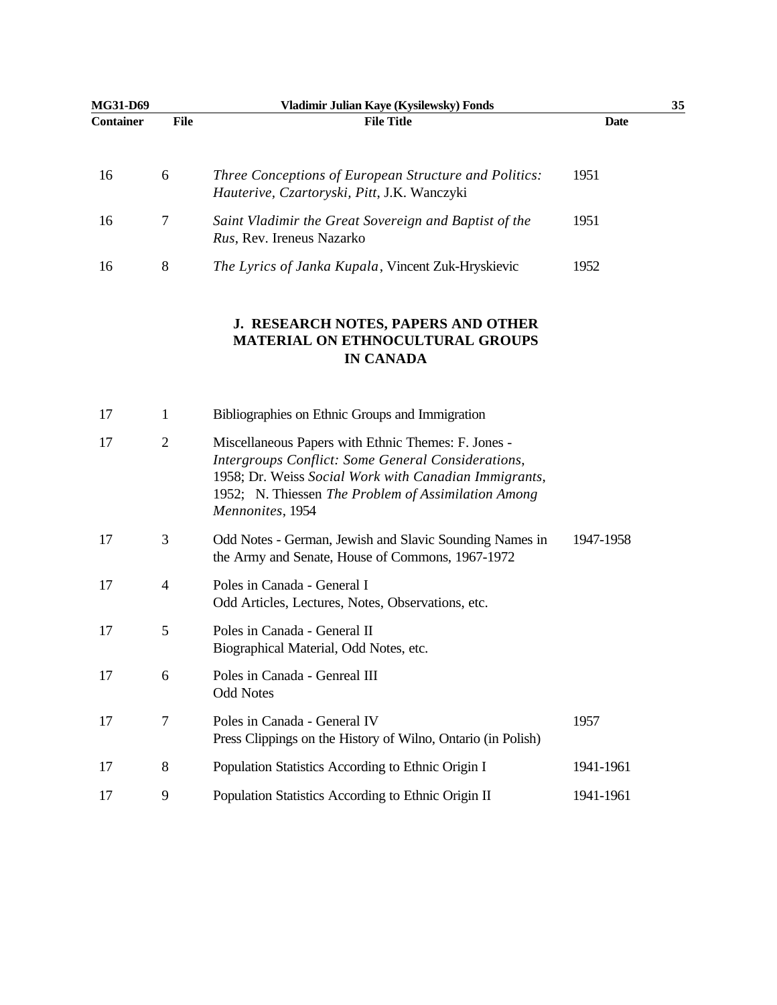| MG31-D69         |                | Vladimir Julian Kaye (Kysilewsky) Fonds                                                                                                                                                                                                       |             | 35 |
|------------------|----------------|-----------------------------------------------------------------------------------------------------------------------------------------------------------------------------------------------------------------------------------------------|-------------|----|
| <b>Container</b> | <b>File</b>    | <b>File Title</b>                                                                                                                                                                                                                             | <b>Date</b> |    |
| 16               | 6              | Three Conceptions of European Structure and Politics:<br>Hauterive, Czartoryski, Pitt, J.K. Wanczyki                                                                                                                                          | 1951        |    |
| 16               | 7              | Saint Vladimir the Great Sovereign and Baptist of the<br>Rus, Rev. Ireneus Nazarko                                                                                                                                                            | 1951        |    |
| 16               | $8\,$          | The Lyrics of Janka Kupala, Vincent Zuk-Hryskievic                                                                                                                                                                                            | 1952        |    |
|                  |                | J. RESEARCH NOTES, PAPERS AND OTHER<br><b>MATERIAL ON ETHNOCULTURAL GROUPS</b><br><b>IN CANADA</b>                                                                                                                                            |             |    |
| 17               | 1              | Bibliographies on Ethnic Groups and Immigration                                                                                                                                                                                               |             |    |
| 17               | $\overline{2}$ | Miscellaneous Papers with Ethnic Themes: F. Jones -<br>Intergroups Conflict: Some General Considerations,<br>1958; Dr. Weiss Social Work with Canadian Immigrants,<br>1952; N. Thiessen The Problem of Assimilation Among<br>Mennonites, 1954 |             |    |
| 17               | 3              | Odd Notes - German, Jewish and Slavic Sounding Names in<br>the Army and Senate, House of Commons, 1967-1972                                                                                                                                   | 1947-1958   |    |
| 17               | $\overline{4}$ | Poles in Canada - General I<br>Odd Articles, Lectures, Notes, Observations, etc.                                                                                                                                                              |             |    |
| 17               | 5              | Poles in Canada - General II<br>Biographical Material, Odd Notes, etc.                                                                                                                                                                        |             |    |
| 17               | 6              | Poles in Canada - Genreal III<br><b>Odd Notes</b>                                                                                                                                                                                             |             |    |
| 17               | 7              | Poles in Canada - General IV<br>Press Clippings on the History of Wilno, Ontario (in Polish)                                                                                                                                                  | 1957        |    |
| 17               | 8              | Population Statistics According to Ethnic Origin I                                                                                                                                                                                            | 1941-1961   |    |
| 17               | 9              | Population Statistics According to Ethnic Origin II                                                                                                                                                                                           | 1941-1961   |    |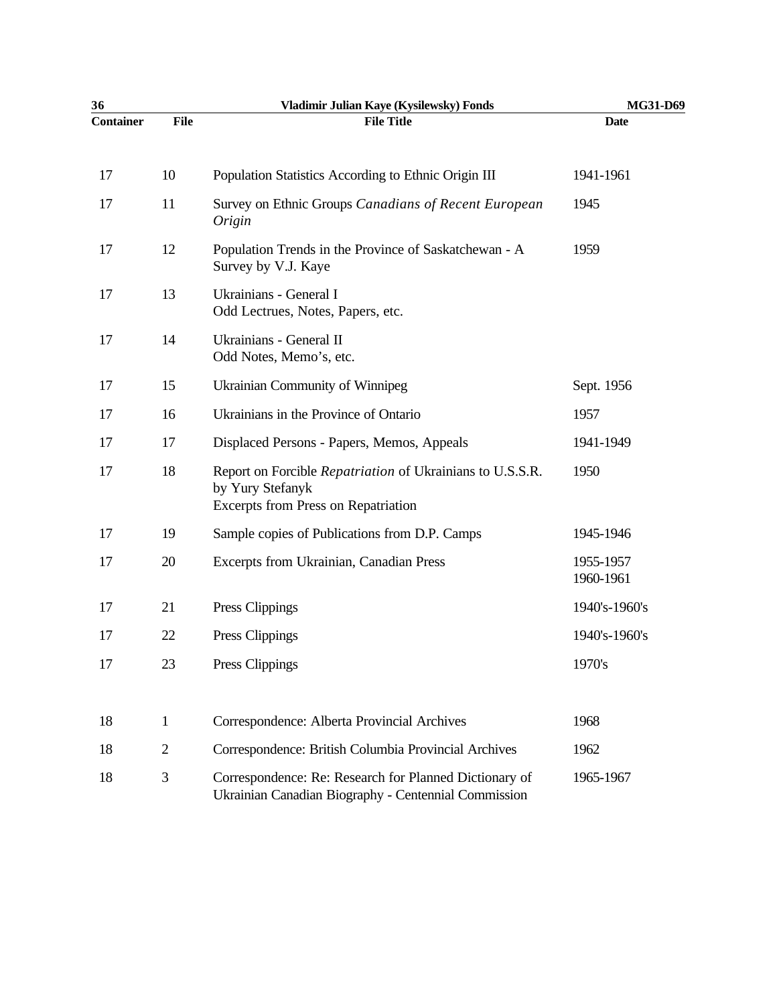| 36               |                | Vladimir Julian Kaye (Kysilewsky) Fonds                                                                                     | MG31-D69               |
|------------------|----------------|-----------------------------------------------------------------------------------------------------------------------------|------------------------|
| <b>Container</b> | <b>File</b>    | <b>File Title</b>                                                                                                           | <b>Date</b>            |
| 17               | 10             | Population Statistics According to Ethnic Origin III                                                                        | 1941-1961              |
| 17               | 11             | Survey on Ethnic Groups Canadians of Recent European<br>Origin                                                              | 1945                   |
| 17               | 12             | Population Trends in the Province of Saskatchewan - A<br>Survey by V.J. Kaye                                                | 1959                   |
| 17               | 13             | Ukrainians - General I<br>Odd Lectrues, Notes, Papers, etc.                                                                 |                        |
| 17               | 14             | Ukrainians - General II<br>Odd Notes, Memo's, etc.                                                                          |                        |
| 17               | 15             | Ukrainian Community of Winnipeg                                                                                             | Sept. 1956             |
| 17               | 16             | Ukrainians in the Province of Ontario                                                                                       | 1957                   |
| 17               | 17             | Displaced Persons - Papers, Memos, Appeals                                                                                  | 1941-1949              |
| 17               | 18             | Report on Forcible Repatriation of Ukrainians to U.S.S.R.<br>by Yury Stefanyk<br><b>Excerpts from Press on Repatriation</b> | 1950                   |
| 17               | 19             | Sample copies of Publications from D.P. Camps                                                                               | 1945-1946              |
| 17               | 20             | Excerpts from Ukrainian, Canadian Press                                                                                     | 1955-1957<br>1960-1961 |
| 17               | 21             | Press Clippings                                                                                                             | 1940's-1960's          |
| 17               | 22             | Press Clippings                                                                                                             | 1940's-1960's          |
| 17               | 23             | Press Clippings                                                                                                             | 1970's                 |
| 18               | $\mathbf{1}$   | Correspondence: Alberta Provincial Archives                                                                                 | 1968                   |
| 18               | $\overline{2}$ | Correspondence: British Columbia Provincial Archives                                                                        | 1962                   |
| 18               | 3              | Correspondence: Re: Research for Planned Dictionary of<br>Ukrainian Canadian Biography - Centennial Commission              | 1965-1967              |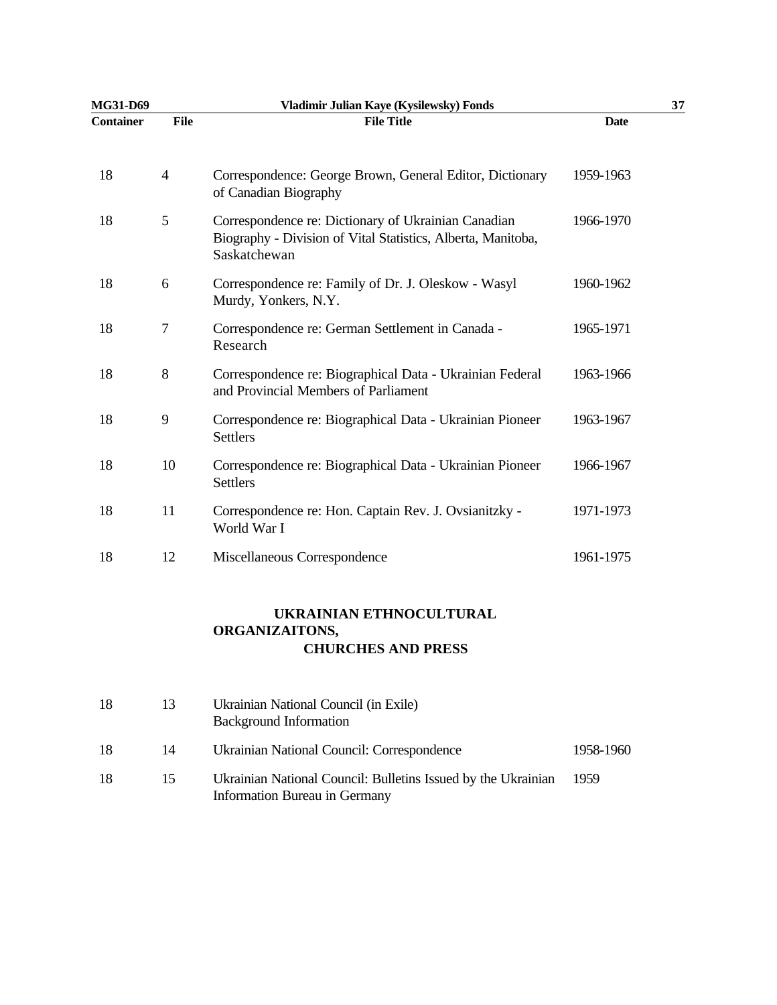| MG31-D69         |                | Vladimir Julian Kaye (Kysilewsky) Fonds                                                                                             |             | 37 |
|------------------|----------------|-------------------------------------------------------------------------------------------------------------------------------------|-------------|----|
| <b>Container</b> | File           | <b>File Title</b>                                                                                                                   | <b>Date</b> |    |
| 18               | $\overline{4}$ | Correspondence: George Brown, General Editor, Dictionary<br>of Canadian Biography                                                   | 1959-1963   |    |
| 18               | 5              | Correspondence re: Dictionary of Ukrainian Canadian<br>Biography - Division of Vital Statistics, Alberta, Manitoba,<br>Saskatchewan | 1966-1970   |    |
| 18               | 6              | Correspondence re: Family of Dr. J. Oleskow - Wasyl<br>Murdy, Yonkers, N.Y.                                                         | 1960-1962   |    |
| 18               | 7              | Correspondence re: German Settlement in Canada -<br>Research                                                                        | 1965-1971   |    |
| 18               | 8              | Correspondence re: Biographical Data - Ukrainian Federal<br>and Provincial Members of Parliament                                    | 1963-1966   |    |
| 18               | 9              | Correspondence re: Biographical Data - Ukrainian Pioneer<br><b>Settlers</b>                                                         | 1963-1967   |    |
| 18               | 10             | Correspondence re: Biographical Data - Ukrainian Pioneer<br><b>Settlers</b>                                                         | 1966-1967   |    |
| 18               | 11             | Correspondence re: Hon. Captain Rev. J. Ovsianitzky -<br>World War I                                                                | 1971-1973   |    |
| 18               | 12             | Miscellaneous Correspondence                                                                                                        | 1961-1975   |    |

## **UKRAINIAN ETHNOCULTURAL ORGANIZAITONS, CHURCHES AND PRESS**

| 18 | 13  | Ukrainian National Council (in Exile)<br><b>Background Information</b>                         |           |
|----|-----|------------------------------------------------------------------------------------------------|-----------|
| 18 | 14  | Ukrainian National Council: Correspondence                                                     | 1958-1960 |
| 18 | 15. | Ukrainian National Council: Bulletins Issued by the Ukrainian<br>Information Bureau in Germany | 1959      |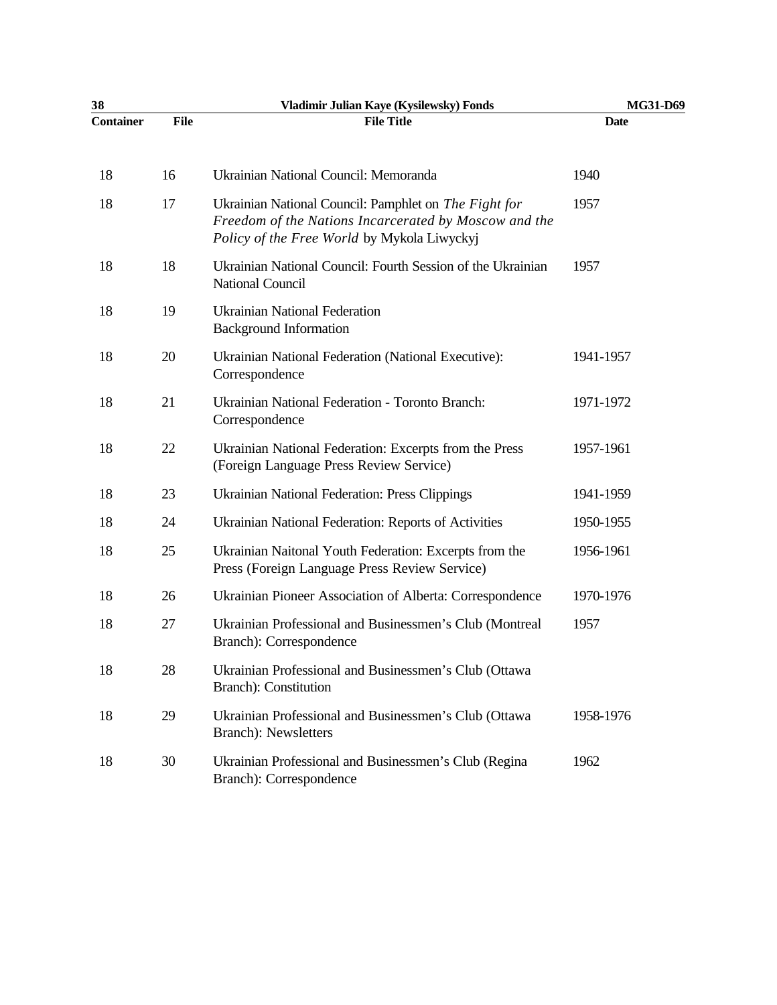| 38               |      | Vladimir Julian Kaye (Kysilewsky) Fonds                                                                                                                       | MG31-D69    |
|------------------|------|---------------------------------------------------------------------------------------------------------------------------------------------------------------|-------------|
| <b>Container</b> | File | <b>File Title</b>                                                                                                                                             | <b>Date</b> |
| 18               | 16   | Ukrainian National Council: Memoranda                                                                                                                         | 1940        |
| 18               | 17   | Ukrainian National Council: Pamphlet on The Fight for<br>Freedom of the Nations Incarcerated by Moscow and the<br>Policy of the Free World by Mykola Liwyckyj | 1957        |
| 18               | 18   | Ukrainian National Council: Fourth Session of the Ukrainian<br>National Council                                                                               | 1957        |
| 18               | 19   | <b>Ukrainian National Federation</b><br><b>Background Information</b>                                                                                         |             |
| 18               | 20   | Ukrainian National Federation (National Executive):<br>Correspondence                                                                                         | 1941-1957   |
| 18               | 21   | Ukrainian National Federation - Toronto Branch:<br>Correspondence                                                                                             | 1971-1972   |
| 18               | 22   | Ukrainian National Federation: Excerpts from the Press<br>(Foreign Language Press Review Service)                                                             | 1957-1961   |
| 18               | 23   | <b>Ukrainian National Federation: Press Clippings</b>                                                                                                         | 1941-1959   |
| 18               | 24   | Ukrainian National Federation: Reports of Activities                                                                                                          | 1950-1955   |
| 18               | 25   | Ukrainian Naitonal Youth Federation: Excerpts from the<br>Press (Foreign Language Press Review Service)                                                       | 1956-1961   |
| 18               | 26   | Ukrainian Pioneer Association of Alberta: Correspondence                                                                                                      | 1970-1976   |
| 18               | 27   | Ukrainian Professional and Businessmen's Club (Montreal<br>Branch): Correspondence                                                                            | 1957        |
| 18               | 28   | Ukrainian Professional and Businessmen's Club (Ottawa<br><b>Branch</b> ): Constitution                                                                        |             |
| 18               | 29   | Ukrainian Professional and Businessmen's Club (Ottawa<br><b>Branch</b> ): Newsletters                                                                         | 1958-1976   |
| 18               | 30   | Ukrainian Professional and Businessmen's Club (Regina<br>Branch): Correspondence                                                                              | 1962        |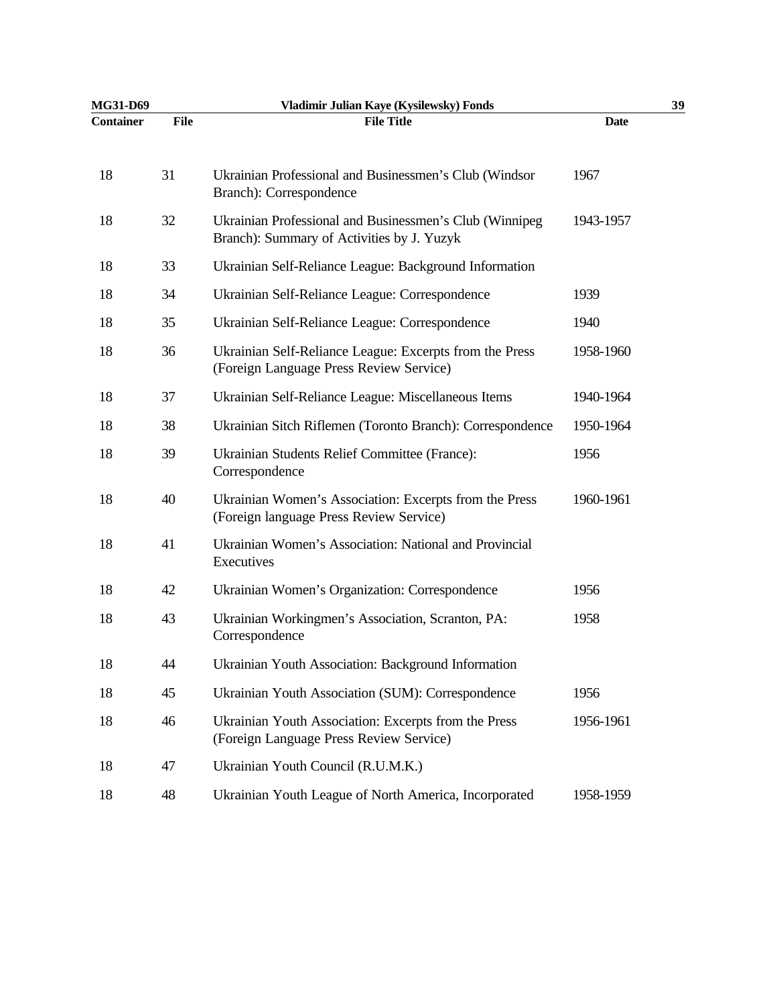| MG31-D69         |             | Vladimir Julian Kaye (Kysilewsky) Fonds                                                               |             | 39 |
|------------------|-------------|-------------------------------------------------------------------------------------------------------|-------------|----|
| <b>Container</b> | <b>File</b> | <b>File Title</b>                                                                                     | <b>Date</b> |    |
| 18               | 31          | Ukrainian Professional and Businessmen's Club (Windsor<br>Branch): Correspondence                     | 1967        |    |
| 18               | 32          | Ukrainian Professional and Businessmen's Club (Winnipeg<br>Branch): Summary of Activities by J. Yuzyk | 1943-1957   |    |
| 18               | 33          | Ukrainian Self-Reliance League: Background Information                                                |             |    |
| 18               | 34          | Ukrainian Self-Reliance League: Correspondence                                                        | 1939        |    |
| 18               | 35          | Ukrainian Self-Reliance League: Correspondence                                                        | 1940        |    |
| 18               | 36          | Ukrainian Self-Reliance League: Excerpts from the Press<br>(Foreign Language Press Review Service)    | 1958-1960   |    |
| 18               | 37          | Ukrainian Self-Reliance League: Miscellaneous Items                                                   | 1940-1964   |    |
| 18               | 38          | Ukrainian Sitch Riflemen (Toronto Branch): Correspondence                                             | 1950-1964   |    |
| 18               | 39          | Ukrainian Students Relief Committee (France):<br>Correspondence                                       | 1956        |    |
| 18               | 40          | Ukrainian Women's Association: Excerpts from the Press<br>(Foreign language Press Review Service)     | 1960-1961   |    |
| 18               | 41          | Ukrainian Women's Association: National and Provincial<br>Executives                                  |             |    |
| 18               | 42          | Ukrainian Women's Organization: Correspondence                                                        | 1956        |    |
| 18               | 43          | Ukrainian Workingmen's Association, Scranton, PA:<br>Correspondence                                   | 1958        |    |
| 18               | 44          | Ukrainian Youth Association: Background Information                                                   |             |    |
| 18               | 45          | Ukrainian Youth Association (SUM): Correspondence                                                     | 1956        |    |
| 18               | 46          | Ukrainian Youth Association: Excerpts from the Press<br>(Foreign Language Press Review Service)       | 1956-1961   |    |
| 18               | 47          | Ukrainian Youth Council (R.U.M.K.)                                                                    |             |    |
| 18               | 48          | Ukrainian Youth League of North America, Incorporated                                                 | 1958-1959   |    |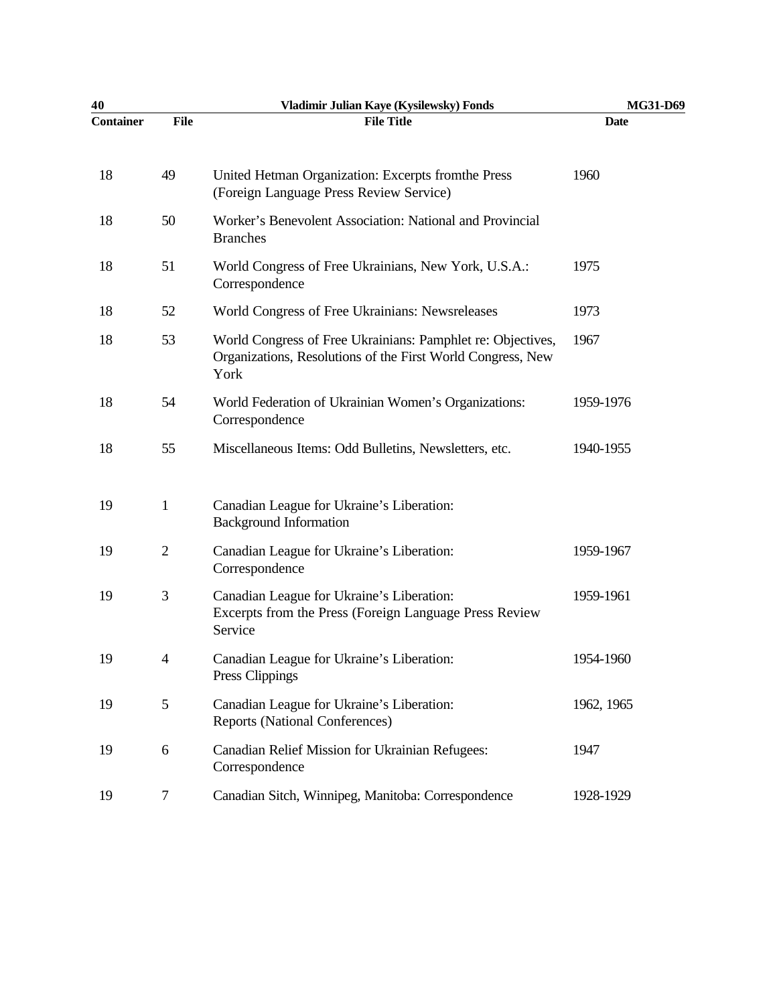| 40        |                | Vladimir Julian Kaye (Kysilewsky) Fonds                                                                                            | MG31-D69    |
|-----------|----------------|------------------------------------------------------------------------------------------------------------------------------------|-------------|
| Container | File           | <b>File Title</b>                                                                                                                  | <b>Date</b> |
| 18        | 49             | United Hetman Organization: Excerpts from the Press<br>(Foreign Language Press Review Service)                                     | 1960        |
| 18        | 50             | Worker's Benevolent Association: National and Provincial<br><b>Branches</b>                                                        |             |
| 18        | 51             | World Congress of Free Ukrainians, New York, U.S.A.:<br>Correspondence                                                             | 1975        |
| 18        | 52             | World Congress of Free Ukrainians: Newsreleases                                                                                    | 1973        |
| 18        | 53             | World Congress of Free Ukrainians: Pamphlet re: Objectives,<br>Organizations, Resolutions of the First World Congress, New<br>York | 1967        |
| 18        | 54             | World Federation of Ukrainian Women's Organizations:<br>Correspondence                                                             | 1959-1976   |
| 18        | 55             | Miscellaneous Items: Odd Bulletins, Newsletters, etc.                                                                              | 1940-1955   |
| 19        | $\mathbf{1}$   | Canadian League for Ukraine's Liberation:<br><b>Background Information</b>                                                         |             |
| 19        | $\overline{2}$ | Canadian League for Ukraine's Liberation:<br>Correspondence                                                                        | 1959-1967   |
| 19        | 3              | Canadian League for Ukraine's Liberation:<br>Excerpts from the Press (Foreign Language Press Review<br>Service                     | 1959-1961   |
| 19        | $\overline{4}$ | Canadian League for Ukraine's Liberation:<br>Press Clippings                                                                       | 1954-1960   |
| 19        | 5              | Canadian League for Ukraine's Liberation:<br><b>Reports (National Conferences)</b>                                                 | 1962, 1965  |
| 19        | 6              | Canadian Relief Mission for Ukrainian Refugees:<br>Correspondence                                                                  | 1947        |
| 19        | 7              | Canadian Sitch, Winnipeg, Manitoba: Correspondence                                                                                 | 1928-1929   |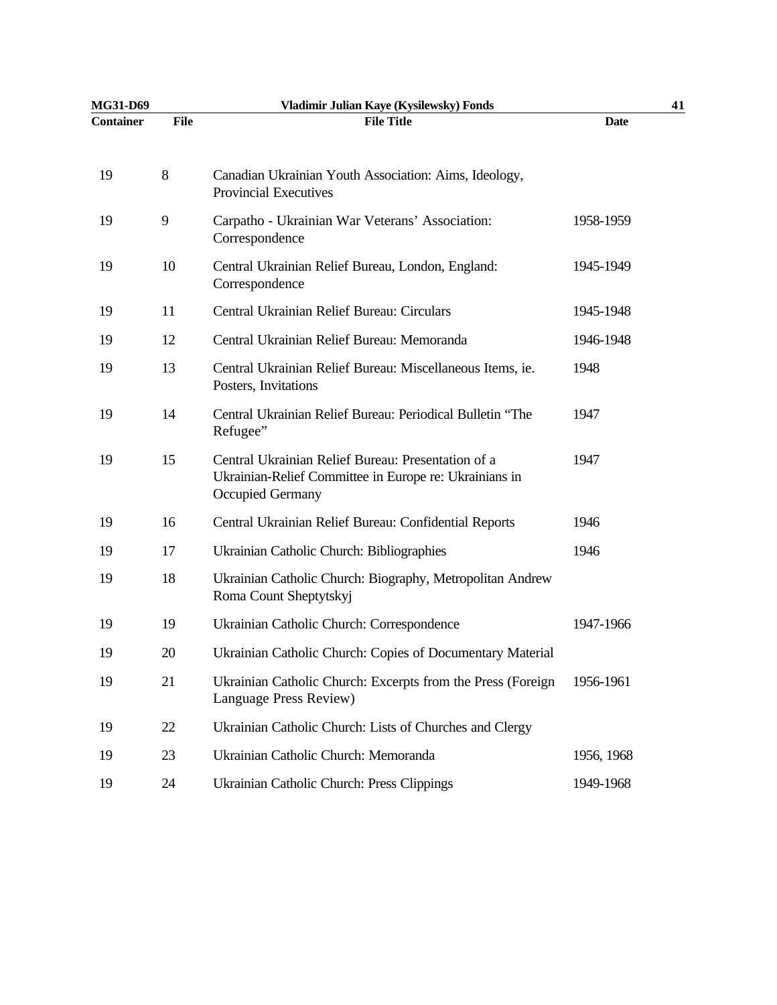| MG31-D69         |             | Vladimir Julian Kaye (Kysilewsky) Fonds                                                                                          | 41          |
|------------------|-------------|----------------------------------------------------------------------------------------------------------------------------------|-------------|
| <b>Container</b> | <b>File</b> | <b>File Title</b>                                                                                                                | <b>Date</b> |
| 19               | 8           | Canadian Ukrainian Youth Association: Aims, Ideology,<br><b>Provincial Executives</b>                                            |             |
| 19               | 9           | Carpatho - Ukrainian War Veterans' Association:<br>Correspondence                                                                | 1958-1959   |
| 19               | 10          | Central Ukrainian Relief Bureau, London, England:<br>Correspondence                                                              | 1945-1949   |
| 19               | 11          | Central Ukrainian Relief Bureau: Circulars                                                                                       | 1945-1948   |
| 19               | 12          | Central Ukrainian Relief Bureau: Memoranda                                                                                       | 1946-1948   |
| 19               | 13          | Central Ukrainian Relief Bureau: Miscellaneous Items, ie.<br>Posters, Invitations                                                | 1948        |
| 19               | 14          | Central Ukrainian Relief Bureau: Periodical Bulletin "The<br>Refugee"                                                            | 1947        |
| 19               | 15          | Central Ukrainian Relief Bureau: Presentation of a<br>Ukrainian-Relief Committee in Europe re: Ukrainians in<br>Occupied Germany | 1947        |
| 19               | 16          | Central Ukrainian Relief Bureau: Confidential Reports                                                                            | 1946        |
| 19               | 17          | Ukrainian Catholic Church: Bibliographies                                                                                        | 1946        |
| 19               | 18          | Ukrainian Catholic Church: Biography, Metropolitan Andrew<br>Roma Count Sheptytskyj                                              |             |
| 19               | 19          | Ukrainian Catholic Church: Correspondence                                                                                        | 1947-1966   |
| 19               | 20          | Ukrainian Catholic Church: Copies of Documentary Material                                                                        |             |
| 19               | 21          | Ukrainian Catholic Church: Excerpts from the Press (Foreign<br>Language Press Review)                                            | 1956-1961   |
| 19               | 22          | Ukrainian Catholic Church: Lists of Churches and Clergy                                                                          |             |
| 19               | 23          | Ukrainian Catholic Church: Memoranda                                                                                             | 1956, 1968  |
| 19               | 24          | Ukrainian Catholic Church: Press Clippings                                                                                       | 1949-1968   |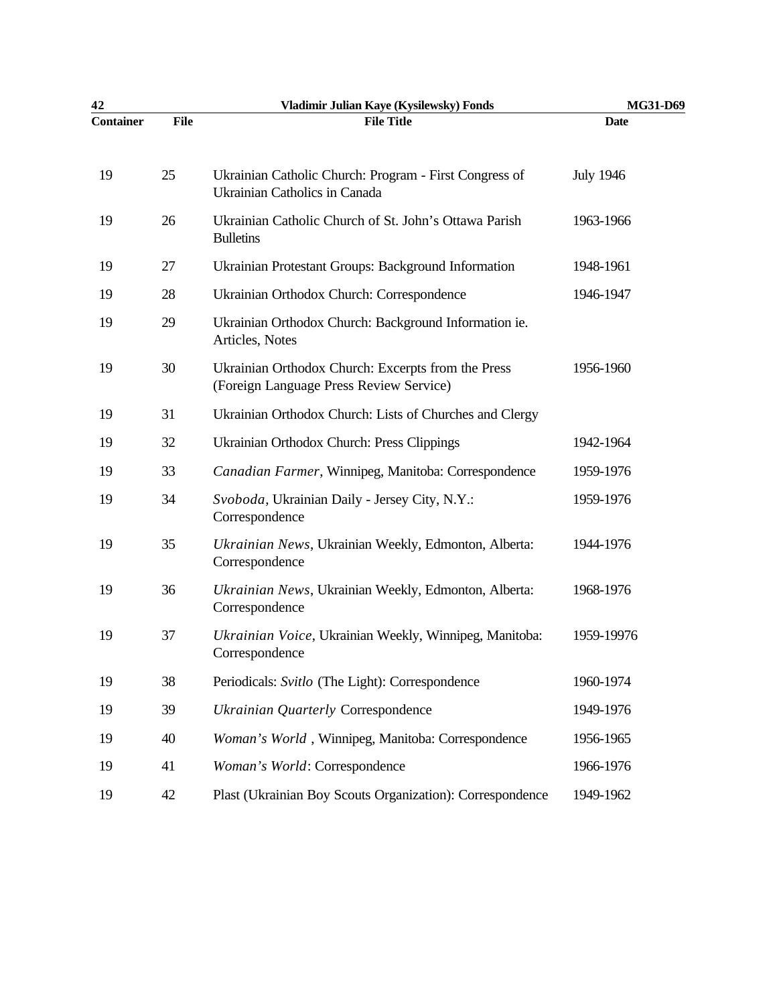| 42               |             | Vladimir Julian Kaye (Kysilewsky) Fonds                                                       | MG31-D69         |
|------------------|-------------|-----------------------------------------------------------------------------------------------|------------------|
| <b>Container</b> | <b>File</b> | <b>File Title</b>                                                                             | <b>Date</b>      |
| 19               | 25          | Ukrainian Catholic Church: Program - First Congress of<br>Ukrainian Catholics in Canada       | <b>July 1946</b> |
| 19               | 26          | Ukrainian Catholic Church of St. John's Ottawa Parish<br><b>Bulletins</b>                     | 1963-1966        |
| 19               | 27          | Ukrainian Protestant Groups: Background Information                                           | 1948-1961        |
| 19               | 28          | Ukrainian Orthodox Church: Correspondence                                                     | 1946-1947        |
| 19               | 29          | Ukrainian Orthodox Church: Background Information ie.<br>Articles, Notes                      |                  |
| 19               | 30          | Ukrainian Orthodox Church: Excerpts from the Press<br>(Foreign Language Press Review Service) | 1956-1960        |
| 19               | 31          | Ukrainian Orthodox Church: Lists of Churches and Clergy                                       |                  |
| 19               | 32          | Ukrainian Orthodox Church: Press Clippings                                                    | 1942-1964        |
| 19               | 33          | Canadian Farmer, Winnipeg, Manitoba: Correspondence                                           | 1959-1976        |
| 19               | 34          | Svoboda, Ukrainian Daily - Jersey City, N.Y.:<br>Correspondence                               | 1959-1976        |
| 19               | 35          | Ukrainian News, Ukrainian Weekly, Edmonton, Alberta:<br>Correspondence                        | 1944-1976        |
| 19               | 36          | Ukrainian News, Ukrainian Weekly, Edmonton, Alberta:<br>Correspondence                        | 1968-1976        |
| 19               | 37          | Ukrainian Voice, Ukrainian Weekly, Winnipeg, Manitoba:<br>Correspondence                      | 1959-19976       |
| 19               | 38          | Periodicals: Svitlo (The Light): Correspondence                                               | 1960-1974        |
| 19               | 39          | Ukrainian Quarterly Correspondence                                                            | 1949-1976        |
| 19               | 40          | Woman's World, Winnipeg, Manitoba: Correspondence                                             | 1956-1965        |
| 19               | 41          | Woman's World: Correspondence                                                                 | 1966-1976        |
| 19               | 42          | Plast (Ukrainian Boy Scouts Organization): Correspondence                                     | 1949-1962        |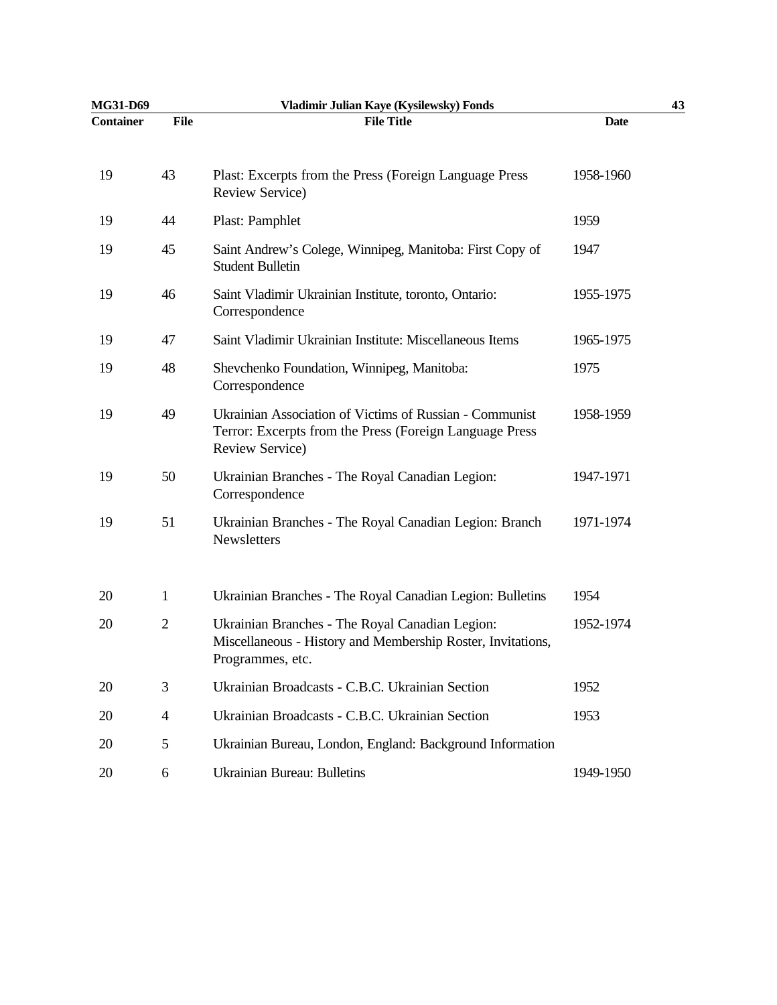| MG31-D69         |                | Vladimir Julian Kaye (Kysilewsky) Fonds                                                                                               |             | 43 |
|------------------|----------------|---------------------------------------------------------------------------------------------------------------------------------------|-------------|----|
| <b>Container</b> | <b>File</b>    | <b>File Title</b>                                                                                                                     | <b>Date</b> |    |
| 19               | 43             | Plast: Excerpts from the Press (Foreign Language Press<br>Review Service)                                                             | 1958-1960   |    |
| 19               | 44             | Plast: Pamphlet                                                                                                                       | 1959        |    |
| 19               | 45             | Saint Andrew's Colege, Winnipeg, Manitoba: First Copy of<br><b>Student Bulletin</b>                                                   | 1947        |    |
| 19               | 46             | Saint Vladimir Ukrainian Institute, toronto, Ontario:<br>Correspondence                                                               | 1955-1975   |    |
| 19               | 47             | Saint Vladimir Ukrainian Institute: Miscellaneous Items                                                                               | 1965-1975   |    |
| 19               | 48             | Shevchenko Foundation, Winnipeg, Manitoba:<br>Correspondence                                                                          | 1975        |    |
| 19               | 49             | Ukrainian Association of Victims of Russian - Communist<br>Terror: Excerpts from the Press (Foreign Language Press<br>Review Service) | 1958-1959   |    |
| 19               | 50             | Ukrainian Branches - The Royal Canadian Legion:<br>Correspondence                                                                     | 1947-1971   |    |
| 19               | 51             | Ukrainian Branches - The Royal Canadian Legion: Branch<br>Newsletters                                                                 | 1971-1974   |    |
| 20               | $\mathbf{1}$   | Ukrainian Branches - The Royal Canadian Legion: Bulletins                                                                             | 1954        |    |
| 20               | $\overline{2}$ | Ukrainian Branches - The Royal Canadian Legion:<br>Miscellaneous - History and Membership Roster, Invitations,<br>Programmes, etc.    | 1952-1974   |    |
| 20               | 3              | Ukrainian Broadcasts - C.B.C. Ukrainian Section                                                                                       | 1952        |    |
| 20               | $\overline{4}$ | Ukrainian Broadcasts - C.B.C. Ukrainian Section                                                                                       | 1953        |    |
| 20               | 5              | Ukrainian Bureau, London, England: Background Information                                                                             |             |    |
| 20               | 6              | <b>Ukrainian Bureau: Bulletins</b>                                                                                                    | 1949-1950   |    |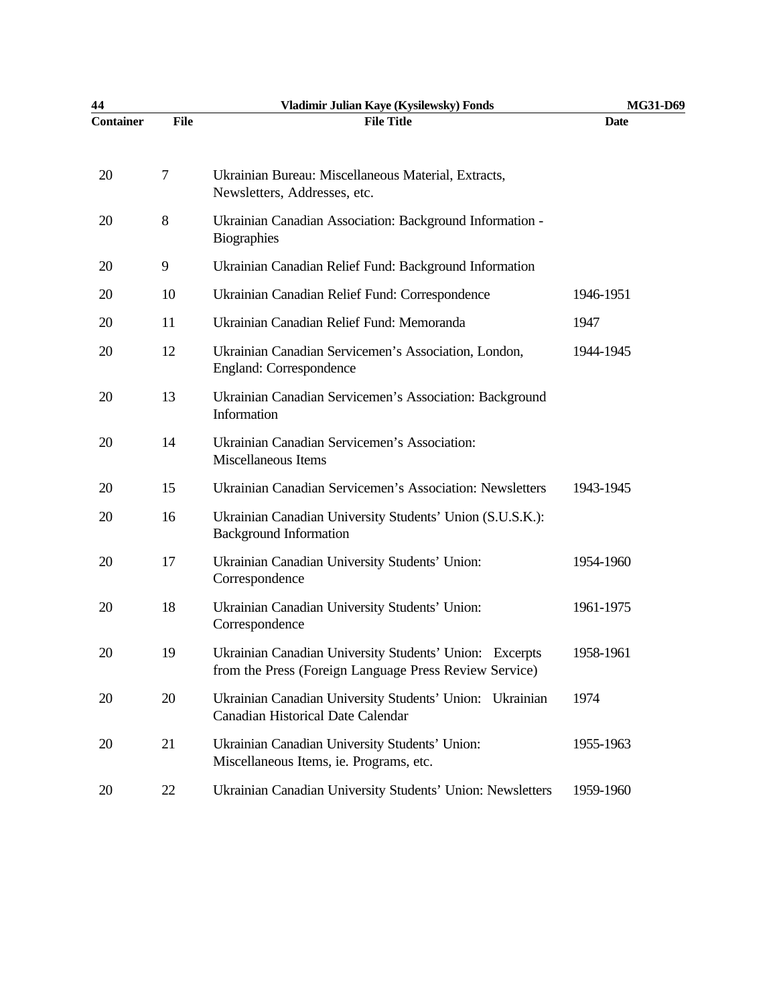| 44               |      | Vladimir Julian Kaye (Kysilewsky) Fonds                                                                           | <b>MG31-D69</b> |
|------------------|------|-------------------------------------------------------------------------------------------------------------------|-----------------|
| <b>Container</b> | File | <b>File Title</b>                                                                                                 | <b>Date</b>     |
| 20               | 7    | Ukrainian Bureau: Miscellaneous Material, Extracts,<br>Newsletters, Addresses, etc.                               |                 |
| 20               | 8    | Ukrainian Canadian Association: Background Information -<br><b>Biographies</b>                                    |                 |
| 20               | 9    | Ukrainian Canadian Relief Fund: Background Information                                                            |                 |
| 20               | 10   | Ukrainian Canadian Relief Fund: Correspondence                                                                    | 1946-1951       |
| 20               | 11   | Ukrainian Canadian Relief Fund: Memoranda                                                                         | 1947            |
| 20               | 12   | Ukrainian Canadian Servicemen's Association, London,<br>England: Correspondence                                   | 1944-1945       |
| 20               | 13   | Ukrainian Canadian Servicemen's Association: Background<br>Information                                            |                 |
| 20               | 14   | Ukrainian Canadian Servicemen's Association:<br>Miscellaneous Items                                               |                 |
| 20               | 15   | Ukrainian Canadian Servicemen's Association: Newsletters                                                          | 1943-1945       |
| 20               | 16   | Ukrainian Canadian University Students' Union (S.U.S.K.):<br><b>Background Information</b>                        |                 |
| 20               | 17   | Ukrainian Canadian University Students' Union:<br>Correspondence                                                  | 1954-1960       |
| 20               | 18   | Ukrainian Canadian University Students' Union:<br>Correspondence                                                  | 1961-1975       |
| 20               | 19   | Ukrainian Canadian University Students' Union: Excerpts<br>from the Press (Foreign Language Press Review Service) | 1958-1961       |
| 20               | 20   | Ukrainian Canadian University Students' Union: Ukrainian<br>Canadian Historical Date Calendar                     | 1974            |
| 20               | 21   | Ukrainian Canadian University Students' Union:<br>Miscellaneous Items, ie. Programs, etc.                         | 1955-1963       |
| 20               | 22   | Ukrainian Canadian University Students' Union: Newsletters                                                        | 1959-1960       |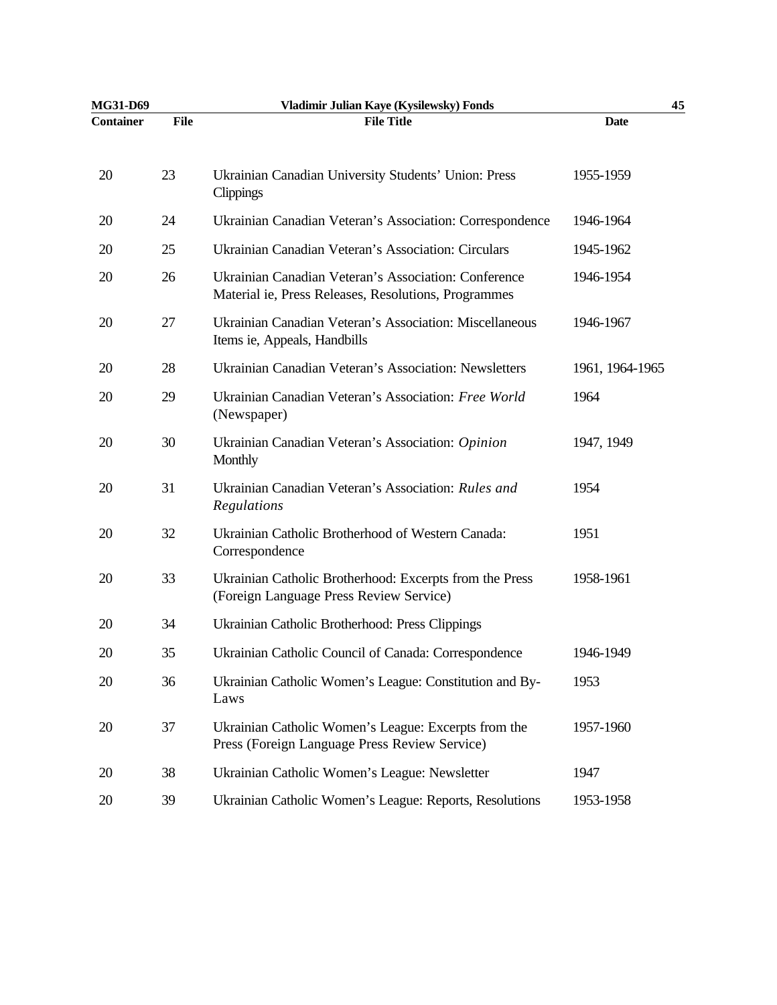| MG31-D69         |             | Vladimir Julian Kaye (Kysilewsky) Fonds                                                                      |                 | 45 |
|------------------|-------------|--------------------------------------------------------------------------------------------------------------|-----------------|----|
| <b>Container</b> | <b>File</b> | <b>File Title</b>                                                                                            | <b>Date</b>     |    |
| 20               | 23          | Ukrainian Canadian University Students' Union: Press<br>Clippings                                            | 1955-1959       |    |
| 20               | 24          | Ukrainian Canadian Veteran's Association: Correspondence                                                     | 1946-1964       |    |
| 20               | 25          | Ukrainian Canadian Veteran's Association: Circulars                                                          | 1945-1962       |    |
| 20               | 26          | Ukrainian Canadian Veteran's Association: Conference<br>Material ie, Press Releases, Resolutions, Programmes | 1946-1954       |    |
| 20               | 27          | Ukrainian Canadian Veteran's Association: Miscellaneous<br>Items ie, Appeals, Handbills                      | 1946-1967       |    |
| 20               | 28          | Ukrainian Canadian Veteran's Association: Newsletters                                                        | 1961, 1964-1965 |    |
| 20               | 29          | Ukrainian Canadian Veteran's Association: Free World<br>(Newspaper)                                          | 1964            |    |
| 20               | 30          | Ukrainian Canadian Veteran's Association: Opinion<br>Monthly                                                 | 1947, 1949      |    |
| 20               | 31          | Ukrainian Canadian Veteran's Association: Rules and<br>Regulations                                           | 1954            |    |
| 20               | 32          | Ukrainian Catholic Brotherhood of Western Canada:<br>Correspondence                                          | 1951            |    |
| 20               | 33          | Ukrainian Catholic Brotherhood: Excerpts from the Press<br>(Foreign Language Press Review Service)           | 1958-1961       |    |
| 20               | 34          | Ukrainian Catholic Brotherhood: Press Clippings                                                              |                 |    |
| 20               | 35          | Ukrainian Catholic Council of Canada: Correspondence                                                         | 1946-1949       |    |
| 20               | 36          | Ukrainian Catholic Women's League: Constitution and By-<br>Laws                                              | 1953            |    |
| 20               | 37          | Ukrainian Catholic Women's League: Excerpts from the<br>Press (Foreign Language Press Review Service)        | 1957-1960       |    |
| 20               | 38          | Ukrainian Catholic Women's League: Newsletter                                                                | 1947            |    |
| 20               | 39          | Ukrainian Catholic Women's League: Reports, Resolutions                                                      | 1953-1958       |    |
|                  |             |                                                                                                              |                 |    |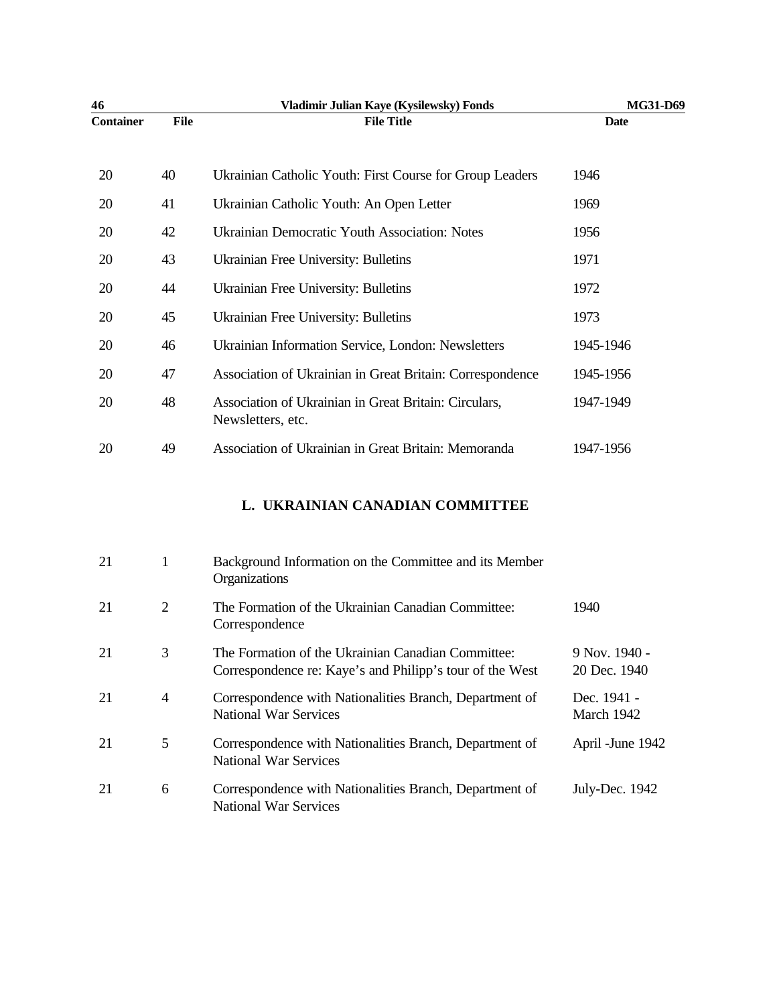| 46               |                | Vladimir Julian Kaye (Kysilewsky) Fonds                                                                        | MG31-D69                      |
|------------------|----------------|----------------------------------------------------------------------------------------------------------------|-------------------------------|
| <b>Container</b> | File           | <b>File Title</b>                                                                                              | <b>Date</b>                   |
| 20               | 40             | Ukrainian Catholic Youth: First Course for Group Leaders                                                       | 1946                          |
| 20               | 41             | Ukrainian Catholic Youth: An Open Letter                                                                       | 1969                          |
| 20               | 42             | Ukrainian Democratic Youth Association: Notes                                                                  | 1956                          |
| 20               | 43             | Ukrainian Free University: Bulletins                                                                           | 1971                          |
| 20               | 44             | Ukrainian Free University: Bulletins                                                                           | 1972                          |
| 20               | 45             | Ukrainian Free University: Bulletins                                                                           | 1973                          |
| 20               | 46             | Ukrainian Information Service, London: Newsletters                                                             | 1945-1946                     |
| 20               | 47             | Association of Ukrainian in Great Britain: Correspondence                                                      | 1945-1956                     |
| 20               | 48             | Association of Ukrainian in Great Britain: Circulars,<br>Newsletters, etc.                                     | 1947-1949                     |
| 20               | 49             | Association of Ukrainian in Great Britain: Memoranda                                                           | 1947-1956                     |
|                  |                | L. UKRAINIAN CANADIAN COMMITTEE                                                                                |                               |
| 21               | 1              | Background Information on the Committee and its Member<br>Organizations                                        |                               |
| 21               | $\overline{2}$ | The Formation of the Ukrainian Canadian Committee:<br>Correspondence                                           | 1940                          |
| 21               | 3              | The Formation of the Ukrainian Canadian Committee:<br>Correspondence re: Kaye's and Philipp's tour of the West | 9 Nov. 1940 -<br>20 Dec. 1940 |
| 21               | $\overline{4}$ | Correspondence with Nationalities Branch, Department of<br><b>National War Services</b>                        | Dec. 1941 -<br>March 1942     |
| 21               | 5              | Correspondence with Nationalities Branch, Department of<br><b>National War Services</b>                        | April - June 1942             |
| 21               | 6              | Correspondence with Nationalities Branch, Department of<br><b>National War Services</b>                        | July-Dec. 1942                |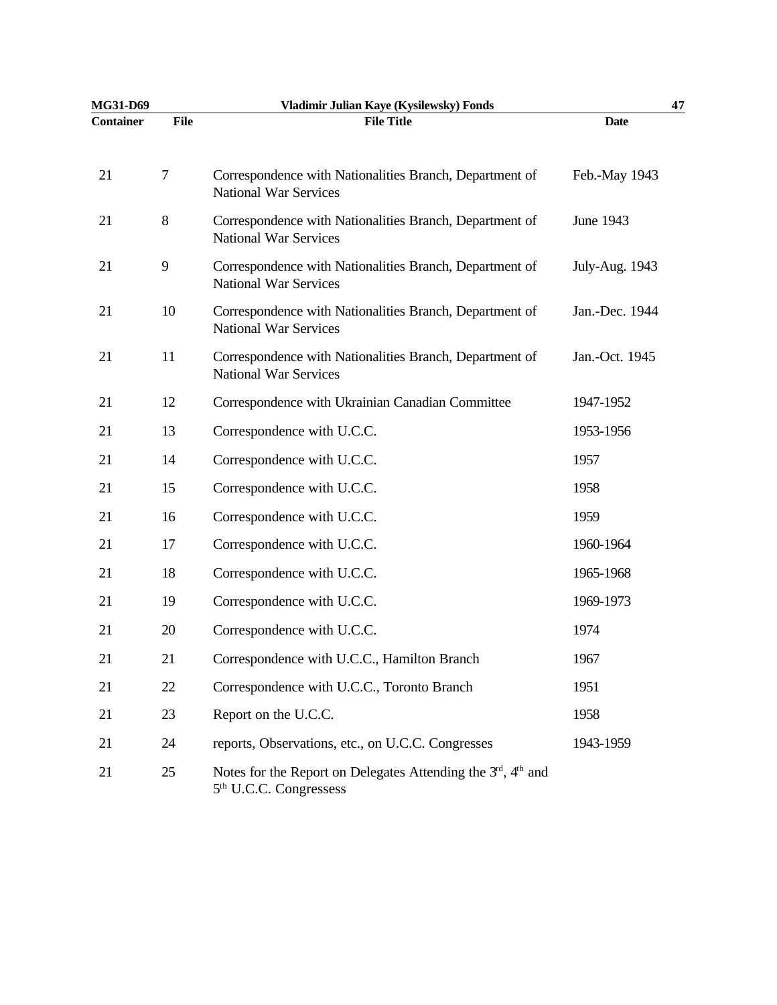| MG31-D69         |      | Vladimir Julian Kaye (Kysilewsky) Fonds                                                                                     |                | 47 |
|------------------|------|-----------------------------------------------------------------------------------------------------------------------------|----------------|----|
| <b>Container</b> | File | <b>File Title</b>                                                                                                           | <b>Date</b>    |    |
| 21               | 7    | Correspondence with Nationalities Branch, Department of<br><b>National War Services</b>                                     | Feb.-May 1943  |    |
| 21               | 8    | Correspondence with Nationalities Branch, Department of<br><b>National War Services</b>                                     | June 1943      |    |
| 21               | 9    | Correspondence with Nationalities Branch, Department of<br><b>National War Services</b>                                     | July-Aug. 1943 |    |
| 21               | 10   | Correspondence with Nationalities Branch, Department of<br><b>National War Services</b>                                     | Jan.-Dec. 1944 |    |
| 21               | 11   | Correspondence with Nationalities Branch, Department of<br><b>National War Services</b>                                     | Jan.-Oct. 1945 |    |
| 21               | 12   | Correspondence with Ukrainian Canadian Committee                                                                            | 1947-1952      |    |
| 21               | 13   | Correspondence with U.C.C.                                                                                                  | 1953-1956      |    |
| 21               | 14   | Correspondence with U.C.C.                                                                                                  | 1957           |    |
| 21               | 15   | Correspondence with U.C.C.                                                                                                  | 1958           |    |
| 21               | 16   | Correspondence with U.C.C.                                                                                                  | 1959           |    |
| 21               | 17   | Correspondence with U.C.C.                                                                                                  | 1960-1964      |    |
| 21               | 18   | Correspondence with U.C.C.                                                                                                  | 1965-1968      |    |
| 21               | 19   | Correspondence with U.C.C.                                                                                                  | 1969-1973      |    |
| 21               | 20   | Correspondence with U.C.C.                                                                                                  | 1974           |    |
| 21               | 21   | Correspondence with U.C.C., Hamilton Branch                                                                                 | 1967           |    |
| 21               | 22   | Correspondence with U.C.C., Toronto Branch                                                                                  | 1951           |    |
| 21               | 23   | Report on the U.C.C.                                                                                                        | 1958           |    |
| 21               | 24   | reports, Observations, etc., on U.C.C. Congresses                                                                           | 1943-1959      |    |
| 21               | 25   | Notes for the Report on Delegates Attending the 3 <sup>rd</sup> , 4 <sup>th</sup> and<br>5 <sup>th</sup> U.C.C. Congressess |                |    |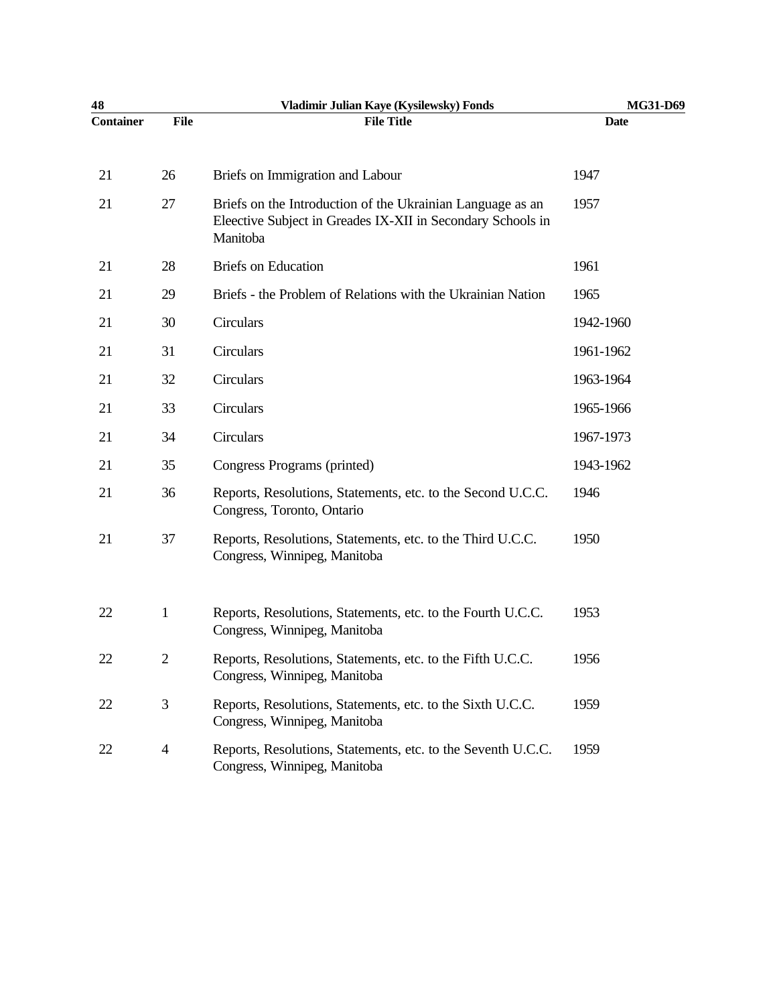| 48               |                | Vladimir Julian Kaye (Kysilewsky) Fonds                                                                                               | MG31-D69  |
|------------------|----------------|---------------------------------------------------------------------------------------------------------------------------------------|-----------|
| <b>Container</b> | File           | <b>File Title</b>                                                                                                                     | Date      |
| 21               | 26             | Briefs on Immigration and Labour                                                                                                      | 1947      |
| 21               | 27             | Briefs on the Introduction of the Ukrainian Language as an<br>Eleective Subject in Greades IX-XII in Secondary Schools in<br>Manitoba | 1957      |
| 21               | 28             | <b>Briefs</b> on Education                                                                                                            | 1961      |
| 21               | 29             | Briefs - the Problem of Relations with the Ukrainian Nation                                                                           | 1965      |
| 21               | 30             | Circulars                                                                                                                             | 1942-1960 |
| 21               | 31             | Circulars                                                                                                                             | 1961-1962 |
| 21               | 32             | Circulars                                                                                                                             | 1963-1964 |
| 21               | 33             | Circulars                                                                                                                             | 1965-1966 |
| 21               | 34             | Circulars                                                                                                                             | 1967-1973 |
| 21               | 35             | Congress Programs (printed)                                                                                                           | 1943-1962 |
| 21               | 36             | Reports, Resolutions, Statements, etc. to the Second U.C.C.<br>Congress, Toronto, Ontario                                             | 1946      |
| 21               | 37             | Reports, Resolutions, Statements, etc. to the Third U.C.C.<br>Congress, Winnipeg, Manitoba                                            | 1950      |
| 22               | $\mathbf{1}$   | Reports, Resolutions, Statements, etc. to the Fourth U.C.C.<br>Congress, Winnipeg, Manitoba                                           | 1953      |
| 22               | $\overline{2}$ | Reports, Resolutions, Statements, etc. to the Fifth U.C.C.<br>Congress, Winnipeg, Manitoba                                            | 1956      |
| 22               | 3              | Reports, Resolutions, Statements, etc. to the Sixth U.C.C.<br>Congress, Winnipeg, Manitoba                                            | 1959      |
| 22               | $\overline{4}$ | Reports, Resolutions, Statements, etc. to the Seventh U.C.C.<br>Congress, Winnipeg, Manitoba                                          | 1959      |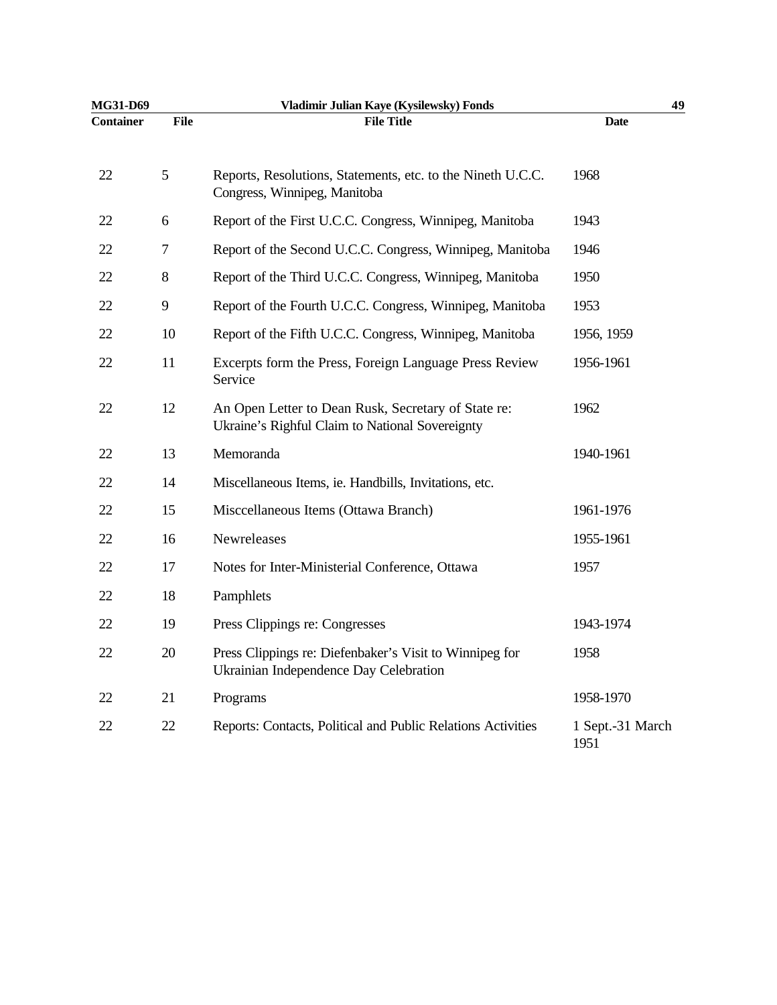| MG31-D69         |             | Vladimir Julian Kaye (Kysilewsky) Fonds                                                                | 49                       |
|------------------|-------------|--------------------------------------------------------------------------------------------------------|--------------------------|
| <b>Container</b> | <b>File</b> | <b>File Title</b>                                                                                      | <b>Date</b>              |
| 22               | 5           | Reports, Resolutions, Statements, etc. to the Nineth U.C.C.<br>Congress, Winnipeg, Manitoba            | 1968                     |
| 22               | 6           | Report of the First U.C.C. Congress, Winnipeg, Manitoba                                                | 1943                     |
| 22               | 7           | Report of the Second U.C.C. Congress, Winnipeg, Manitoba                                               | 1946                     |
| 22               | 8           | Report of the Third U.C.C. Congress, Winnipeg, Manitoba                                                | 1950                     |
| 22               | 9           | Report of the Fourth U.C.C. Congress, Winnipeg, Manitoba                                               | 1953                     |
| 22               | 10          | Report of the Fifth U.C.C. Congress, Winnipeg, Manitoba                                                | 1956, 1959               |
| 22               | 11          | Excerpts form the Press, Foreign Language Press Review<br>Service                                      | 1956-1961                |
| 22               | 12          | An Open Letter to Dean Rusk, Secretary of State re:<br>Ukraine's Righful Claim to National Sovereignty | 1962                     |
| 22               | 13          | Memoranda                                                                                              | 1940-1961                |
| 22               | 14          | Miscellaneous Items, ie. Handbills, Invitations, etc.                                                  |                          |
| 22               | 15          | Misccellaneous Items (Ottawa Branch)                                                                   | 1961-1976                |
| 22               | 16          | Newreleases                                                                                            | 1955-1961                |
| 22               | 17          | Notes for Inter-Ministerial Conference, Ottawa                                                         | 1957                     |
| 22               | 18          | Pamphlets                                                                                              |                          |
| 22               | 19          | Press Clippings re: Congresses                                                                         | 1943-1974                |
| 22               | 20          | Press Clippings re: Diefenbaker's Visit to Winnipeg for<br>Ukrainian Independence Day Celebration      | 1958                     |
| 22               | 21          | Programs                                                                                               | 1958-1970                |
| 22               | 22          | Reports: Contacts, Political and Public Relations Activities                                           | 1 Sept.-31 March<br>1951 |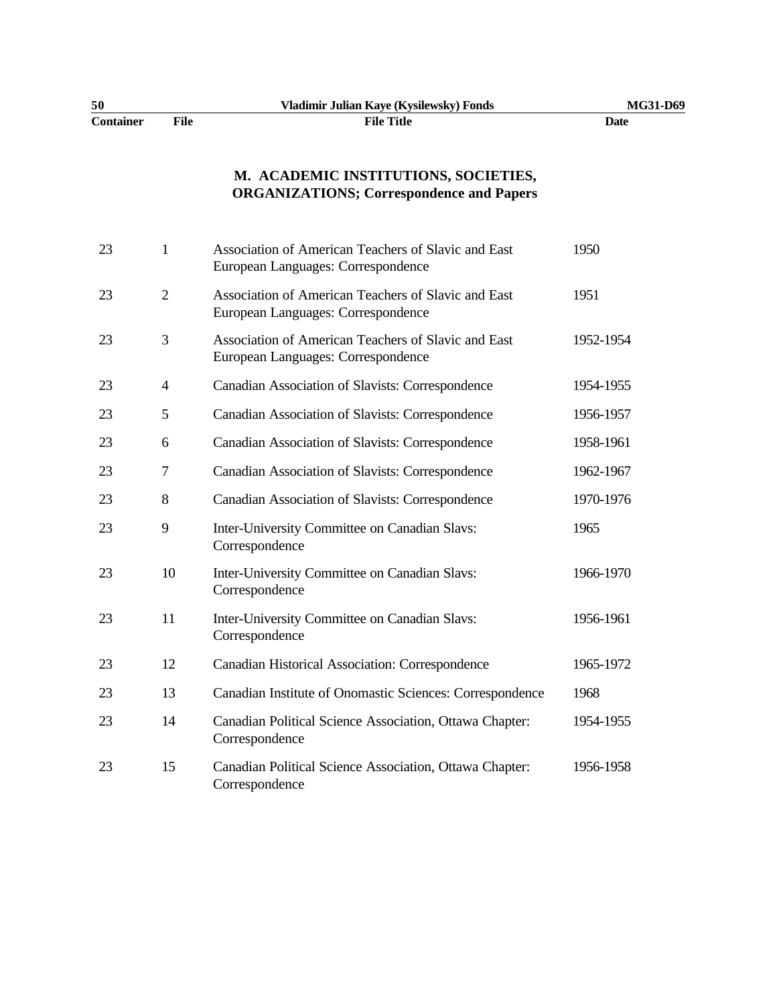| 50               |      | Vladimir Julian Kaye (Kysilewsky) Fonds | <b>MG31-D69</b> |
|------------------|------|-----------------------------------------|-----------------|
| <b>Container</b> | File | File Title                              | Date            |

# **M. ACADEMIC INSTITUTIONS, SOCIETIES, ORGANIZATIONS; Correspondence and Papers**

| 23 | $\mathbf{1}$   | Association of American Teachers of Slavic and East<br>European Languages: Correspondence | 1950      |
|----|----------------|-------------------------------------------------------------------------------------------|-----------|
| 23 | $\overline{2}$ | Association of American Teachers of Slavic and East<br>European Languages: Correspondence | 1951      |
| 23 | 3              | Association of American Teachers of Slavic and East<br>European Languages: Correspondence | 1952-1954 |
| 23 | $\overline{4}$ | Canadian Association of Slavists: Correspondence                                          | 1954-1955 |
| 23 | 5              | Canadian Association of Slavists: Correspondence                                          | 1956-1957 |
| 23 | 6              | Canadian Association of Slavists: Correspondence                                          | 1958-1961 |
| 23 | 7              | Canadian Association of Slavists: Correspondence                                          | 1962-1967 |
| 23 | 8              | Canadian Association of Slavists: Correspondence                                          | 1970-1976 |
| 23 | 9              | Inter-University Committee on Canadian Slavs:<br>Correspondence                           | 1965      |
| 23 | 10             | Inter-University Committee on Canadian Slavs:<br>Correspondence                           | 1966-1970 |
| 23 | 11             | Inter-University Committee on Canadian Slavs:<br>Correspondence                           | 1956-1961 |
| 23 | 12             | Canadian Historical Association: Correspondence                                           | 1965-1972 |
| 23 | 13             | Canadian Institute of Onomastic Sciences: Correspondence                                  | 1968      |
| 23 | 14             | Canadian Political Science Association, Ottawa Chapter:<br>Correspondence                 | 1954-1955 |
| 23 | 15             | Canadian Political Science Association, Ottawa Chapter:<br>Correspondence                 | 1956-1958 |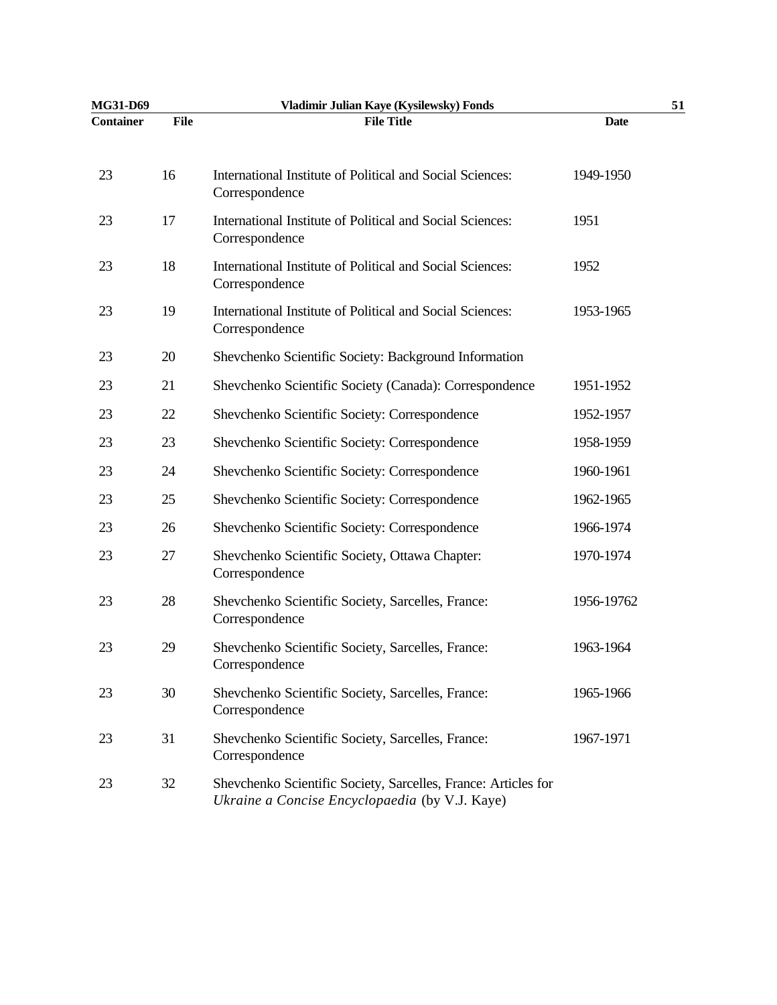| MG31-D69         |             | Vladimir Julian Kaye (Kysilewsky) Fonds                                                                          |             | 51 |
|------------------|-------------|------------------------------------------------------------------------------------------------------------------|-------------|----|
| <b>Container</b> | <b>File</b> | <b>File Title</b>                                                                                                | <b>Date</b> |    |
| 23               | 16          | International Institute of Political and Social Sciences:<br>Correspondence                                      | 1949-1950   |    |
| 23               | 17          | International Institute of Political and Social Sciences:<br>Correspondence                                      | 1951        |    |
| 23               | 18          | International Institute of Political and Social Sciences:<br>Correspondence                                      | 1952        |    |
| 23               | 19          | International Institute of Political and Social Sciences:<br>Correspondence                                      | 1953-1965   |    |
| 23               | 20          | Shevchenko Scientific Society: Background Information                                                            |             |    |
| 23               | 21          | Shevchenko Scientific Society (Canada): Correspondence                                                           | 1951-1952   |    |
| 23               | 22          | Shevchenko Scientific Society: Correspondence                                                                    | 1952-1957   |    |
| 23               | 23          | Shevchenko Scientific Society: Correspondence                                                                    | 1958-1959   |    |
| 23               | 24          | Shevchenko Scientific Society: Correspondence                                                                    | 1960-1961   |    |
| 23               | 25          | Shevchenko Scientific Society: Correspondence                                                                    | 1962-1965   |    |
| 23               | 26          | Shevchenko Scientific Society: Correspondence                                                                    | 1966-1974   |    |
| 23               | 27          | Shevchenko Scientific Society, Ottawa Chapter:<br>Correspondence                                                 | 1970-1974   |    |
| 23               | 28          | Shevchenko Scientific Society, Sarcelles, France:<br>Correspondence                                              | 1956-19762  |    |
| 23               | 29          | Shevchenko Scientific Society, Sarcelles, France:<br>Correspondence                                              | 1963-1964   |    |
| 23               | 30          | Shevchenko Scientific Society, Sarcelles, France:<br>Correspondence                                              | 1965-1966   |    |
| 23               | 31          | Shevchenko Scientific Society, Sarcelles, France:<br>Correspondence                                              | 1967-1971   |    |
| 23               | 32          | Shevchenko Scientific Society, Sarcelles, France: Articles for<br>Ukraine a Concise Encyclopaedia (by V.J. Kaye) |             |    |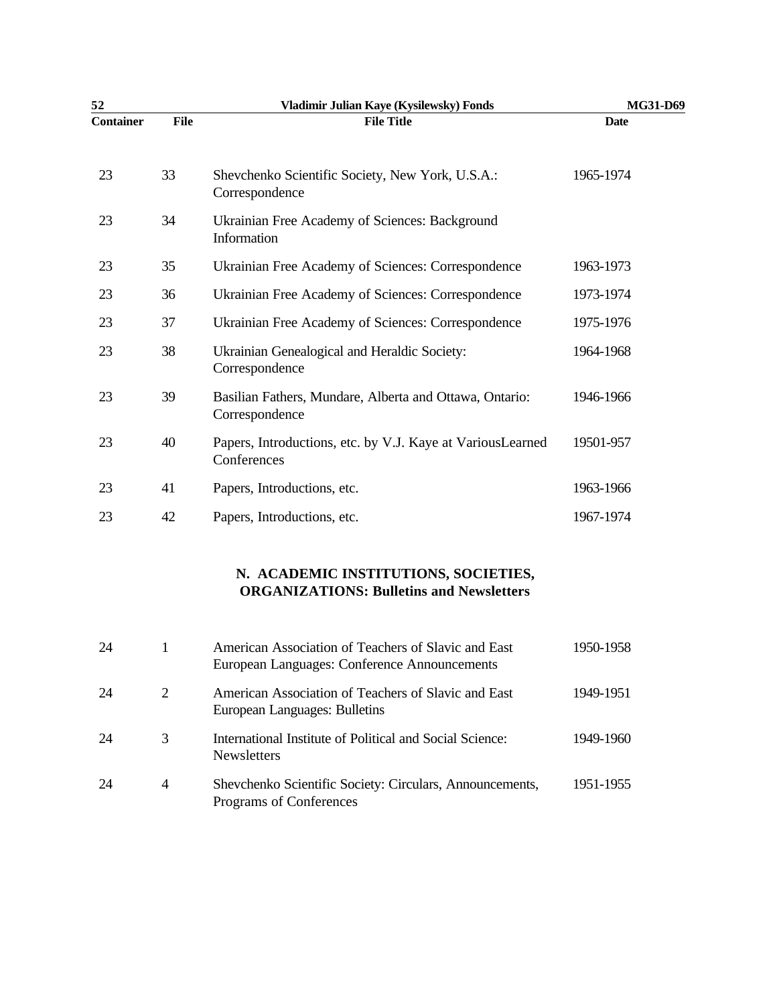| 52               |      | Vladimir Julian Kaye (Kysilewsky) Fonds                                   | MG31-D69    |
|------------------|------|---------------------------------------------------------------------------|-------------|
| <b>Container</b> | File | <b>File Title</b>                                                         | <b>Date</b> |
| 23               | 33   | Shevchenko Scientific Society, New York, U.S.A.:<br>Correspondence        | 1965-1974   |
| 23               | 34   | Ukrainian Free Academy of Sciences: Background<br>Information             |             |
| 23               | 35   | Ukrainian Free Academy of Sciences: Correspondence                        | 1963-1973   |
| 23               | 36   | Ukrainian Free Academy of Sciences: Correspondence                        | 1973-1974   |
| 23               | 37   | Ukrainian Free Academy of Sciences: Correspondence                        | 1975-1976   |
| 23               | 38   | Ukrainian Genealogical and Heraldic Society:<br>Correspondence            | 1964-1968   |
| 23               | 39   | Basilian Fathers, Mundare, Alberta and Ottawa, Ontario:<br>Correspondence | 1946-1966   |
| 23               | 40   | Papers, Introductions, etc. by V.J. Kaye at VariousLearned<br>Conferences | 19501-957   |
| 23               | 41   | Papers, Introductions, etc.                                               | 1963-1966   |
| 23               | 42   | Papers, Introductions, etc.                                               | 1967-1974   |
|                  |      |                                                                           |             |

## **N. ACADEMIC INSTITUTIONS, SOCIETIES, ORGANIZATIONS: Bulletins and Newsletters**

| 24 |   | American Association of Teachers of Slavic and East<br>European Languages: Conference Announcements | 1950-1958 |
|----|---|-----------------------------------------------------------------------------------------------------|-----------|
| 24 | 2 | American Association of Teachers of Slavic and East<br>European Languages: Bulletins                | 1949-1951 |
| 24 | 3 | International Institute of Political and Social Science:<br><b>Newsletters</b>                      | 1949-1960 |
| 24 | 4 | Shevchenko Scientific Society: Circulars, Announcements,<br>Programs of Conferences                 | 1951-1955 |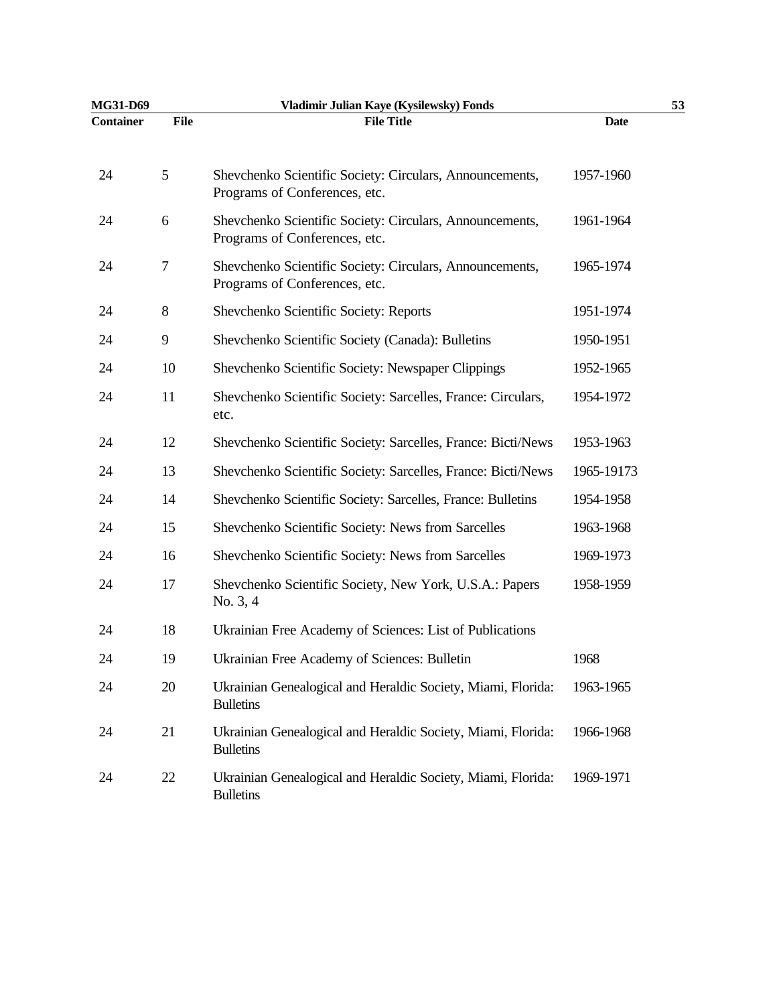| MG31-D69         |                | Vladimir Julian Kaye (Kysilewsky) Fonds                                                   |             | 53 |
|------------------|----------------|-------------------------------------------------------------------------------------------|-------------|----|
| <b>Container</b> | <b>File</b>    | <b>File Title</b>                                                                         | <b>Date</b> |    |
| 24               | $\mathfrak{S}$ | Shevchenko Scientific Society: Circulars, Announcements,<br>Programs of Conferences, etc. | 1957-1960   |    |
| 24               | 6              | Shevchenko Scientific Society: Circulars, Announcements,<br>Programs of Conferences, etc. | 1961-1964   |    |
| 24               | 7              | Shevchenko Scientific Society: Circulars, Announcements,<br>Programs of Conferences, etc. | 1965-1974   |    |
| 24               | $\,8\,$        | Shevchenko Scientific Society: Reports                                                    | 1951-1974   |    |
| 24               | 9              | Shevchenko Scientific Society (Canada): Bulletins                                         | 1950-1951   |    |
| 24               | 10             | Shevchenko Scientific Society: Newspaper Clippings                                        | 1952-1965   |    |
| 24               | 11             | Shevchenko Scientific Society: Sarcelles, France: Circulars,<br>etc.                      | 1954-1972   |    |
| 24               | 12             | Shevchenko Scientific Society: Sarcelles, France: Bicti/News                              | 1953-1963   |    |
| 24               | 13             | Shevchenko Scientific Society: Sarcelles, France: Bicti/News                              | 1965-19173  |    |
| 24               | 14             | Shevchenko Scientific Society: Sarcelles, France: Bulletins                               | 1954-1958   |    |
| 24               | 15             | Shevchenko Scientific Society: News from Sarcelles                                        | 1963-1968   |    |
| 24               | 16             | Shevchenko Scientific Society: News from Sarcelles                                        | 1969-1973   |    |
| 24               | 17             | Shevchenko Scientific Society, New York, U.S.A.: Papers<br>No. 3, 4                       | 1958-1959   |    |
| 24               | 18             | Ukrainian Free Academy of Sciences: List of Publications                                  |             |    |
| 24               | 19             | Ukrainian Free Academy of Sciences: Bulletin                                              | 1968        |    |
| 24               | 20             | Ukrainian Genealogical and Heraldic Society, Miami, Florida:<br><b>Bulletins</b>          | 1963-1965   |    |
| 24               | 21             | Ukrainian Genealogical and Heraldic Society, Miami, Florida:<br><b>Bulletins</b>          | 1966-1968   |    |
| 24               | 22             | Ukrainian Genealogical and Heraldic Society, Miami, Florida:<br><b>Bulletins</b>          | 1969-1971   |    |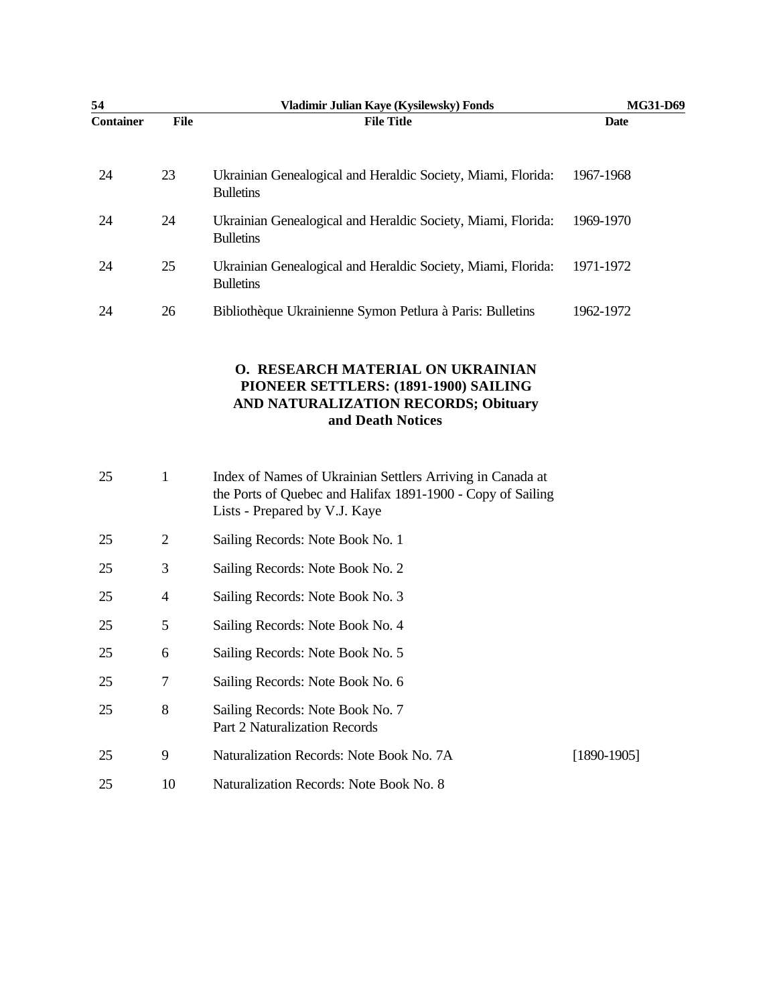| 54               |                | Vladimir Julian Kaye (Kysilewsky) Fonds                                                                                                                    | MG31-D69        |
|------------------|----------------|------------------------------------------------------------------------------------------------------------------------------------------------------------|-----------------|
| <b>Container</b> | <b>File</b>    | <b>File Title</b>                                                                                                                                          | <b>Date</b>     |
| 24               | 23             | Ukrainian Genealogical and Heraldic Society, Miami, Florida:<br><b>Bulletins</b>                                                                           | 1967-1968       |
| 24               | 24             | Ukrainian Genealogical and Heraldic Society, Miami, Florida:<br><b>Bulletins</b>                                                                           | 1969-1970       |
| 24               | 25             | Ukrainian Genealogical and Heraldic Society, Miami, Florida:<br><b>Bulletins</b>                                                                           | 1971-1972       |
| 24               | 26             | Bibliothèque Ukrainienne Symon Petlura à Paris: Bulletins                                                                                                  | 1962-1972       |
|                  |                | O. RESEARCH MATERIAL ON UKRAINIAN<br>PIONEER SETTLERS: (1891-1900) SAILING<br>AND NATURALIZATION RECORDS; Obituary<br>and Death Notices                    |                 |
| 25               | $\mathbf{1}$   | Index of Names of Ukrainian Settlers Arriving in Canada at<br>the Ports of Quebec and Halifax 1891-1900 - Copy of Sailing<br>Lists - Prepared by V.J. Kaye |                 |
| 25               | $\overline{2}$ | Sailing Records: Note Book No. 1                                                                                                                           |                 |
| 25               | 3              | Sailing Records: Note Book No. 2                                                                                                                           |                 |
| 25               | 4              | Sailing Records: Note Book No. 3                                                                                                                           |                 |
| 25               | 5              | Sailing Records: Note Book No. 4                                                                                                                           |                 |
| 25               | 6              | Sailing Records: Note Book No. 5                                                                                                                           |                 |
| 25               | 7              | Sailing Records: Note Book No. 6                                                                                                                           |                 |
| 25               | $8\,$          | Sailing Records: Note Book No. 7<br><b>Part 2 Naturalization Records</b>                                                                                   |                 |
| 25               | 9              | Naturalization Records: Note Book No. 7A                                                                                                                   | $[1890 - 1905]$ |
| 25               | 10             | Naturalization Records: Note Book No. 8                                                                                                                    |                 |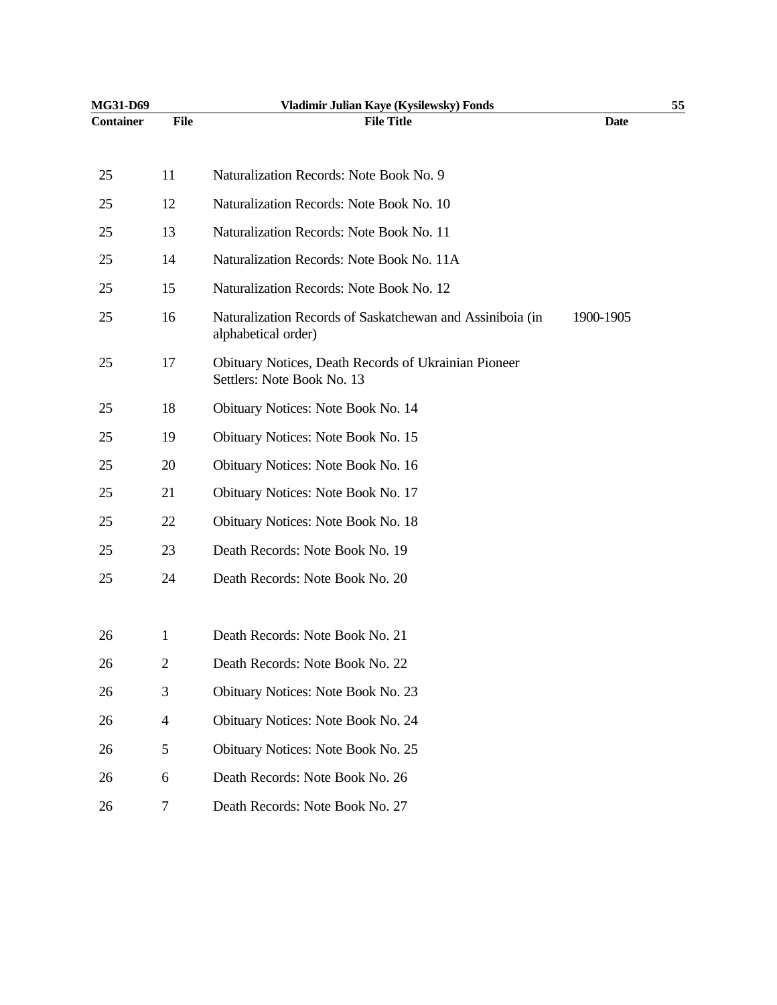| MG31-D69         |                | Vladimir Julian Kaye (Kysilewsky) Fonds                                            |             | 55 |
|------------------|----------------|------------------------------------------------------------------------------------|-------------|----|
| <b>Container</b> | <b>File</b>    | <b>File Title</b>                                                                  | <b>Date</b> |    |
| 25               | 11             | Naturalization Records: Note Book No. 9                                            |             |    |
| 25               | 12             | Naturalization Records: Note Book No. 10                                           |             |    |
| 25               | 13             | Naturalization Records: Note Book No. 11                                           |             |    |
| 25               | 14             | Naturalization Records: Note Book No. 11A                                          |             |    |
| 25               | 15             | Naturalization Records: Note Book No. 12                                           |             |    |
| 25               | 16             | Naturalization Records of Saskatchewan and Assiniboia (in<br>alphabetical order)   | 1900-1905   |    |
| 25               | 17             | Obituary Notices, Death Records of Ukrainian Pioneer<br>Settlers: Note Book No. 13 |             |    |
| 25               | 18             | Obituary Notices: Note Book No. 14                                                 |             |    |
| 25               | 19             | Obituary Notices: Note Book No. 15                                                 |             |    |
| 25               | 20             | Obituary Notices: Note Book No. 16                                                 |             |    |
| 25               | 21             | Obituary Notices: Note Book No. 17                                                 |             |    |
| 25               | 22             | Obituary Notices: Note Book No. 18                                                 |             |    |
| 25               | 23             | Death Records: Note Book No. 19                                                    |             |    |
| 25               | 24             | Death Records: Note Book No. 20                                                    |             |    |
|                  |                |                                                                                    |             |    |
| 26               | 1              | Death Records: Note Book No. 21                                                    |             |    |
| 26               | $\overline{c}$ | Death Records: Note Book No. 22                                                    |             |    |
| 26               | 3              | Obituary Notices: Note Book No. 23                                                 |             |    |
| 26               | $\overline{4}$ | Obituary Notices: Note Book No. 24                                                 |             |    |
| 26               | 5              | Obituary Notices: Note Book No. 25                                                 |             |    |
| 26               | 6              | Death Records: Note Book No. 26                                                    |             |    |
| 26               | $\tau$         | Death Records: Note Book No. 27                                                    |             |    |
|                  |                |                                                                                    |             |    |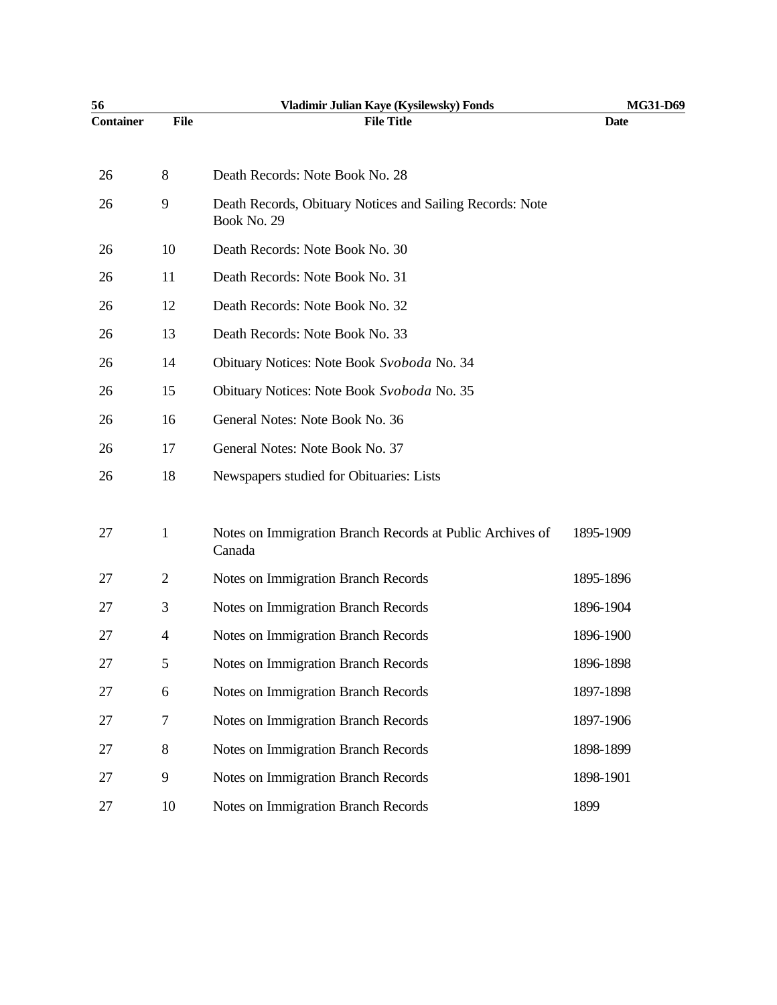| 56               |                | Vladimir Julian Kaye (Kysilewsky) Fonds                                  | MG31-D69    |
|------------------|----------------|--------------------------------------------------------------------------|-------------|
| <b>Container</b> | <b>File</b>    | <b>File Title</b>                                                        | <b>Date</b> |
| 26               | 8              | Death Records: Note Book No. 28                                          |             |
| 26               | 9              | Death Records, Obituary Notices and Sailing Records: Note<br>Book No. 29 |             |
| 26               | 10             | Death Records: Note Book No. 30                                          |             |
| 26               | 11             | Death Records: Note Book No. 31                                          |             |
| 26               | 12             | Death Records: Note Book No. 32                                          |             |
| 26               | 13             | Death Records: Note Book No. 33                                          |             |
| 26               | 14             | Obituary Notices: Note Book Svoboda No. 34                               |             |
| 26               | 15             | Obituary Notices: Note Book Svoboda No. 35                               |             |
| 26               | 16             | General Notes: Note Book No. 36                                          |             |
| 26               | 17             | General Notes: Note Book No. 37                                          |             |
| 26               | 18             | Newspapers studied for Obituaries: Lists                                 |             |
| 27               | $\mathbf{1}$   | Notes on Immigration Branch Records at Public Archives of<br>Canada      | 1895-1909   |
| 27               | 2              | Notes on Immigration Branch Records                                      | 1895-1896   |
| 27               | 3              | Notes on Immigration Branch Records                                      | 1896-1904   |
| 27               | $\overline{4}$ | Notes on Immigration Branch Records                                      | 1896-1900   |
| 27               | 5.             | Notes on Immigration Branch Records                                      | 1896-1898   |
| 27               | 6              | Notes on Immigration Branch Records                                      | 1897-1898   |
| 27               | 7              | Notes on Immigration Branch Records                                      | 1897-1906   |
| 27               | $8\,$          | Notes on Immigration Branch Records                                      | 1898-1899   |
| 27               | 9              | Notes on Immigration Branch Records                                      | 1898-1901   |
| 27               | 10             | Notes on Immigration Branch Records                                      | 1899        |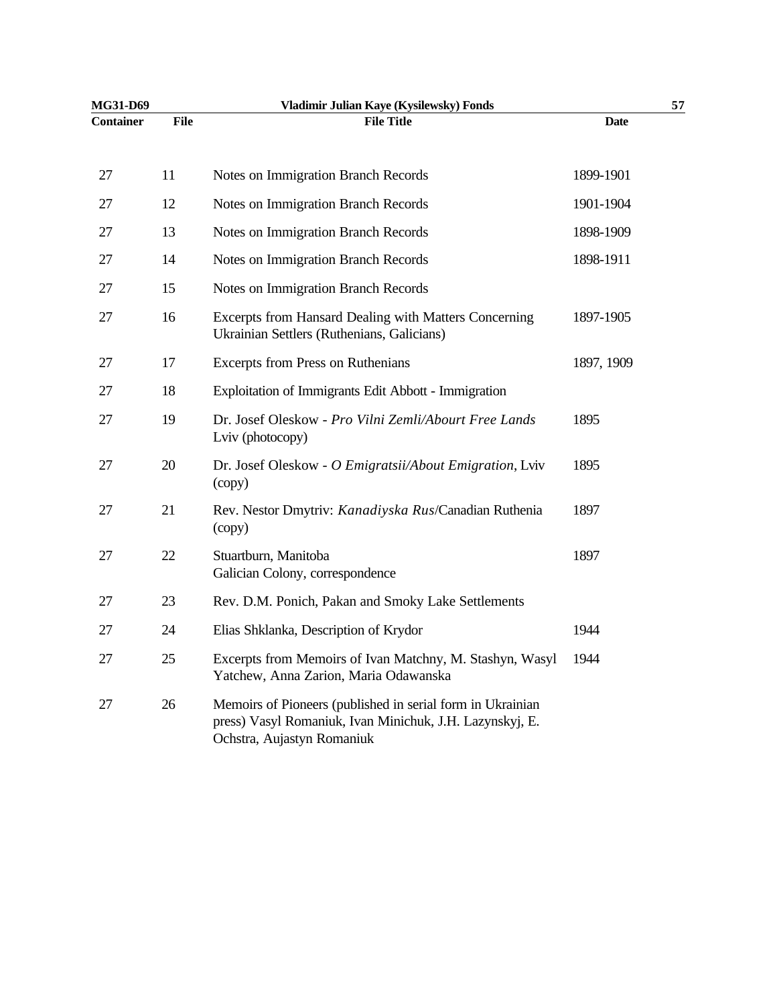| MG31-D69  |             | Vladimir Julian Kaye (Kysilewsky) Fonds                                                                                                              |             | 57 |
|-----------|-------------|------------------------------------------------------------------------------------------------------------------------------------------------------|-------------|----|
| Container | <b>File</b> | <b>File Title</b>                                                                                                                                    | <b>Date</b> |    |
| 27        | 11          | Notes on Immigration Branch Records                                                                                                                  | 1899-1901   |    |
| 27        | 12          | Notes on Immigration Branch Records                                                                                                                  | 1901-1904   |    |
| 27        | 13          | Notes on Immigration Branch Records                                                                                                                  | 1898-1909   |    |
| 27        | 14          | Notes on Immigration Branch Records                                                                                                                  | 1898-1911   |    |
| 27        | 15          | Notes on Immigration Branch Records                                                                                                                  |             |    |
| 27        | 16          | Excerpts from Hansard Dealing with Matters Concerning<br>Ukrainian Settlers (Ruthenians, Galicians)                                                  | 1897-1905   |    |
| 27        | 17          | <b>Excerpts from Press on Ruthenians</b>                                                                                                             | 1897, 1909  |    |
| 27        | 18          | Exploitation of Immigrants Edit Abbott - Immigration                                                                                                 |             |    |
| 27        | 19          | Dr. Josef Oleskow - Pro Vilni Zemli/Abourt Free Lands<br>Lviv (photocopy)                                                                            | 1895        |    |
| 27        | 20          | Dr. Josef Oleskow - O Emigratsii/About Emigration, Lviv<br>(copy)                                                                                    | 1895        |    |
| 27        | 21          | Rev. Nestor Dmytriv: Kanadiyska Rus/Canadian Ruthenia<br>(copy)                                                                                      | 1897        |    |
| 27        | 22          | Stuartburn, Manitoba<br>Galician Colony, correspondence                                                                                              | 1897        |    |
| 27        | 23          | Rev. D.M. Ponich, Pakan and Smoky Lake Settlements                                                                                                   |             |    |
| 27        | 24          | Elias Shklanka, Description of Krydor                                                                                                                | 1944        |    |
| 27        | 25          | Excerpts from Memoirs of Ivan Matchny, M. Stashyn, Wasyl<br>Yatchew, Anna Zarion, Maria Odawanska                                                    | 1944        |    |
| 27        | 26          | Memoirs of Pioneers (published in serial form in Ukrainian<br>press) Vasyl Romaniuk, Ivan Minichuk, J.H. Lazynskyj, E.<br>Ochstra, Aujastyn Romaniuk |             |    |
|           |             |                                                                                                                                                      |             |    |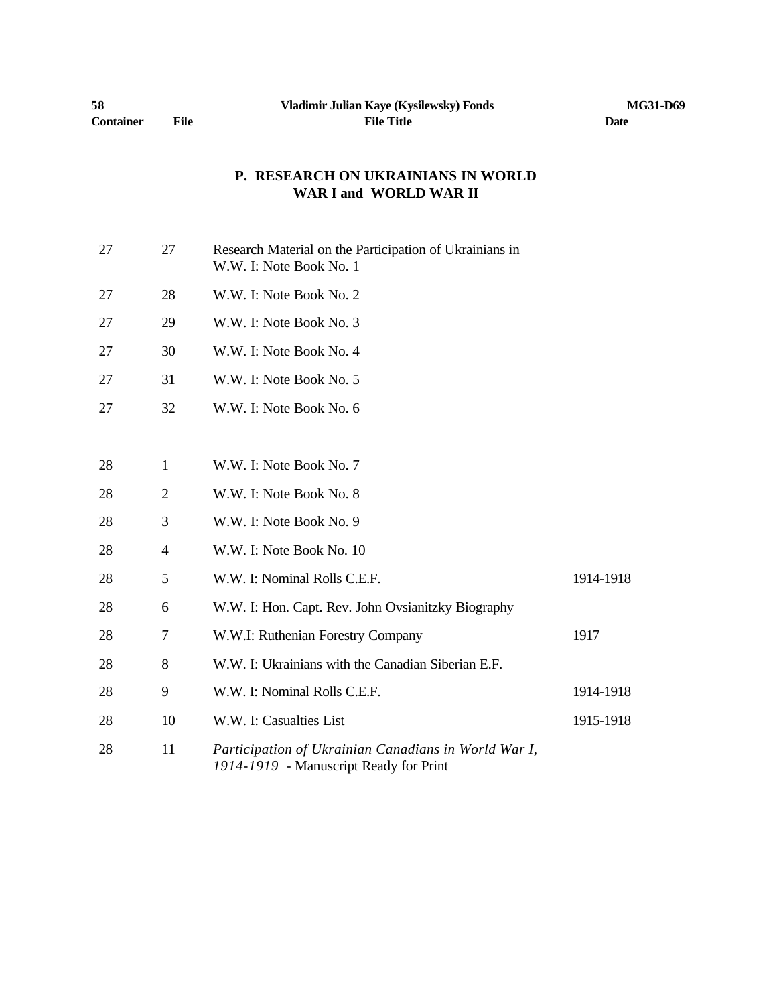| 58               |      | Vladimir Julian Kaye (Kysilewsky) Fonds | MG31-D69 |
|------------------|------|-----------------------------------------|----------|
| <b>Container</b> | File | File Title                              | Date     |

#### **P. RESEARCH ON UKRAINIANS IN WORLD WAR I and WORLD WAR II**

| 27 | 27             | Research Material on the Participation of Ukrainians in<br>W.W. I: Note Book No. 1             |           |
|----|----------------|------------------------------------------------------------------------------------------------|-----------|
| 27 | 28             | W.W. I: Note Book No. 2                                                                        |           |
| 27 | 29             | W.W. I: Note Book No. 3                                                                        |           |
| 27 | 30             | W.W. I: Note Book No. 4                                                                        |           |
| 27 | 31             | W.W. I: Note Book No. 5                                                                        |           |
| 27 | 32             | W.W. I: Note Book No. 6                                                                        |           |
|    |                |                                                                                                |           |
| 28 | 1              | W.W. I: Note Book No. 7                                                                        |           |
| 28 | $\overline{2}$ | W.W. I: Note Book No. 8                                                                        |           |
| 28 | 3              | W.W. I: Note Book No. 9                                                                        |           |
| 28 | $\overline{4}$ | W.W. I: Note Book No. 10                                                                       |           |
| 28 | 5              | W.W. I: Nominal Rolls C.E.F.                                                                   | 1914-1918 |
| 28 | 6              | W.W. I: Hon. Capt. Rev. John Ovsianitzky Biography                                             |           |
| 28 | 7              | W.W.I: Ruthenian Forestry Company                                                              | 1917      |
| 28 | 8              | W.W. I: Ukrainians with the Canadian Siberian E.F.                                             |           |
| 28 | 9              | W.W. I: Nominal Rolls C.E.F.                                                                   | 1914-1918 |
| 28 | 10             | W.W. I: Casualties List                                                                        | 1915-1918 |
| 28 | 11             | Participation of Ukrainian Canadians in World War I,<br>1914-1919 - Manuscript Ready for Print |           |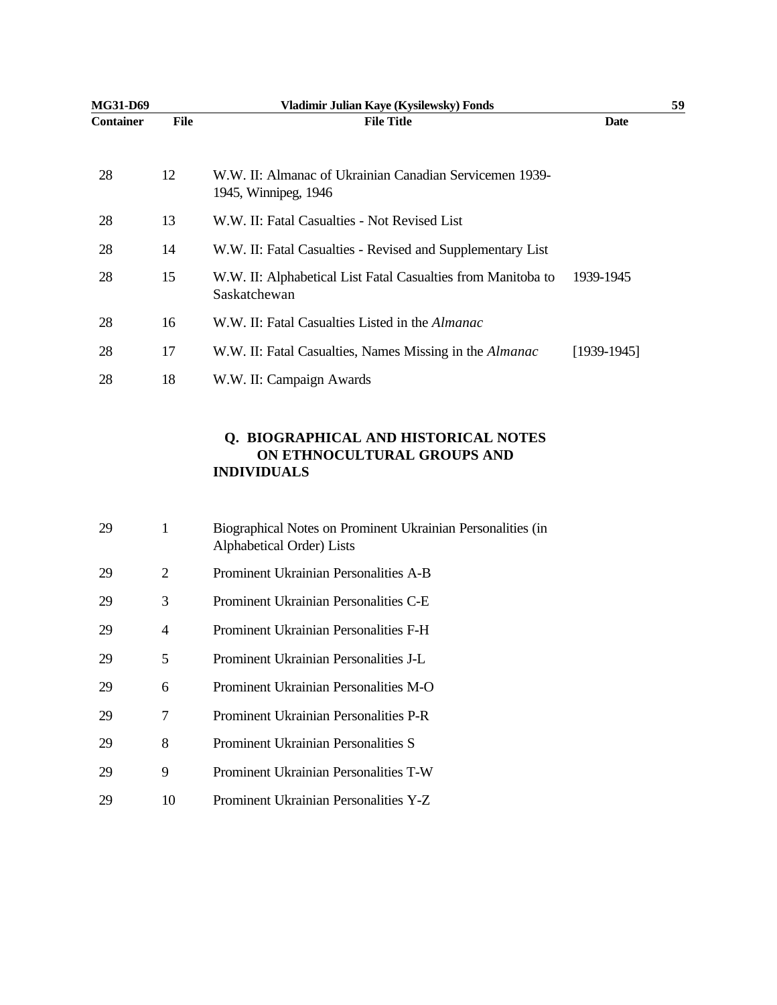| MG31-D69         |      | Vladimir Julian Kaye (Kysilewsky) Fonds                                         |               | 59 |
|------------------|------|---------------------------------------------------------------------------------|---------------|----|
| <b>Container</b> | File | <b>File Title</b>                                                               | Date          |    |
| 28               | 12   | W.W. II: Almanac of Ukrainian Canadian Servicemen 1939-<br>1945, Winnipeg, 1946 |               |    |
| 28               | 13   | W.W. II: Fatal Casualties - Not Revised List                                    |               |    |
| 28               | 14   | W.W. II: Fatal Casualties - Revised and Supplementary List                      |               |    |
| 28               | 15   | W.W. II: Alphabetical List Fatal Casualties from Manitoba to<br>Saskatchewan    | 1939-1945     |    |
| 28               | 16   | W.W. II: Fatal Casualties Listed in the <i>Almanac</i>                          |               |    |
| 28               | 17   | W.W. II: Fatal Casualties, Names Missing in the <i>Almanac</i>                  | $[1939-1945]$ |    |
| 28               | 18   | W.W. II: Campaign Awards                                                        |               |    |

#### **Q. BIOGRAPHICAL AND HISTORICAL NOTES ON ETHNOCULTURAL GROUPS AND INDIVIDUALS**

| 29 |    | Biographical Notes on Prominent Ukrainian Personalities (in<br>Alphabetical Order) Lists |
|----|----|------------------------------------------------------------------------------------------|
| 29 | 2  | Prominent Ukrainian Personalities A-B                                                    |
| 29 | 3  | Prominent Ukrainian Personalities C-E                                                    |
| 29 | 4  | Prominent Ukrainian Personalities F-H                                                    |
| 29 | 5  | Prominent Ukrainian Personalities J-L                                                    |
| 29 | 6  | Prominent Ukrainian Personalities M-O                                                    |
| 29 | 7  | Prominent Ukrainian Personalities P-R                                                    |
| 29 | 8  | Prominent Ukrainian Personalities S                                                      |
| 29 | 9  | Prominent Ukrainian Personalities T-W                                                    |
| 29 | 10 | Prominent Ukrainian Personalities Y-Z                                                    |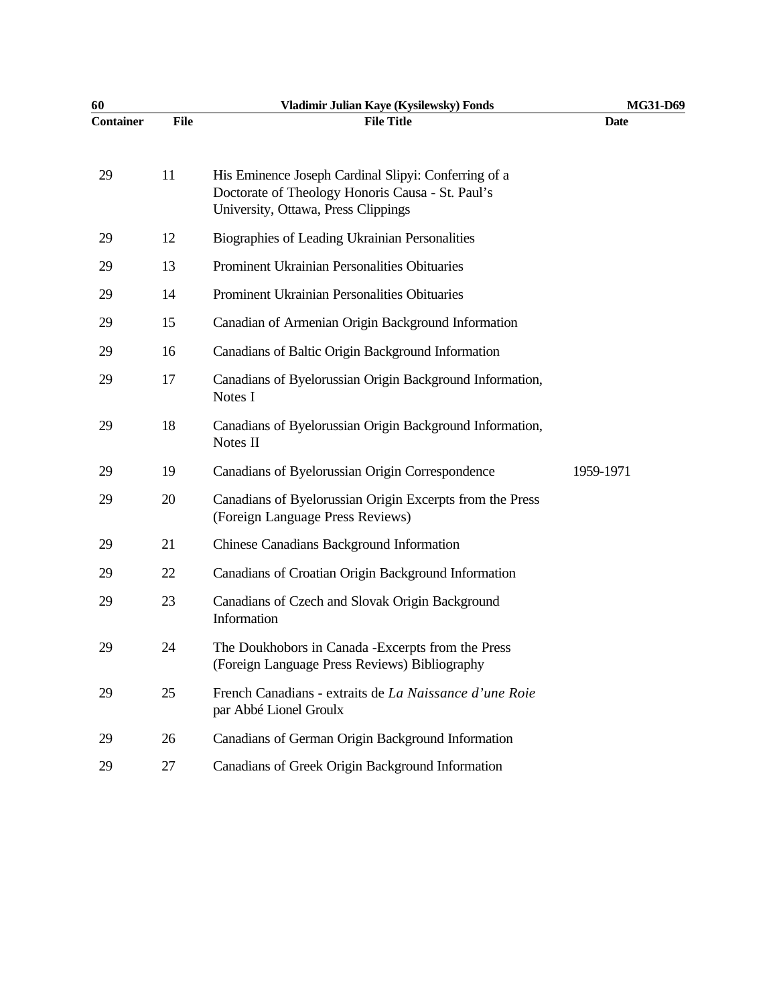| 60               |      | Vladimir Julian Kaye (Kysilewsky) Fonds                                                                                                         | MG31-D69    |
|------------------|------|-------------------------------------------------------------------------------------------------------------------------------------------------|-------------|
| <b>Container</b> | File | <b>File Title</b>                                                                                                                               | <b>Date</b> |
| 29               | 11   | His Eminence Joseph Cardinal Slipyi: Conferring of a<br>Doctorate of Theology Honoris Causa - St. Paul's<br>University, Ottawa, Press Clippings |             |
| 29               | 12   | Biographies of Leading Ukrainian Personalities                                                                                                  |             |
| 29               | 13   | Prominent Ukrainian Personalities Obituaries                                                                                                    |             |
| 29               | 14   | Prominent Ukrainian Personalities Obituaries                                                                                                    |             |
| 29               | 15   | Canadian of Armenian Origin Background Information                                                                                              |             |
| 29               | 16   | Canadians of Baltic Origin Background Information                                                                                               |             |
| 29               | 17   | Canadians of Byelorussian Origin Background Information,<br>Notes I                                                                             |             |
| 29               | 18   | Canadians of Byelorussian Origin Background Information,<br>Notes II                                                                            |             |
| 29               | 19   | Canadians of Byelorussian Origin Correspondence                                                                                                 | 1959-1971   |
| 29               | 20   | Canadians of Byelorussian Origin Excerpts from the Press<br>(Foreign Language Press Reviews)                                                    |             |
| 29               | 21   | <b>Chinese Canadians Background Information</b>                                                                                                 |             |
| 29               | 22   | Canadians of Croatian Origin Background Information                                                                                             |             |
| 29               | 23   | Canadians of Czech and Slovak Origin Background<br>Information                                                                                  |             |
| 29               | 24   | The Doukhobors in Canada - Excerpts from the Press<br>(Foreign Language Press Reviews) Bibliography                                             |             |
| 29               | 25   | French Canadians - extraits de La Naissance d'une Roie<br>par Abbé Lionel Groulx                                                                |             |
| 29               | 26   | Canadians of German Origin Background Information                                                                                               |             |
| 29               | 27   | Canadians of Greek Origin Background Information                                                                                                |             |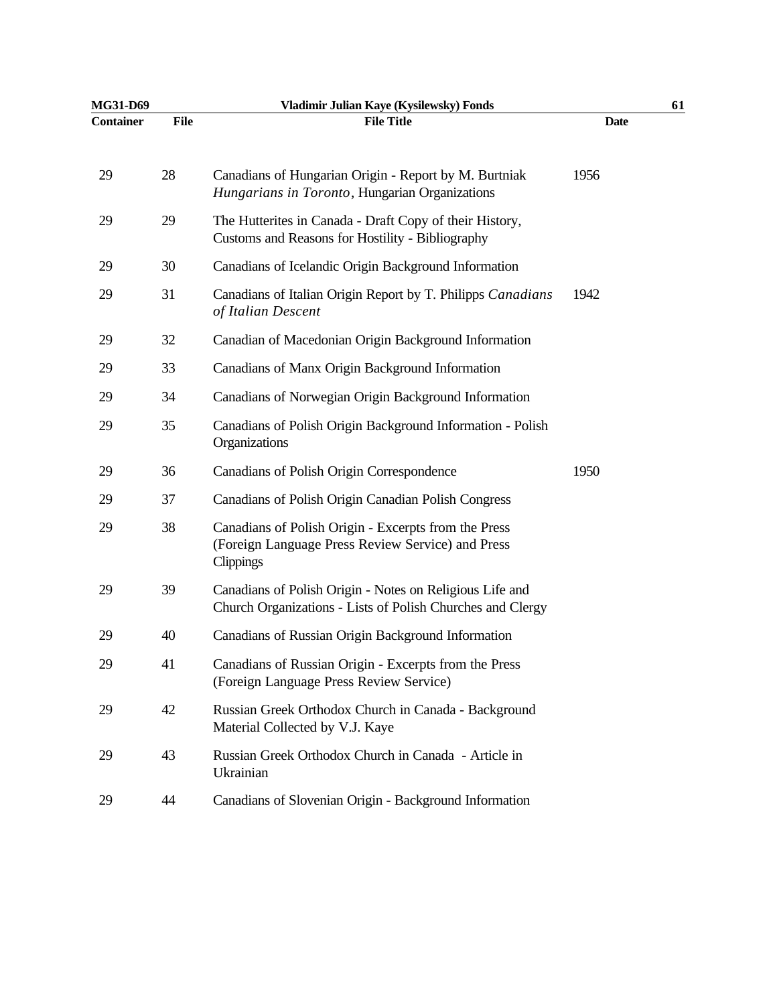| MG31-D69         |             | Vladimir Julian Kaye (Kysilewsky) Fonds                                                                                | 61          |  |
|------------------|-------------|------------------------------------------------------------------------------------------------------------------------|-------------|--|
| <b>Container</b> | <b>File</b> | <b>File Title</b>                                                                                                      | <b>Date</b> |  |
| 29               | 28          | Canadians of Hungarian Origin - Report by M. Burtniak<br>Hungarians in Toronto, Hungarian Organizations                | 1956        |  |
| 29               | 29          | The Hutterites in Canada - Draft Copy of their History,<br>Customs and Reasons for Hostility - Bibliography            |             |  |
| 29               | 30          | Canadians of Icelandic Origin Background Information                                                                   |             |  |
| 29               | 31          | Canadians of Italian Origin Report by T. Philipps Canadians<br>of Italian Descent                                      | 1942        |  |
| 29               | 32          | Canadian of Macedonian Origin Background Information                                                                   |             |  |
| 29               | 33          | Canadians of Manx Origin Background Information                                                                        |             |  |
| 29               | 34          | Canadians of Norwegian Origin Background Information                                                                   |             |  |
| 29               | 35          | Canadians of Polish Origin Background Information - Polish<br>Organizations                                            |             |  |
| 29               | 36          | Canadians of Polish Origin Correspondence                                                                              | 1950        |  |
| 29               | 37          | Canadians of Polish Origin Canadian Polish Congress                                                                    |             |  |
| 29               | 38          | Canadians of Polish Origin - Excerpts from the Press<br>(Foreign Language Press Review Service) and Press<br>Clippings |             |  |
| 29               | 39          | Canadians of Polish Origin - Notes on Religious Life and<br>Church Organizations - Lists of Polish Churches and Clergy |             |  |
| 29               | 40          | Canadians of Russian Origin Background Information                                                                     |             |  |
| 29               | 41          | Canadians of Russian Origin - Excerpts from the Press<br>(Foreign Language Press Review Service)                       |             |  |
| 29               | 42          | Russian Greek Orthodox Church in Canada - Background<br>Material Collected by V.J. Kaye                                |             |  |
| 29               | 43          | Russian Greek Orthodox Church in Canada - Article in<br>Ukrainian                                                      |             |  |
| 29               | 44          | Canadians of Slovenian Origin - Background Information                                                                 |             |  |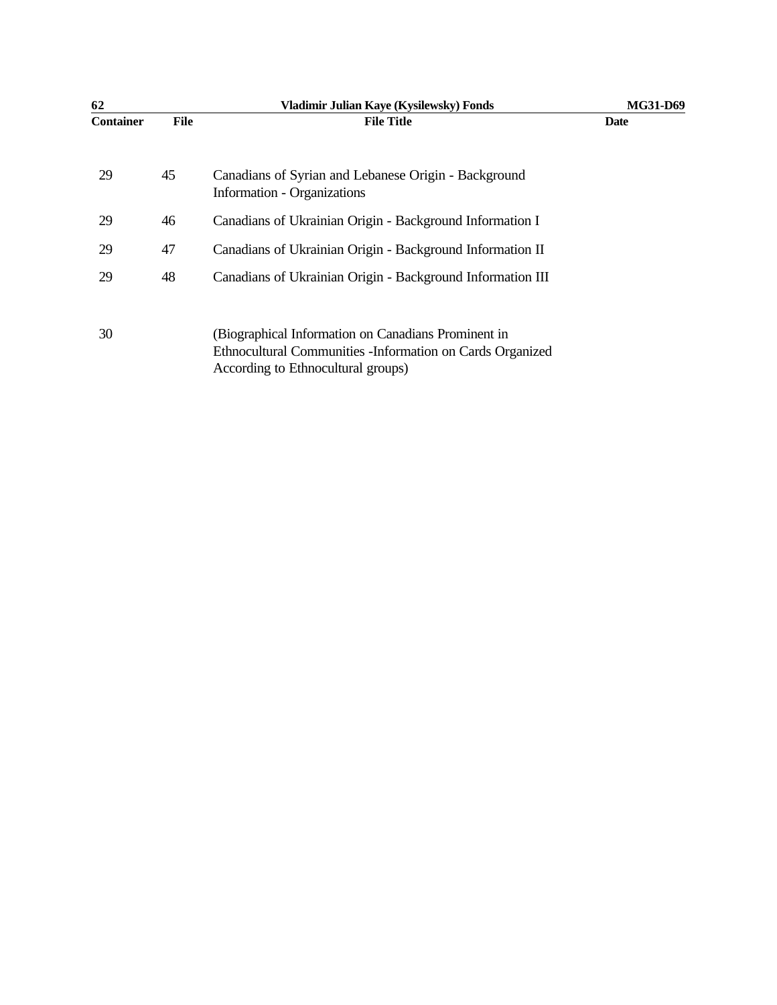| 62               |      | Vladimir Julian Kaye (Kysilewsky) Fonds                                                                                                                 | <b>MG31-D69</b> |
|------------------|------|---------------------------------------------------------------------------------------------------------------------------------------------------------|-----------------|
| <b>Container</b> | File | <b>File Title</b>                                                                                                                                       | <b>Date</b>     |
| 29               | 45   | Canadians of Syrian and Lebanese Origin - Background<br>Information - Organizations                                                                     |                 |
| 29               | 46   | Canadians of Ukrainian Origin - Background Information I                                                                                                |                 |
| 29               | 47   | Canadians of Ukrainian Origin - Background Information II                                                                                               |                 |
| 29               | 48   | Canadians of Ukrainian Origin - Background Information III                                                                                              |                 |
| 30               |      | (Biographical Information on Canadians Prominent in<br>Ethnocultural Communities - Information on Cards Organized<br>According to Ethnocultural groups) |                 |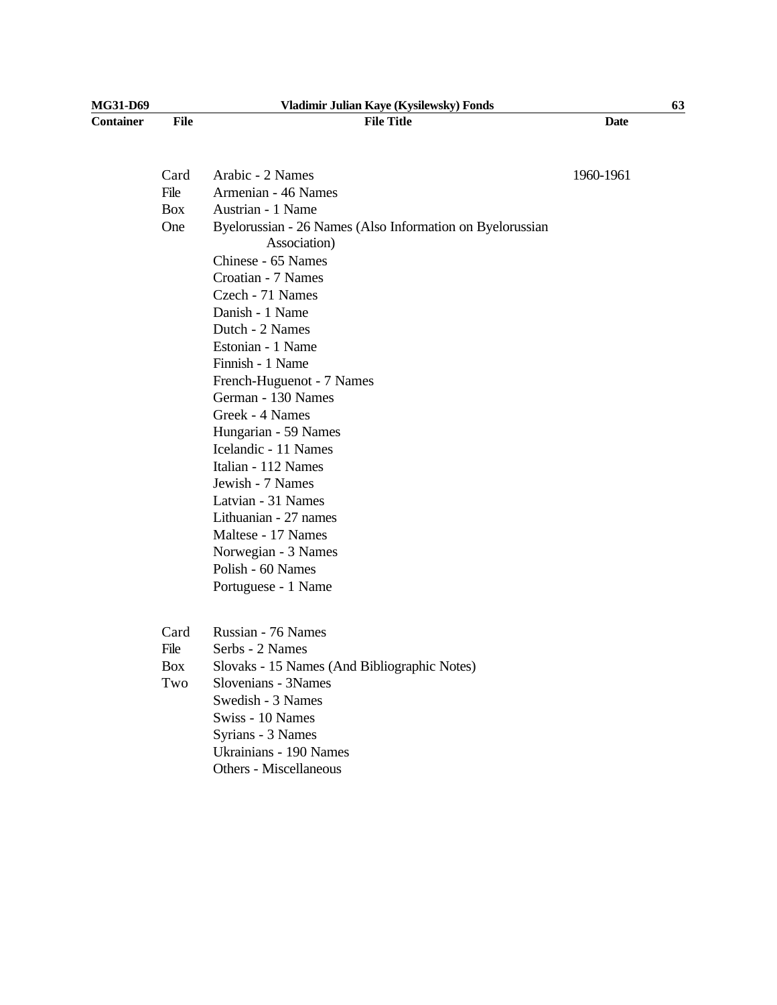| MG31-D69         | Vladimir Julian Kaye (Kysilewsky) Fonds |                                                                           |             | 63 |
|------------------|-----------------------------------------|---------------------------------------------------------------------------|-------------|----|
| <b>Container</b> | <b>File</b>                             | <b>File Title</b>                                                         | <b>Date</b> |    |
|                  |                                         |                                                                           |             |    |
|                  | Card                                    | Arabic - 2 Names                                                          | 1960-1961   |    |
|                  | File                                    | Armenian - 46 Names                                                       |             |    |
|                  | <b>Box</b>                              | Austrian - 1 Name                                                         |             |    |
|                  | One                                     | Byelorussian - 26 Names (Also Information on Byelorussian<br>Association) |             |    |
|                  |                                         | Chinese - 65 Names                                                        |             |    |
|                  |                                         | Croatian - 7 Names                                                        |             |    |
|                  |                                         | Czech - 71 Names                                                          |             |    |
|                  |                                         | Danish - 1 Name                                                           |             |    |
|                  |                                         | Dutch - 2 Names                                                           |             |    |
|                  |                                         | Estonian - 1 Name                                                         |             |    |
|                  |                                         | Finnish - 1 Name                                                          |             |    |
|                  |                                         | French-Huguenot - 7 Names                                                 |             |    |
|                  |                                         | German - 130 Names                                                        |             |    |
|                  |                                         | Greek - 4 Names                                                           |             |    |
|                  |                                         | Hungarian - 59 Names                                                      |             |    |
|                  |                                         | Icelandic - 11 Names                                                      |             |    |
|                  |                                         | Italian - 112 Names                                                       |             |    |
|                  |                                         | Jewish - 7 Names                                                          |             |    |
|                  |                                         | Latvian - 31 Names                                                        |             |    |
|                  |                                         | Lithuanian - 27 names                                                     |             |    |
|                  |                                         | Maltese - 17 Names                                                        |             |    |
|                  |                                         | Norwegian - 3 Names                                                       |             |    |
|                  |                                         | Polish - 60 Names                                                         |             |    |
|                  |                                         | Portuguese - 1 Name                                                       |             |    |
|                  | Card                                    | Russian - 76 Names                                                        |             |    |
|                  | File                                    | Serbs - 2 Names                                                           |             |    |
|                  | Box                                     | Slovaks - 15 Names (And Bibliographic Notes)                              |             |    |
|                  | Two                                     | Slovenians - 3Names                                                       |             |    |
|                  |                                         | Swedish - 3 Names                                                         |             |    |
|                  |                                         | Swiss - 10 Names                                                          |             |    |
|                  |                                         | Syrians - 3 Names                                                         |             |    |
|                  |                                         | Ukrainians - 190 Names                                                    |             |    |
|                  |                                         | Others - Miscellaneous                                                    |             |    |
|                  |                                         |                                                                           |             |    |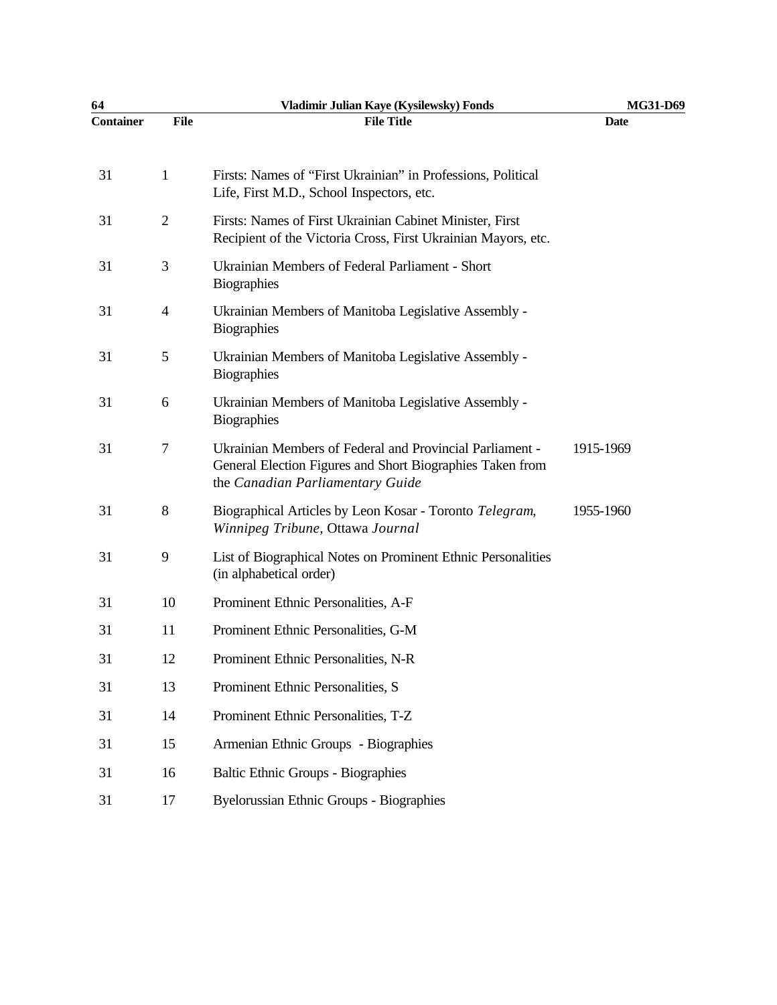| 64               |                | Vladimir Julian Kaye (Kysilewsky) Fonds                                                                                                                   | MG31-D69    |  |
|------------------|----------------|-----------------------------------------------------------------------------------------------------------------------------------------------------------|-------------|--|
| <b>Container</b> | <b>File</b>    | <b>File Title</b>                                                                                                                                         | <b>Date</b> |  |
| 31               | 1              | Firsts: Names of "First Ukrainian" in Professions, Political<br>Life, First M.D., School Inspectors, etc.                                                 |             |  |
| 31               | $\overline{2}$ | Firsts: Names of First Ukrainian Cabinet Minister, First<br>Recipient of the Victoria Cross, First Ukrainian Mayors, etc.                                 |             |  |
| 31               | 3              | Ukrainian Members of Federal Parliament - Short<br><b>Biographies</b>                                                                                     |             |  |
| 31               | $\overline{4}$ | Ukrainian Members of Manitoba Legislative Assembly -<br><b>Biographies</b>                                                                                |             |  |
| 31               | 5              | Ukrainian Members of Manitoba Legislative Assembly -<br><b>Biographies</b>                                                                                |             |  |
| 31               | 6              | Ukrainian Members of Manitoba Legislative Assembly -<br><b>Biographies</b>                                                                                |             |  |
| 31               | 7              | Ukrainian Members of Federal and Provincial Parliament -<br>General Election Figures and Short Biographies Taken from<br>the Canadian Parliamentary Guide | 1915-1969   |  |
| 31               | 8              | Biographical Articles by Leon Kosar - Toronto Telegram,<br>Winnipeg Tribune, Ottawa Journal                                                               | 1955-1960   |  |
| 31               | 9              | List of Biographical Notes on Prominent Ethnic Personalities<br>(in alphabetical order)                                                                   |             |  |
| 31               | 10             | Prominent Ethnic Personalities, A-F                                                                                                                       |             |  |
| 31               | 11             | Prominent Ethnic Personalities, G-M                                                                                                                       |             |  |
| 31               | 12             | Prominent Ethnic Personalities, N-R                                                                                                                       |             |  |
| 31               | 13             | Prominent Ethnic Personalities, S                                                                                                                         |             |  |
| 31               | 14             | Prominent Ethnic Personalities, T-Z                                                                                                                       |             |  |
| 31               | 15             | Armenian Ethnic Groups - Biographies                                                                                                                      |             |  |
| 31               | 16             | <b>Baltic Ethnic Groups - Biographies</b>                                                                                                                 |             |  |
| 31               | 17             | <b>Byelorussian Ethnic Groups - Biographies</b>                                                                                                           |             |  |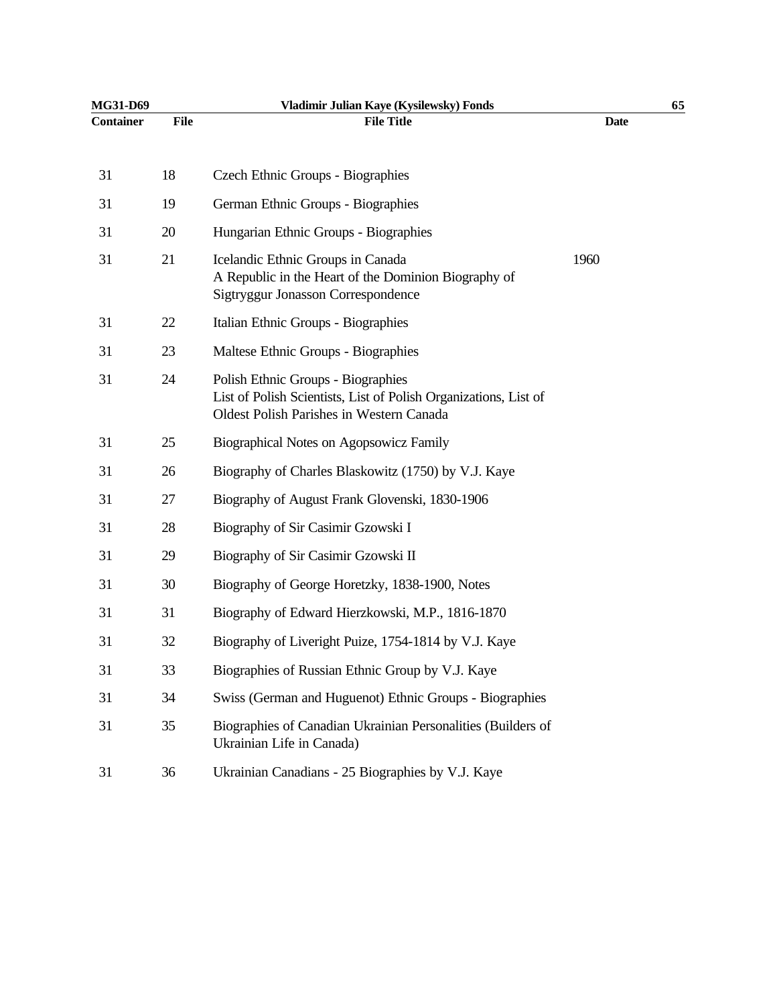| MG31-D69         |             | Vladimir Julian Kaye (Kysilewsky) Fonds                                                                                                                   |             | 65 |
|------------------|-------------|-----------------------------------------------------------------------------------------------------------------------------------------------------------|-------------|----|
| <b>Container</b> | <b>File</b> | <b>File Title</b>                                                                                                                                         | <b>Date</b> |    |
| 31               | 18          | Czech Ethnic Groups - Biographies                                                                                                                         |             |    |
| 31               | 19          | German Ethnic Groups - Biographies                                                                                                                        |             |    |
| 31               | 20          | Hungarian Ethnic Groups - Biographies                                                                                                                     |             |    |
| 31               | 21          | Icelandic Ethnic Groups in Canada<br>A Republic in the Heart of the Dominion Biography of<br>Sigtryggur Jonasson Correspondence                           | 1960        |    |
| 31               | 22          | Italian Ethnic Groups - Biographies                                                                                                                       |             |    |
| 31               | 23          | Maltese Ethnic Groups - Biographies                                                                                                                       |             |    |
| 31               | 24          | Polish Ethnic Groups - Biographies<br>List of Polish Scientists, List of Polish Organizations, List of<br><b>Oldest Polish Parishes in Western Canada</b> |             |    |
| 31               | 25          | Biographical Notes on Agopsowicz Family                                                                                                                   |             |    |
| 31               | 26          | Biography of Charles Blaskowitz (1750) by V.J. Kaye                                                                                                       |             |    |
| 31               | 27          | Biography of August Frank Glovenski, 1830-1906                                                                                                            |             |    |
| 31               | 28          | Biography of Sir Casimir Gzowski I                                                                                                                        |             |    |
| 31               | 29          | Biography of Sir Casimir Gzowski II                                                                                                                       |             |    |
| 31               | 30          | Biography of George Horetzky, 1838-1900, Notes                                                                                                            |             |    |
| 31               | 31          | Biography of Edward Hierzkowski, M.P., 1816-1870                                                                                                          |             |    |
| 31               | 32          | Biography of Liveright Puize, 1754-1814 by V.J. Kaye                                                                                                      |             |    |
| 31               | 33          | Biographies of Russian Ethnic Group by V.J. Kaye                                                                                                          |             |    |
| 31               | 34          | Swiss (German and Huguenot) Ethnic Groups - Biographies                                                                                                   |             |    |
| 31               | 35          | Biographies of Canadian Ukrainian Personalities (Builders of<br>Ukrainian Life in Canada)                                                                 |             |    |
| 31               | 36          | Ukrainian Canadians - 25 Biographies by V.J. Kaye                                                                                                         |             |    |
|                  |             |                                                                                                                                                           |             |    |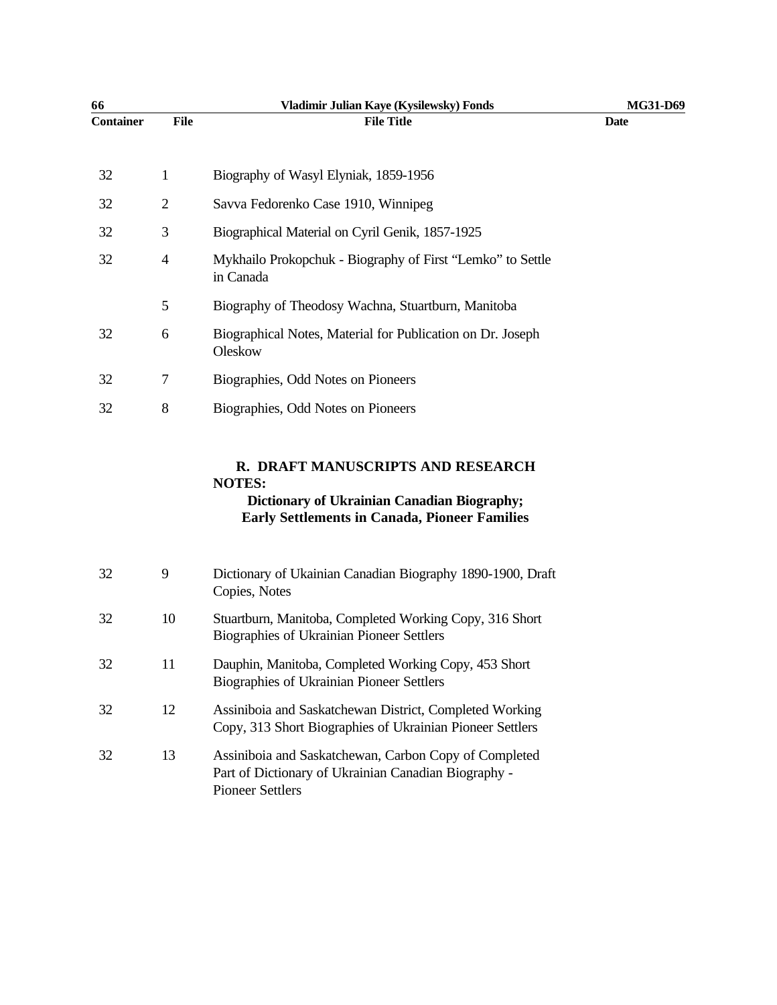| 66               |                | Vladimir Julian Kaye (Kysilewsky) Fonds                                 | MG31-D69 |
|------------------|----------------|-------------------------------------------------------------------------|----------|
| <b>Container</b> | <b>File</b>    | <b>File Title</b>                                                       | Date     |
| 32               | 1              | Biography of Wasyl Elyniak, 1859-1956                                   |          |
| 32               | $\overline{2}$ | Savva Fedorenko Case 1910, Winnipeg                                     |          |
| 32               | 3              | Biographical Material on Cyril Genik, 1857-1925                         |          |
| 32               | $\overline{4}$ | Mykhailo Prokopchuk - Biography of First "Lemko" to Settle<br>in Canada |          |
|                  | 5              | Biography of Theodosy Wachna, Stuartburn, Manitoba                      |          |
| 32               | 6              | Biographical Notes, Material for Publication on Dr. Joseph<br>Oleskow   |          |
| 32               | 7              | Biographies, Odd Notes on Pioneers                                      |          |
| 32               | 8              | Biographies, Odd Notes on Pioneers                                      |          |
|                  |                |                                                                         |          |

# **R. DRAFT MANUSCRIPTS AND RESEARCH NOTES:**

## **Dictionary of Ukrainian Canadian Biography; Early Settlements in Canada, Pioneer Families**

| 32 | 9  | Dictionary of Ukainian Canadian Biography 1890-1900, Draft<br>Copies, Notes                                                              |
|----|----|------------------------------------------------------------------------------------------------------------------------------------------|
| 32 | 10 | Stuartburn, Manitoba, Completed Working Copy, 316 Short<br><b>Biographies of Ukrainian Pioneer Settlers</b>                              |
| 32 | 11 | Dauphin, Manitoba, Completed Working Copy, 453 Short<br><b>Biographies of Ukrainian Pioneer Settlers</b>                                 |
| 32 | 12 | Assiniboia and Saskatchewan District, Completed Working<br>Copy, 313 Short Biographies of Ukrainian Pioneer Settlers                     |
| 32 | 13 | Assiniboia and Saskatchewan, Carbon Copy of Completed<br>Part of Dictionary of Ukrainian Canadian Biography -<br><b>Pioneer Settlers</b> |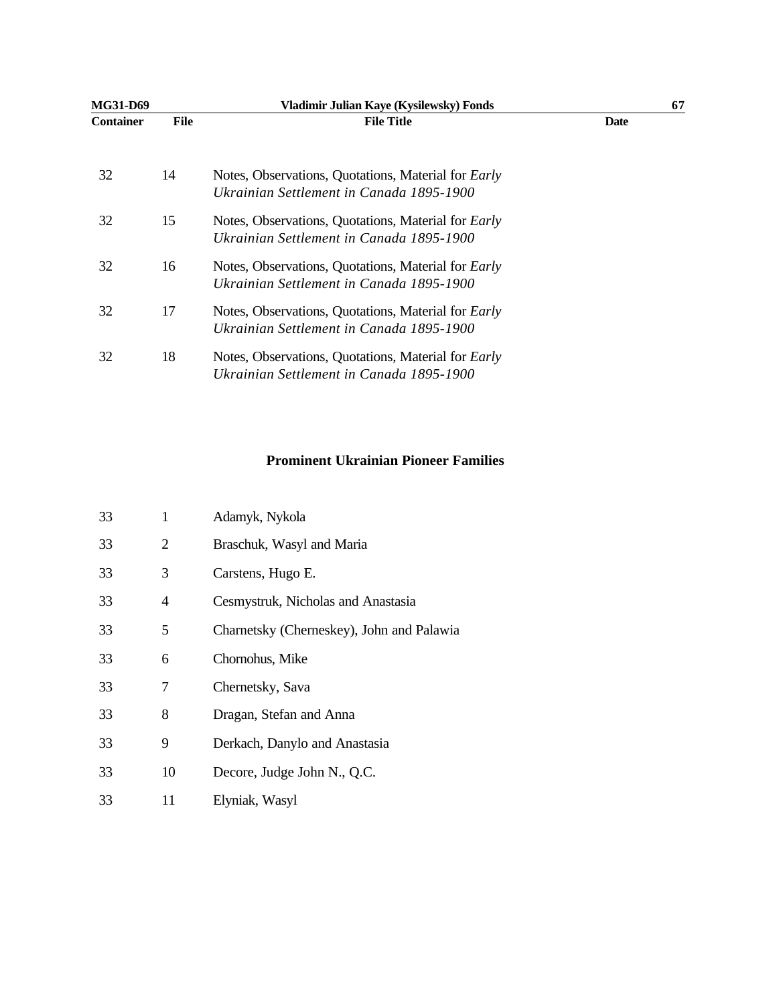| MG31-D69         |      | Vladimir Julian Kaye (Kysilewsky) Fonds                                                                | 67          |
|------------------|------|--------------------------------------------------------------------------------------------------------|-------------|
| <b>Container</b> | File | <b>File Title</b>                                                                                      | <b>Date</b> |
| 32               | 14   | Notes, Observations, Quotations, Material for <i>Early</i><br>Ukrainian Settlement in Canada 1895-1900 |             |
| 32               | 15   | Notes, Observations, Quotations, Material for <i>Early</i><br>Ukrainian Settlement in Canada 1895-1900 |             |
| 32               | 16   | Notes, Observations, Quotations, Material for <i>Early</i><br>Ukrainian Settlement in Canada 1895-1900 |             |
| 32               | 17   | Notes, Observations, Quotations, Material for <i>Early</i><br>Ukrainian Settlement in Canada 1895-1900 |             |
| 32               | 18   | Notes, Observations, Quotations, Material for <i>Early</i><br>Ukrainian Settlement in Canada 1895-1900 |             |

#### **Prominent Ukrainian Pioneer Families**

| 33 | 1  | Adamyk, Nykola                            |
|----|----|-------------------------------------------|
| 33 | 2  | Braschuk, Wasyl and Maria                 |
| 33 | 3  | Carstens, Hugo E.                         |
| 33 | 4  | Cesmystruk, Nicholas and Anastasia        |
| 33 | 5  | Charnetsky (Cherneskey), John and Palawia |
| 33 | 6  | Chornohus, Mike                           |
| 33 | 7  | Chernetsky, Sava                          |
| 33 | 8  | Dragan, Stefan and Anna                   |
| 33 | 9  | Derkach, Danylo and Anastasia             |
| 33 | 10 | Decore, Judge John N., Q.C.               |
| 33 | 11 | Elyniak, Wasyl                            |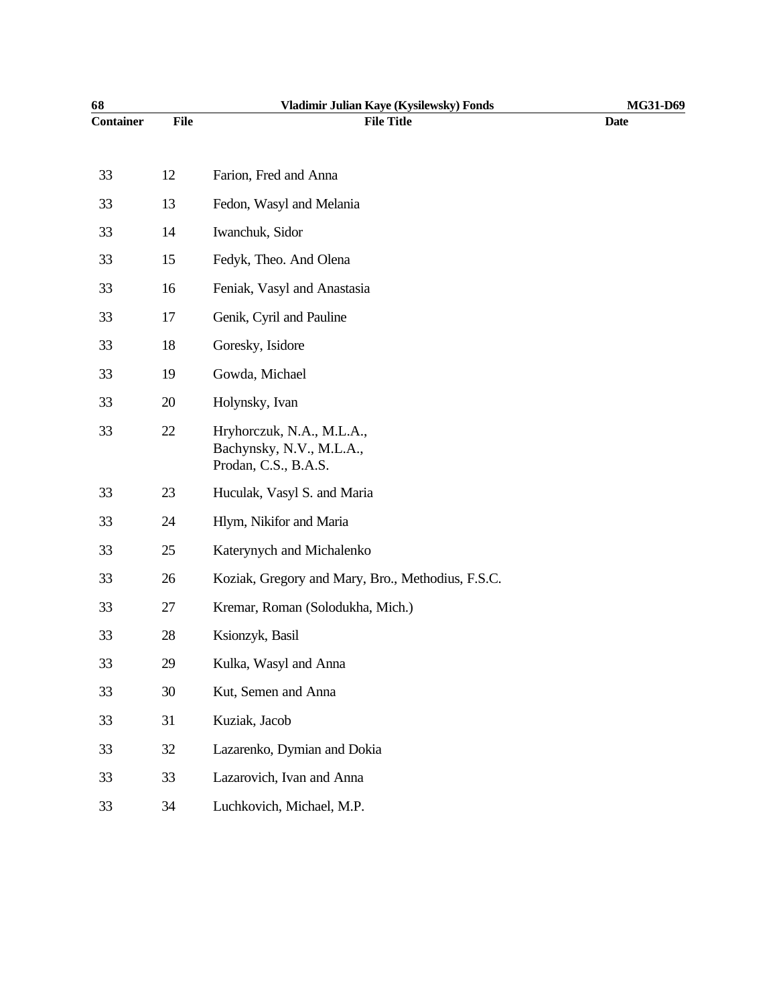| 68               |             | Vladimir Julian Kaye (Kysilewsky) Fonds                                       | MG31-D69    |
|------------------|-------------|-------------------------------------------------------------------------------|-------------|
| <b>Container</b> | <b>File</b> | <b>File Title</b>                                                             | <b>Date</b> |
| 33               | 12          | Farion, Fred and Anna                                                         |             |
| 33               | 13          | Fedon, Wasyl and Melania                                                      |             |
| 33               | 14          | Iwanchuk, Sidor                                                               |             |
| 33               | 15          | Fedyk, Theo. And Olena                                                        |             |
| 33               | 16          |                                                                               |             |
|                  |             | Feniak, Vasyl and Anastasia                                                   |             |
| 33               | 17          | Genik, Cyril and Pauline                                                      |             |
| 33               | 18          | Goresky, Isidore                                                              |             |
| 33               | 19          | Gowda, Michael                                                                |             |
| 33               | 20          | Holynsky, Ivan                                                                |             |
| 33               | 22          | Hryhorczuk, N.A., M.L.A.,<br>Bachynsky, N.V., M.L.A.,<br>Prodan, C.S., B.A.S. |             |
| 33               | 23          | Huculak, Vasyl S. and Maria                                                   |             |
| 33               | 24          | Hlym, Nikifor and Maria                                                       |             |
| 33               | 25          | Katerynych and Michalenko                                                     |             |
| 33               | 26          | Koziak, Gregory and Mary, Bro., Methodius, F.S.C.                             |             |
| 33               | 27          | Kremar, Roman (Solodukha, Mich.)                                              |             |
| 33               | 28          | Ksionzyk, Basil                                                               |             |
| 33               | 29          | Kulka, Wasyl and Anna                                                         |             |
| 33               | 30          | Kut, Semen and Anna                                                           |             |
| 33               | 31          | Kuziak, Jacob                                                                 |             |
| 33               | 32          | Lazarenko, Dymian and Dokia                                                   |             |
| 33               | 33          | Lazarovich, Ivan and Anna                                                     |             |
| 33               | 34          | Luchkovich, Michael, M.P.                                                     |             |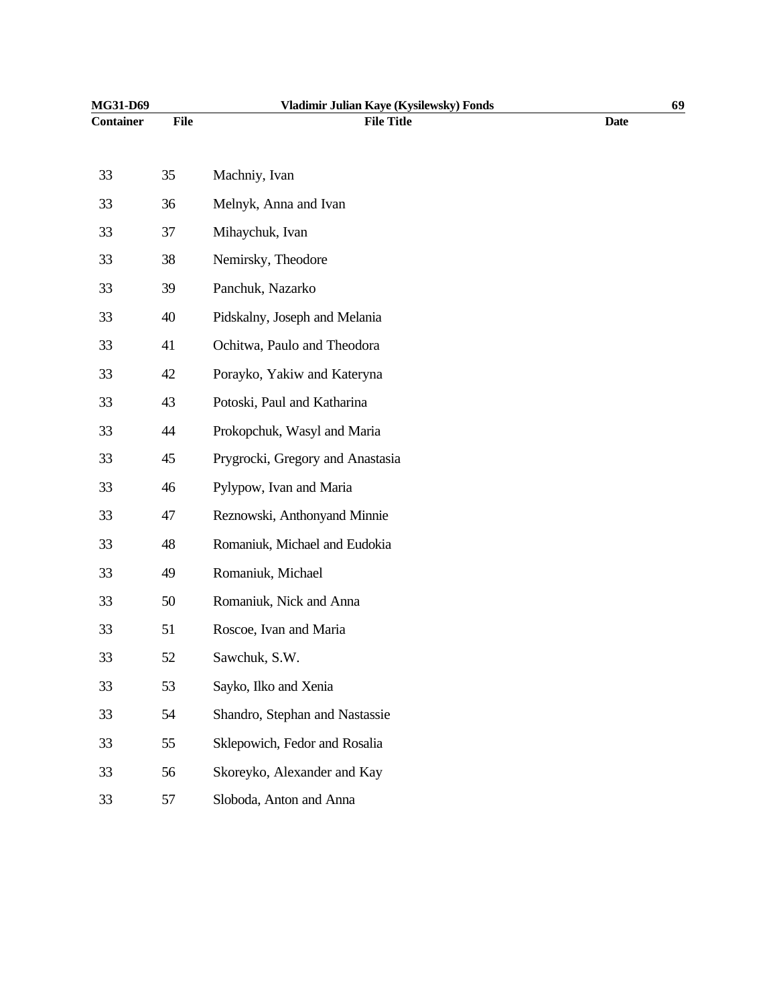| MG31-D69         |      | Vladimir Julian Kaye (Kysilewsky) Fonds |             | 69 |
|------------------|------|-----------------------------------------|-------------|----|
| <b>Container</b> | File | <b>File Title</b>                       | <b>Date</b> |    |
| 33               | 35   | Machniy, Ivan                           |             |    |
| 33               | 36   | Melnyk, Anna and Ivan                   |             |    |
| 33               | 37   | Mihaychuk, Ivan                         |             |    |
| 33               | 38   | Nemirsky, Theodore                      |             |    |
| 33               | 39   | Panchuk, Nazarko                        |             |    |
| 33               | 40   | Pidskalny, Joseph and Melania           |             |    |
| 33               | 41   | Ochitwa, Paulo and Theodora             |             |    |
| 33               | 42   | Porayko, Yakiw and Kateryna             |             |    |
| 33               | 43   | Potoski, Paul and Katharina             |             |    |
| 33               | 44   | Prokopchuk, Wasyl and Maria             |             |    |
| 33               | 45   | Prygrocki, Gregory and Anastasia        |             |    |
| 33               | 46   | Pylypow, Ivan and Maria                 |             |    |
| 33               | 47   | Reznowski, Anthonyand Minnie            |             |    |
| 33               | 48   | Romaniuk, Michael and Eudokia           |             |    |
| 33               | 49   | Romaniuk, Michael                       |             |    |
| 33               | 50   | Romaniuk, Nick and Anna                 |             |    |
| 33               | 51   | Roscoe, Ivan and Maria                  |             |    |
| 33               | 52   | Sawchuk, S.W.                           |             |    |
| 33               | 53   | Sayko, Ilko and Xenia                   |             |    |
| 33               | 54   | Shandro, Stephan and Nastassie          |             |    |
| 33               | 55   | Sklepowich, Fedor and Rosalia           |             |    |
| 33               | 56   | Skoreyko, Alexander and Kay             |             |    |
| 33               | 57   | Sloboda, Anton and Anna                 |             |    |
|                  |      |                                         |             |    |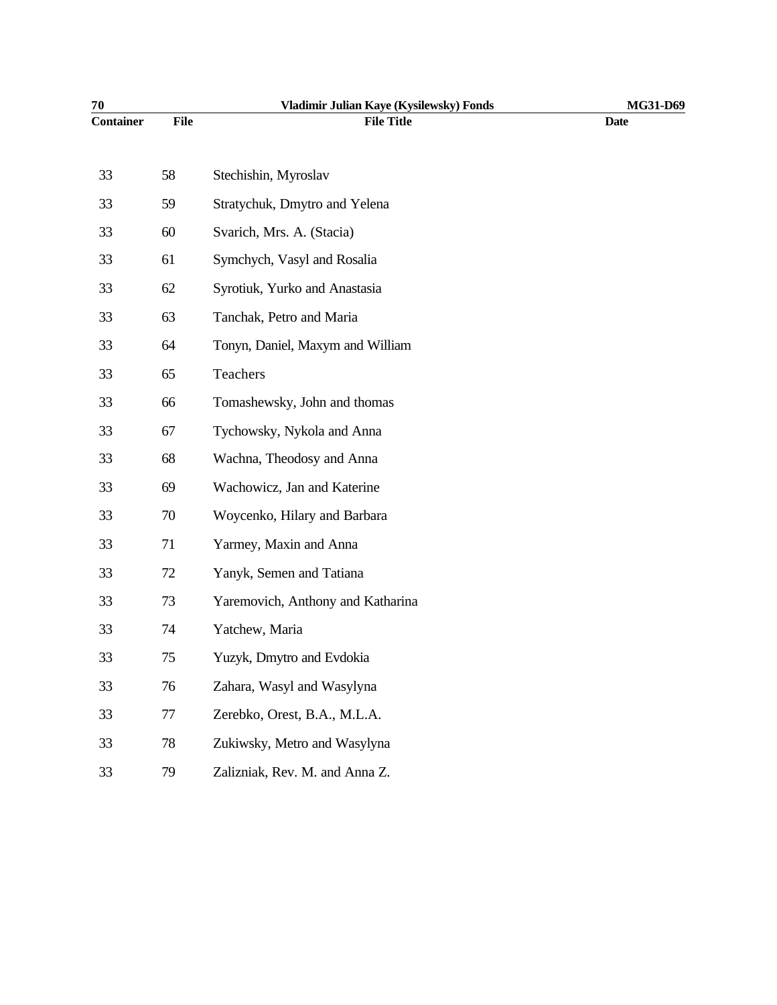| 70               |             | Vladimir Julian Kaye (Kysilewsky) Fonds | MG31-D69    |
|------------------|-------------|-----------------------------------------|-------------|
| <b>Container</b> | <b>File</b> | <b>File Title</b>                       | <b>Date</b> |
|                  |             |                                         |             |
| 33               | 58          | Stechishin, Myroslav                    |             |
| 33               | 59          | Stratychuk, Dmytro and Yelena           |             |
| 33               | 60          | Svarich, Mrs. A. (Stacia)               |             |
| 33               | 61          | Symchych, Vasyl and Rosalia             |             |
| 33               | 62          | Syrotiuk, Yurko and Anastasia           |             |
| 33               | 63          | Tanchak, Petro and Maria                |             |
| 33               | 64          | Tonyn, Daniel, Maxym and William        |             |
| 33               | 65          | Teachers                                |             |
| 33               | 66          | Tomashewsky, John and thomas            |             |
| 33               | 67          | Tychowsky, Nykola and Anna              |             |
| 33               | 68          | Wachna, Theodosy and Anna               |             |
| 33               | 69          | Wachowicz, Jan and Katerine             |             |
| 33               | 70          | Woycenko, Hilary and Barbara            |             |
| 33               | 71          | Yarmey, Maxin and Anna                  |             |
| 33               | 72          | Yanyk, Semen and Tatiana                |             |
| 33               | 73          | Yaremovich, Anthony and Katharina       |             |
| 33               | 74          | Yatchew, Maria                          |             |
| 33               | 75          | Yuzyk, Dmytro and Evdokia               |             |
| 33               | 76          | Zahara, Wasyl and Wasylyna              |             |
| 33               | 77          | Zerebko, Orest, B.A., M.L.A.            |             |
| 33               | 78          | Zukiwsky, Metro and Wasylyna            |             |
| 33               | 79          | Zalizniak, Rev. M. and Anna Z.          |             |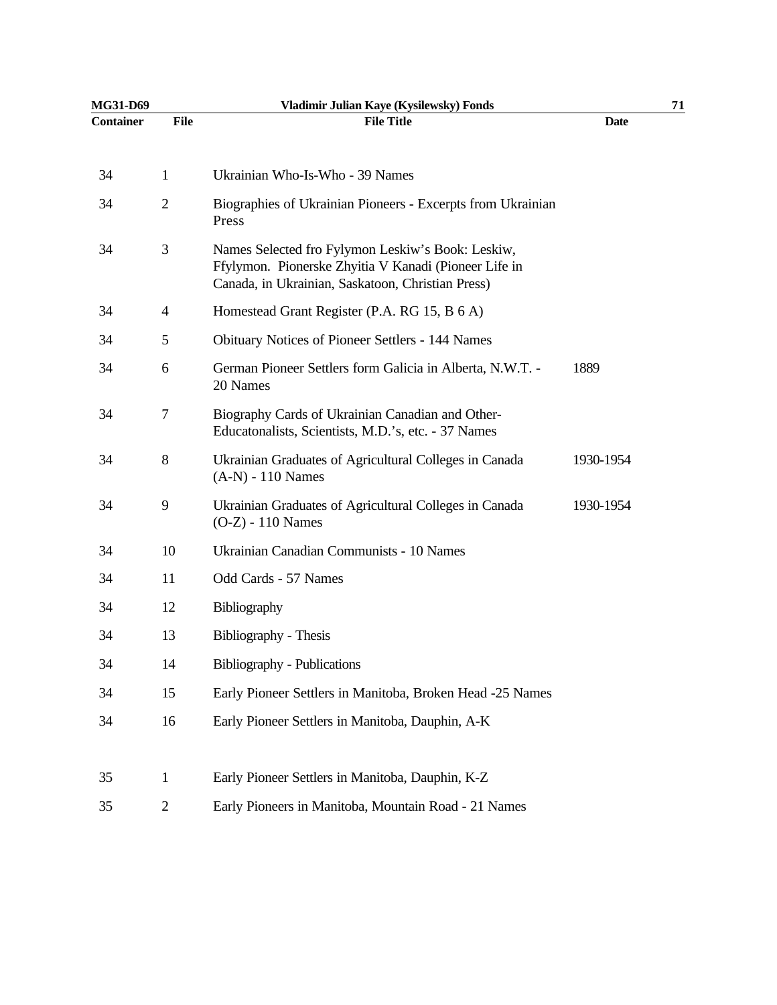| MG31-D69         |                | Vladimir Julian Kaye (Kysilewsky) Fonds                                                                                                                         |             | 71 |
|------------------|----------------|-----------------------------------------------------------------------------------------------------------------------------------------------------------------|-------------|----|
| <b>Container</b> | File           | <b>File Title</b>                                                                                                                                               | <b>Date</b> |    |
| 34               | 1              | Ukrainian Who-Is-Who - 39 Names                                                                                                                                 |             |    |
| 34               | $\overline{c}$ | Biographies of Ukrainian Pioneers - Excerpts from Ukrainian<br>Press                                                                                            |             |    |
| 34               | 3              | Names Selected fro Fylymon Leskiw's Book: Leskiw,<br>Ffylymon. Pionerske Zhyitia V Kanadi (Pioneer Life in<br>Canada, in Ukrainian, Saskatoon, Christian Press) |             |    |
| 34               | 4              | Homestead Grant Register (P.A. RG 15, B 6 A)                                                                                                                    |             |    |
| 34               | 5              | <b>Obituary Notices of Pioneer Settlers - 144 Names</b>                                                                                                         |             |    |
| 34               | 6              | German Pioneer Settlers form Galicia in Alberta, N.W.T. -<br>20 Names                                                                                           | 1889        |    |
| 34               | 7              | Biography Cards of Ukrainian Canadian and Other-<br>Educatonalists, Scientists, M.D.'s, etc. - 37 Names                                                         |             |    |
| 34               | 8              | Ukrainian Graduates of Agricultural Colleges in Canada<br>$(A-N) - 110$ Names                                                                                   | 1930-1954   |    |
| 34               | 9              | Ukrainian Graduates of Agricultural Colleges in Canada<br>(O-Z) - 110 Names                                                                                     | 1930-1954   |    |
| 34               | 10             | Ukrainian Canadian Communists - 10 Names                                                                                                                        |             |    |
| 34               | 11             | Odd Cards - 57 Names                                                                                                                                            |             |    |
| 34               | 12             | Bibliography                                                                                                                                                    |             |    |
| 34               | 13             | Bibliography - Thesis                                                                                                                                           |             |    |
| 34               | 14             | <b>Bibliography - Publications</b>                                                                                                                              |             |    |
| 34               | 15             | Early Pioneer Settlers in Manitoba, Broken Head -25 Names                                                                                                       |             |    |
| 34               | 16             | Early Pioneer Settlers in Manitoba, Dauphin, A-K                                                                                                                |             |    |
| 35               | $\mathbf{1}$   | Early Pioneer Settlers in Manitoba, Dauphin, K-Z                                                                                                                |             |    |
| 35               | $\overline{2}$ | Early Pioneers in Manitoba, Mountain Road - 21 Names                                                                                                            |             |    |
|                  |                |                                                                                                                                                                 |             |    |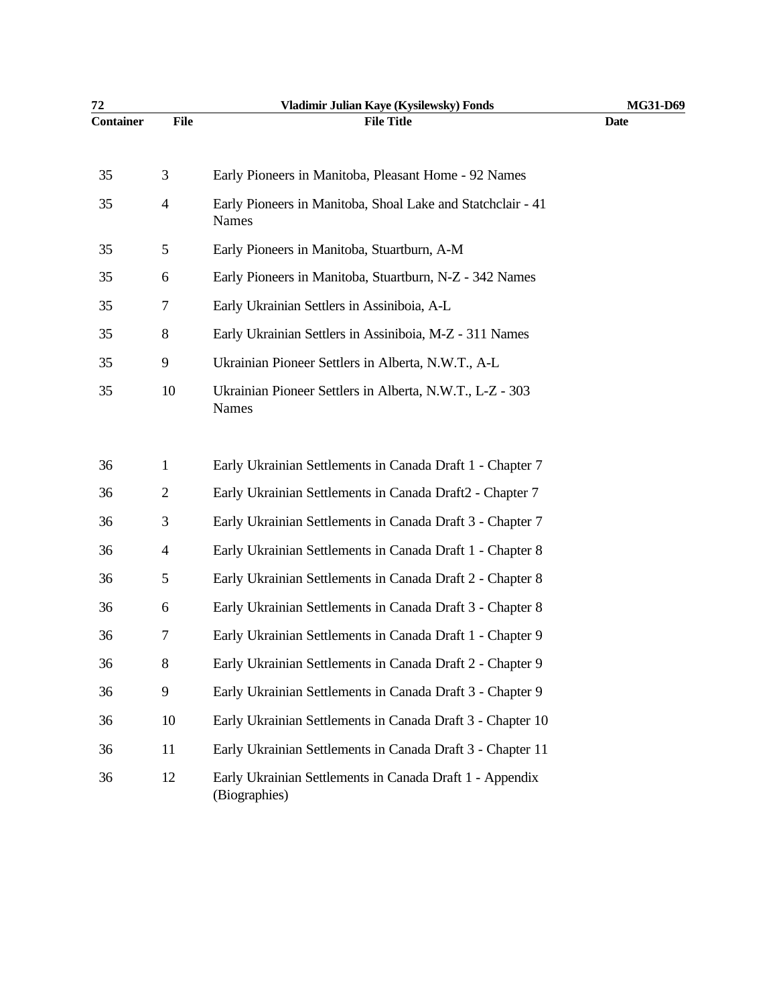| 72               |                | Vladimir Julian Kaye (Kysilewsky) Fonds                                   | MG31-D69    |
|------------------|----------------|---------------------------------------------------------------------------|-------------|
| <b>Container</b> | <b>File</b>    | <b>File Title</b>                                                         | <b>Date</b> |
| 35               | 3              | Early Pioneers in Manitoba, Pleasant Home - 92 Names                      |             |
| 35               | $\overline{4}$ | Early Pioneers in Manitoba, Shoal Lake and Statchclair - 41<br>Names      |             |
| 35               | 5              | Early Pioneers in Manitoba, Stuartburn, A-M                               |             |
| 35               | 6              | Early Pioneers in Manitoba, Stuartburn, N-Z - 342 Names                   |             |
| 35               | 7              | Early Ukrainian Settlers in Assiniboia, A-L                               |             |
| 35               | 8              | Early Ukrainian Settlers in Assiniboia, M-Z - 311 Names                   |             |
| 35               | 9              | Ukrainian Pioneer Settlers in Alberta, N.W.T., A-L                        |             |
| 35               | 10             | Ukrainian Pioneer Settlers in Alberta, N.W.T., L-Z - 303<br>Names         |             |
| 36               | 1              | Early Ukrainian Settlements in Canada Draft 1 - Chapter 7                 |             |
| 36               | $\mathbf{2}$   | Early Ukrainian Settlements in Canada Draft2 - Chapter 7                  |             |
| 36               | 3              | Early Ukrainian Settlements in Canada Draft 3 - Chapter 7                 |             |
| 36               | 4              | Early Ukrainian Settlements in Canada Draft 1 - Chapter 8                 |             |
| 36               | 5              | Early Ukrainian Settlements in Canada Draft 2 - Chapter 8                 |             |
| 36               | 6              | Early Ukrainian Settlements in Canada Draft 3 - Chapter 8                 |             |
| 36               | 7              | Early Ukrainian Settlements in Canada Draft 1 - Chapter 9                 |             |
| 36               | 8              | Early Ukrainian Settlements in Canada Draft 2 - Chapter 9                 |             |
| 36               | 9              | Early Ukrainian Settlements in Canada Draft 3 - Chapter 9                 |             |
| 36               | 10             | Early Ukrainian Settlements in Canada Draft 3 - Chapter 10                |             |
| 36               | 11             | Early Ukrainian Settlements in Canada Draft 3 - Chapter 11                |             |
| 36               | 12             | Early Ukrainian Settlements in Canada Draft 1 - Appendix<br>(Biographies) |             |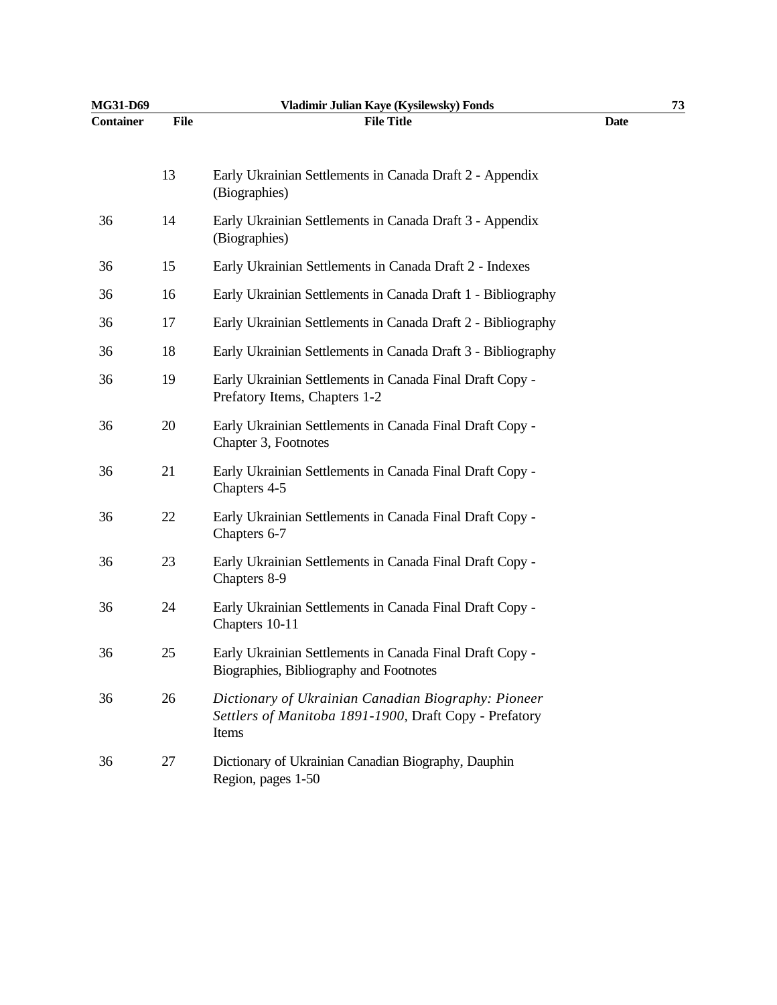| <b>MG31-D69</b>  |             | Vladimir Julian Kaye (Kysilewsky) Fonds                                                                                |             | 73 |
|------------------|-------------|------------------------------------------------------------------------------------------------------------------------|-------------|----|
| <b>Container</b> | <b>File</b> | <b>File Title</b>                                                                                                      | <b>Date</b> |    |
|                  | 13          | Early Ukrainian Settlements in Canada Draft 2 - Appendix<br>(Biographies)                                              |             |    |
| 36               | 14          | Early Ukrainian Settlements in Canada Draft 3 - Appendix<br>(Biographies)                                              |             |    |
| 36               | 15          | Early Ukrainian Settlements in Canada Draft 2 - Indexes                                                                |             |    |
| 36               | 16          | Early Ukrainian Settlements in Canada Draft 1 - Bibliography                                                           |             |    |
| 36               | 17          | Early Ukrainian Settlements in Canada Draft 2 - Bibliography                                                           |             |    |
| 36               | 18          | Early Ukrainian Settlements in Canada Draft 3 - Bibliography                                                           |             |    |
| 36               | 19          | Early Ukrainian Settlements in Canada Final Draft Copy -<br>Prefatory Items, Chapters 1-2                              |             |    |
| 36               | 20          | Early Ukrainian Settlements in Canada Final Draft Copy -<br>Chapter 3, Footnotes                                       |             |    |
| 36               | 21          | Early Ukrainian Settlements in Canada Final Draft Copy -<br>Chapters 4-5                                               |             |    |
| 36               | 22          | Early Ukrainian Settlements in Canada Final Draft Copy -<br>Chapters 6-7                                               |             |    |
| 36               | 23          | Early Ukrainian Settlements in Canada Final Draft Copy -<br>Chapters 8-9                                               |             |    |
| 36               | 24          | Early Ukrainian Settlements in Canada Final Draft Copy -<br>Chapters 10-11                                             |             |    |
| 36               | 25          | Early Ukrainian Settlements in Canada Final Draft Copy -<br>Biographies, Bibliography and Footnotes                    |             |    |
| 36               | 26          | Dictionary of Ukrainian Canadian Biography: Pioneer<br>Settlers of Manitoba 1891-1900, Draft Copy - Prefatory<br>Items |             |    |
| 36               | 27          | Dictionary of Ukrainian Canadian Biography, Dauphin<br>Region, pages 1-50                                              |             |    |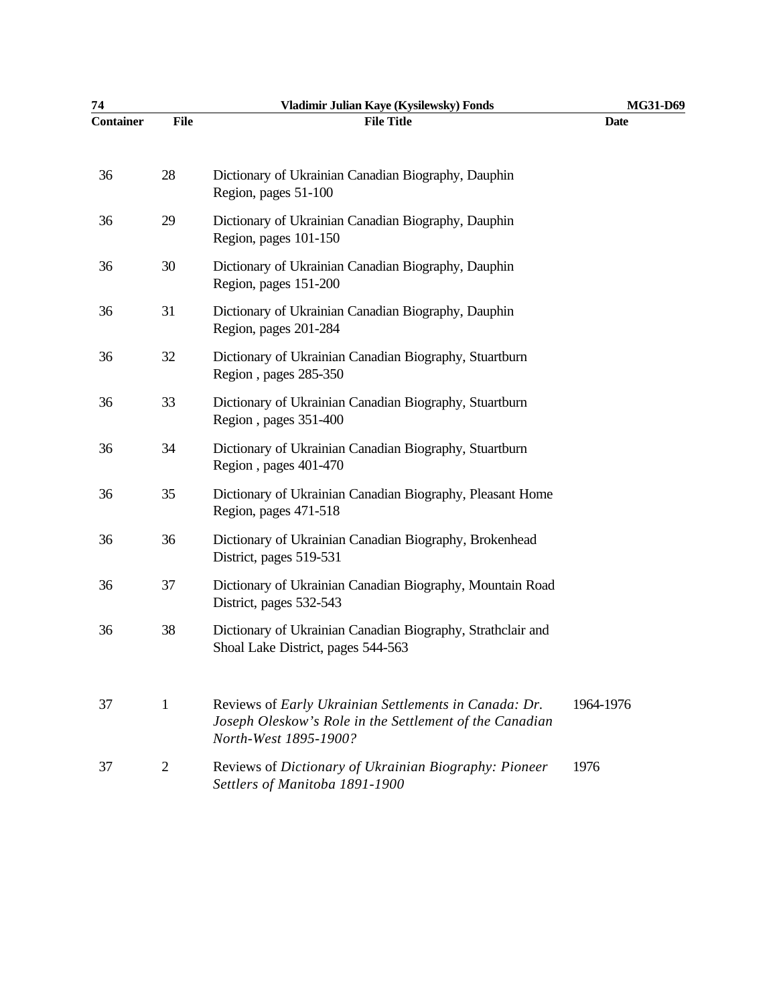| 74               |                | Vladimir Julian Kaye (Kysilewsky) Fonds                                                                                                   | MG31-D69    |
|------------------|----------------|-------------------------------------------------------------------------------------------------------------------------------------------|-------------|
| <b>Container</b> | <b>File</b>    | <b>File Title</b>                                                                                                                         | <b>Date</b> |
| 36               | 28             | Dictionary of Ukrainian Canadian Biography, Dauphin<br>Region, pages 51-100                                                               |             |
| 36               | 29             | Dictionary of Ukrainian Canadian Biography, Dauphin<br>Region, pages 101-150                                                              |             |
| 36               | 30             | Dictionary of Ukrainian Canadian Biography, Dauphin<br>Region, pages 151-200                                                              |             |
| 36               | 31             | Dictionary of Ukrainian Canadian Biography, Dauphin<br>Region, pages 201-284                                                              |             |
| 36               | 32             | Dictionary of Ukrainian Canadian Biography, Stuartburn<br>Region, pages 285-350                                                           |             |
| 36               | 33             | Dictionary of Ukrainian Canadian Biography, Stuartburn<br>Region, pages 351-400                                                           |             |
| 36               | 34             | Dictionary of Ukrainian Canadian Biography, Stuartburn<br>Region, pages 401-470                                                           |             |
| 36               | 35             | Dictionary of Ukrainian Canadian Biography, Pleasant Home<br>Region, pages 471-518                                                        |             |
| 36               | 36             | Dictionary of Ukrainian Canadian Biography, Brokenhead<br>District, pages 519-531                                                         |             |
| 36               | 37             | Dictionary of Ukrainian Canadian Biography, Mountain Road<br>District, pages 532-543                                                      |             |
| 36               | 38             | Dictionary of Ukrainian Canadian Biography, Strathclair and<br>Shoal Lake District, pages 544-563                                         |             |
| 37               | 1              | Reviews of Early Ukrainian Settlements in Canada: Dr.<br>Joseph Oleskow's Role in the Settlement of the Canadian<br>North-West 1895-1900? | 1964-1976   |
| 37               | $\overline{2}$ | Reviews of Dictionary of Ukrainian Biography: Pioneer<br>Settlers of Manitoba 1891-1900                                                   | 1976        |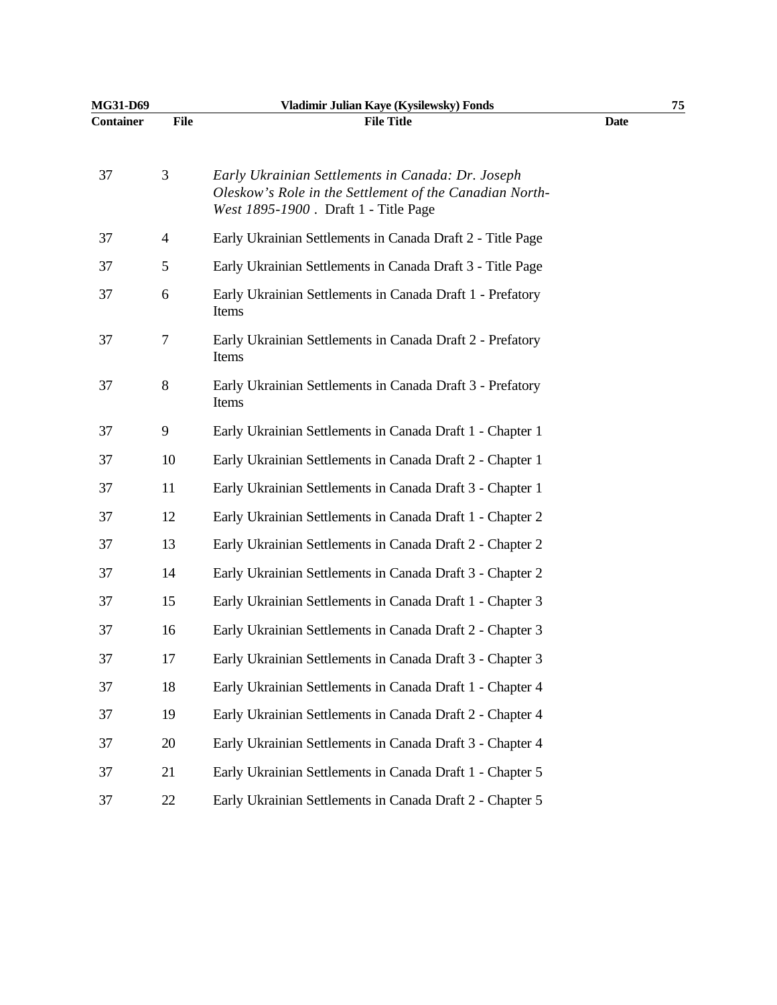| MG31-D69         |                | Vladimir Julian Kaye (Kysilewsky) Fonds                                                                                                              |             | 75 |
|------------------|----------------|------------------------------------------------------------------------------------------------------------------------------------------------------|-------------|----|
| <b>Container</b> | <b>File</b>    | <b>File Title</b>                                                                                                                                    | <b>Date</b> |    |
| 37               | 3              | Early Ukrainian Settlements in Canada: Dr. Joseph<br>Oleskow's Role in the Settlement of the Canadian North-<br>West 1895-1900. Draft 1 - Title Page |             |    |
| 37               | $\overline{4}$ | Early Ukrainian Settlements in Canada Draft 2 - Title Page                                                                                           |             |    |
| 37               | 5              | Early Ukrainian Settlements in Canada Draft 3 - Title Page                                                                                           |             |    |
| 37               | 6              | Early Ukrainian Settlements in Canada Draft 1 - Prefatory<br>Items                                                                                   |             |    |
| 37               | 7              | Early Ukrainian Settlements in Canada Draft 2 - Prefatory<br>Items                                                                                   |             |    |
| 37               | 8              | Early Ukrainian Settlements in Canada Draft 3 - Prefatory<br>Items                                                                                   |             |    |
| 37               | 9              | Early Ukrainian Settlements in Canada Draft 1 - Chapter 1                                                                                            |             |    |
| 37               | 10             | Early Ukrainian Settlements in Canada Draft 2 - Chapter 1                                                                                            |             |    |
| 37               | 11             | Early Ukrainian Settlements in Canada Draft 3 - Chapter 1                                                                                            |             |    |
| 37               | 12             | Early Ukrainian Settlements in Canada Draft 1 - Chapter 2                                                                                            |             |    |
| 37               | 13             | Early Ukrainian Settlements in Canada Draft 2 - Chapter 2                                                                                            |             |    |
| 37               | 14             | Early Ukrainian Settlements in Canada Draft 3 - Chapter 2                                                                                            |             |    |
| 37               | 15             | Early Ukrainian Settlements in Canada Draft 1 - Chapter 3                                                                                            |             |    |
| 37               | 16             | Early Ukrainian Settlements in Canada Draft 2 - Chapter 3                                                                                            |             |    |
| 37               | 17             | Early Ukrainian Settlements in Canada Draft 3 - Chapter 3                                                                                            |             |    |
| 37               | 18             | Early Ukrainian Settlements in Canada Draft 1 - Chapter 4                                                                                            |             |    |
| 37               | 19             | Early Ukrainian Settlements in Canada Draft 2 - Chapter 4                                                                                            |             |    |
| 37               | 20             | Early Ukrainian Settlements in Canada Draft 3 - Chapter 4                                                                                            |             |    |
| 37               | 21             | Early Ukrainian Settlements in Canada Draft 1 - Chapter 5                                                                                            |             |    |
| 37               | 22             | Early Ukrainian Settlements in Canada Draft 2 - Chapter 5                                                                                            |             |    |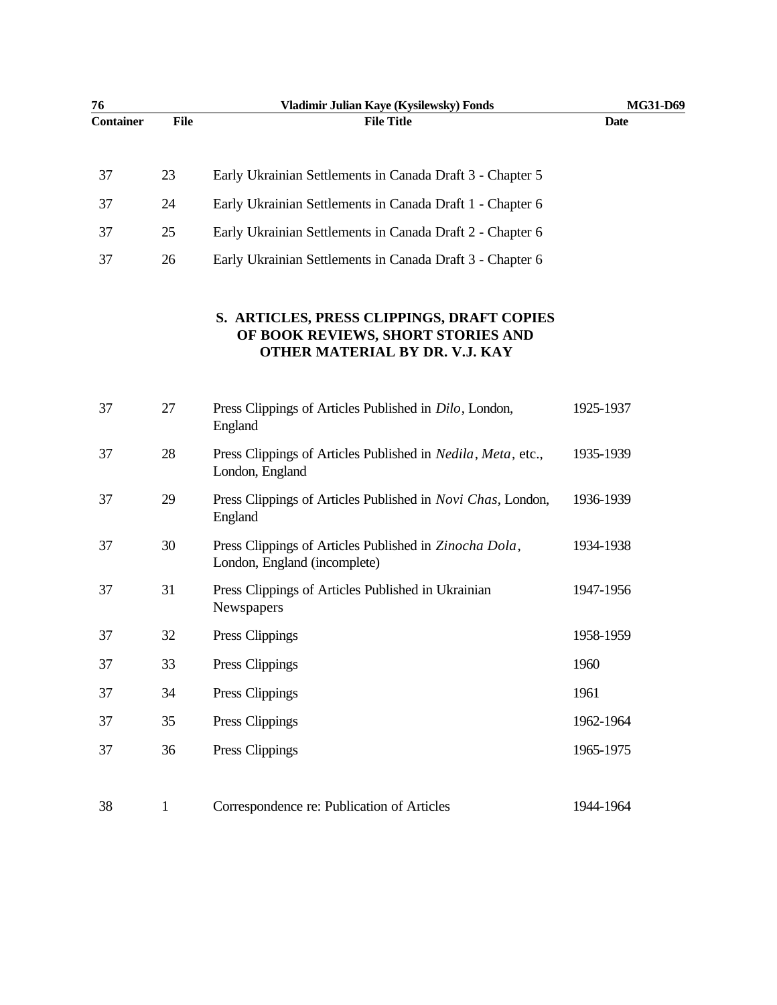| 76               |              | Vladimir Julian Kaye (Kysilewsky) Fonds                                                                            | MG31-D69    |
|------------------|--------------|--------------------------------------------------------------------------------------------------------------------|-------------|
| <b>Container</b> | <b>File</b>  | <b>File Title</b>                                                                                                  | <b>Date</b> |
| 37               | 23           | Early Ukrainian Settlements in Canada Draft 3 - Chapter 5                                                          |             |
| 37               | 24           | Early Ukrainian Settlements in Canada Draft 1 - Chapter 6                                                          |             |
| 37               | 25           | Early Ukrainian Settlements in Canada Draft 2 - Chapter 6                                                          |             |
| 37               | 26           | Early Ukrainian Settlements in Canada Draft 3 - Chapter 6                                                          |             |
|                  |              | S. ARTICLES, PRESS CLIPPINGS, DRAFT COPIES<br>OF BOOK REVIEWS, SHORT STORIES AND<br>OTHER MATERIAL BY DR. V.J. KAY |             |
| 37               | 27           | Press Clippings of Articles Published in <i>Dilo</i> , London,<br>England                                          | 1925-1937   |
| 37               | 28           | Press Clippings of Articles Published in <i>Nedila</i> , <i>Meta</i> , etc.,<br>London, England                    | 1935-1939   |
| 37               | 29           | Press Clippings of Articles Published in Novi Chas, London,<br>England                                             | 1936-1939   |
| 37               | 30           | Press Clippings of Articles Published in Zinocha Dola,<br>London, England (incomplete)                             | 1934-1938   |
| 37               | 31           | Press Clippings of Articles Published in Ukrainian<br>Newspapers                                                   | 1947-1956   |
| 37               | 32           | Press Clippings                                                                                                    | 1958-1959   |
| 37               | 33           | Press Clippings                                                                                                    | 1960        |
| 37               | 34           | Press Clippings                                                                                                    | 1961        |
| 37               | 35           | Press Clippings                                                                                                    | 1962-1964   |
| 37               | 36           | Press Clippings                                                                                                    | 1965-1975   |
| 38               | $\mathbf{1}$ | Correspondence re: Publication of Articles                                                                         | 1944-1964   |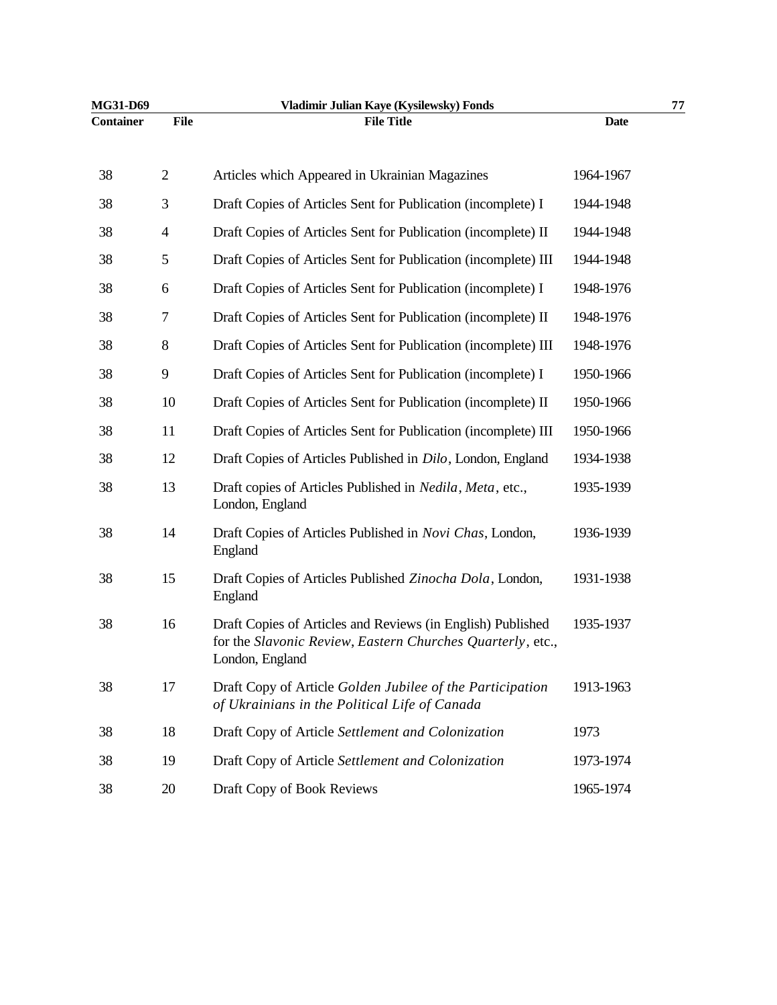| MG31-D69         |                          | Vladimir Julian Kaye (Kysilewsky) Fonds                                                                                                      |             | 77 |
|------------------|--------------------------|----------------------------------------------------------------------------------------------------------------------------------------------|-------------|----|
| <b>Container</b> | File                     | <b>File Title</b>                                                                                                                            | <b>Date</b> |    |
| 38               | $\overline{2}$           | Articles which Appeared in Ukrainian Magazines                                                                                               | 1964-1967   |    |
| 38               | 3                        | Draft Copies of Articles Sent for Publication (incomplete) I                                                                                 | 1944-1948   |    |
| 38               | $\overline{\mathcal{A}}$ | Draft Copies of Articles Sent for Publication (incomplete) II                                                                                | 1944-1948   |    |
| 38               | 5                        | Draft Copies of Articles Sent for Publication (incomplete) III                                                                               | 1944-1948   |    |
| 38               | 6                        | Draft Copies of Articles Sent for Publication (incomplete) I                                                                                 | 1948-1976   |    |
| 38               | 7                        | Draft Copies of Articles Sent for Publication (incomplete) II                                                                                | 1948-1976   |    |
| 38               | $8\,$                    | Draft Copies of Articles Sent for Publication (incomplete) III                                                                               | 1948-1976   |    |
| 38               | 9                        | Draft Copies of Articles Sent for Publication (incomplete) I                                                                                 | 1950-1966   |    |
| 38               | 10                       | Draft Copies of Articles Sent for Publication (incomplete) II                                                                                | 1950-1966   |    |
| 38               | 11                       | Draft Copies of Articles Sent for Publication (incomplete) III                                                                               | 1950-1966   |    |
| 38               | 12                       | Draft Copies of Articles Published in Dilo, London, England                                                                                  | 1934-1938   |    |
| 38               | 13                       | Draft copies of Articles Published in Nedila, Meta, etc.,<br>London, England                                                                 | 1935-1939   |    |
| 38               | 14                       | Draft Copies of Articles Published in Novi Chas, London,<br>England                                                                          | 1936-1939   |    |
| 38               | 15                       | Draft Copies of Articles Published Zinocha Dola, London,<br>England                                                                          | 1931-1938   |    |
| 38               | 16                       | Draft Copies of Articles and Reviews (in English) Published<br>for the Slavonic Review, Eastern Churches Quarterly, etc.,<br>London, England | 1935-1937   |    |
| 38               | 17                       | Draft Copy of Article Golden Jubilee of the Participation<br>of Ukrainians in the Political Life of Canada                                   | 1913-1963   |    |
| 38               | 18                       | Draft Copy of Article Settlement and Colonization                                                                                            | 1973        |    |
| 38               | 19                       | Draft Copy of Article Settlement and Colonization                                                                                            | 1973-1974   |    |
| 38               | 20                       | Draft Copy of Book Reviews                                                                                                                   | 1965-1974   |    |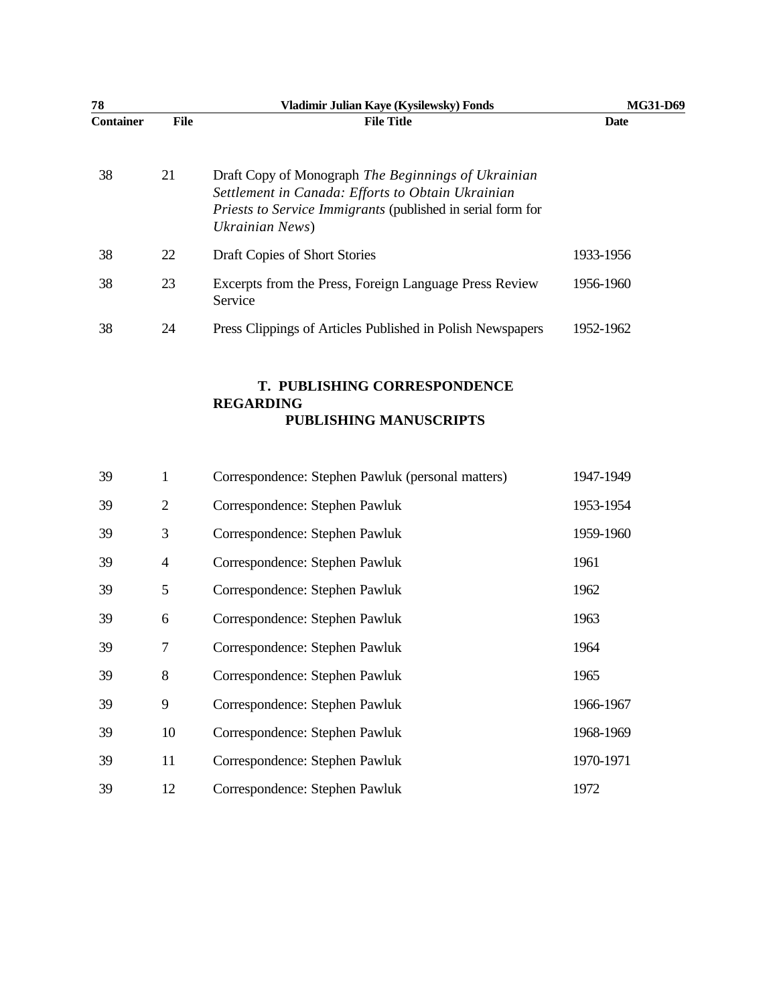| 78               |             | Vladimir Julian Kaye (Kysilewsky) Fonds                                                                                                                                                           | MG31-D69  |
|------------------|-------------|---------------------------------------------------------------------------------------------------------------------------------------------------------------------------------------------------|-----------|
| <b>Container</b> | <b>File</b> | <b>File Title</b>                                                                                                                                                                                 | Date      |
| 38               | 21          | Draft Copy of Monograph The Beginnings of Ukrainian<br>Settlement in Canada: Efforts to Obtain Ukrainian<br><i>Priests to Service Immigrants</i> (published in serial form for<br>Ukrainian News) |           |
| 38               | 22          | Draft Copies of Short Stories                                                                                                                                                                     | 1933-1956 |
| 38               | 23          | Excerpts from the Press, Foreign Language Press Review<br>Service                                                                                                                                 | 1956-1960 |
| 38               | 24          | Press Clippings of Articles Published in Polish Newspapers                                                                                                                                        | 1952-1962 |

#### **T. PUBLISHING CORRESPONDENCE REGARDING PUBLISHING MANUSCRIPTS**

| 39 | 1              | Correspondence: Stephen Pawluk (personal matters) | 1947-1949 |
|----|----------------|---------------------------------------------------|-----------|
| 39 | $\overline{2}$ | Correspondence: Stephen Pawluk                    | 1953-1954 |
| 39 | 3              | Correspondence: Stephen Pawluk                    | 1959-1960 |
| 39 | $\overline{4}$ | Correspondence: Stephen Pawluk                    | 1961      |
| 39 | 5              | Correspondence: Stephen Pawluk                    | 1962      |
| 39 | 6              | Correspondence: Stephen Pawluk                    | 1963      |
| 39 | 7              | Correspondence: Stephen Pawluk                    | 1964      |
| 39 | 8              | Correspondence: Stephen Pawluk                    | 1965      |
| 39 | 9              | Correspondence: Stephen Pawluk                    | 1966-1967 |
| 39 | 10             | Correspondence: Stephen Pawluk                    | 1968-1969 |
| 39 | 11             | Correspondence: Stephen Pawluk                    | 1970-1971 |
| 39 | 12             | Correspondence: Stephen Pawluk                    | 1972      |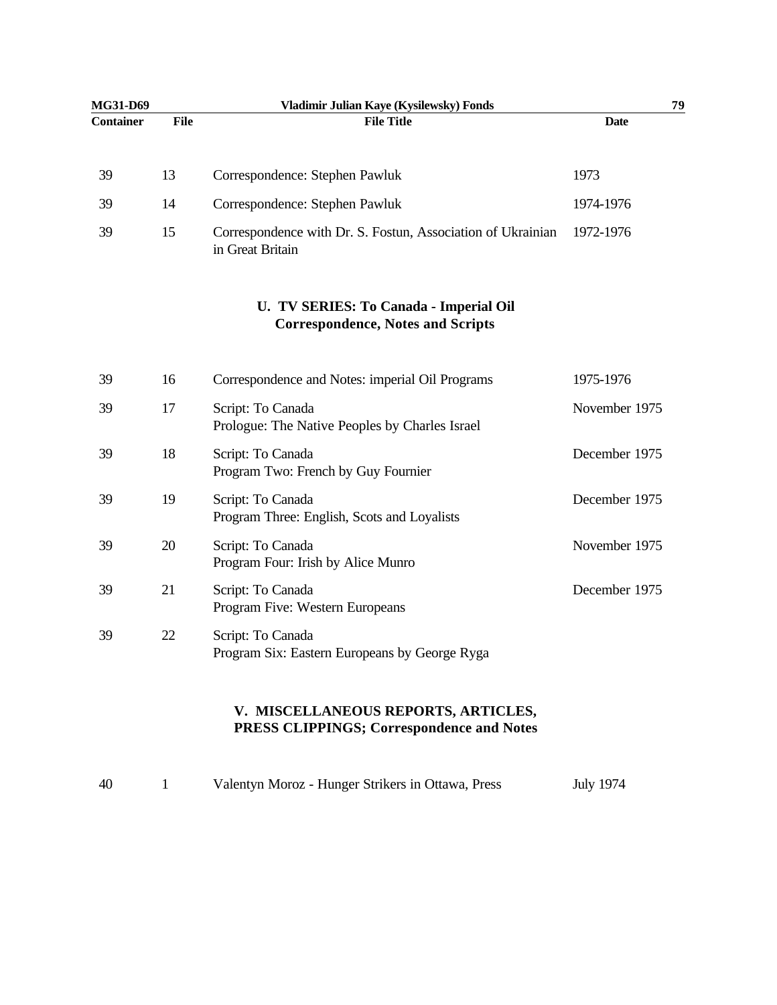| MG31-D69         |             | Vladimir Julian Kaye (Kysilewsky) Fonds                                            |               | 79 |
|------------------|-------------|------------------------------------------------------------------------------------|---------------|----|
| <b>Container</b> | <b>File</b> | <b>File Title</b>                                                                  | <b>Date</b>   |    |
| 39               | 13          | Correspondence: Stephen Pawluk                                                     | 1973          |    |
| 39               | 14          | Correspondence: Stephen Pawluk                                                     | 1974-1976     |    |
| 39               | 15          | Correspondence with Dr. S. Fostun, Association of Ukrainian<br>in Great Britain    | 1972-1976     |    |
|                  |             | U. TV SERIES: To Canada - Imperial Oil<br><b>Correspondence, Notes and Scripts</b> |               |    |
| 39               | 16          | Correspondence and Notes: imperial Oil Programs                                    | 1975-1976     |    |
| 39               | 17          | Script: To Canada<br>Prologue: The Native Peoples by Charles Israel                | November 1975 |    |
| 39               | 18          | Script: To Canada<br>Program Two: French by Guy Fournier                           | December 1975 |    |
| 39               | 19          | Script: To Canada<br>Program Three: English, Scots and Loyalists                   | December 1975 |    |
| 39               | 20          | Script: To Canada<br>Program Four: Irish by Alice Munro                            | November 1975 |    |
| 39               | 21          | Script: To Canada<br>Program Five: Western Europeans                               | December 1975 |    |
| 39               | 22          | Script: To Canada<br>Program Six: Eastern Europeans by George Ryga                 |               |    |
|                  |             | V. MISCELLANEOUS REPORTS, ARTICLES,<br>PRESS CLIPPINGS; Correspondence and Notes   |               |    |

| 40 | Valentyn Moroz - Hunger Strikers in Ottawa, Press | <b>July 1974</b> |
|----|---------------------------------------------------|------------------|
|    |                                                   |                  |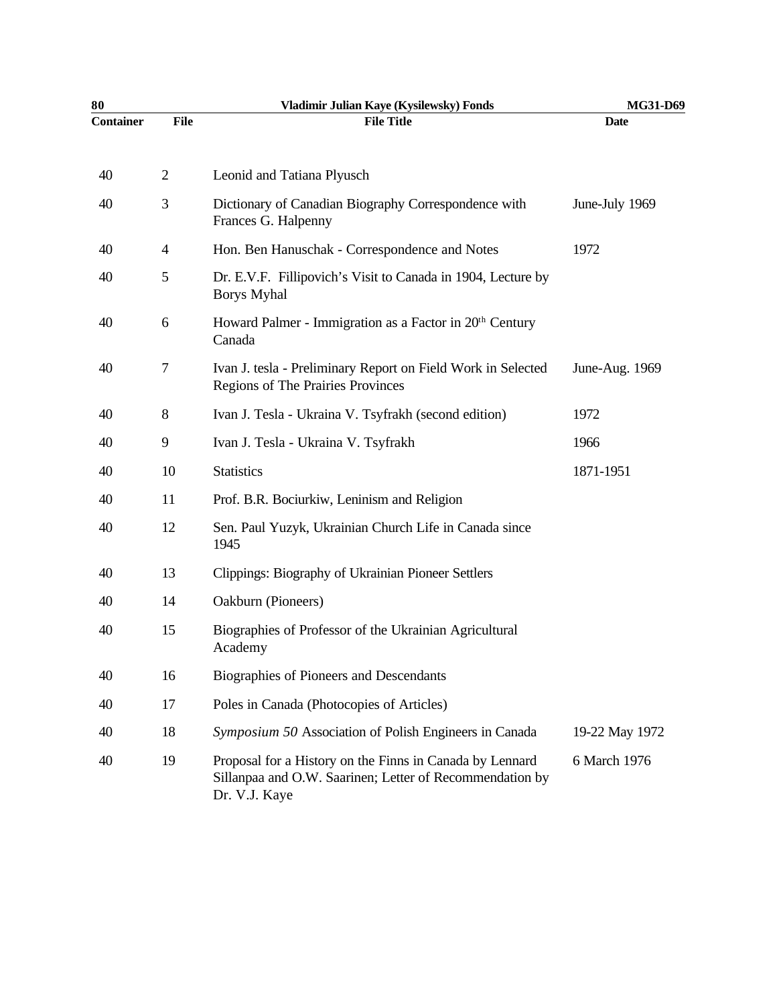| 80               |                | Vladimir Julian Kaye (Kysilewsky) Fonds                                                                                               | MG31-D69       |
|------------------|----------------|---------------------------------------------------------------------------------------------------------------------------------------|----------------|
| <b>Container</b> | <b>File</b>    | <b>File Title</b>                                                                                                                     | <b>Date</b>    |
| 40               | $\overline{2}$ | Leonid and Tatiana Plyusch                                                                                                            |                |
| 40               | 3              | Dictionary of Canadian Biography Correspondence with<br>Frances G. Halpenny                                                           | June-July 1969 |
| 40               | $\overline{4}$ | Hon. Ben Hanuschak - Correspondence and Notes                                                                                         | 1972           |
| 40               | 5              | Dr. E.V.F. Fillipovich's Visit to Canada in 1904, Lecture by<br><b>Borys Myhal</b>                                                    |                |
| 40               | 6              | Howard Palmer - Immigration as a Factor in 20 <sup>th</sup> Century<br>Canada                                                         |                |
| 40               | 7              | Ivan J. tesla - Preliminary Report on Field Work in Selected<br>Regions of The Prairies Provinces                                     | June-Aug. 1969 |
| 40               | 8              | Ivan J. Tesla - Ukraina V. Tsyfrakh (second edition)                                                                                  | 1972           |
| 40               | 9              | Ivan J. Tesla - Ukraina V. Tsyfrakh                                                                                                   | 1966           |
| 40               | 10             | <b>Statistics</b>                                                                                                                     | 1871-1951      |
| 40               | 11             | Prof. B.R. Bociurkiw, Leninism and Religion                                                                                           |                |
| 40               | 12             | Sen. Paul Yuzyk, Ukrainian Church Life in Canada since<br>1945                                                                        |                |
| 40               | 13             | Clippings: Biography of Ukrainian Pioneer Settlers                                                                                    |                |
| 40               | 14             | Oakburn (Pioneers)                                                                                                                    |                |
| 40               | 15             | Biographies of Professor of the Ukrainian Agricultural<br>Academy                                                                     |                |
| 40               | 16             | Biographies of Pioneers and Descendants                                                                                               |                |
| 40               | 17             | Poles in Canada (Photocopies of Articles)                                                                                             |                |
| 40               | 18             | Symposium 50 Association of Polish Engineers in Canada                                                                                | 19-22 May 1972 |
| 40               | 19             | Proposal for a History on the Finns in Canada by Lennard<br>Sillanpaa and O.W. Saarinen; Letter of Recommendation by<br>Dr. V.J. Kaye | 6 March 1976   |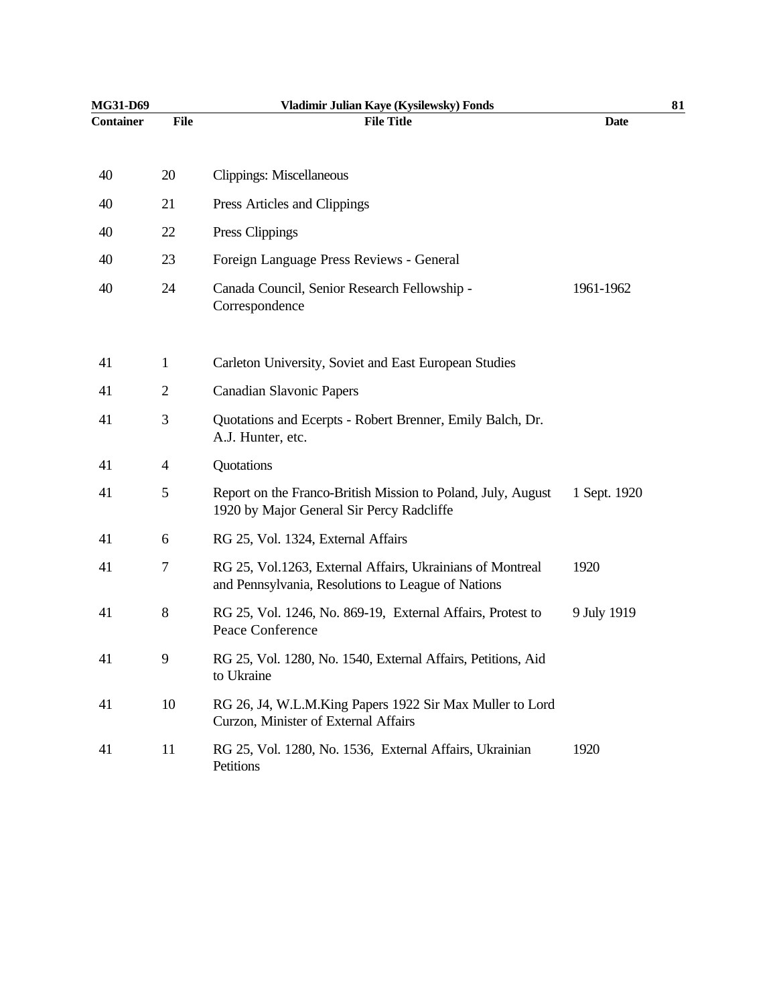| MG31-D69         |                | Vladimir Julian Kaye (Kysilewsky) Fonds                                                                         |              | 81 |
|------------------|----------------|-----------------------------------------------------------------------------------------------------------------|--------------|----|
| <b>Container</b> | <b>File</b>    | <b>File Title</b>                                                                                               | <b>Date</b>  |    |
| 40               | 20             | Clippings: Miscellaneous                                                                                        |              |    |
|                  |                |                                                                                                                 |              |    |
| 40               | 21             | Press Articles and Clippings                                                                                    |              |    |
| 40               | 22             | Press Clippings                                                                                                 |              |    |
| 40               | 23             | Foreign Language Press Reviews - General                                                                        |              |    |
| 40               | 24             | Canada Council, Senior Research Fellowship -<br>Correspondence                                                  | 1961-1962    |    |
| 41               | $\mathbf{1}$   | Carleton University, Soviet and East European Studies                                                           |              |    |
| 41               | $\overline{2}$ | <b>Canadian Slavonic Papers</b>                                                                                 |              |    |
| 41               | 3              | Quotations and Ecerpts - Robert Brenner, Emily Balch, Dr.<br>A.J. Hunter, etc.                                  |              |    |
| 41               | $\overline{4}$ | Quotations                                                                                                      |              |    |
| 41               | 5              | Report on the Franco-British Mission to Poland, July, August<br>1920 by Major General Sir Percy Radcliffe       | 1 Sept. 1920 |    |
| 41               | 6              | RG 25, Vol. 1324, External Affairs                                                                              |              |    |
| 41               | 7              | RG 25, Vol.1263, External Affairs, Ukrainians of Montreal<br>and Pennsylvania, Resolutions to League of Nations | 1920         |    |
| 41               | 8              | RG 25, Vol. 1246, No. 869-19, External Affairs, Protest to<br>Peace Conference                                  | 9 July 1919  |    |
| 41               | 9              | RG 25, Vol. 1280, No. 1540, External Affairs, Petitions, Aid<br>to Ukraine                                      |              |    |
| 41               | 10             | RG 26, J4, W.L.M.King Papers 1922 Sir Max Muller to Lord<br>Curzon, Minister of External Affairs                |              |    |
| 41               | 11             | RG 25, Vol. 1280, No. 1536, External Affairs, Ukrainian<br>Petitions                                            | 1920         |    |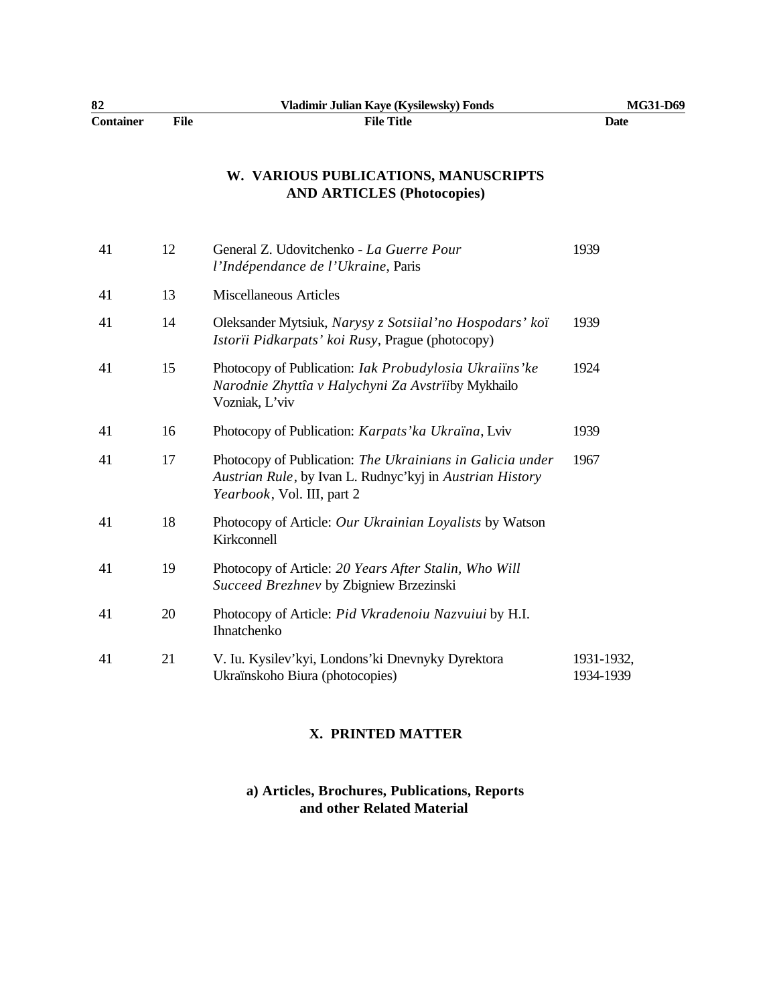| 82               |      | Vladimir Julian Kaye (Kysilewsky) Fonds | MG31-D69 |
|------------------|------|-----------------------------------------|----------|
| <b>Container</b> | File | <b>File Title</b>                       | Date     |

# **W. VARIOUS PUBLICATIONS, MANUSCRIPTS AND ARTICLES (Photocopies)**

| 41 | 12 | General Z. Udovitchenko - La Guerre Pour<br>l'Indépendance de l'Ukraine, Paris                                                                              | 1939                    |
|----|----|-------------------------------------------------------------------------------------------------------------------------------------------------------------|-------------------------|
| 41 | 13 | <b>Miscellaneous Articles</b>                                                                                                                               |                         |
| 41 | 14 | Oleksander Mytsiuk, Narysy z Sotsiial'no Hospodars' koï<br>Istorii Pidkarpats' koi Rusy, Prague (photocopy)                                                 | 1939                    |
| 41 | 15 | Photocopy of Publication: Iak Probudylosia Ukraiïns'ke<br>Narodnie Zhyttîa v Halychyni Za Avstriiby Mykhailo<br>Vozniak, L'viv                              | 1924                    |
| 41 | 16 | Photocopy of Publication: Karpats' ka Ukraïna, Lviv                                                                                                         | 1939                    |
| 41 | 17 | Photocopy of Publication: The Ukrainians in Galicia under<br>Austrian Rule, by Ivan L. Rudnyc'kyj in Austrian History<br><i>Yearbook</i> , Vol. III, part 2 | 1967                    |
| 41 | 18 | Photocopy of Article: Our Ukrainian Loyalists by Watson<br>Kirkconnell                                                                                      |                         |
| 41 | 19 | Photocopy of Article: 20 Years After Stalin, Who Will<br>Succeed Brezhnev by Zbigniew Brzezinski                                                            |                         |
| 41 | 20 | Photocopy of Article: Pid Vkradenoiu Nazvuiui by H.I.<br>Ihnatchenko                                                                                        |                         |
| 41 | 21 | V. Iu. Kysilev'kyi, Londons'ki Dnevnyky Dyrektora<br>Ukraïnskoho Biura (photocopies)                                                                        | 1931-1932,<br>1934-1939 |
|    |    |                                                                                                                                                             |                         |

# **X. PRINTED MATTER**

### **a) Articles, Brochures, Publications, Reports and other Related Material**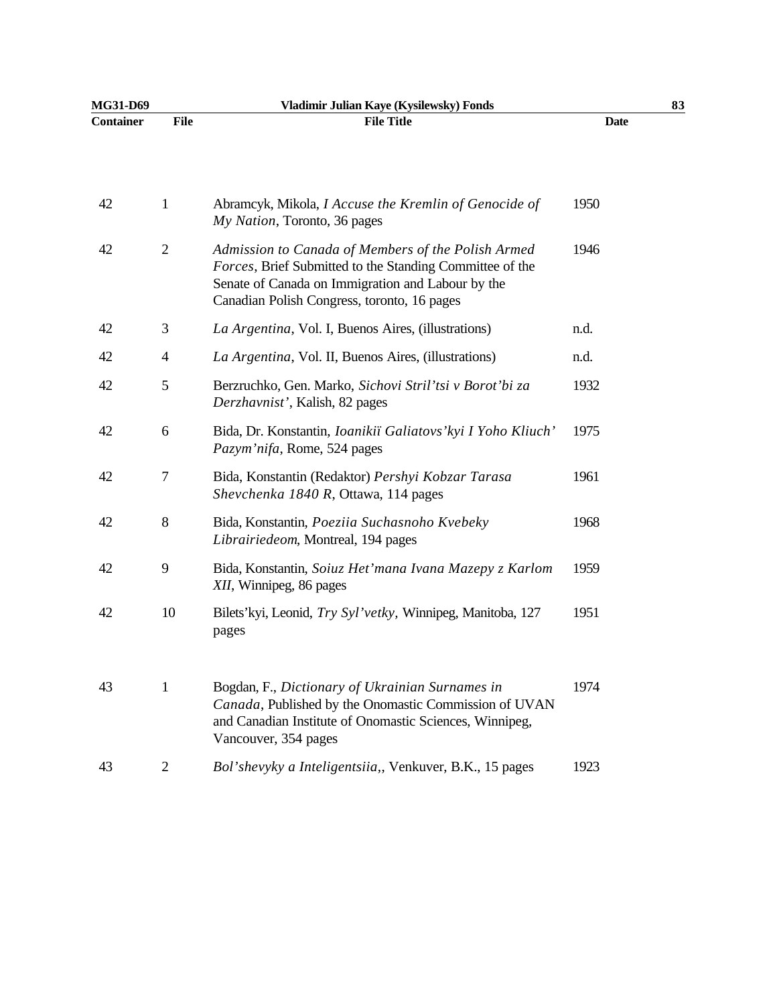| MG31-D69         |                | Vladimir Julian Kaye (Kysilewsky) Fonds                                                                                                                                                                            |             | 83 |
|------------------|----------------|--------------------------------------------------------------------------------------------------------------------------------------------------------------------------------------------------------------------|-------------|----|
| <b>Container</b> | <b>File</b>    | <b>File Title</b>                                                                                                                                                                                                  | <b>Date</b> |    |
| 42               | 1              | Abramcyk, Mikola, <i>I Accuse the Kremlin of Genocide of</i><br>My Nation, Toronto, 36 pages                                                                                                                       | 1950        |    |
| 42               | $\overline{2}$ | Admission to Canada of Members of the Polish Armed<br>Forces, Brief Submitted to the Standing Committee of the<br>Senate of Canada on Immigration and Labour by the<br>Canadian Polish Congress, toronto, 16 pages | 1946        |    |
| 42               | 3              | La Argentina, Vol. I, Buenos Aires, (illustrations)                                                                                                                                                                | n.d.        |    |
| 42               | $\overline{4}$ | La Argentina, Vol. II, Buenos Aires, (illustrations)                                                                                                                                                               | n.d.        |    |
| 42               | 5              | Berzruchko, Gen. Marko, Sichovi Stril'tsi v Borot'bi za<br>Derzhavnist', Kalish, 82 pages                                                                                                                          | 1932        |    |
| 42               | 6              | Bida, Dr. Konstantin, Ioanikiï Galiatovs' kyi I Yoho Kliuch'<br>Pazym'nifa, Rome, 524 pages                                                                                                                        | 1975        |    |
| 42               | 7              | Bida, Konstantin (Redaktor) Pershyi Kobzar Tarasa<br>Shevchenka 1840 R, Ottawa, 114 pages                                                                                                                          | 1961        |    |
| 42               | $8\,$          | Bida, Konstantin, Poeziia Suchasnoho Kvebeky<br>Librairiedeom, Montreal, 194 pages                                                                                                                                 | 1968        |    |
| 42               | 9              | Bida, Konstantin, Soiuz Het'mana Ivana Mazepy z Karlom<br>XII, Winnipeg, 86 pages                                                                                                                                  | 1959        |    |
| 42               | 10             | Bilets'kyi, Leonid, Try Syl'vetky, Winnipeg, Manitoba, 127<br>pages                                                                                                                                                | 1951        |    |
| 43               | $\mathbf{1}$   | Bogdan, F., Dictionary of Ukrainian Surnames in<br>Canada, Published by the Onomastic Commission of UVAN<br>and Canadian Institute of Onomastic Sciences, Winnipeg,<br>Vancouver, 354 pages                        | 1974        |    |
| 43               | 2              | Bol'shevyky a Inteligentsiia,, Venkuver, B.K., 15 pages                                                                                                                                                            | 1923        |    |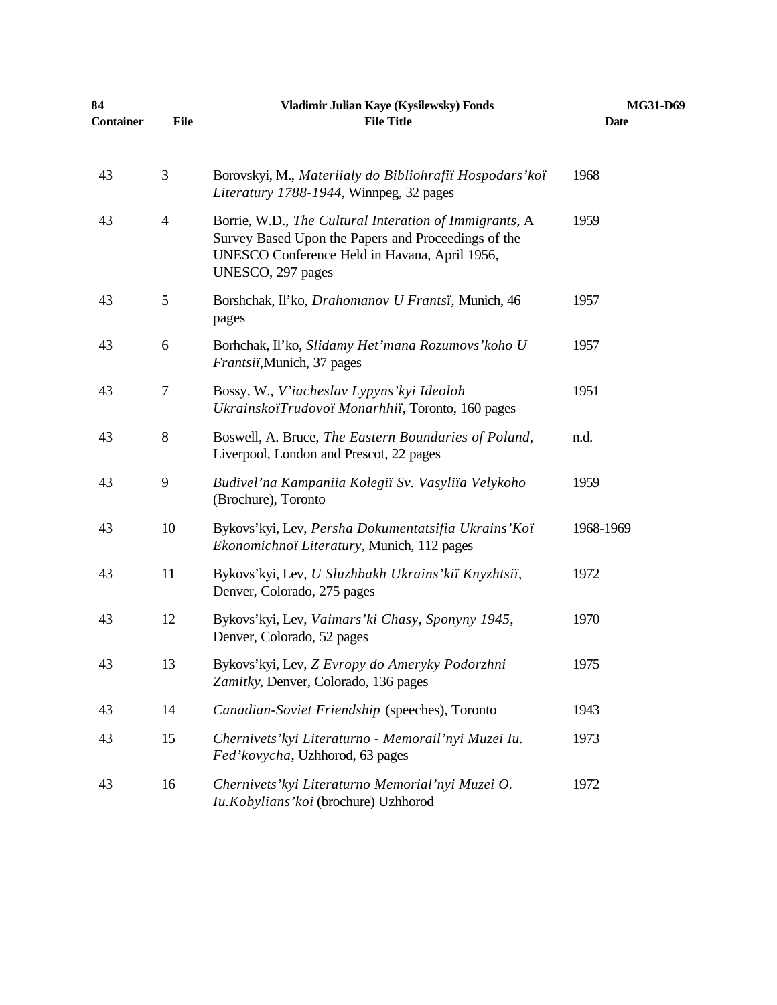| 84               |                | Vladimir Julian Kaye (Kysilewsky) Fonds                                                                                                                                             | MG31-D69    |
|------------------|----------------|-------------------------------------------------------------------------------------------------------------------------------------------------------------------------------------|-------------|
| <b>Container</b> | <b>File</b>    | <b>File Title</b>                                                                                                                                                                   | <b>Date</b> |
| 43               | 3              | Borovskyi, M., Materiialy do Bibliohrafiï Hospodars' koï<br>Literatury 1788-1944, Winnpeg, 32 pages                                                                                 | 1968        |
| 43               | $\overline{4}$ | Borrie, W.D., The Cultural Interation of Immigrants, A<br>Survey Based Upon the Papers and Proceedings of the<br>UNESCO Conference Held in Havana, April 1956,<br>UNESCO, 297 pages | 1959        |
| 43               | 5              | Borshchak, Il'ko, Drahomanov U Frantsi, Munich, 46<br>pages                                                                                                                         | 1957        |
| 43               | 6              | Borhchak, II'ko, Slidamy Het'mana Rozumovs' koho U<br>Frantsii, Munich, 37 pages                                                                                                    | 1957        |
| 43               | 7              | Bossy, W., V'iacheslav Lypyns' kyi Ideoloh<br>UkrainskoïTrudovoï Monarhhiï, Toronto, 160 pages                                                                                      | 1951        |
| 43               | 8              | Boswell, A. Bruce, The Eastern Boundaries of Poland,<br>Liverpool, London and Prescot, 22 pages                                                                                     | n.d.        |
| 43               | $\overline{9}$ | Budivel'na Kampaniia Kolegiï Sv. Vasyliïa Velykoho<br>(Brochure), Toronto                                                                                                           | 1959        |
| 43               | 10             | Bykovs'kyi, Lev, Persha Dokumentatsifia Ukrains'Koï<br>Ekonomichnoï Literatury, Munich, 112 pages                                                                                   | 1968-1969   |
| 43               | 11             | Bykovs'kyi, Lev, U Sluzhbakh Ukrains'kiï Knyzhtsiï,<br>Denver, Colorado, 275 pages                                                                                                  | 1972        |
| 43               | 12             | Bykovs'kyi, Lev, Vaimars' ki Chasy, Sponyny 1945,<br>Denver, Colorado, 52 pages                                                                                                     | 1970        |
| 43               | 13             | Bykovs'kyi, Lev, Z Evropy do Ameryky Podorzhni<br>Zamitky, Denver, Colorado, 136 pages                                                                                              | 1975        |
| 43               | 14             | Canadian-Soviet Friendship (speeches), Toronto                                                                                                                                      | 1943        |
| 43               | 15             | Chernivets' kyi Literaturno - Memorail' nyi Muzei Iu.<br>Fed'kovycha, Uzhhorod, 63 pages                                                                                            | 1973        |
| 43               | 16             | Chernivets' kyi Literaturno Memorial' nyi Muzei O.<br>Iu.Kobylians' koi (brochure) Uzhhorod                                                                                         | 1972        |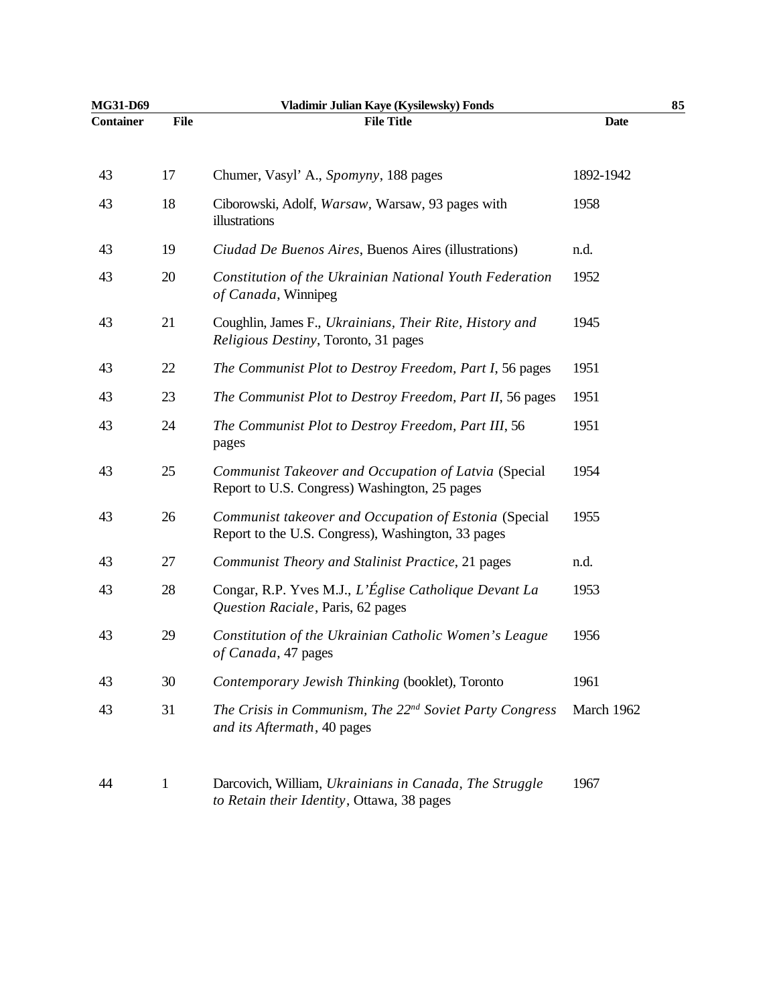| <b>Date</b><br>1892-1942<br>1958<br>n.d.<br>1952<br>1945 |  |
|----------------------------------------------------------|--|
|                                                          |  |
|                                                          |  |
|                                                          |  |
|                                                          |  |
|                                                          |  |
|                                                          |  |
| 1951                                                     |  |
| 1951                                                     |  |
| 1951                                                     |  |
| 1954                                                     |  |
| 1955                                                     |  |
| n.d.                                                     |  |
| 1953                                                     |  |
| 1956                                                     |  |
| 1961                                                     |  |
| March 1962                                               |  |
| 1967                                                     |  |
|                                                          |  |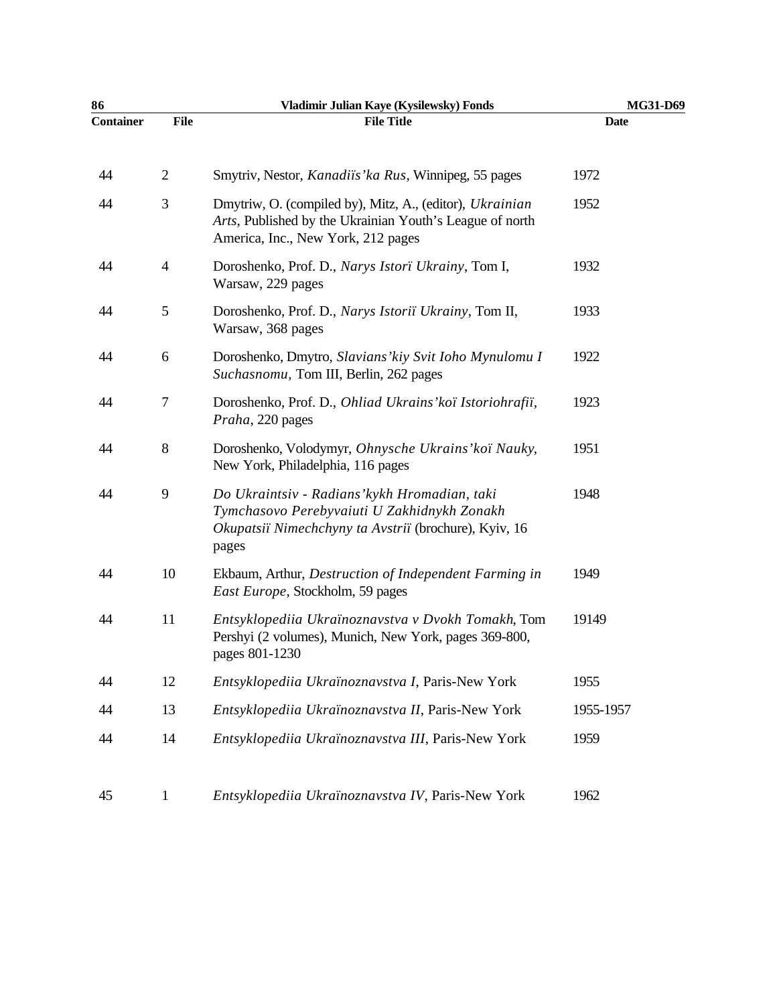| 86               |                | Vladimir Julian Kaye (Kysilewsky) Fonds                                                                                                                        | MG31-D69    |
|------------------|----------------|----------------------------------------------------------------------------------------------------------------------------------------------------------------|-------------|
| <b>Container</b> | <b>File</b>    | <b>File Title</b>                                                                                                                                              | <b>Date</b> |
| 44               | $\overline{2}$ | Smytriv, Nestor, <i>Kanadiïs'ka Rus</i> , Winnipeg, 55 pages                                                                                                   | 1972        |
| 44               | 3              | Dmytriw, O. (compiled by), Mitz, A., (editor), Ukrainian<br>Arts, Published by the Ukrainian Youth's League of north<br>America, Inc., New York, 212 pages     | 1952        |
| 44               | $\overline{4}$ | Doroshenko, Prof. D., Narys Istori Ukrainy, Tom I,<br>Warsaw, 229 pages                                                                                        | 1932        |
| 44               | 5              | Doroshenko, Prof. D., Narys Istoriï Ukrainy, Tom II,<br>Warsaw, 368 pages                                                                                      | 1933        |
| 44               | 6              | Doroshenko, Dmytro, Slavians' kiy Svit Ioho Mynulomu I<br>Suchasnomu, Tom III, Berlin, 262 pages                                                               | 1922        |
| 44               | 7              | Doroshenko, Prof. D., Ohliad Ukrains' koï Istoriohrafii,<br>Praha, 220 pages                                                                                   | 1923        |
| 44               | $8\,$          | Doroshenko, Volodymyr, Ohnysche Ukrains' koï Nauky,<br>New York, Philadelphia, 116 pages                                                                       | 1951        |
| 44               | 9              | Do Ukraintsiv - Radians' kykh Hromadian, taki<br>Tymchasovo Perebyvaiuti U Zakhidnykh Zonakh<br>Okupatsiï Nimechchyny ta Avstriï (brochure), Kyiv, 16<br>pages | 1948        |
| 44               | 10             | Ekbaum, Arthur, Destruction of Independent Farming in<br>East Europe, Stockholm, 59 pages                                                                      | 1949        |
| 44               | 11             | Entsyklopediia Ukraïnoznavstva v Dvokh Tomakh, Tom<br>Pershyi (2 volumes), Munich, New York, pages 369-800,<br>pages 801-1230                                  | 19149       |
| 44               | 12             | Entsyklopediia Ukraïnoznavstva I, Paris-New York                                                                                                               | 1955        |
| 44               | 13             | Entsyklopediia Ukraïnoznavstva II, Paris-New York                                                                                                              | 1955-1957   |
| 44               | 14             | Entsyklopediia Ukraïnoznavstva III, Paris-New York                                                                                                             | 1959        |
| 45               | $\mathbf{1}$   | Entsyklopediia Ukraïnoznavstva IV, Paris-New York                                                                                                              | 1962        |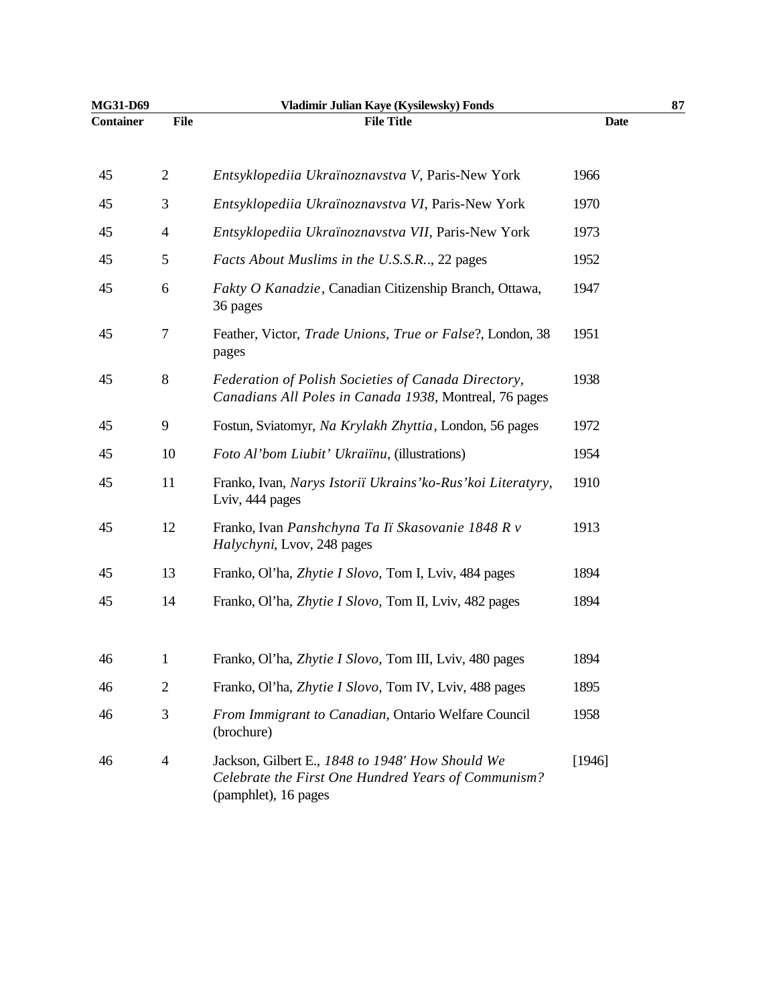| MG31-D69         |                | Vladimir Julian Kaye (Kysilewsky) Fonds                                                                                         |             | 87 |
|------------------|----------------|---------------------------------------------------------------------------------------------------------------------------------|-------------|----|
| <b>Container</b> | <b>File</b>    | <b>File Title</b>                                                                                                               | <b>Date</b> |    |
| 45               | $\mathbf{2}$   | Entsyklopediia Ukraïnoznavstva V, Paris-New York                                                                                | 1966        |    |
| 45               | 3              | Entsyklopediia Ukraïnoznavstva VI, Paris-New York                                                                               | 1970        |    |
| 45               | $\overline{4}$ | Entsyklopediia Ukraïnoznavstva VII, Paris-New York                                                                              | 1973        |    |
| 45               | 5              | Facts About Muslims in the U.S.S.R., 22 pages                                                                                   | 1952        |    |
| 45               | 6              | Fakty O Kanadzie, Canadian Citizenship Branch, Ottawa,<br>36 pages                                                              | 1947        |    |
| 45               | 7              | Feather, Victor, Trade Unions, True or False?, London, 38<br>pages                                                              | 1951        |    |
| 45               | 8              | Federation of Polish Societies of Canada Directory,<br>Canadians All Poles in Canada 1938, Montreal, 76 pages                   | 1938        |    |
| 45               | 9              | Fostun, Sviatomyr, Na Krylakh Zhyttia, London, 56 pages                                                                         | 1972        |    |
| 45               | 10             | Foto Al'bom Liubit' Ukraiïnu, (illustrations)                                                                                   | 1954        |    |
| 45               | 11             | Franko, Ivan, Narys Istoriï Ukrains' ko-Rus' koi Literatyry,<br>Lviv, 444 pages                                                 | 1910        |    |
| 45               | 12             | Franko, Ivan Panshchyna Ta Iï Skasovanie 1848 R v<br>Halychyni, Lvov, 248 pages                                                 | 1913        |    |
| 45               | 13             | Franko, Ol'ha, Zhytie I Slovo, Tom I, Lviv, 484 pages                                                                           | 1894        |    |
| 45               | 14             | Franko, Ol'ha, Zhytie I Slovo, Tom II, Lviv, 482 pages                                                                          | 1894        |    |
| 46               | $\mathbf 1$    | Franko, Ol'ha, Zhytie I Slovo, Tom III, Lviv, 480 pages                                                                         | 1894        |    |
| 46               | $\overline{2}$ | Franko, Ol'ha, Zhytie I Slovo, Tom IV, Lviv, 488 pages                                                                          | 1895        |    |
| 46               | 3              | From Immigrant to Canadian, Ontario Welfare Council<br>(brochure)                                                               | 1958        |    |
| 46               | $\overline{4}$ | Jackson, Gilbert E., 1848 to 1948' How Should We<br>Celebrate the First One Hundred Years of Communism?<br>(pamphlet), 16 pages | [1946]      |    |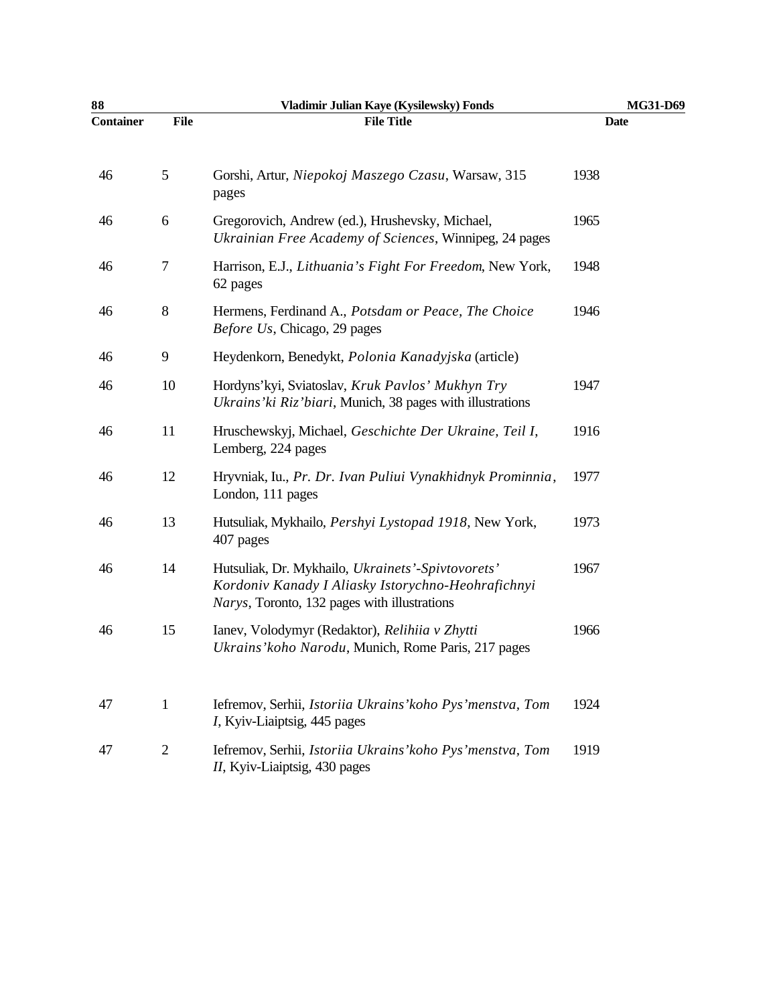| 88               |                  | Vladimir Julian Kaye (Kysilewsky) Fonds                                                                                                                 | MG31-D69 |
|------------------|------------------|---------------------------------------------------------------------------------------------------------------------------------------------------------|----------|
| <b>Container</b> | <b>File</b>      | <b>File Title</b>                                                                                                                                       | Date     |
| 46               | $\mathfrak{S}$   | Gorshi, Artur, Niepokoj Maszego Czasu, Warsaw, 315<br>pages                                                                                             | 1938     |
| 46               | $\boldsymbol{6}$ | Gregorovich, Andrew (ed.), Hrushevsky, Michael,<br>Ukrainian Free Academy of Sciences, Winnipeg, 24 pages                                               | 1965     |
| 46               | $\tau$           | Harrison, E.J., Lithuania's Fight For Freedom, New York,<br>62 pages                                                                                    | 1948     |
| 46               | $\,8\,$          | Hermens, Ferdinand A., Potsdam or Peace, The Choice<br>Before Us, Chicago, 29 pages                                                                     | 1946     |
| 46               | 9                | Heydenkorn, Benedykt, Polonia Kanadyjska (article)                                                                                                      |          |
| 46               | 10               | Hordyns'kyi, Sviatoslav, Kruk Pavlos' Mukhyn Try<br>Ukrains' ki Riz' biari, Munich, 38 pages with illustrations                                         | 1947     |
| 46               | 11               | Hruschewskyj, Michael, Geschichte Der Ukraine, Teil I,<br>Lemberg, 224 pages                                                                            | 1916     |
| 46               | 12               | Hryvniak, Iu., Pr. Dr. Ivan Puliui Vynakhidnyk Prominnia,<br>London, 111 pages                                                                          | 1977     |
| 46               | 13               | Hutsuliak, Mykhailo, Pershyi Lystopad 1918, New York,<br>407 pages                                                                                      | 1973     |
| 46               | 14               | Hutsuliak, Dr. Mykhailo, Ukrainets'-Spivtovorets'<br>Kordoniv Kanady I Aliasky Istorychno-Heohrafichnyi<br>Narys, Toronto, 132 pages with illustrations | 1967     |
| 46               | 15               | Ianev, Volodymyr (Redaktor), Relihiia v Zhytti<br>Ukrains' koho Narodu, Munich, Rome Paris, 217 pages                                                   | 1966     |
| 47               | $\mathbf{1}$     | Iefremov, Serhii, Istoriia Ukrains' koho Pys' menstva, Tom<br>I, Kyiv-Liaiptsig, 445 pages                                                              | 1924     |
| 47               | $\overline{2}$   | Iefremov, Serhii, Istoriia Ukrains' koho Pys' menstva, Tom<br>II, Kyiv-Liaiptsig, 430 pages                                                             | 1919     |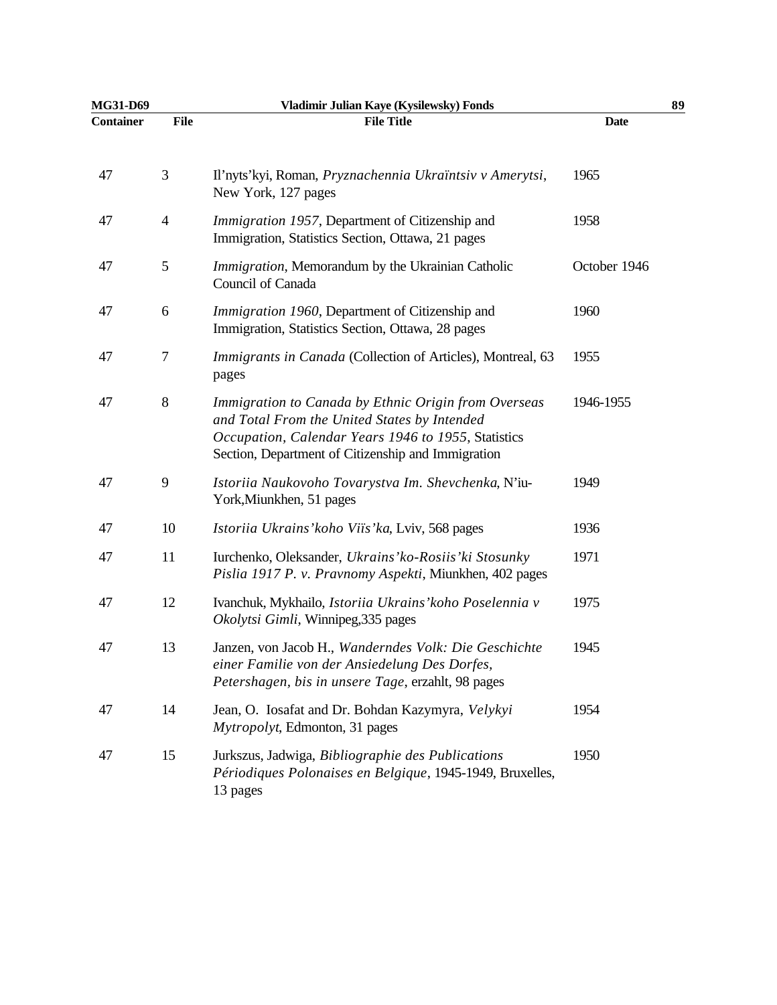| MG31-D69         |                | Vladimir Julian Kaye (Kysilewsky) Fonds                                                                                                                                                                           |              | 89 |
|------------------|----------------|-------------------------------------------------------------------------------------------------------------------------------------------------------------------------------------------------------------------|--------------|----|
| <b>Container</b> | <b>File</b>    | <b>File Title</b>                                                                                                                                                                                                 | <b>Date</b>  |    |
| 47               | 3              | Il'nyts'kyi, Roman, Pryznachennia Ukraïntsiv v Amerytsi,<br>New York, 127 pages                                                                                                                                   | 1965         |    |
| 47               | $\overline{4}$ | Immigration 1957, Department of Citizenship and<br>Immigration, Statistics Section, Ottawa, 21 pages                                                                                                              | 1958         |    |
| 47               | 5              | Immigration, Memorandum by the Ukrainian Catholic<br>Council of Canada                                                                                                                                            | October 1946 |    |
| 47               | 6              | Immigration 1960, Department of Citizenship and<br>Immigration, Statistics Section, Ottawa, 28 pages                                                                                                              | 1960         |    |
| 47               | 7              | Immigrants in Canada (Collection of Articles), Montreal, 63<br>pages                                                                                                                                              | 1955         |    |
| 47               | 8              | Immigration to Canada by Ethnic Origin from Overseas<br>and Total From the United States by Intended<br>Occupation, Calendar Years 1946 to 1955, Statistics<br>Section, Department of Citizenship and Immigration | 1946-1955    |    |
| 47               | 9              | Istoriia Naukovoho Tovarystva Im. Shevchenka, N'iu-<br>York, Miunkhen, 51 pages                                                                                                                                   | 1949         |    |
| 47               | 10             | Istoriia Ukrains' koho Viis' ka, Lviv, 568 pages                                                                                                                                                                  | 1936         |    |
| 47               | 11             | Iurchenko, Oleksander, Ukrains' ko-Rosiis' ki Stosunky<br>Pislia 1917 P. v. Pravnomy Aspekti, Miunkhen, 402 pages                                                                                                 | 1971         |    |
| 47               | 12             | Ivanchuk, Mykhailo, Istoriia Ukrains' koho Poselennia v<br>Okolytsi Gimli, Winnipeg, 335 pages                                                                                                                    | 1975         |    |
| 47               | 13             | Janzen, von Jacob H., Wanderndes Volk: Die Geschichte<br>einer Familie von der Ansiedelung Des Dorfes,<br>Petershagen, bis in unsere Tage, erzahlt, 98 pages                                                      | 1945         |    |
| 47               | 14             | Jean, O. Iosafat and Dr. Bohdan Kazymyra, Velykyi<br>Mytropolyt, Edmonton, 31 pages                                                                                                                               | 1954         |    |
| 47               | 15             | Jurkszus, Jadwiga, Bibliographie des Publications<br>Périodiques Polonaises en Belgique, 1945-1949, Bruxelles,<br>13 pages                                                                                        | 1950         |    |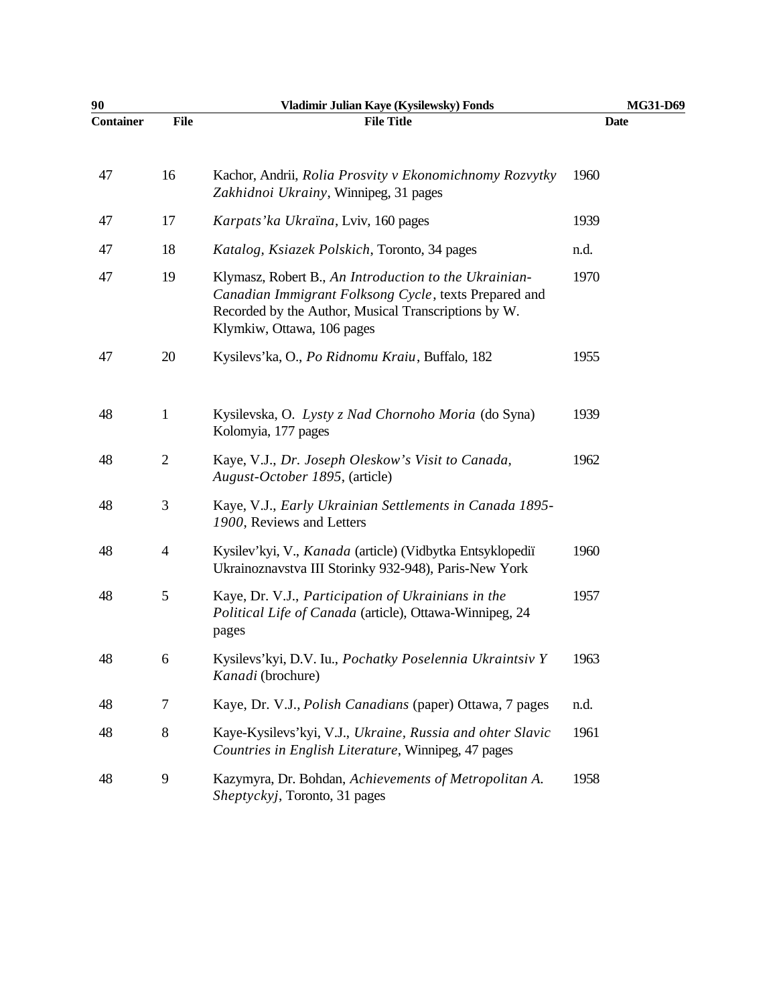| 90               |                | Vladimir Julian Kaye (Kysilewsky) Fonds                                                                                                                                                              | MG31-D69 |
|------------------|----------------|------------------------------------------------------------------------------------------------------------------------------------------------------------------------------------------------------|----------|
| <b>Container</b> | <b>File</b>    | <b>File Title</b>                                                                                                                                                                                    | Date     |
| 47               | 16             | Kachor, Andrii, Rolia Prosvity v Ekonomichnomy Rozvytky<br>Zakhidnoi Ukrainy, Winnipeg, 31 pages                                                                                                     | 1960     |
| 47               | 17             | Karpats' ka Ukraïna, Lviv, 160 pages                                                                                                                                                                 | 1939     |
| 47               | 18             | Katalog, Ksiazek Polskich, Toronto, 34 pages                                                                                                                                                         | n.d.     |
| 47               | 19             | Klymasz, Robert B., An Introduction to the Ukrainian-<br>Canadian Immigrant Folksong Cycle, texts Prepared and<br>Recorded by the Author, Musical Transcriptions by W.<br>Klymkiw, Ottawa, 106 pages | 1970     |
| 47               | 20             | Kysilevs'ka, O., Po Ridnomu Kraiu, Buffalo, 182                                                                                                                                                      | 1955     |
| 48               | $\mathbf{1}$   | Kysilevska, O. Lysty z Nad Chornoho Moria (do Syna)<br>Kolomyia, 177 pages                                                                                                                           | 1939     |
| 48               | $\mathbf{2}$   | Kaye, V.J., Dr. Joseph Oleskow's Visit to Canada,<br>August-October 1895, (article)                                                                                                                  | 1962     |
| 48               | $\mathfrak{Z}$ | Kaye, V.J., Early Ukrainian Settlements in Canada 1895-<br>1900, Reviews and Letters                                                                                                                 |          |
| 48               | $\overline{4}$ | Kysilev'kyi, V., Kanada (article) (Vidbytka Entsyklopediï<br>Ukrainoznavstva III Storinky 932-948), Paris-New York                                                                                   | 1960     |
| 48               | $\mathfrak{S}$ | Kaye, Dr. V.J., Participation of Ukrainians in the<br>Political Life of Canada (article), Ottawa-Winnipeg, 24<br>pages                                                                               | 1957     |
| 48               | 6              | Kysilevs'kyi, D.V. Iu., Pochatky Poselennia Ukraintsiv Y<br>Kanadi (brochure)                                                                                                                        | 1963     |
| 48               | $\tau$         | Kaye, Dr. V.J., <i>Polish Canadians</i> (paper) Ottawa, 7 pages                                                                                                                                      | n.d.     |
| 48               | 8              | Kaye-Kysilevs'kyi, V.J., Ukraine, Russia and ohter Slavic<br>Countries in English Literature, Winnipeg, 47 pages                                                                                     | 1961     |
| 48               | 9              | Kazymyra, Dr. Bohdan, Achievements of Metropolitan A.<br>Sheptyckyj, Toronto, 31 pages                                                                                                               | 1958     |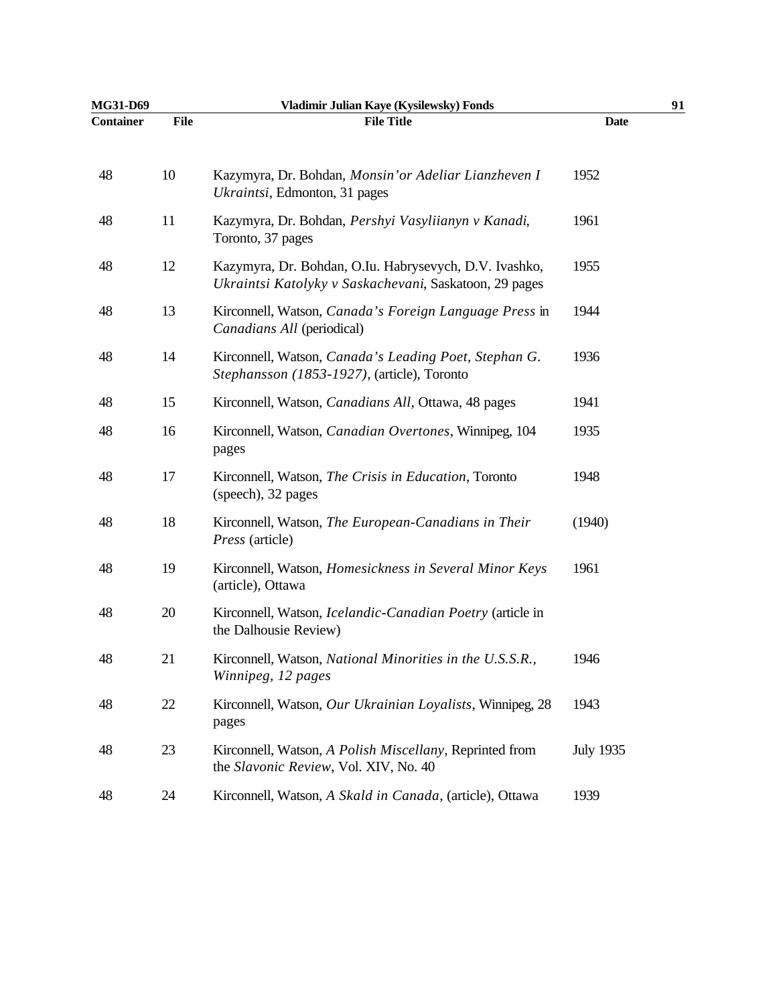| MG31-D69         |             | Vladimir Julian Kaye (Kysilewsky) Fonds                                                                          |                  | 91 |
|------------------|-------------|------------------------------------------------------------------------------------------------------------------|------------------|----|
| <b>Container</b> | <b>File</b> | <b>File Title</b>                                                                                                | <b>Date</b>      |    |
| 48               | 10          | Kazymyra, Dr. Bohdan, Monsin' or Adeliar Lianzheven I<br>Ukraintsi, Edmonton, 31 pages                           | 1952             |    |
| 48               | 11          | Kazymyra, Dr. Bohdan, Pershyi Vasyliianyn v Kanadi,<br>Toronto, 37 pages                                         | 1961             |    |
| 48               | 12          | Kazymyra, Dr. Bohdan, O.Iu. Habrysevych, D.V. Ivashko,<br>Ukraintsi Katolyky v Saskachevani, Saskatoon, 29 pages | 1955             |    |
| 48               | 13          | Kirconnell, Watson, Canada's Foreign Language Press in<br>Canadians All (periodical)                             | 1944             |    |
| 48               | 14          | Kirconnell, Watson, Canada's Leading Poet, Stephan G.<br>Stephansson (1853-1927), (article), Toronto             | 1936             |    |
| 48               | 15          | Kirconnell, Watson, <i>Canadians All</i> , Ottawa, 48 pages                                                      | 1941             |    |
| 48               | 16          | Kirconnell, Watson, Canadian Overtones, Winnipeg, 104<br>pages                                                   | 1935             |    |
| 48               | 17          | Kirconnell, Watson, The Crisis in Education, Toronto<br>(speech), 32 pages                                       | 1948             |    |
| 48               | 18          | Kirconnell, Watson, The European-Canadians in Their<br>Press (article)                                           | (1940)           |    |
| 48               | 19          | Kirconnell, Watson, Homesickness in Several Minor Keys<br>(article), Ottawa                                      | 1961             |    |
| 48               | 20          | Kirconnell, Watson, <i>Icelandic-Canadian Poetry</i> (article in<br>the Dalhousie Review)                        |                  |    |
| 48               | 21          | Kirconnell, Watson, National Minorities in the U.S.S.R.,<br>Winnipeg, 12 pages                                   | 1946             |    |
| 48               | $22\,$      | Kirconnell, Watson, Our Ukrainian Loyalists, Winnipeg, 28<br>pages                                               | 1943             |    |
| 48               | 23          | Kirconnell, Watson, A Polish Miscellany, Reprinted from<br>the Slavonic Review, Vol. XIV, No. 40                 | <b>July 1935</b> |    |
| 48               | 24          | Kirconnell, Watson, A Skald in Canada, (article), Ottawa                                                         | 1939             |    |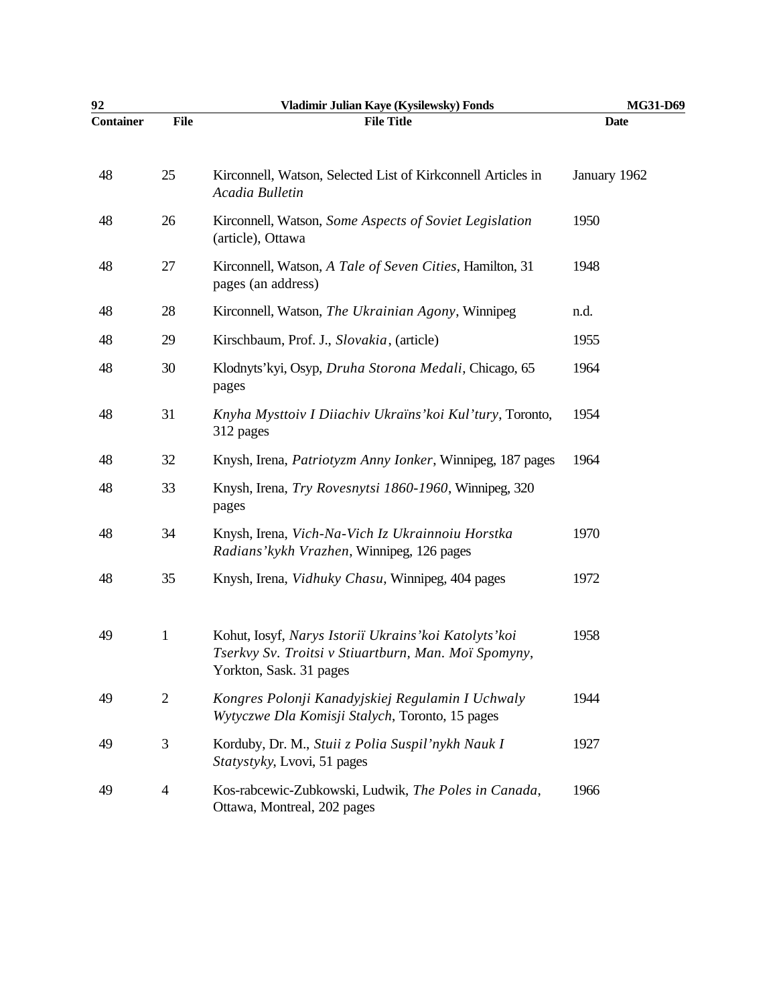| 92               |                | Vladimir Julian Kaye (Kysilewsky) Fonds                                                                                                   | MG31-D69     |
|------------------|----------------|-------------------------------------------------------------------------------------------------------------------------------------------|--------------|
| <b>Container</b> | <b>File</b>    | <b>File Title</b>                                                                                                                         | <b>Date</b>  |
| 48               | 25             | Kirconnell, Watson, Selected List of Kirkconnell Articles in<br>Acadia Bulletin                                                           | January 1962 |
| 48               | 26             | Kirconnell, Watson, Some Aspects of Soviet Legislation<br>(article), Ottawa                                                               | 1950         |
| 48               | 27             | Kirconnell, Watson, A Tale of Seven Cities, Hamilton, 31<br>pages (an address)                                                            | 1948         |
| 48               | 28             | Kirconnell, Watson, The Ukrainian Agony, Winnipeg                                                                                         | n.d.         |
| 48               | 29             | Kirschbaum, Prof. J., Slovakia, (article)                                                                                                 | 1955         |
| 48               | 30             | Klodnyts'kyi, Osyp, Druha Storona Medali, Chicago, 65<br>pages                                                                            | 1964         |
| 48               | 31             | Knyha Mysttoiv I Diiachiv Ukraïns' koi Kul'tury, Toronto,<br>312 pages                                                                    | 1954         |
| 48               | 32             | Knysh, Irena, <i>Patriotyzm Anny Ionker</i> , Winnipeg, 187 pages                                                                         | 1964         |
| 48               | 33             | Knysh, Irena, Try Rovesnytsi 1860-1960, Winnipeg, 320<br>pages                                                                            |              |
| 48               | 34             | Knysh, Irena, Vich-Na-Vich Iz Ukrainnoiu Horstka<br>Radians' kykh Vrazhen, Winnipeg, 126 pages                                            | 1970         |
| 48               | 35             | Knysh, Irena, Vidhuky Chasu, Winnipeg, 404 pages                                                                                          | 1972         |
| 49               | $\mathbf{1}$   | Kohut, Iosyf, Narys Istoriï Ukrains' koi Katolyts' koi<br>Tserkvy Sv. Troitsi v Stiuartburn, Man. Moï Spomyny,<br>Yorkton, Sask. 31 pages | 1958         |
| 49               | $\sqrt{2}$     | Kongres Polonji Kanadyjskiej Regulamin I Uchwaly<br>Wytyczwe Dla Komisji Stalych, Toronto, 15 pages                                       | 1944         |
| 49               | $\mathfrak{Z}$ | Korduby, Dr. M., Stuii z Polia Suspil'nykh Nauk I<br>Statystyky, Lvovi, 51 pages                                                          | 1927         |
| 49               | $\overline{4}$ | Kos-rabcewic-Zubkowski, Ludwik, The Poles in Canada,<br>Ottawa, Montreal, 202 pages                                                       | 1966         |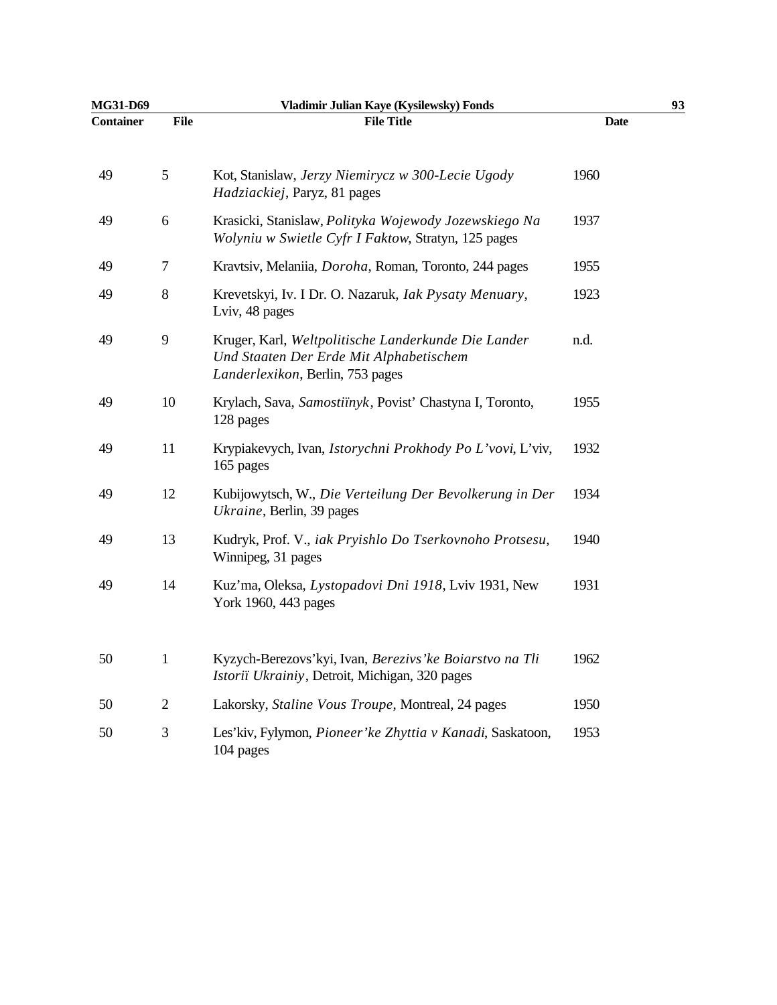| <b>MG31-D69</b>  |                | Vladimir Julian Kaye (Kysilewsky) Fonds                                                                                            |             | 93 |
|------------------|----------------|------------------------------------------------------------------------------------------------------------------------------------|-------------|----|
| <b>Container</b> | <b>File</b>    | <b>File Title</b>                                                                                                                  | <b>Date</b> |    |
| 49               | 5              | Kot, Stanislaw, Jerzy Niemirycz w 300-Lecie Ugody<br>Hadziackiej, Paryz, 81 pages                                                  | 1960        |    |
| 49               | 6              | Krasicki, Stanislaw, Polityka Wojewody Jozewskiego Na<br>Wolyniu w Swietle Cyfr I Faktow, Stratyn, 125 pages                       | 1937        |    |
| 49               | 7              | Kravtsiv, Melaniia, Doroha, Roman, Toronto, 244 pages                                                                              | 1955        |    |
| 49               | $8\,$          | Krevetskyi, Iv. I Dr. O. Nazaruk, Iak Pysaty Menuary,<br>Lviv, 48 pages                                                            | 1923        |    |
| 49               | 9              | Kruger, Karl, Weltpolitische Landerkunde Die Lander<br>Und Staaten Der Erde Mit Alphabetischem<br>Landerlexikon, Berlin, 753 pages | n.d.        |    |
| 49               | 10             | Krylach, Sava, Samostiïnyk, Povist' Chastyna I, Toronto,<br>128 pages                                                              | 1955        |    |
| 49               | 11             | Krypiakevych, Ivan, Istorychni Prokhody Po L'vovi, L'viv,<br>165 pages                                                             | 1932        |    |
| 49               | 12             | Kubijowytsch, W., Die Verteilung Der Bevolkerung in Der<br>Ukraine, Berlin, 39 pages                                               | 1934        |    |
| 49               | 13             | Kudryk, Prof. V., iak Pryishlo Do Tserkovnoho Protsesu,<br>Winnipeg, 31 pages                                                      | 1940        |    |
| 49               | 14             | Kuz'ma, Oleksa, Lystopadovi Dni 1918, Lviv 1931, New<br>York 1960, 443 pages                                                       | 1931        |    |
| 50               | $\mathbf{1}$   | Kyzych-Berezovs'kyi, Ivan, Berezivs' ke Boiarstvo na Tli<br>Istoriï Ukrainiy, Detroit, Michigan, 320 pages                         | 1962        |    |
| 50               | $\overline{2}$ | Lakorsky, Staline Vous Troupe, Montreal, 24 pages                                                                                  | 1950        |    |
| 50               | 3              | Les'kiv, Fylymon, Pioneer'ke Zhyttia v Kanadi, Saskatoon,<br>104 pages                                                             | 1953        |    |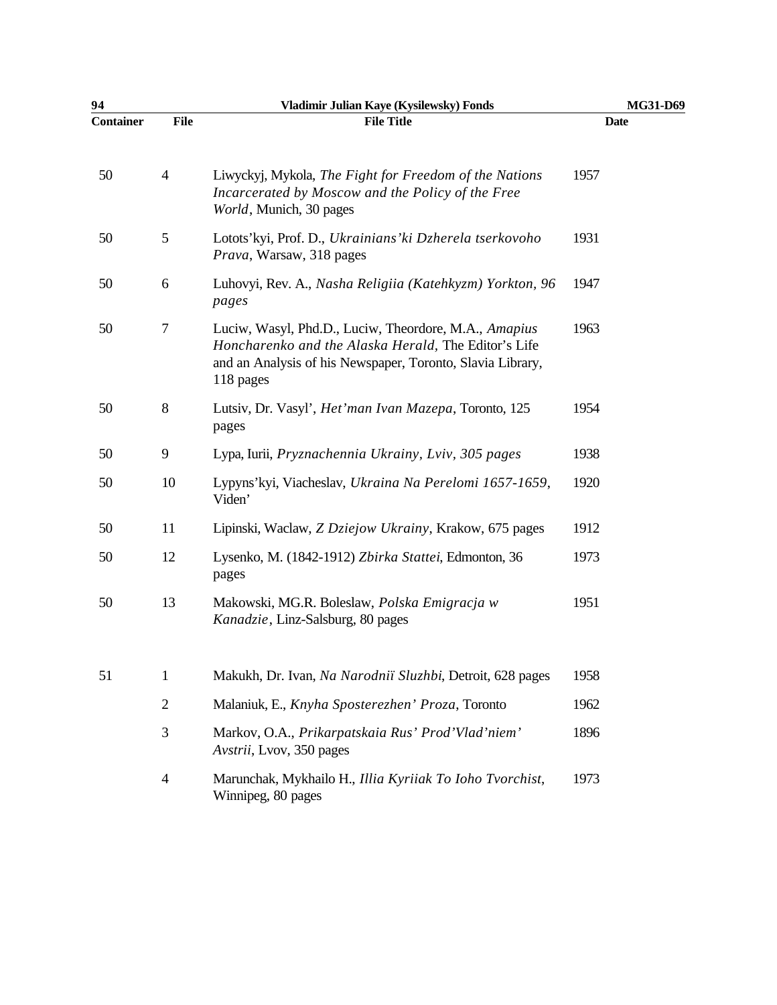| 94               |                  | Vladimir Julian Kaye (Kysilewsky) Fonds                                                                                                                                                  | MG31-D69 |
|------------------|------------------|------------------------------------------------------------------------------------------------------------------------------------------------------------------------------------------|----------|
| <b>Container</b> | <b>File</b>      | <b>File Title</b>                                                                                                                                                                        | Date     |
| 50               | $\overline{4}$   | Liwyckyj, Mykola, The Fight for Freedom of the Nations<br>Incarcerated by Moscow and the Policy of the Free<br>World, Munich, 30 pages                                                   | 1957     |
| 50               | $\mathfrak{S}$   | Lotots'kyi, Prof. D., Ukrainians' ki Dzherela tserkovoho<br>Prava, Warsaw, 318 pages                                                                                                     | 1931     |
| 50               | 6                | Luhovyi, Rev. A., Nasha Religiia (Katehkyzm) Yorkton, 96<br>pages                                                                                                                        | 1947     |
| 50               | $\boldsymbol{7}$ | Luciw, Wasyl, Phd.D., Luciw, Theordore, M.A., Amapius<br>Honcharenko and the Alaska Herald, The Editor's Life<br>and an Analysis of his Newspaper, Toronto, Slavia Library,<br>118 pages | 1963     |
| 50               | 8                | Lutsiv, Dr. Vasyl', <i>Het'man Ivan Mazepa</i> , Toronto, 125<br>pages                                                                                                                   | 1954     |
| 50               | 9                | Lypa, Iurii, Pryznachennia Ukrainy, Lviv, 305 pages                                                                                                                                      | 1938     |
| 50               | 10               | Lypyns'kyi, Viacheslav, Ukraina Na Perelomi 1657-1659,<br>Viden'                                                                                                                         | 1920     |
| 50               | 11               | Lipinski, Wacław, Z Dziejow Ukrainy, Krakow, 675 pages                                                                                                                                   | 1912     |
| 50               | 12               | Lysenko, M. (1842-1912) Zbirka Stattei, Edmonton, 36<br>pages                                                                                                                            | 1973     |
| 50               | 13               | Makowski, MG.R. Boleslaw, Polska Emigracja w<br>Kanadzie, Linz-Salsburg, 80 pages                                                                                                        | 1951     |
| 51               | $\mathbf{1}$     | Makukh, Dr. Ivan, Na Narodniï Sluzhbi, Detroit, 628 pages                                                                                                                                | 1958     |
|                  | $\mathbf{2}$     | Malaniuk, E., Knyha Sposterezhen' Proza, Toronto                                                                                                                                         | 1962     |
|                  | 3                | Markov, O.A., Prikarpatskaia Rus' Prod'Vlad'niem'<br>Avstrii, Lvov, 350 pages                                                                                                            | 1896     |
|                  | $\overline{4}$   | Marunchak, Mykhailo H., Illia Kyriiak To Ioho Tvorchist,<br>Winnipeg, 80 pages                                                                                                           | 1973     |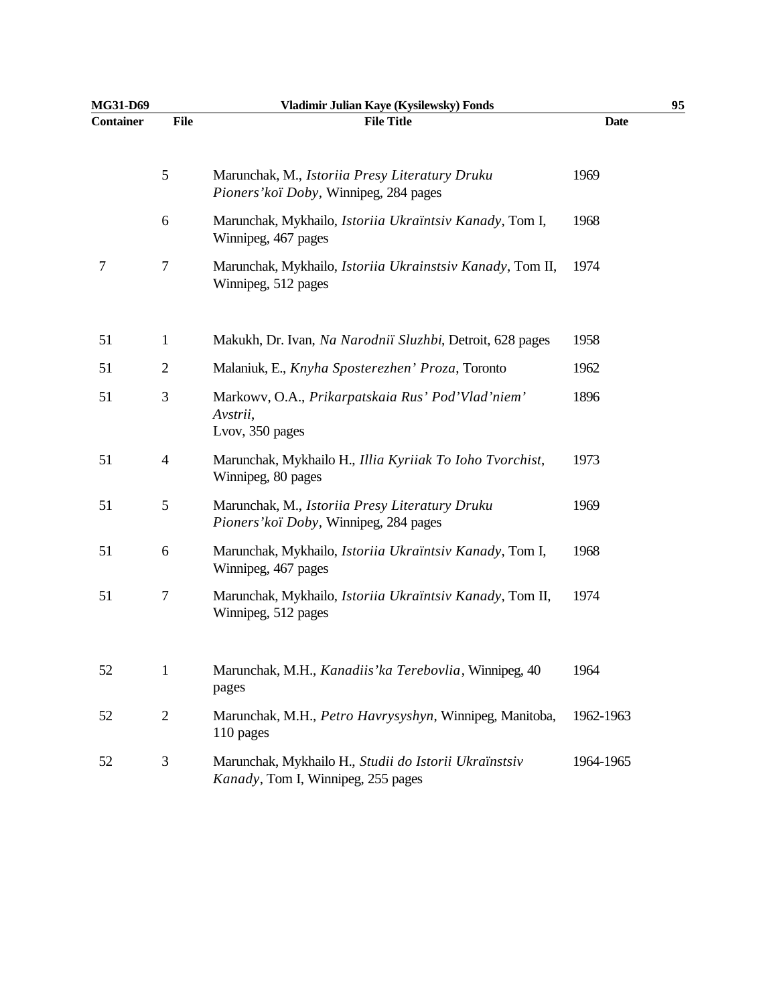| MG31-D69         |                | Vladimir Julian Kaye (Kysilewsky) Fonds                                                     | 95          |
|------------------|----------------|---------------------------------------------------------------------------------------------|-------------|
| <b>Container</b> | <b>File</b>    | <b>File Title</b>                                                                           | <b>Date</b> |
|                  | $\mathfrak{S}$ | Marunchak, M., Istoriia Presy Literatury Druku<br>Pioners' koï Doby, Winnipeg, 284 pages    | 1969        |
|                  | 6              | Marunchak, Mykhailo, Istoriia Ukraïntsiv Kanady, Tom I,<br>Winnipeg, 467 pages              | 1968        |
| 7                | $\tau$         | Marunchak, Mykhailo, Istoriia Ukrainstsiv Kanady, Tom II,<br>Winnipeg, 512 pages            | 1974        |
| 51               | $\mathbf{1}$   | Makukh, Dr. Ivan, Na Narodniï Sluzhbi, Detroit, 628 pages                                   | 1958        |
| 51               | $\overline{c}$ | Malaniuk, E., Knyha Sposterezhen' Proza, Toronto                                            | 1962        |
| 51               | 3              | Markowy, O.A., Prikarpatskaia Rus' Pod'Vlad'niem'<br>Avstrii,<br>Lvov, 350 pages            | 1896        |
| 51               | $\overline{4}$ | Marunchak, Mykhailo H., Illia Kyriiak To Ioho Tvorchist,<br>Winnipeg, 80 pages              | 1973        |
| 51               | 5              | Marunchak, M., Istoriia Presy Literatury Druku<br>Pioners' koï Doby, Winnipeg, 284 pages    | 1969        |
| 51               | 6              | Marunchak, Mykhailo, Istoriia Ukraïntsiv Kanady, Tom I,<br>Winnipeg, 467 pages              | 1968        |
| 51               | 7              | Marunchak, Mykhailo, Istoriia Ukraïntsiv Kanady, Tom II,<br>Winnipeg, 512 pages             | 1974        |
| 52               | $\mathbf{1}$   | Marunchak, M.H., Kanadiis' ka Terebovlia, Winnipeg, 40<br>pages                             | 1964        |
| 52               | $\sqrt{2}$     | Marunchak, M.H., Petro Havrysyshyn, Winnipeg, Manitoba,<br>110 pages                        | 1962-1963   |
| 52               | 3              | Marunchak, Mykhailo H., Studii do Istorii Ukraïnstsiv<br>Kanady, Tom I, Winnipeg, 255 pages | 1964-1965   |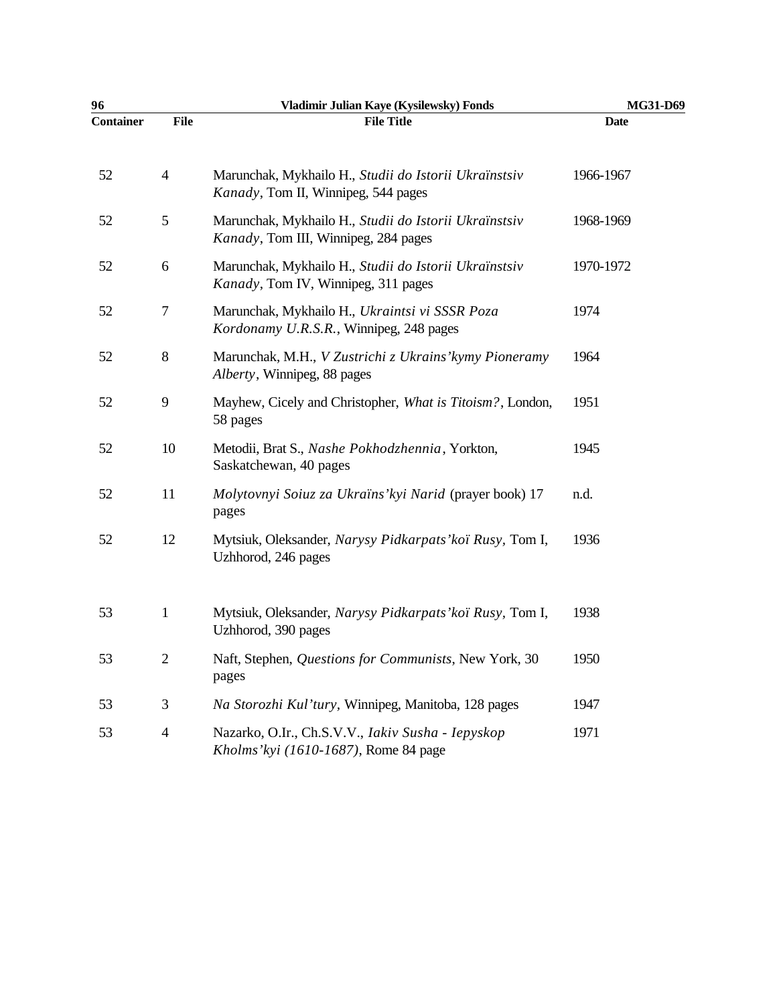| 96               |                | Vladimir Julian Kaye (Kysilewsky) Fonds                                                       | MG31-D69    |
|------------------|----------------|-----------------------------------------------------------------------------------------------|-------------|
| <b>Container</b> | <b>File</b>    | <b>File Title</b>                                                                             | <b>Date</b> |
| 52               | $\overline{4}$ | Marunchak, Mykhailo H., Studii do Istorii Ukraïnstsiv<br>Kanady, Tom II, Winnipeg, 544 pages  | 1966-1967   |
| 52               | 5              | Marunchak, Mykhailo H., Studii do Istorii Ukraïnstsiv<br>Kanady, Tom III, Winnipeg, 284 pages | 1968-1969   |
| 52               | $6\,$          | Marunchak, Mykhailo H., Studii do Istorii Ukraïnstsiv<br>Kanady, Tom IV, Winnipeg, 311 pages  | 1970-1972   |
| 52               | 7              | Marunchak, Mykhailo H., Ukraintsi vi SSSR Poza<br>Kordonamy U.R.S.R., Winnipeg, 248 pages     | 1974        |
| 52               | $8\,$          | Marunchak, M.H., V Zustrichi z Ukrains' kymy Pioneramy<br>Alberty, Winnipeg, 88 pages         | 1964        |
| 52               | 9              | Mayhew, Cicely and Christopher, What is Titoism?, London,<br>58 pages                         | 1951        |
| 52               | 10             | Metodii, Brat S., Nashe Pokhodzhennia, Yorkton,<br>Saskatchewan, 40 pages                     | 1945        |
| 52               | 11             | Molytovnyi Soiuz za Ukraïns' kyi Narid (prayer book) 17<br>pages                              | n.d.        |
| 52               | 12             | Mytsiuk, Oleksander, Narysy Pidkarpats' koï Rusy, Tom I,<br>Uzhhorod, 246 pages               | 1936        |
| 53               | $\mathbf{1}$   | Mytsiuk, Oleksander, Narysy Pidkarpats' koï Rusy, Tom I,<br>Uzhhorod, 390 pages               | 1938        |
| 53               | $\sqrt{2}$     | Naft, Stephen, Questions for Communists, New York, 30<br>pages                                | 1950        |
| 53               | $\mathfrak{Z}$ | Na Storozhi Kul'tury, Winnipeg, Manitoba, 128 pages                                           | 1947        |
| 53               | $\overline{4}$ | Nazarko, O.Ir., Ch.S.V.V., Iakiv Susha - Iepyskop<br>Kholms'kyi (1610-1687), Rome 84 page     | 1971        |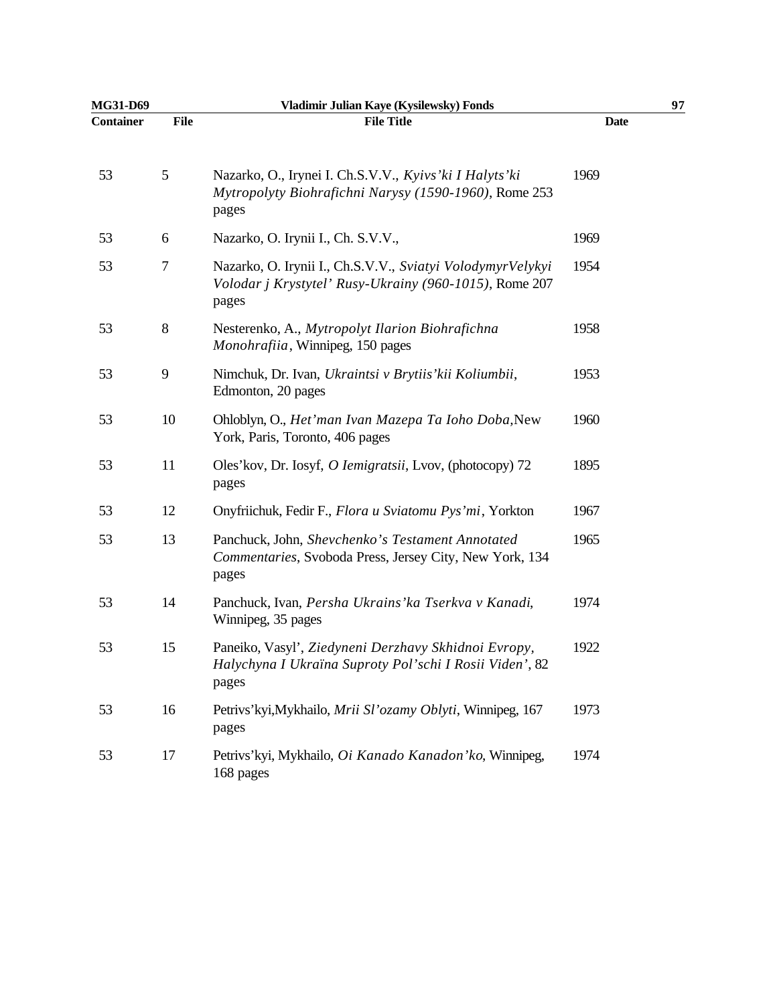| MG31-D69         |                | Vladimir Julian Kaye (Kysilewsky) Fonds                                                                                       |             | 97 |
|------------------|----------------|-------------------------------------------------------------------------------------------------------------------------------|-------------|----|
| <b>Container</b> | <b>File</b>    | <b>File Title</b>                                                                                                             | <b>Date</b> |    |
| 53               | $\mathfrak{S}$ | Nazarko, O., Irynei I. Ch.S.V.V., Kyivs'ki I Halyts'ki<br>Mytropolyty Biohrafichni Narysy (1590-1960), Rome 253<br>pages      | 1969        |    |
| 53               | 6              | Nazarko, O. Irynii I., Ch. S.V.V.,                                                                                            | 1969        |    |
| 53               | 7              | Nazarko, O. Irynii I., Ch.S.V.V., Sviatyi VolodymyrVelykyi<br>Volodar j Krystytel' Rusy-Ukrainy (960-1015), Rome 207<br>pages | 1954        |    |
| 53               | $8\,$          | Nesterenko, A., Mytropolyt Ilarion Biohrafichna<br>Monohrafiia, Winnipeg, 150 pages                                           | 1958        |    |
| 53               | 9              | Nimchuk, Dr. Ivan, Ukraintsi v Brytiis' kii Koliumbii,<br>Edmonton, 20 pages                                                  | 1953        |    |
| 53               | 10             | Ohloblyn, O., Het'man Ivan Mazepa Ta Ioho Doba, New<br>York, Paris, Toronto, 406 pages                                        | 1960        |    |
| 53               | 11             | Oles'kov, Dr. Iosyf, O Iemigratsii, Lvov, (photocopy) 72<br>pages                                                             | 1895        |    |
| 53               | 12             | Onyfriichuk, Fedir F., Flora u Sviatomu Pys'mi, Yorkton                                                                       | 1967        |    |
| 53               | 13             | Panchuck, John, Shevchenko's Testament Annotated<br>Commentaries, Svoboda Press, Jersey City, New York, 134<br>pages          | 1965        |    |
| 53               | 14             | Panchuck, Ivan, Persha Ukrains' ka Tserkva v Kanadi,<br>Winnipeg, 35 pages                                                    | 1974        |    |
| 53               | 15             | Paneiko, Vasyl', Ziedyneni Derzhavy Skhidnoi Evropy,<br>Halychyna I Ukraïna Suproty Pol'schi I Rosii Viden', 82<br>pages      | 1922        |    |
| 53               | 16             | Petrivs'kyi, Mykhailo, Mrii Sl'ozamy Oblyti, Winnipeg, 167<br>pages                                                           | 1973        |    |
| 53               | 17             | Petrivs'kyi, Mykhailo, Oi Kanado Kanadon'ko, Winnipeg,<br>168 pages                                                           | 1974        |    |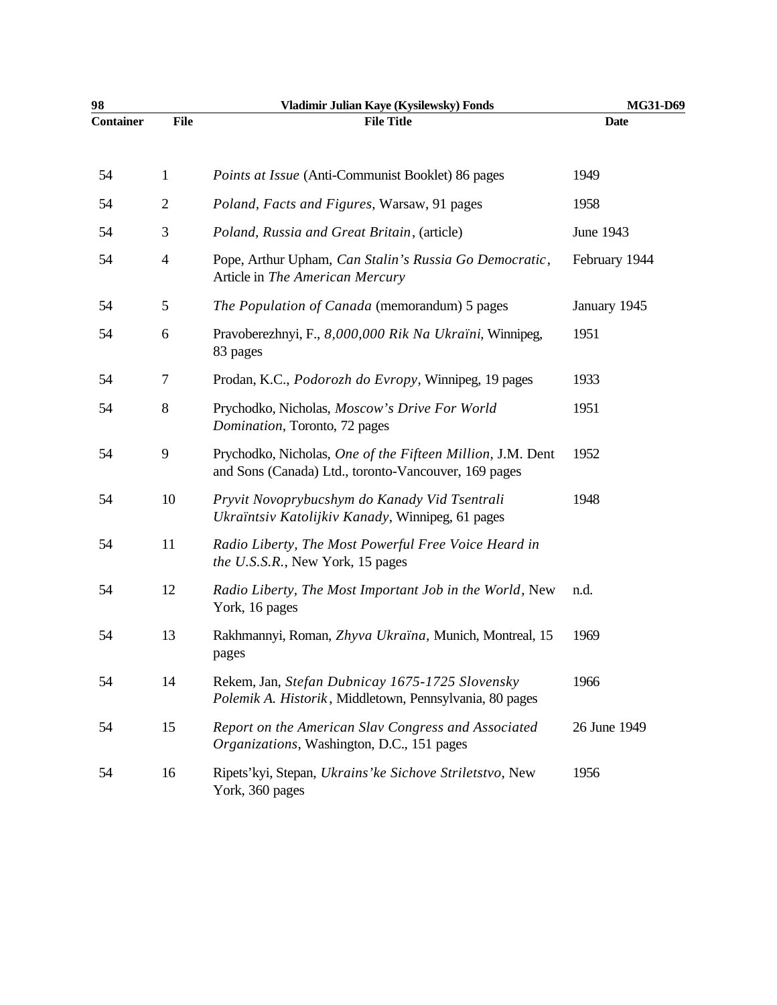| 98               |                | Vladimir Julian Kaye (Kysilewsky) Fonds                                                                            | MG31-D69      |
|------------------|----------------|--------------------------------------------------------------------------------------------------------------------|---------------|
| <b>Container</b> | <b>File</b>    | <b>File Title</b>                                                                                                  | <b>Date</b>   |
| 54               | $\mathbf{1}$   | Points at Issue (Anti-Communist Booklet) 86 pages                                                                  | 1949          |
| 54               | $\mathbf{2}$   | Poland, Facts and Figures, Warsaw, 91 pages                                                                        | 1958          |
| 54               | 3              | Poland, Russia and Great Britain, (article)                                                                        | June 1943     |
| 54               | $\overline{4}$ | Pope, Arthur Upham, Can Stalin's Russia Go Democratic,<br>Article in The American Mercury                          | February 1944 |
| 54               | 5              | The Population of Canada (memorandum) 5 pages                                                                      | January 1945  |
| 54               | 6              | Pravoberezhnyi, F., 8,000,000 Rik Na Ukraïni, Winnipeg,<br>83 pages                                                | 1951          |
| 54               | 7              | Prodan, K.C., <i>Podorozh do Evropy</i> , Winnipeg, 19 pages                                                       | 1933          |
| 54               | 8              | Prychodko, Nicholas, Moscow's Drive For World<br>Domination, Toronto, 72 pages                                     | 1951          |
| 54               | 9              | Prychodko, Nicholas, One of the Fifteen Million, J.M. Dent<br>and Sons (Canada) Ltd., toronto-Vancouver, 169 pages | 1952          |
| 54               | 10             | Pryvit Novoprybucshym do Kanady Vid Tsentrali<br>Ukraïntsiv Katolijkiv Kanady, Winnipeg, 61 pages                  | 1948          |
| 54               | 11             | Radio Liberty, The Most Powerful Free Voice Heard in<br>the U.S.S.R., New York, 15 pages                           |               |
| 54               | 12             | Radio Liberty, The Most Important Job in the World, New<br>York, 16 pages                                          | n.d.          |
| 54               | 13             | Rakhmannyi, Roman, Zhyva Ukraïna, Munich, Montreal, 15<br>pages                                                    | 1969          |
| 54               | 14             | Rekem, Jan, Stefan Dubnicay 1675-1725 Slovensky<br>Polemik A. Historik, Middletown, Pennsylvania, 80 pages         | 1966          |
| 54               | 15             | Report on the American Slav Congress and Associated<br>Organizations, Washington, D.C., 151 pages                  | 26 June 1949  |
| 54               | 16             | Ripets'kyi, Stepan, Ukrains'ke Sichove Striletstvo, New<br>York, 360 pages                                         | 1956          |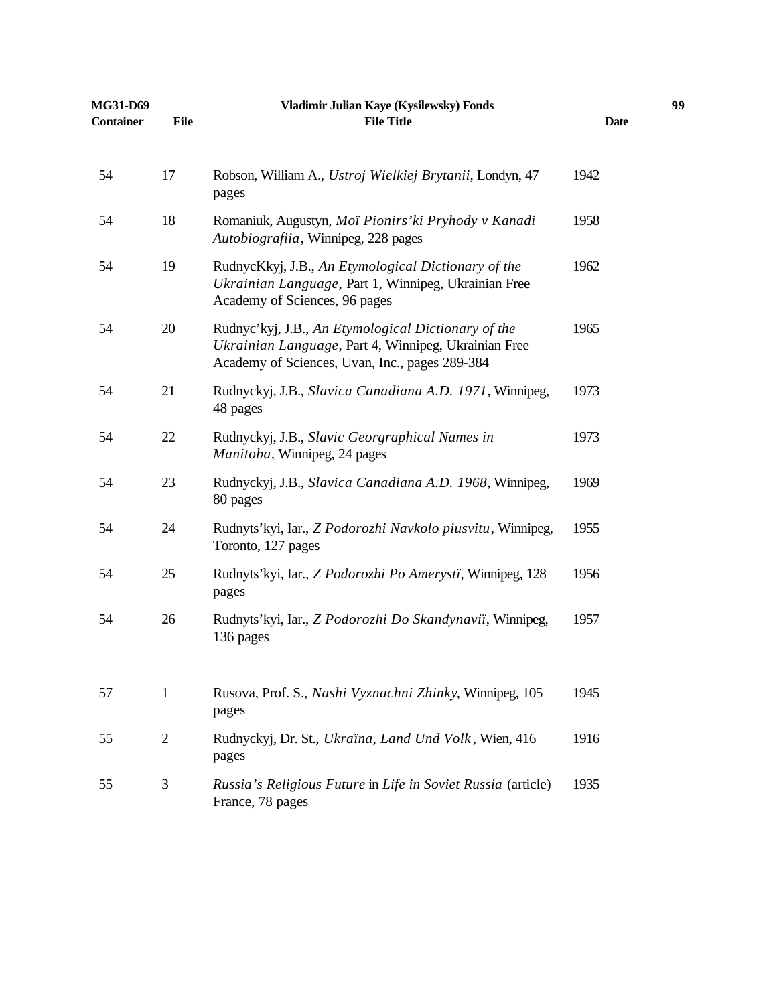| MG31-D69         |                | Vladimir Julian Kaye (Kysilewsky) Fonds                                                                                                                       |             | 99 |
|------------------|----------------|---------------------------------------------------------------------------------------------------------------------------------------------------------------|-------------|----|
| <b>Container</b> | File           | <b>File Title</b>                                                                                                                                             | <b>Date</b> |    |
| 54               | 17             | Robson, William A., Ustroj Wielkiej Brytanii, Londyn, 47<br>pages                                                                                             | 1942        |    |
| 54               | 18             | Romaniuk, Augustyn, Moï Pionirs' ki Pryhody v Kanadi<br>Autobiografiia, Winnipeg, 228 pages                                                                   | 1958        |    |
| 54               | 19             | RudnycKkyj, J.B., An Etymological Dictionary of the<br>Ukrainian Language, Part 1, Winnipeg, Ukrainian Free<br>Academy of Sciences, 96 pages                  | 1962        |    |
| 54               | 20             | Rudnyc'kyj, J.B., An Etymological Dictionary of the<br>Ukrainian Language, Part 4, Winnipeg, Ukrainian Free<br>Academy of Sciences, Uvan, Inc., pages 289-384 | 1965        |    |
| 54               | 21             | Rudnyckyj, J.B., Slavica Canadiana A.D. 1971, Winnipeg,<br>48 pages                                                                                           | 1973        |    |
| 54               | 22             | Rudnyckyj, J.B., Slavic Georgraphical Names in<br>Manitoba, Winnipeg, 24 pages                                                                                | 1973        |    |
| 54               | 23             | Rudnyckyj, J.B., Slavica Canadiana A.D. 1968, Winnipeg,<br>80 pages                                                                                           | 1969        |    |
| 54               | 24             | Rudnyts'kyi, Iar., Z Podorozhi Navkolo piusvitu, Winnipeg,<br>Toronto, 127 pages                                                                              | 1955        |    |
| 54               | 25             | Rudnyts'kyi, Iar., Z Podorozhi Po Amerysti, Winnipeg, 128<br>pages                                                                                            | 1956        |    |
| 54               | 26             | Rudnyts'kyi, Iar., Z Podorozhi Do Skandynaviï, Winnipeg,<br>136 pages                                                                                         | 1957        |    |
| 57               | $\mathbf{1}$   | Rusova, Prof. S., Nashi Vyznachni Zhinky, Winnipeg, 105<br>pages                                                                                              | 1945        |    |
| 55               | $\overline{2}$ | Rudnyckyj, Dr. St., Ukraïna, Land Und Volk, Wien, 416<br>pages                                                                                                | 1916        |    |
| 55               | 3              | Russia's Religious Future in Life in Soviet Russia (article)<br>France, 78 pages                                                                              | 1935        |    |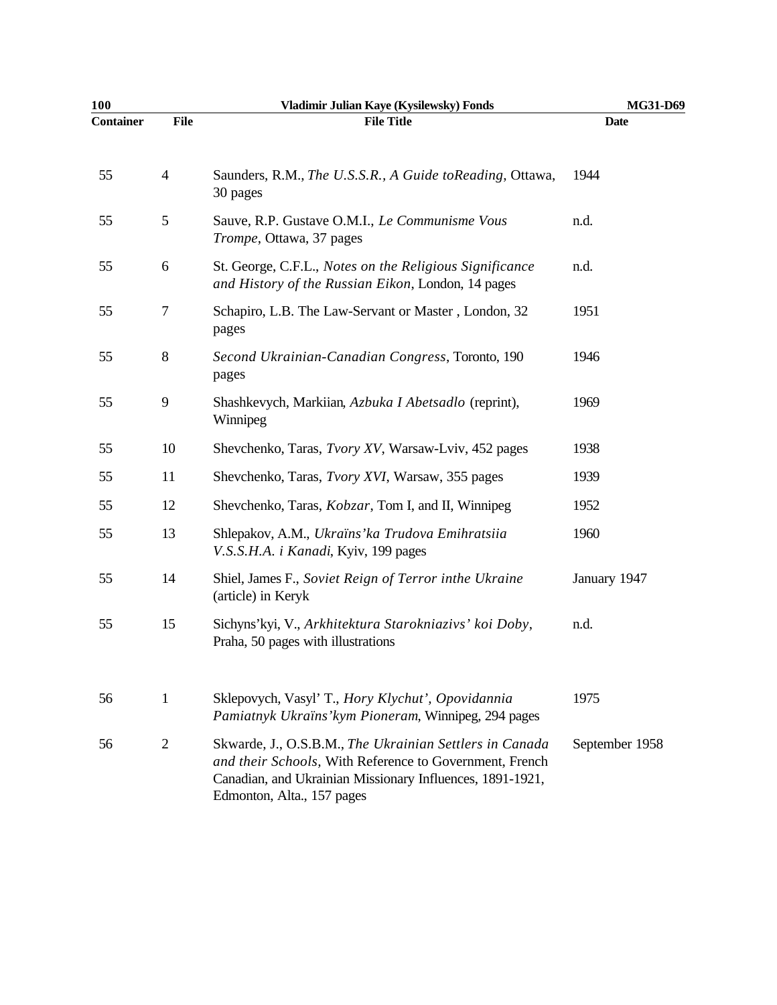| 100              |                | Vladimir Julian Kaye (Kysilewsky) Fonds                                                                                                                                                                       | MG31-D69       |
|------------------|----------------|---------------------------------------------------------------------------------------------------------------------------------------------------------------------------------------------------------------|----------------|
| <b>Container</b> | File           | <b>File Title</b>                                                                                                                                                                                             | <b>Date</b>    |
| 55               | $\overline{4}$ | Saunders, R.M., The U.S.S.R., A Guide to Reading, Ottawa,<br>30 pages                                                                                                                                         | 1944           |
| 55               | 5              | Sauve, R.P. Gustave O.M.I., Le Communisme Vous<br>Trompe, Ottawa, 37 pages                                                                                                                                    | n.d.           |
| 55               | 6              | St. George, C.F.L., Notes on the Religious Significance<br>and History of the Russian Eikon, London, 14 pages                                                                                                 | n.d.           |
| 55               | 7              | Schapiro, L.B. The Law-Servant or Master, London, 32<br>pages                                                                                                                                                 | 1951           |
| 55               | 8              | Second Ukrainian-Canadian Congress, Toronto, 190<br>pages                                                                                                                                                     | 1946           |
| 55               | 9              | Shashkevych, Markiian, Azbuka I Abetsadlo (reprint),<br>Winnipeg                                                                                                                                              | 1969           |
| 55               | 10             | Shevchenko, Taras, Tvory XV, Warsaw-Lviv, 452 pages                                                                                                                                                           | 1938           |
| 55               | 11             | Shevchenko, Taras, <i>Tvory XVI</i> , Warsaw, 355 pages                                                                                                                                                       | 1939           |
| 55               | 12             | Shevchenko, Taras, <i>Kobzar</i> , Tom I, and II, Winnipeg                                                                                                                                                    | 1952           |
| 55               | 13             | Shlepakov, A.M., Ukraïns' ka Trudova Emihratsiia<br>V.S.S.H.A. i Kanadi, Kyiv, 199 pages                                                                                                                      | 1960           |
| 55               | 14             | Shiel, James F., Soviet Reign of Terror inthe Ukraine<br>(article) in Keryk                                                                                                                                   | January 1947   |
| 55               | 15             | Sichyns'kyi, V., Arkhitektura Starokniazivs' koi Doby,<br>Praha, 50 pages with illustrations                                                                                                                  | n.d.           |
| 56               | $\mathbf{1}$   | Sklepovych, Vasyl' T., Hory Klychut', Opovidannia<br>Pamiatnyk Ukraïns' kym Pioneram, Winnipeg, 294 pages                                                                                                     | 1975           |
| 56               | $\overline{2}$ | Skwarde, J., O.S.B.M., The Ukrainian Settlers in Canada<br>and their Schools, With Reference to Government, French<br>Canadian, and Ukrainian Missionary Influences, 1891-1921,<br>Edmonton, Alta., 157 pages | September 1958 |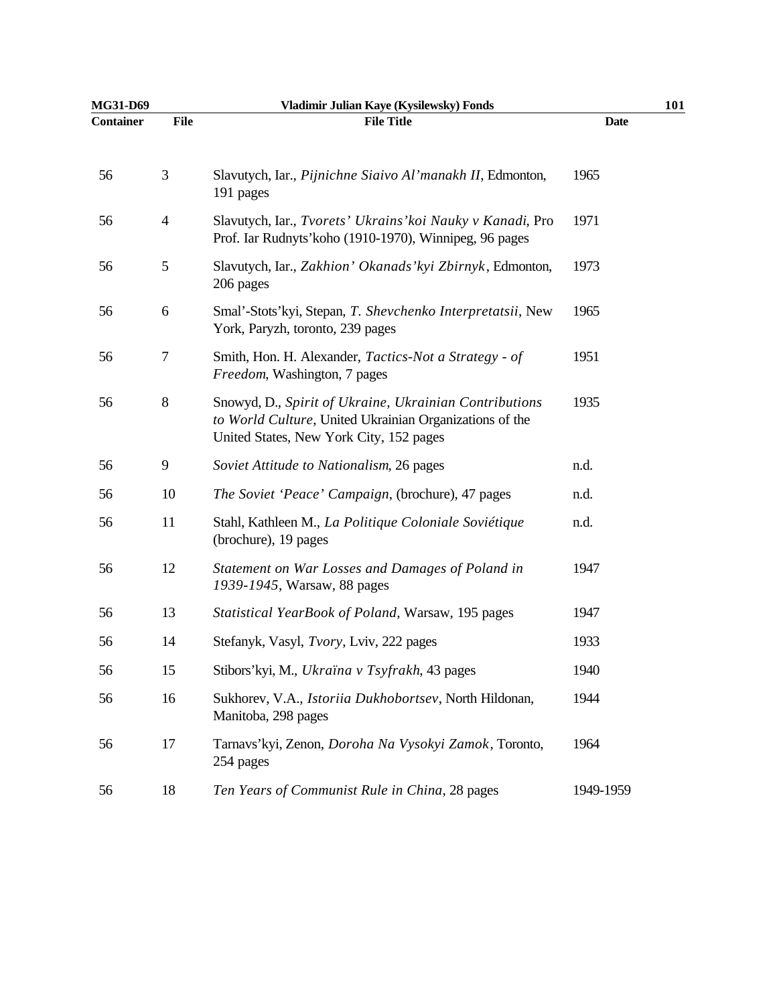| MG31-D69         |                | Vladimir Julian Kaye (Kysilewsky) Fonds                                                                                                                      | 101         |  |
|------------------|----------------|--------------------------------------------------------------------------------------------------------------------------------------------------------------|-------------|--|
| <b>Container</b> | <b>File</b>    | <b>File Title</b>                                                                                                                                            | <b>Date</b> |  |
| 56               | 3              | Slavutych, Iar., Pijnichne Siaivo Al'manakh II, Edmonton,<br>191 pages                                                                                       | 1965        |  |
| 56               | $\overline{4}$ | Slavutych, Iar., Tvorets' Ukrains' koi Nauky v Kanadi, Pro<br>Prof. Iar Rudnyts' koho (1910-1970), Winnipeg, 96 pages                                        | 1971        |  |
| 56               | 5              | Slavutych, Iar., Zakhion' Okanads' kyi Zbirnyk, Edmonton,<br>206 pages                                                                                       | 1973        |  |
| 56               | 6              | Smal'-Stots'kyi, Stepan, T. Shevchenko Interpretatsii, New<br>York, Paryzh, toronto, 239 pages                                                               | 1965        |  |
| 56               | 7              | Smith, Hon. H. Alexander, Tactics-Not a Strategy - of<br>Freedom, Washington, 7 pages                                                                        | 1951        |  |
| 56               | $8\,$          | Snowyd, D., Spirit of Ukraine, Ukrainian Contributions<br>to World Culture, United Ukrainian Organizations of the<br>United States, New York City, 152 pages | 1935        |  |
| 56               | 9              | Soviet Attitude to Nationalism, 26 pages                                                                                                                     | n.d.        |  |
| 56               | 10             | The Soviet 'Peace' Campaign, (brochure), 47 pages                                                                                                            | n.d.        |  |
| 56               | 11             | Stahl, Kathleen M., La Politique Coloniale Soviétique<br>(brochure), 19 pages                                                                                | n.d.        |  |
| 56               | 12             | Statement on War Losses and Damages of Poland in<br>1939-1945, Warsaw, 88 pages                                                                              | 1947        |  |
| 56               | 13             | Statistical YearBook of Poland, Warsaw, 195 pages                                                                                                            | 1947        |  |
| 56               | 14             | Stefanyk, Vasyl, Tvory, Lviv, 222 pages                                                                                                                      | 1933        |  |
| 56               | 15             | Stibors'kyi, M., Ukraïna v Tsyfrakh, 43 pages                                                                                                                | 1940        |  |
| 56               | 16             | Sukhorev, V.A., Istoriia Dukhobortsev, North Hildonan,<br>Manitoba, 298 pages                                                                                | 1944        |  |
| 56               | 17             | Tarnavs'kyi, Zenon, Doroha Na Vysokyi Zamok, Toronto,<br>254 pages                                                                                           | 1964        |  |
| 56               | 18             | Ten Years of Communist Rule in China, 28 pages                                                                                                               | 1949-1959   |  |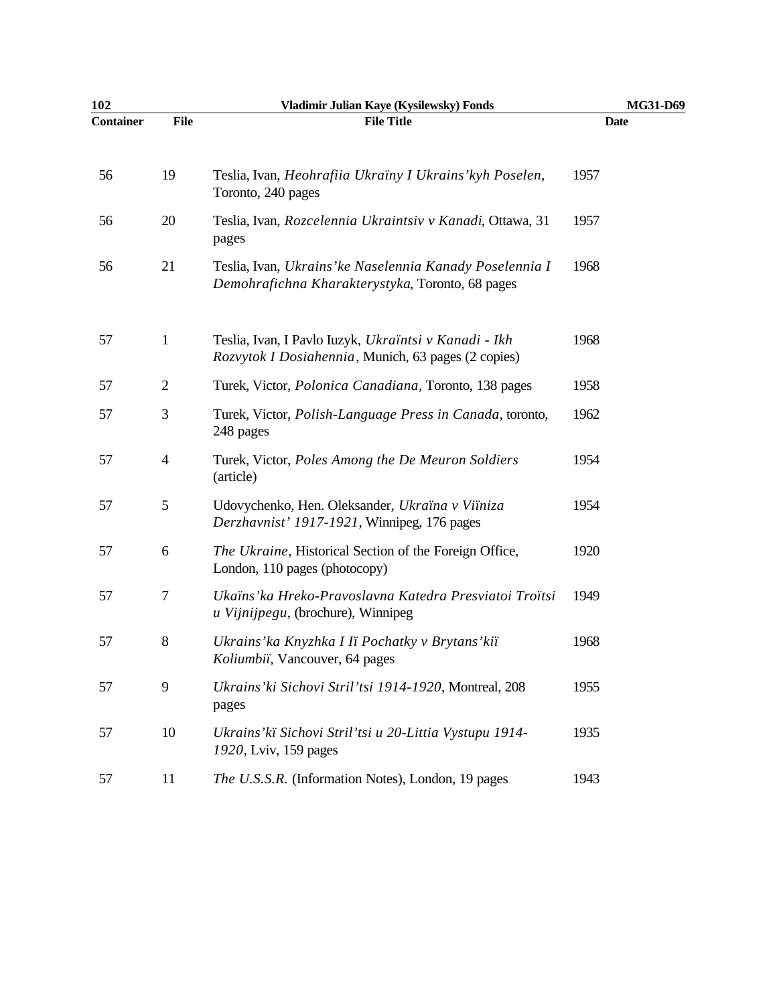| 102       |                | Vladimir Julian Kaye (Kysilewsky) Fonds                                                                      | MG31-D69 |
|-----------|----------------|--------------------------------------------------------------------------------------------------------------|----------|
| Container | <b>File</b>    | <b>File Title</b>                                                                                            | Date     |
| 56        | 19             | Teslia, Ivan, Heohrafiia Ukraïny I Ukrains' kyh Poselen,<br>Toronto, 240 pages                               | 1957     |
| 56        | 20             | Teslia, Ivan, Rozcelennia Ukraintsiv v Kanadi, Ottawa, 31<br>pages                                           | 1957     |
| 56        | 21             | Teslia, Ivan, Ukrains' ke Naselennia Kanady Poselennia I<br>Demohrafichna Kharakterystyka, Toronto, 68 pages | 1968     |
| 57        | $\mathbf{1}$   | Teslia, Ivan, I Pavlo Iuzyk, Ukraïntsi v Kanadi - Ikh<br>Rozvytok I Dosiahennia, Munich, 63 pages (2 copies) | 1968     |
| 57        | $\mathbf{2}$   | Turek, Victor, Polonica Canadiana, Toronto, 138 pages                                                        | 1958     |
| 57        | 3              | Turek, Victor, Polish-Language Press in Canada, toronto,<br>248 pages                                        | 1962     |
| 57        | $\overline{4}$ | Turek, Victor, Poles Among the De Meuron Soldiers<br>(article)                                               | 1954     |
| 57        | 5              | Udovychenko, Hen. Oleksander, Ukraïna v Viïniza<br>Derzhavnist' 1917-1921, Winnipeg, 176 pages               | 1954     |
| 57        | 6              | The Ukraine, Historical Section of the Foreign Office,<br>London, 110 pages (photocopy)                      | 1920     |
| 57        | 7              | Ukaïns' ka Hreko-Pravoslavna Katedra Presviatoi Troïtsi<br>u Vijnijpegu, (brochure), Winnipeg                | 1949     |
| 57        | $8\,$          | Ukrains' ka Knyzhka I Iï Pochatky v Brytans' kiï<br>Koliumbii, Vancouver, 64 pages                           | 1968     |
| 57        | 9              | Ukrains' ki Sichovi Stril' tsi 1914-1920, Montreal, 208<br>pages                                             | 1955     |
| 57        | 10             | Ukrains' kï Sichovi Stril' tsi u 20-Littia Vystupu 1914-<br>1920, Lviv, 159 pages                            | 1935     |
| 57        | 11             | The U.S.S.R. (Information Notes), London, 19 pages                                                           | 1943     |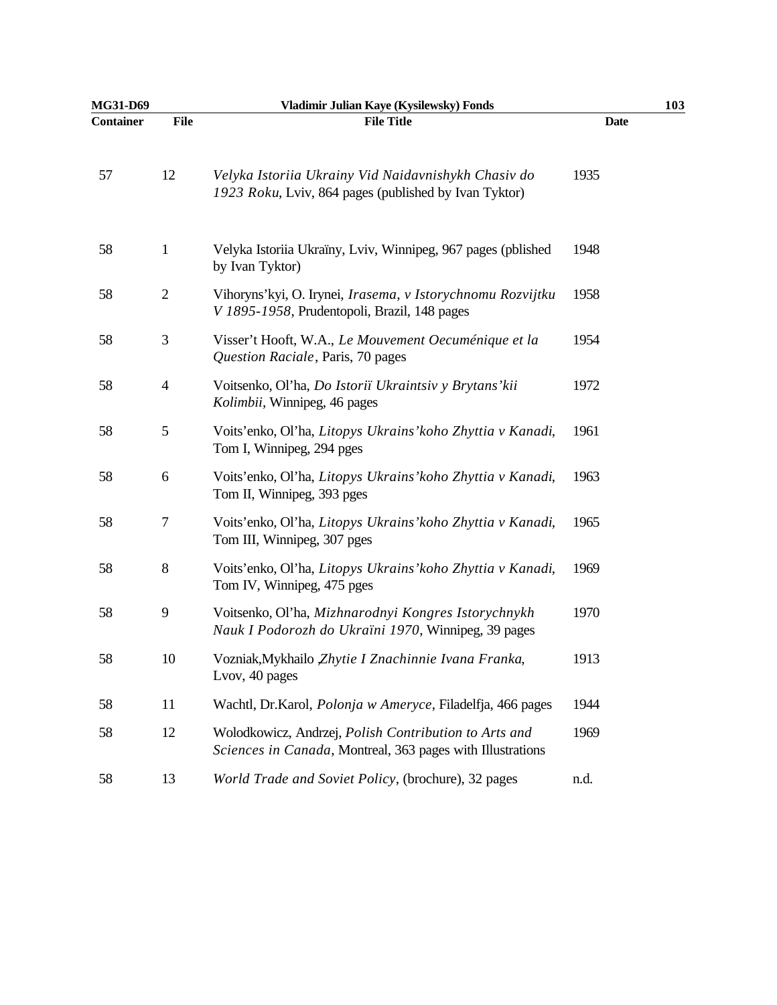| MG31-D69         |                  | Vladimir Julian Kaye (Kysilewsky) Fonds                                                                             | 103         |
|------------------|------------------|---------------------------------------------------------------------------------------------------------------------|-------------|
| <b>Container</b> | <b>File</b>      | <b>File Title</b>                                                                                                   | <b>Date</b> |
| 57               | 12               | Velyka Istoriia Ukrainy Vid Naidavnishykh Chasiv do<br>1923 Roku, Lviv, 864 pages (published by Ivan Tyktor)        | 1935        |
| 58               | $\mathbf{1}$     | Velyka Istoriia Ukraïny, Lviv, Winnipeg, 967 pages (pblished<br>by Ivan Tyktor)                                     | 1948        |
| 58               | $\sqrt{2}$       | Vihoryns'kyi, O. Irynei, Irasema, v Istorychnomu Rozvijtku<br>V 1895-1958, Prudentopoli, Brazil, 148 pages          | 1958        |
| 58               | 3                | Visser't Hooft, W.A., Le Mouvement Oecuménique et la<br>Question Raciale, Paris, 70 pages                           | 1954        |
| 58               | $\overline{4}$   | Voitsenko, Ol'ha, Do Istoriï Ukraintsiv y Brytans' kii<br>Kolimbii, Winnipeg, 46 pages                              | 1972        |
| 58               | 5                | Voits'enko, Ol'ha, Litopys Ukrains' koho Zhyttia v Kanadi,<br>Tom I, Winnipeg, 294 pges                             | 1961        |
| 58               | 6                | Voits'enko, Ol'ha, Litopys Ukrains' koho Zhyttia v Kanadi,<br>Tom II, Winnipeg, 393 pges                            | 1963        |
| 58               | $\boldsymbol{7}$ | Voits'enko, Ol'ha, Litopys Ukrains' koho Zhyttia v Kanadi,<br>Tom III, Winnipeg, 307 pges                           | 1965        |
| 58               | $8\,$            | Voits'enko, Ol'ha, Litopys Ukrains' koho Zhyttia v Kanadi,<br>Tom IV, Winnipeg, 475 pges                            | 1969        |
| 58               | 9                | Voitsenko, Ol'ha, Mizhnarodnyi Kongres Istorychnykh<br>Nauk I Podorozh do Ukraïni 1970, Winnipeg, 39 pages          | 1970        |
| 58               | 10               | Vozniak, Mykhailo Zhytie I Znachinnie Ivana Franka,<br>Lvov, 40 pages                                               | 1913        |
| 58               | 11               | Wachtl, Dr.Karol, Polonja w Ameryce, Filadelfja, 466 pages                                                          | 1944        |
| 58               | 12               | Wolodkowicz, Andrzej, Polish Contribution to Arts and<br>Sciences in Canada, Montreal, 363 pages with Illustrations | 1969        |
| 58               | 13               | World Trade and Soviet Policy, (brochure), 32 pages                                                                 | n.d.        |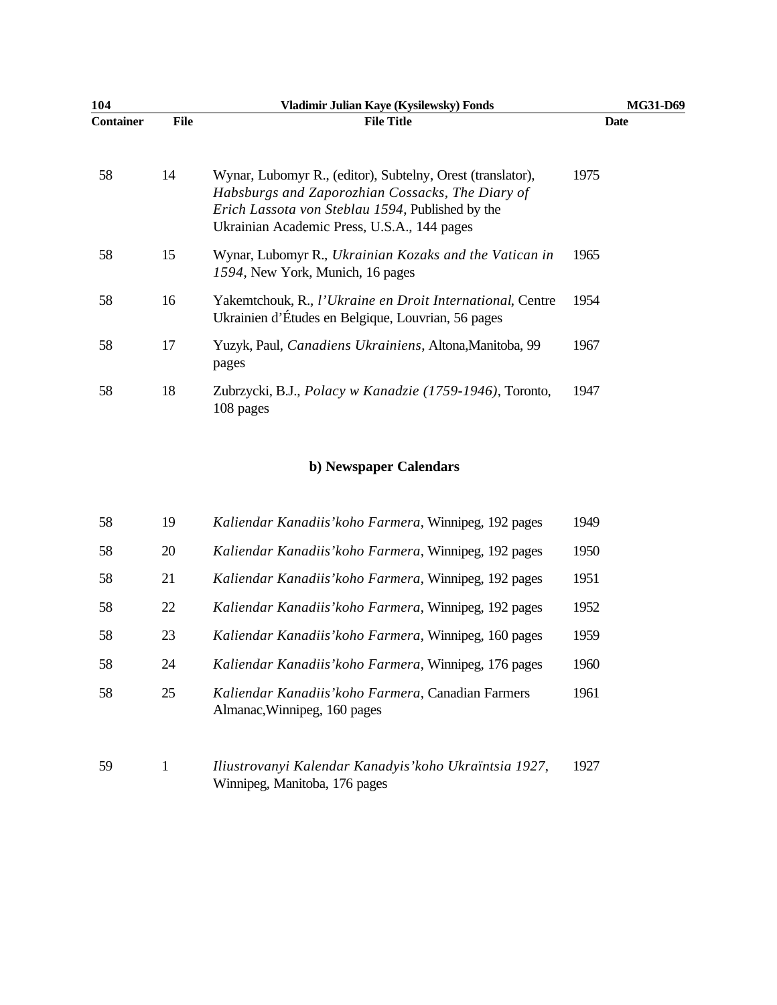| 104              |             | Vladimir Julian Kaye (Kysilewsky) Fonds                                                                                                                                                                                   | <b>MG31-D69</b> |
|------------------|-------------|---------------------------------------------------------------------------------------------------------------------------------------------------------------------------------------------------------------------------|-----------------|
| <b>Container</b> | <b>File</b> | <b>File Title</b>                                                                                                                                                                                                         | Date            |
| 58               | 14          | Wynar, Lubomyr R., (editor), Subtelny, Orest (translator),<br>Habsburgs and Zaporozhian Cossacks, The Diary of<br><i>Erich Lassota von Steblau 1594</i> , Published by the<br>Ukrainian Academic Press, U.S.A., 144 pages | 1975            |
| 58               | 15          | Wynar, Lubomyr R., Ukrainian Kozaks and the Vatican in<br>1594, New York, Munich, 16 pages                                                                                                                                | 1965            |
| 58               | 16          | Yakemtchouk, R., l'Ukraine en Droit International, Centre<br>Ukrainien d'Études en Belgique, Louvrian, 56 pages                                                                                                           | 1954            |
| 58               | 17          | Yuzyk, Paul, Canadiens Ukrainiens, Altona, Manitoba, 99<br>pages                                                                                                                                                          | 1967            |
| 58               | 18          | Zubrzycki, B.J., <i>Polacy w Kanadzie (1759-1946)</i> , Toronto,<br>108 pages                                                                                                                                             | 1947            |

## **b) Newspaper Calendars**

| 58 | 19 | Kaliendar Kanadiis' koho Farmera, Winnipeg, 192 pages                              | 1949 |
|----|----|------------------------------------------------------------------------------------|------|
| 58 | 20 | Kaliendar Kanadiis' koho Farmera, Winnipeg, 192 pages                              | 1950 |
| 58 | 21 | Kaliendar Kanadiis' koho Farmera, Winnipeg, 192 pages                              | 1951 |
| 58 | 22 | Kaliendar Kanadiis' koho Farmera, Winnipeg, 192 pages                              | 1952 |
| 58 | 23 | Kaliendar Kanadiis' koho Farmera, Winnipeg, 160 pages                              | 1959 |
| 58 | 24 | Kaliendar Kanadiis' koho Farmera, Winnipeg, 176 pages                              | 1960 |
| 58 | 25 | Kaliendar Kanadiis' koho Farmera, Canadian Farmers<br>Almanac, Winnipeg, 160 pages | 1961 |
| 59 | 1  | Iliustrovanyi Kalendar Kanadyis' koho Ukraïntsia 1927,                             | 1927 |

Winnipeg, Manitoba, 176 pages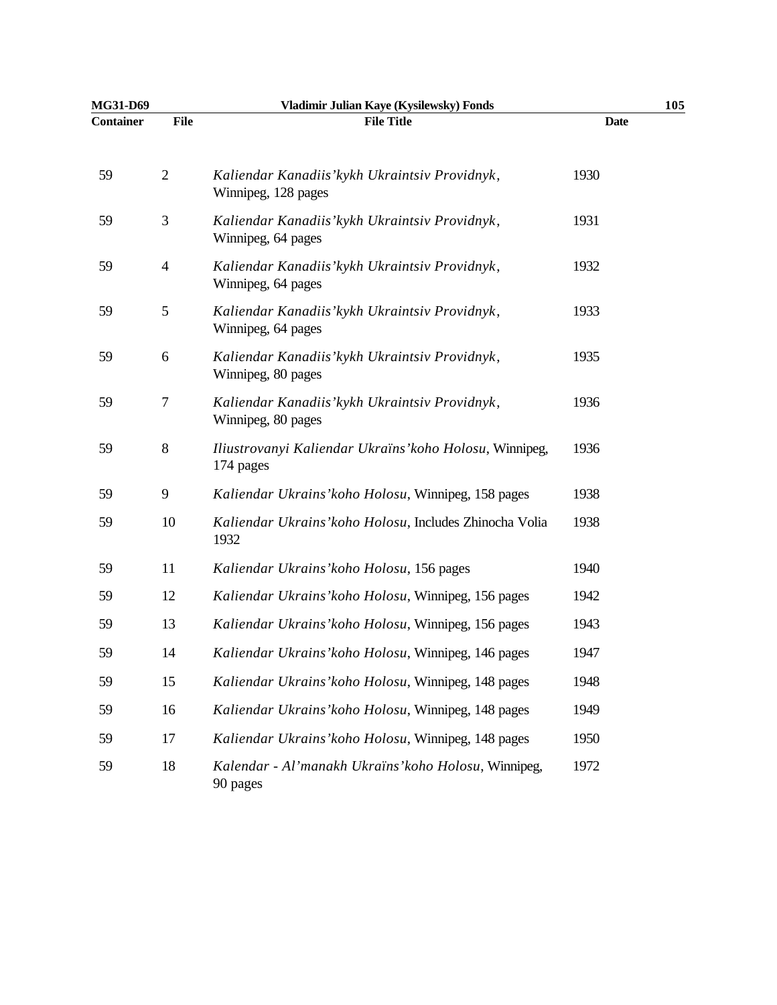| MG31-D69  |                | Vladimir Julian Kaye (Kysilewsky) Fonds                               | 105         |
|-----------|----------------|-----------------------------------------------------------------------|-------------|
| Container | <b>File</b>    | <b>File Title</b>                                                     | <b>Date</b> |
| 59        | $\overline{2}$ | Kaliendar Kanadiis' kykh Ukraintsiv Providnyk,<br>Winnipeg, 128 pages | 1930        |
| 59        | 3              | Kaliendar Kanadiis' kykh Ukraintsiv Providnyk,<br>Winnipeg, 64 pages  | 1931        |
| 59        | $\overline{4}$ | Kaliendar Kanadiis' kykh Ukraintsiv Providnyk,<br>Winnipeg, 64 pages  | 1932        |
| 59        | 5              | Kaliendar Kanadiis' kykh Ukraintsiv Providnyk,<br>Winnipeg, 64 pages  | 1933        |
| 59        | 6              | Kaliendar Kanadiis' kykh Ukraintsiv Providnyk,<br>Winnipeg, 80 pages  | 1935        |
| 59        | 7              | Kaliendar Kanadiis' kykh Ukraintsiv Providnyk,<br>Winnipeg, 80 pages  | 1936        |
| 59        | $8\,$          | Iliustrovanyi Kaliendar Ukraïns' koho Holosu, Winnipeg,<br>174 pages  | 1936        |
| 59        | 9              | Kaliendar Ukrains' koho Holosu, Winnipeg, 158 pages                   | 1938        |
| 59        | 10             | Kaliendar Ukrains' koho Holosu, Includes Zhinocha Volia<br>1932       | 1938        |
| 59        | 11             | Kaliendar Ukrains' koho Holosu, 156 pages                             | 1940        |
| 59        | 12             | Kaliendar Ukrains' koho Holosu, Winnipeg, 156 pages                   | 1942        |
| 59        | 13             | Kaliendar Ukrains' koho Holosu, Winnipeg, 156 pages                   | 1943        |
| 59        | 14             | Kaliendar Ukrains' koho Holosu, Winnipeg, 146 pages                   | 1947        |
| 59        | 15             | Kaliendar Ukrains' koho Holosu, Winnipeg, 148 pages                   | 1948        |
| 59        | 16             | Kaliendar Ukrains' koho Holosu, Winnipeg, 148 pages                   | 1949        |
| 59        | 17             | Kaliendar Ukrains' koho Holosu, Winnipeg, 148 pages                   | 1950        |
| 59        | 18             | Kalendar - Al'manakh Ukraïns' koho Holosu, Winnipeg,<br>90 pages      | 1972        |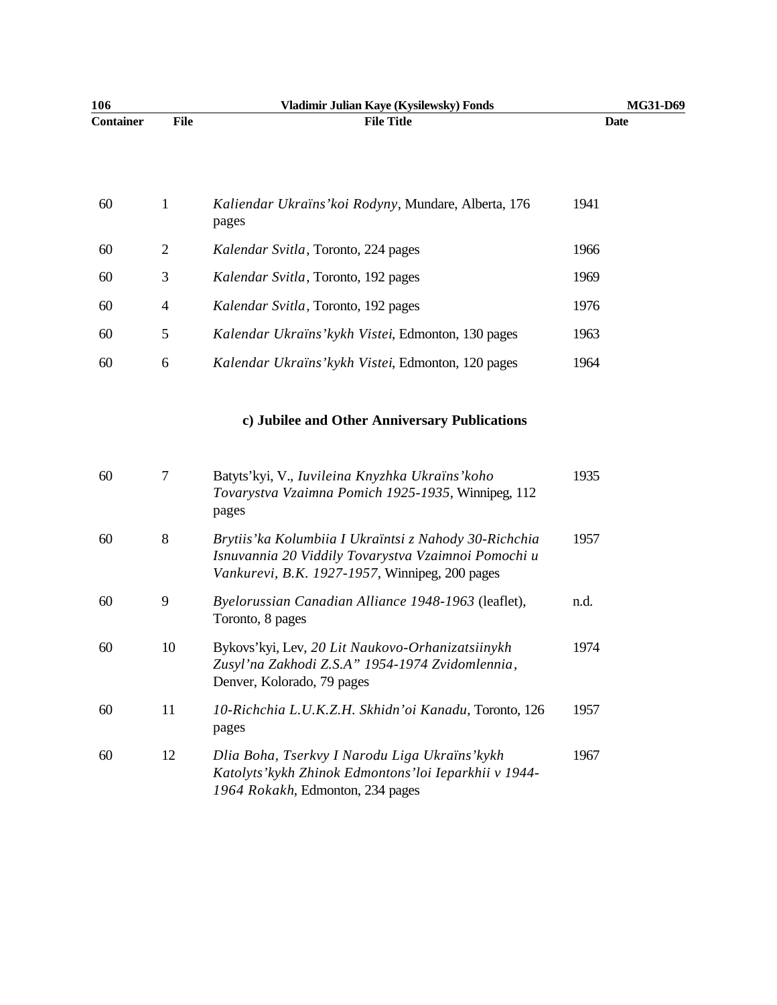| 106              |                | Vladimir Julian Kaye (Kysilewsky) Fonds                                                                                                                         | MG31-D69    |
|------------------|----------------|-----------------------------------------------------------------------------------------------------------------------------------------------------------------|-------------|
| <b>Container</b> | File           | <b>File Title</b>                                                                                                                                               | <b>Date</b> |
|                  |                |                                                                                                                                                                 |             |
| 60               | $\mathbf{1}$   | Kaliendar Ukraïns' koi Rodyny, Mundare, Alberta, 176<br>pages                                                                                                   | 1941        |
| 60               | $\mathbf{2}$   | Kalendar Svitla, Toronto, 224 pages                                                                                                                             | 1966        |
| 60               | 3              | Kalendar Svitla, Toronto, 192 pages                                                                                                                             | 1969        |
| 60               | $\overline{4}$ | Kalendar Svitla, Toronto, 192 pages                                                                                                                             | 1976        |
| 60               | $\mathfrak{S}$ | Kalendar Ukraïns' kykh Vistei, Edmonton, 130 pages                                                                                                              | 1963        |
| 60               | 6              | Kalendar Ukraïns' kykh Vistei, Edmonton, 120 pages                                                                                                              | 1964        |
|                  |                |                                                                                                                                                                 |             |
|                  |                | c) Jubilee and Other Anniversary Publications                                                                                                                   |             |
| 60               | $\tau$         | Batyts'kyi, V., Iuvileina Knyzhka Ukraïns'koho<br>Tovarystva Vzaimna Pomich 1925-1935, Winnipeg, 112<br>pages                                                   | 1935        |
| 60               | $\,8\,$        | Brytiis' ka Kolumbiia I Ukraïntsi z Nahody 30-Richchia<br>Isnuvannia 20 Viddily Tovarystva Vzaimnoi Pomochi u<br>Vankurevi, B.K. 1927-1957, Winnipeg, 200 pages | 1957        |
| 60               | 9              | Byelorussian Canadian Alliance 1948-1963 (leaflet),<br>Toronto, 8 pages                                                                                         | n.d.        |
| 60               | 10             | Bykovs'kyi, Lev, 20 Lit Naukovo-Orhanizatsiinykh<br>Zusyl'na Zakhodi Z.S.A" 1954-1974 Zvidomlennia,<br>Denver, Kolorado, 79 pages                               | 1974        |

60 11 *10-Richchia L.U.K.Z.H. Skhidn'oi Kanadu*, Toronto, 126 pages 1957 60 12 *Dlia Boha, Tserkvy I Narodu Liga Ukraïns'kykh Katolyts'kykh Zhinok Edmontons'loi Ieparkhii v 1944-* 1967

*1964 Rokakh*, Edmonton, 234 pages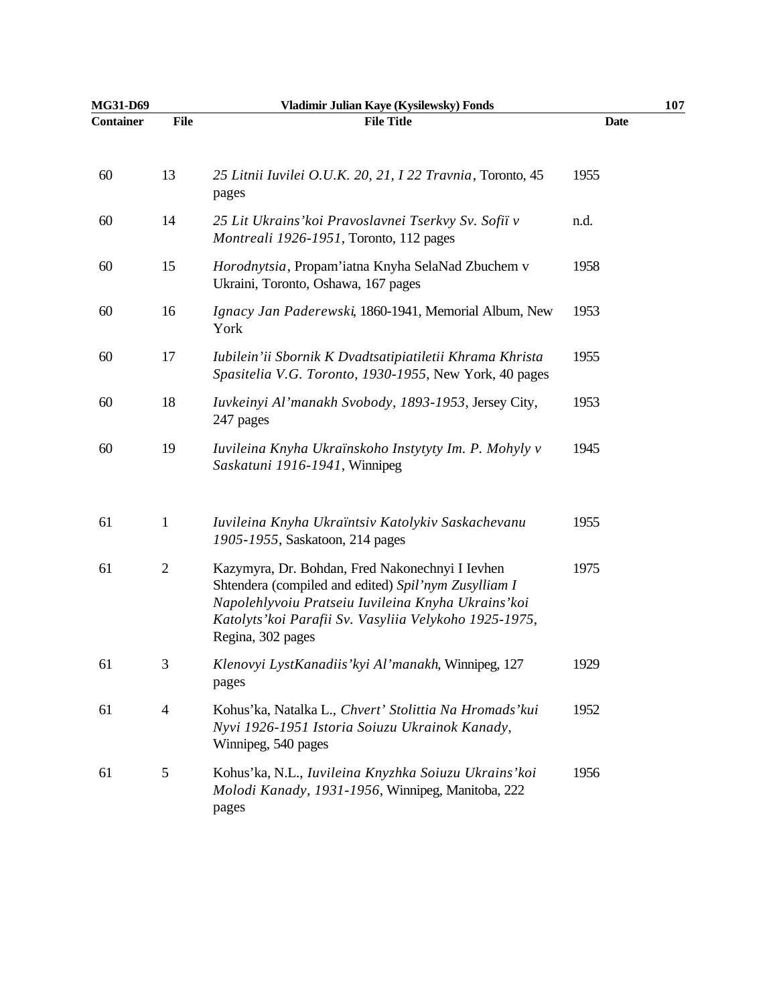| MG31-D69         |                | Vladimir Julian Kaye (Kysilewsky) Fonds                                                                                                                                                                                                       |             | 107 |
|------------------|----------------|-----------------------------------------------------------------------------------------------------------------------------------------------------------------------------------------------------------------------------------------------|-------------|-----|
| <b>Container</b> | <b>File</b>    | <b>File Title</b>                                                                                                                                                                                                                             | <b>Date</b> |     |
| 60               | 13             | 25 Litnii Iuvilei O.U.K. 20, 21, I 22 Travnia, Toronto, 45<br>pages                                                                                                                                                                           | 1955        |     |
| 60               | 14             | 25 Lit Ukrains' koi Pravoslavnei Tserkvy Sv. Sofiï v<br>Montreali 1926-1951, Toronto, 112 pages                                                                                                                                               | n.d.        |     |
| 60               | 15             | Horodnytsia, Propam'iatna Knyha SelaNad Zbuchem v<br>Ukraini, Toronto, Oshawa, 167 pages                                                                                                                                                      | 1958        |     |
| 60               | 16             | Ignacy Jan Paderewski, 1860-1941, Memorial Album, New<br>York                                                                                                                                                                                 | 1953        |     |
| 60               | 17             | Iubilein'ii Sbornik K Dvadtsatipiatiletii Khrama Khrista<br>Spasitelia V.G. Toronto, 1930-1955, New York, 40 pages                                                                                                                            | 1955        |     |
| 60               | 18             | Iuvkeinyi Al'manakh Svobody, 1893-1953, Jersey City,<br>247 pages                                                                                                                                                                             | 1953        |     |
| 60               | 19             | Iuvileina Knyha Ukraïnskoho Instytyty Im. P. Mohyly v<br>Saskatuni 1916-1941, Winnipeg                                                                                                                                                        | 1945        |     |
| 61               | $\mathbf{1}$   | Iuvileina Knyha Ukraïntsiv Katolykiv Saskachevanu<br>1905-1955, Saskatoon, 214 pages                                                                                                                                                          | 1955        |     |
| 61               | $\mathbf{2}$   | Kazymyra, Dr. Bohdan, Fred Nakonechnyi I Ievhen<br>Shtendera (compiled and edited) Spil'nym Zusylliam I<br>Napolehlyvoiu Pratseiu Iuvileina Knyha Ukrains' koi<br>Katolyts' koi Parafii Sv. Vasyliia Velykoho 1925-1975,<br>Regina, 302 pages | 1975        |     |
| 61               | 3              | Klenovyi LystKanadiis' kyi Al'manakh, Winnipeg, 127<br>pages                                                                                                                                                                                  | 1929        |     |
| 61               | $\overline{4}$ | Kohus'ka, Natalka L., Chvert' Stolittia Na Hromads'kui<br>Nyvi 1926-1951 Istoria Soiuzu Ukrainok Kanady,<br>Winnipeg, 540 pages                                                                                                               | 1952        |     |
| 61               | 5              | Kohus'ka, N.L., Iuvileina Knyzhka Soiuzu Ukrains'koi<br>Molodi Kanady, 1931-1956, Winnipeg, Manitoba, 222<br>pages                                                                                                                            | 1956        |     |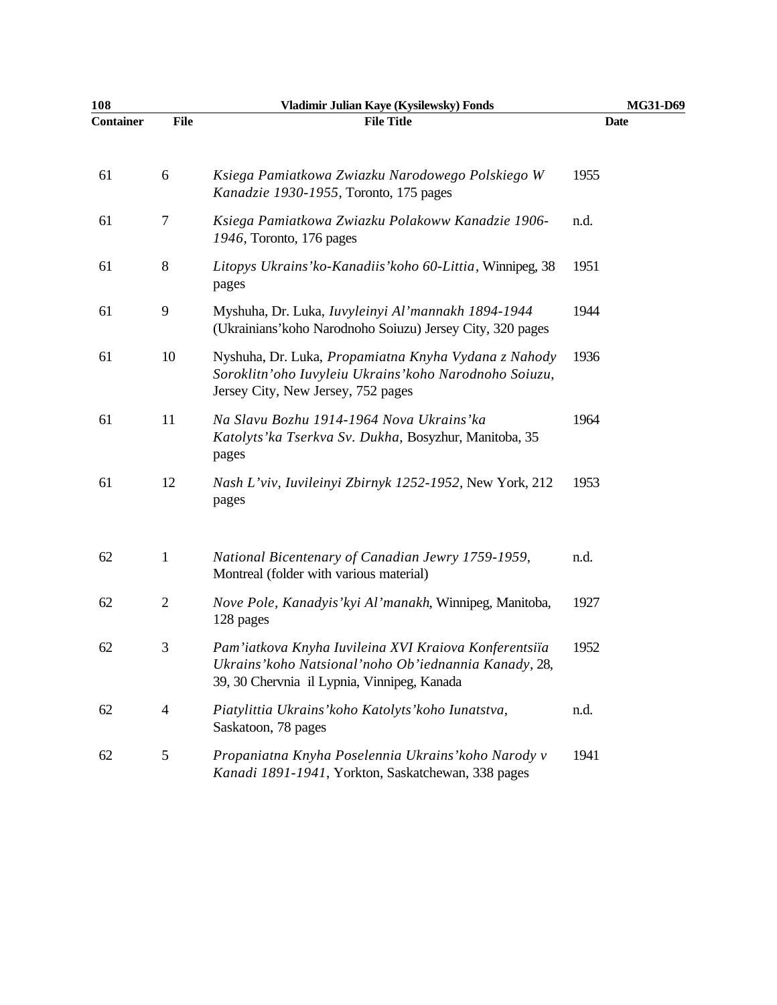| 108              |                | Vladimir Julian Kaye (Kysilewsky) Fonds                                                                                                                         | MG31-D69 |
|------------------|----------------|-----------------------------------------------------------------------------------------------------------------------------------------------------------------|----------|
| <b>Container</b> | <b>File</b>    | <b>File Title</b>                                                                                                                                               | Date     |
| 61               | 6              | Ksiega Pamiatkowa Zwiazku Narodowego Polskiego W<br>Kanadzie 1930-1955, Toronto, 175 pages                                                                      | 1955     |
| 61               | 7              | Ksiega Pamiatkowa Zwiazku Polakoww Kanadzie 1906-<br>1946, Toronto, 176 pages                                                                                   | n.d.     |
| 61               | $8\,$          | Litopys Ukrains' ko-Kanadiis' koho 60-Littia, Winnipeg, 38<br>pages                                                                                             | 1951     |
| 61               | 9              | Myshuha, Dr. Luka, Iuvyleinyi Al'mannakh 1894-1944<br>(Ukrainians' koho Narodnoho Soiuzu) Jersey City, 320 pages                                                | 1944     |
| 61               | 10             | Nyshuha, Dr. Luka, Propamiatna Knyha Vydana z Nahody<br>Soroklitn'oho Iuvyleiu Ukrains' koho Narodnoho Soiuzu,<br>Jersey City, New Jersey, 752 pages            | 1936     |
| 61               | 11             | Na Slavu Bozhu 1914-1964 Nova Ukrains'ka<br>Katolyts' ka Tserkva Sv. Dukha, Bosyzhur, Manitoba, 35<br>pages                                                     | 1964     |
| 61               | 12             | Nash L'viv, Iuvileinyi Zbirnyk 1252-1952, New York, 212<br>pages                                                                                                | 1953     |
| 62               | $\mathbf{1}$   | National Bicentenary of Canadian Jewry 1759-1959,<br>Montreal (folder with various material)                                                                    | n.d.     |
| 62               | $\overline{c}$ | Nove Pole, Kanadyis' kyi Al'manakh, Winnipeg, Manitoba,<br>128 pages                                                                                            | 1927     |
| 62               | 3              | Pam'iatkova Knyha Iuvileina XVI Kraiova Konferentsiïa<br>Ukrains' koho Natsional' noho Ob' iednannia Kanady, 28,<br>39, 30 Chervnia il Lypnia, Vinnipeg, Kanada | 1952     |
| 62               | 4              | Piatylittia Ukrains' koho Katolyts' koho Iunatstva,<br>Saskatoon, 78 pages                                                                                      | n.d.     |
| 62               | 5              | Propaniatna Knyha Poselennia Ukrains' koho Narody v<br>Kanadi 1891-1941, Yorkton, Saskatchewan, 338 pages                                                       | 1941     |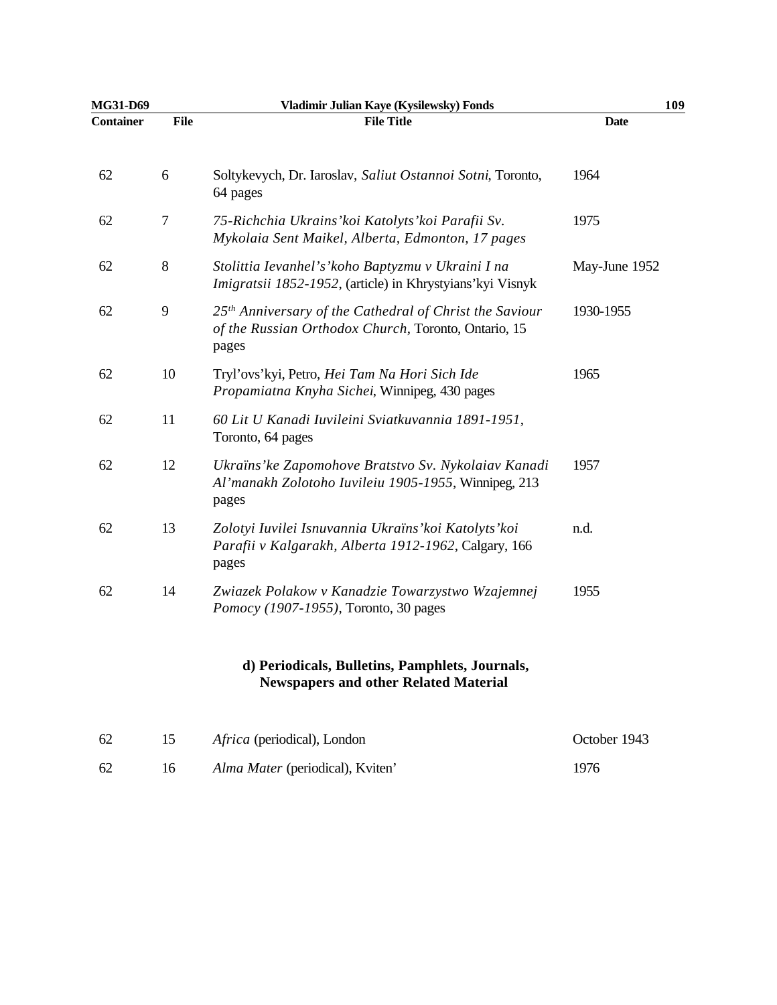| <b>MG31-D69</b> |      | Vladimir Julian Kaye (Kysilewsky) Fonds                                                                                              | 109           |
|-----------------|------|--------------------------------------------------------------------------------------------------------------------------------------|---------------|
| Container       | File | <b>File Title</b>                                                                                                                    | <b>Date</b>   |
| 62              | 6    | Soltykevych, Dr. Iaroslav, Saliut Ostannoi Sotni, Toronto,<br>64 pages                                                               | 1964          |
| 62              | 7    | 75-Richchia Ukrains' koi Katolyts' koi Parafii Sv.<br>Mykolaia Sent Maikel, Alberta, Edmonton, 17 pages                              | 1975          |
| 62              | 8    | Stolittia Ievanhel's' koho Baptyzmu v Ukraini I na<br>Imigratsii 1852-1952, (article) in Khrystyians' kyi Visnyk                     | May-June 1952 |
| 62              | 9    | 25 <sup>th</sup> Anniversary of the Cathedral of Christ the Saviour<br>of the Russian Orthodox Church, Toronto, Ontario, 15<br>pages | 1930-1955     |
| 62              | 10   | Tryl'ovs'kyi, Petro, Hei Tam Na Hori Sich Ide<br>Propamiatna Knyha Sichei, Winnipeg, 430 pages                                       | 1965          |
| 62              | 11   | 60 Lit U Kanadi Iuvileini Sviatkuvannia 1891-1951,<br>Toronto, 64 pages                                                              |               |
| 62              | 12   | Ukraïns' ke Zapomohove Bratstvo Sv. Nykolaiav Kanadi<br>Al'manakh Zolotoho Iuvileiu 1905-1955, Winnipeg, 213<br>pages                | 1957          |
| 62              | 13   | Zolotyi Iuvilei Isnuvannia Ukraïns' koi Katolyts' koi<br>Parafii v Kalgarakh, Alberta 1912-1962, Calgary, 166<br>pages               | n.d.          |
| 62              | 14   | Zwiazek Polakow v Kanadzie Towarzystwo Wzajemnej<br>Pomocy (1907-1955), Toronto, 30 pages                                            | 1955          |
|                 |      | d) Periodicals, Bulletins, Pamphlets, Journals,<br><b>Newspapers and other Related Material</b>                                      |               |
| 62              | 15   | Africa (periodical), London                                                                                                          | October 1943  |

| 62 | <i>Alma Mater</i> (periodical), Kviten' | 1976 |
|----|-----------------------------------------|------|
|    |                                         |      |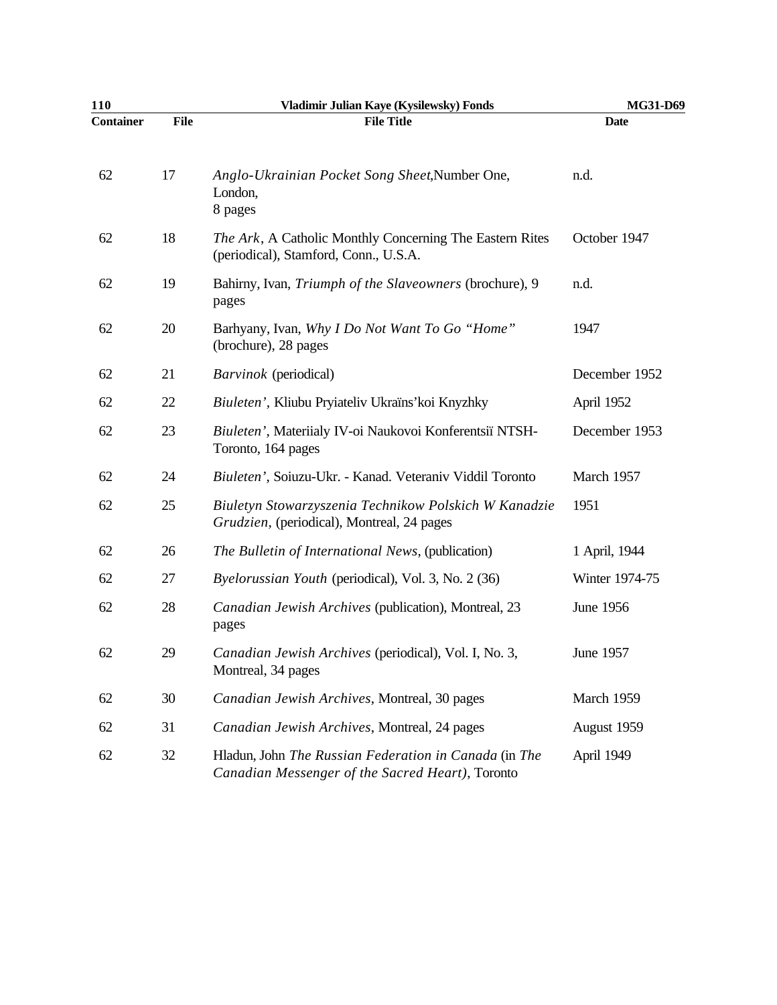| 110              |      | Vladimir Julian Kaye (Kysilewsky) Fonds                                                                   | MG31-D69       |
|------------------|------|-----------------------------------------------------------------------------------------------------------|----------------|
| <b>Container</b> | File | <b>File Title</b>                                                                                         | <b>Date</b>    |
| 62               | 17   | Anglo-Ukrainian Pocket Song Sheet, Number One,<br>London,<br>8 pages                                      | n.d.           |
| 62               | 18   | The Ark, A Catholic Monthly Concerning The Eastern Rites<br>(periodical), Stamford, Conn., U.S.A.         | October 1947   |
| 62               | 19   | Bahirny, Ivan, Triumph of the Slaveowners (brochure), 9<br>pages                                          | n.d.           |
| 62               | 20   | Barhyany, Ivan, Why I Do Not Want To Go "Home"<br>(brochure), 28 pages                                    | 1947           |
| 62               | 21   | <i>Barvinok</i> (periodical)                                                                              | December 1952  |
| 62               | 22   | Biuleten', Kliubu Pryiateliv Ukraïns' koi Knyzhky                                                         | April 1952     |
| 62               | 23   | Biuleten', Materiialy IV-oi Naukovoi Konferentsiï NTSH-<br>Toronto, 164 pages                             | December 1953  |
| 62               | 24   | Biuleten', Soiuzu-Ukr. - Kanad. Veteraniv Viddil Toronto                                                  | March 1957     |
| 62               | 25   | Biuletyn Stowarzyszenia Technikow Polskich W Kanadzie<br>Grudzien, (periodical), Montreal, 24 pages       | 1951           |
| 62               | 26   | The Bulletin of International News, (publication)                                                         | 1 April, 1944  |
| 62               | 27   | Byelorussian Youth (periodical), Vol. 3, No. 2 (36)                                                       | Winter 1974-75 |
| 62               | 28   | Canadian Jewish Archives (publication), Montreal, 23<br>pages                                             | June 1956      |
| 62               | 29   | Canadian Jewish Archives (periodical), Vol. I, No. 3,<br>Montreal, 34 pages                               | June 1957      |
| 62               | 30   | Canadian Jewish Archives, Montreal, 30 pages                                                              | March 1959     |
| 62               | 31   | Canadian Jewish Archives, Montreal, 24 pages                                                              | August 1959    |
| 62               | 32   | Hladun, John The Russian Federation in Canada (in The<br>Canadian Messenger of the Sacred Heart), Toronto | April 1949     |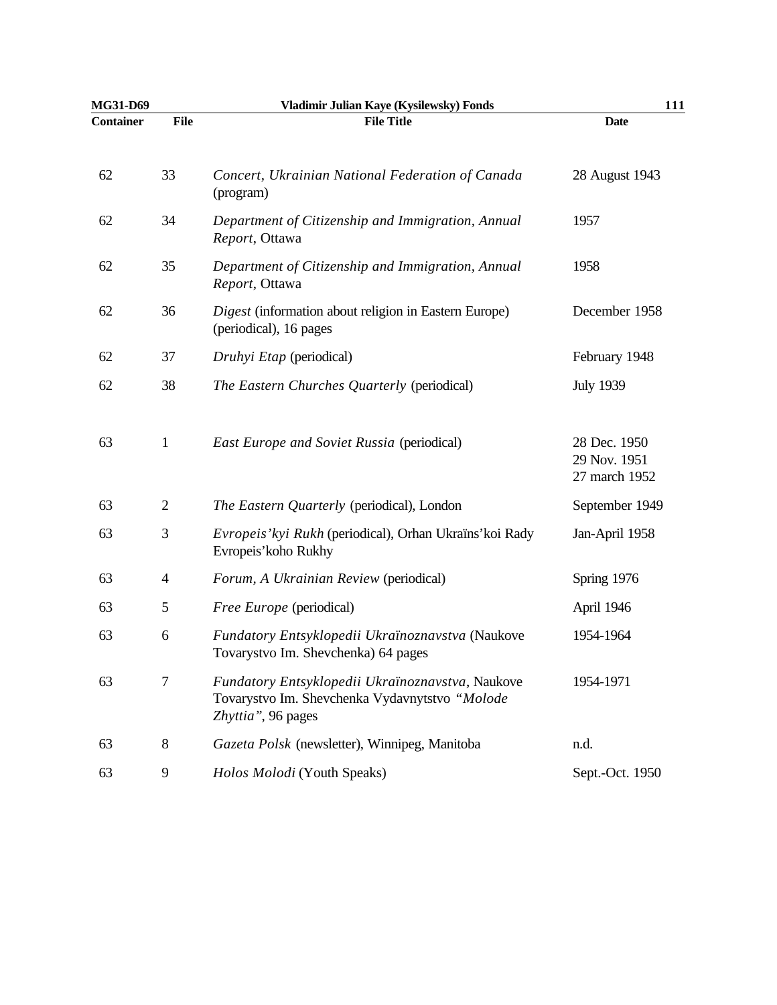| MG31-D69  |                | Vladimir Julian Kaye (Kysilewsky) Fonds                                                                                  | 111                                           |
|-----------|----------------|--------------------------------------------------------------------------------------------------------------------------|-----------------------------------------------|
| Container | <b>File</b>    | <b>File Title</b>                                                                                                        | <b>Date</b>                                   |
| 62        | 33             | Concert, Ukrainian National Federation of Canada<br>(program)                                                            | 28 August 1943                                |
| 62        | 34             | Department of Citizenship and Immigration, Annual<br>Report, Ottawa                                                      | 1957                                          |
| 62        | 35             | Department of Citizenship and Immigration, Annual<br>Report, Ottawa                                                      | 1958                                          |
| 62        | 36             | Digest (information about religion in Eastern Europe)<br>(periodical), 16 pages                                          | December 1958                                 |
| 62        | 37             | Druhyi Etap (periodical)                                                                                                 | February 1948                                 |
| 62        | 38             | The Eastern Churches Quarterly (periodical)                                                                              | <b>July 1939</b>                              |
| 63        | 1              | <b>East Europe and Soviet Russia (periodical)</b>                                                                        | 28 Dec. 1950<br>29 Nov. 1951<br>27 march 1952 |
| 63        | $\overline{2}$ | The Eastern Quarterly (periodical), London                                                                               | September 1949                                |
| 63        | 3              | Evropeis' kyi Rukh (periodical), Orhan Ukraïns' koi Rady<br>Evropeis' koho Rukhy                                         | Jan-April 1958                                |
| 63        | 4              | Forum, A Ukrainian Review (periodical)                                                                                   | Spring 1976                                   |
| 63        | 5              | Free Europe (periodical)                                                                                                 | April 1946                                    |
| 63        | 6              | Fundatory Entsyklopedii Ukraïnoznavstva (Naukove<br>Tovarystvo Im. Shevchenka) 64 pages                                  | 1954-1964                                     |
| 63        | 7              | Fundatory Entsyklopedii Ukraïnoznavstva, Naukove<br>Tovarystvo Im. Shevchenka Vydavnytstvo "Molode<br>Zhyttia", 96 pages | 1954-1971                                     |
| 63        | $8\,$          | Gazeta Polsk (newsletter), Winnipeg, Manitoba                                                                            | n.d.                                          |
| 63        | 9              | Holos Molodi (Youth Speaks)                                                                                              | Sept.-Oct. 1950                               |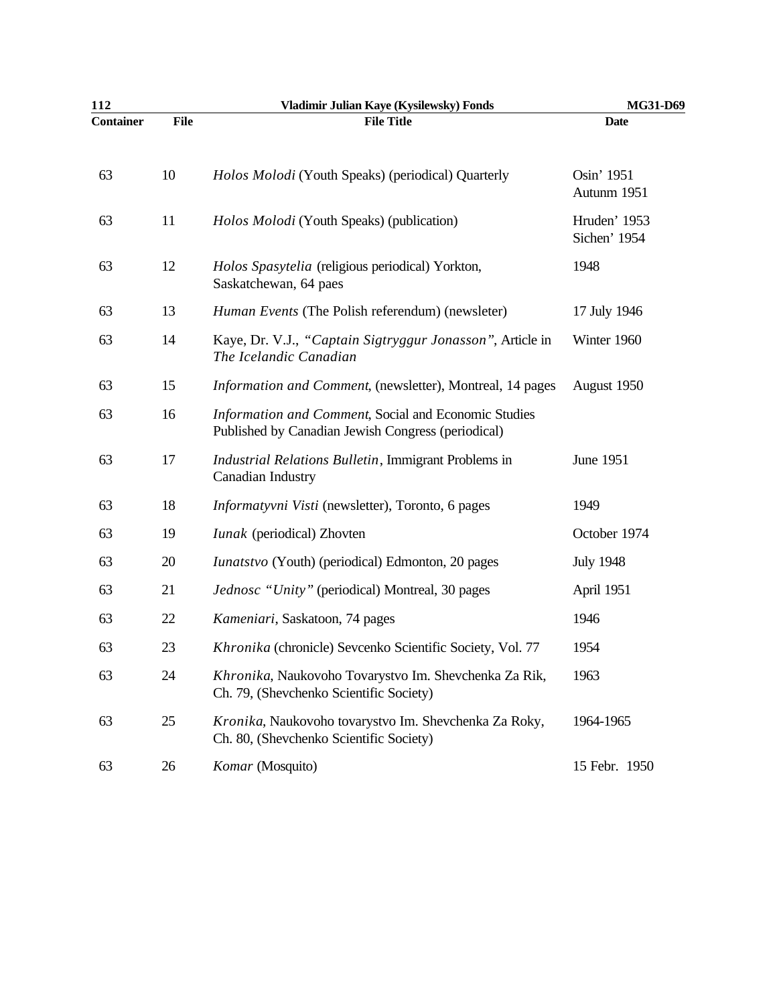| 112              |             | Vladimir Julian Kaye (Kysilewsky) Fonds                                                                    | MG31-D69                     |
|------------------|-------------|------------------------------------------------------------------------------------------------------------|------------------------------|
| <b>Container</b> | <b>File</b> | <b>File Title</b>                                                                                          | <b>Date</b>                  |
| 63               | 10          | Holos Molodi (Youth Speaks) (periodical) Quarterly                                                         | Osin' 1951<br>Autunm 1951    |
| 63               | 11          | Holos Molodi (Youth Speaks) (publication)                                                                  | Hruden' 1953<br>Sichen' 1954 |
| 63               | 12          | Holos Spasytelia (religious periodical) Yorkton,<br>Saskatchewan, 64 paes                                  | 1948                         |
| 63               | 13          | Human Events (The Polish referendum) (newsleter)                                                           | 17 July 1946                 |
| 63               | 14          | Kaye, Dr. V.J., "Captain Sigtryggur Jonasson", Article in<br>The Icelandic Canadian                        | Winter 1960                  |
| 63               | 15          | Information and Comment, (newsletter), Montreal, 14 pages                                                  | August 1950                  |
| 63               | 16          | Information and Comment, Social and Economic Studies<br>Published by Canadian Jewish Congress (periodical) |                              |
| 63               | 17          | Industrial Relations Bulletin, Immigrant Problems in<br>Canadian Industry                                  | June 1951                    |
| 63               | 18          | Informatyvni Visti (newsletter), Toronto, 6 pages                                                          | 1949                         |
| 63               | 19          | <i>Iunak</i> (periodical) Zhovten                                                                          | October 1974                 |
| 63               | 20          | <i>Iunatstvo</i> (Youth) (periodical) Edmonton, 20 pages                                                   | <b>July 1948</b>             |
| 63               | 21          | Jednosc "Unity" (periodical) Montreal, 30 pages                                                            | April 1951                   |
| 63               | 22          | Kameniari, Saskatoon, 74 pages                                                                             | 1946                         |
| 63               | 23          | Khronika (chronicle) Sevcenko Scientific Society, Vol. 77                                                  | 1954                         |
| 63               | 24          | Khronika, Naukovoho Tovarystvo Im. Shevchenka Za Rik,<br>Ch. 79, (Shevchenko Scientific Society)           | 1963                         |
| 63               | 25          | Kronika, Naukovoho tovarystvo Im. Shevchenka Za Roky,<br>Ch. 80, (Shevchenko Scientific Society)           | 1964-1965                    |
| 63               | 26          | Komar (Mosquito)                                                                                           | 15 Febr. 1950                |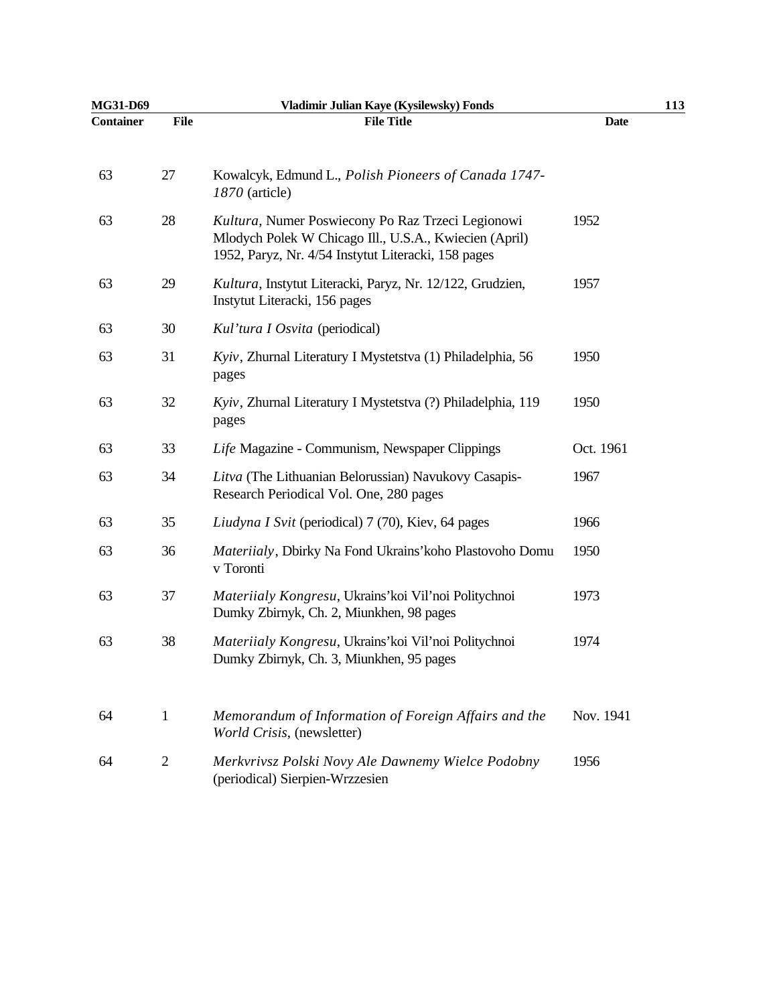| <b>MG31-D69</b>  |                | Vladimir Julian Kaye (Kysilewsky) Fonds                                                                                                                            |             | 113 |
|------------------|----------------|--------------------------------------------------------------------------------------------------------------------------------------------------------------------|-------------|-----|
| <b>Container</b> | <b>File</b>    | <b>File Title</b>                                                                                                                                                  | <b>Date</b> |     |
| 63               | 27             | Kowalcyk, Edmund L., Polish Pioneers of Canada 1747-<br>1870 (article)                                                                                             |             |     |
| 63               | 28             | Kultura, Numer Poswiecony Po Raz Trzeci Legionowi<br>Mlodych Polek W Chicago Ill., U.S.A., Kwiecien (April)<br>1952, Paryz, Nr. 4/54 Instytut Literacki, 158 pages | 1952        |     |
| 63               | 29             | Kultura, Instytut Literacki, Paryz, Nr. 12/122, Grudzien,<br>Instytut Literacki, 156 pages                                                                         | 1957        |     |
| 63               | 30             | Kul'tura I Osvita (periodical)                                                                                                                                     |             |     |
| 63               | 31             | Kyiv, Zhurnal Literatury I Mystetstva (1) Philadelphia, 56<br>pages                                                                                                | 1950        |     |
| 63               | 32             | Kyiv, Zhurnal Literatury I Mystetstva (?) Philadelphia, 119<br>pages                                                                                               | 1950        |     |
| 63               | 33             | Life Magazine - Communism, Newspaper Clippings                                                                                                                     | Oct. 1961   |     |
| 63               | 34             | Litva (The Lithuanian Belorussian) Navukovy Casapis-<br>Research Periodical Vol. One, 280 pages                                                                    | 1967        |     |
| 63               | 35             | Liudyna I Svit (periodical) 7 (70), Kiev, 64 pages                                                                                                                 | 1966        |     |
| 63               | 36             | Materiialy, Dbirky Na Fond Ukrains' koho Plastovoho Domu<br>v Toronti                                                                                              | 1950        |     |
| 63               | 37             | Materiialy Kongresu, Ukrains'koi Vil'noi Politychnoi<br>Dumky Zbirnyk, Ch. 2, Miunkhen, 98 pages                                                                   | 1973        |     |
| 63               | 38             | Materiialy Kongresu, Ukrains'koi Vil'noi Politychnoi<br>Dumky Zbirnyk, Ch. 3, Miunkhen, 95 pages                                                                   | 1974        |     |
| 64               | $\mathbf{1}$   | Memorandum of Information of Foreign Affairs and the<br>World Crisis, (newsletter)                                                                                 | Nov. 1941   |     |
| 64               | $\overline{2}$ | Merkvrivsz Polski Novy Ale Dawnemy Wielce Podobny<br>(periodical) Sierpien-Wrzzesien                                                                               | 1956        |     |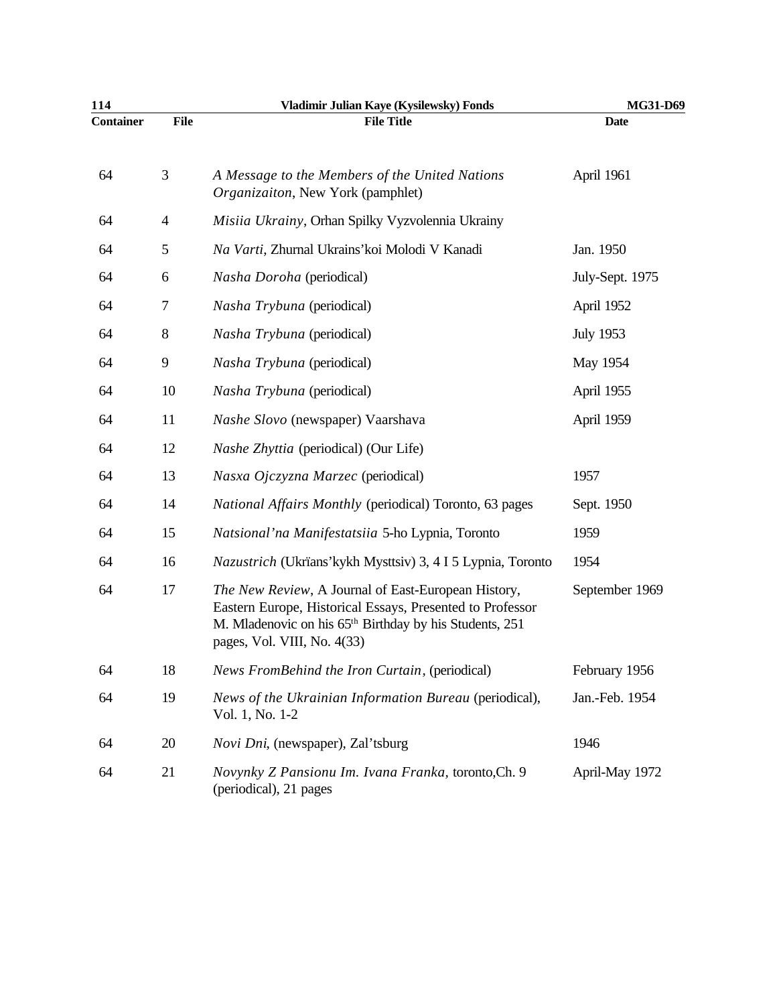| 114              |             | Vladimir Julian Kaye (Kysilewsky) Fonds                                                                                                                                                                                | MG31-D69         |
|------------------|-------------|------------------------------------------------------------------------------------------------------------------------------------------------------------------------------------------------------------------------|------------------|
| <b>Container</b> | <b>File</b> | <b>File Title</b>                                                                                                                                                                                                      | <b>Date</b>      |
| 64               | 3           | A Message to the Members of the United Nations<br>Organizaiton, New York (pamphlet)                                                                                                                                    | April 1961       |
| 64               | 4           | Misiia Ukrainy, Orhan Spilky Vyzvolennia Ukrainy                                                                                                                                                                       |                  |
| 64               | 5           | Na Varti, Zhurnal Ukrains' koi Molodi V Kanadi                                                                                                                                                                         | Jan. 1950        |
| 64               | 6           | Nasha Doroha (periodical)                                                                                                                                                                                              | July-Sept. 1975  |
| 64               | 7           | Nasha Trybuna (periodical)                                                                                                                                                                                             | April 1952       |
| 64               | 8           | Nasha Trybuna (periodical)                                                                                                                                                                                             | <b>July 1953</b> |
| 64               | 9           | Nasha Trybuna (periodical)                                                                                                                                                                                             | May 1954         |
| 64               | 10          | Nasha Trybuna (periodical)                                                                                                                                                                                             | April 1955       |
| 64               | 11          | Nashe Slovo (newspaper) Vaarshava                                                                                                                                                                                      | April 1959       |
| 64               | 12          | <i>Nashe Zhyttia</i> (periodical) (Our Life)                                                                                                                                                                           |                  |
| 64               | 13          | Nasxa Ojczyzna Marzec (periodical)                                                                                                                                                                                     | 1957             |
| 64               | 14          | National Affairs Monthly (periodical) Toronto, 63 pages                                                                                                                                                                | Sept. 1950       |
| 64               | 15          | Natsional'na Manifestatsiia 5-ho Lypnia, Toronto                                                                                                                                                                       | 1959             |
| 64               | 16          | Nazustrich (Ukrïans'kykh Mysttsiv) 3, 4 I 5 Lypnia, Toronto                                                                                                                                                            | 1954             |
| 64               | 17          | The New Review, A Journal of East-European History,<br>Eastern Europe, Historical Essays, Presented to Professor<br>M. Mladenovic on his 65 <sup>th</sup> Birthday by his Students, 251<br>pages, Vol. VIII, No. 4(33) | September 1969   |
| 64               | 18          | News FromBehind the Iron Curtain, (periodical)                                                                                                                                                                         | February 1956    |
| 64               | 19          | News of the Ukrainian Information Bureau (periodical),<br>Vol. 1, No. 1-2                                                                                                                                              | Jan.-Feb. 1954   |
| 64               | 20          | Novi Dni, (newspaper), Zal'tsburg                                                                                                                                                                                      | 1946             |
| 64               | 21          | Novynky Z Pansionu Im. Ivana Franka, toronto, Ch. 9<br>(periodical), 21 pages                                                                                                                                          | April-May 1972   |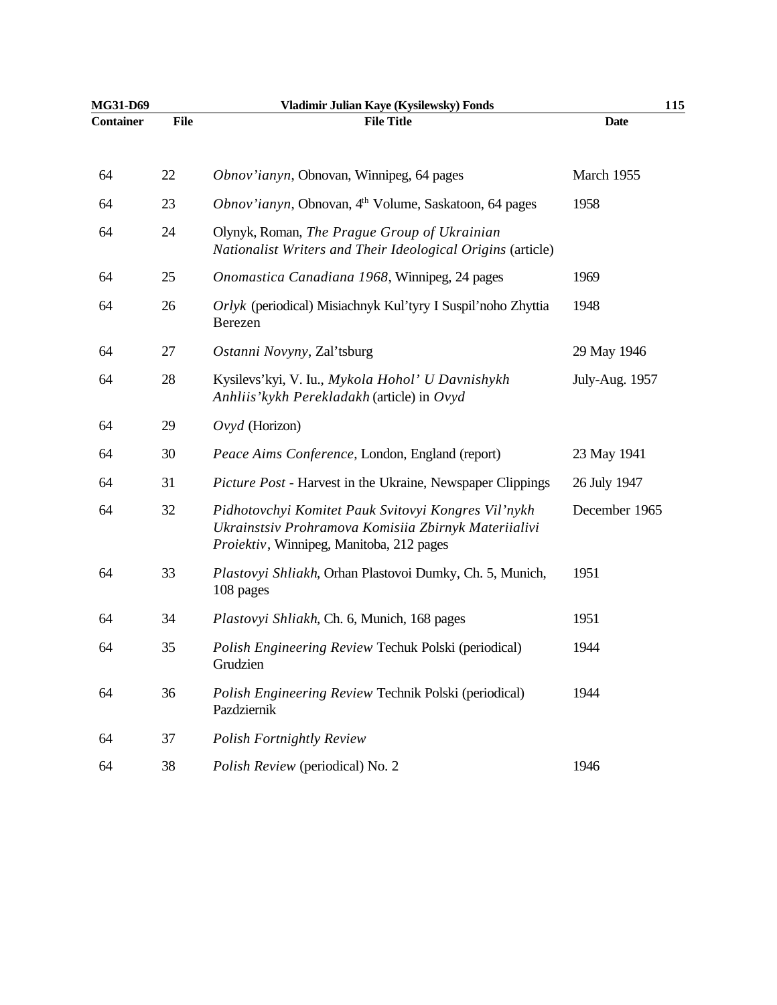| MG31-D69         |             | Vladimir Julian Kaye (Kysilewsky) Fonds                                                                                                                 | 115            |  |
|------------------|-------------|---------------------------------------------------------------------------------------------------------------------------------------------------------|----------------|--|
| <b>Container</b> | <b>File</b> | <b>File Title</b>                                                                                                                                       | <b>Date</b>    |  |
| 64               | 22          | Obnov'ianyn, Obnovan, Winnipeg, 64 pages                                                                                                                | March 1955     |  |
| 64               | 23          | Obnov'ianyn, Obnovan, 4 <sup>th</sup> Volume, Saskatoon, 64 pages                                                                                       | 1958           |  |
| 64               | 24          | Olynyk, Roman, The Prague Group of Ukrainian<br>Nationalist Writers and Their Ideological Origins (article)                                             |                |  |
| 64               | 25          | Onomastica Canadiana 1968, Winnipeg, 24 pages                                                                                                           | 1969           |  |
| 64               | 26          | Orlyk (periodical) Misiachnyk Kul'tyry I Suspil'noho Zhyttia<br>Berezen                                                                                 | 1948           |  |
| 64               | 27          | Ostanni Novyny, Zal'tsburg                                                                                                                              | 29 May 1946    |  |
| 64               | 28          | Kysilevs'kyi, V. Iu., Mykola Hohol' U Davnishykh<br>Anhliis' kykh Perekladakh (article) in Ovyd                                                         | July-Aug. 1957 |  |
| 64               | 29          | $Ovyd$ (Horizon)                                                                                                                                        |                |  |
| 64               | 30          | Peace Aims Conference, London, England (report)                                                                                                         | 23 May 1941    |  |
| 64               | 31          | Picture Post - Harvest in the Ukraine, Newspaper Clippings                                                                                              | 26 July 1947   |  |
| 64               | 32          | Pidhotovchyi Komitet Pauk Svitovyi Kongres Vil'nykh<br>Ukrainstsiv Prohramova Komisiia Zbirnyk Materiialivi<br>Proiektiv, Winnipeg, Manitoba, 212 pages | December 1965  |  |
| 64               | 33          | Plastovyi Shliakh, Orhan Plastovoi Dumky, Ch. 5, Munich,<br>108 pages                                                                                   | 1951           |  |
| 64               | 34          | Plastovyi Shliakh, Ch. 6, Munich, 168 pages                                                                                                             | 1951           |  |
| 64               | 35          | Polish Engineering Review Techuk Polski (periodical)<br>Grudzien                                                                                        | 1944           |  |
| 64               | 36          | Polish Engineering Review Technik Polski (periodical)<br>Pazdziernik                                                                                    | 1944           |  |
| 64               | 37          | <b>Polish Fortnightly Review</b>                                                                                                                        |                |  |
| 64               | 38          | Polish Review (periodical) No. 2                                                                                                                        | 1946           |  |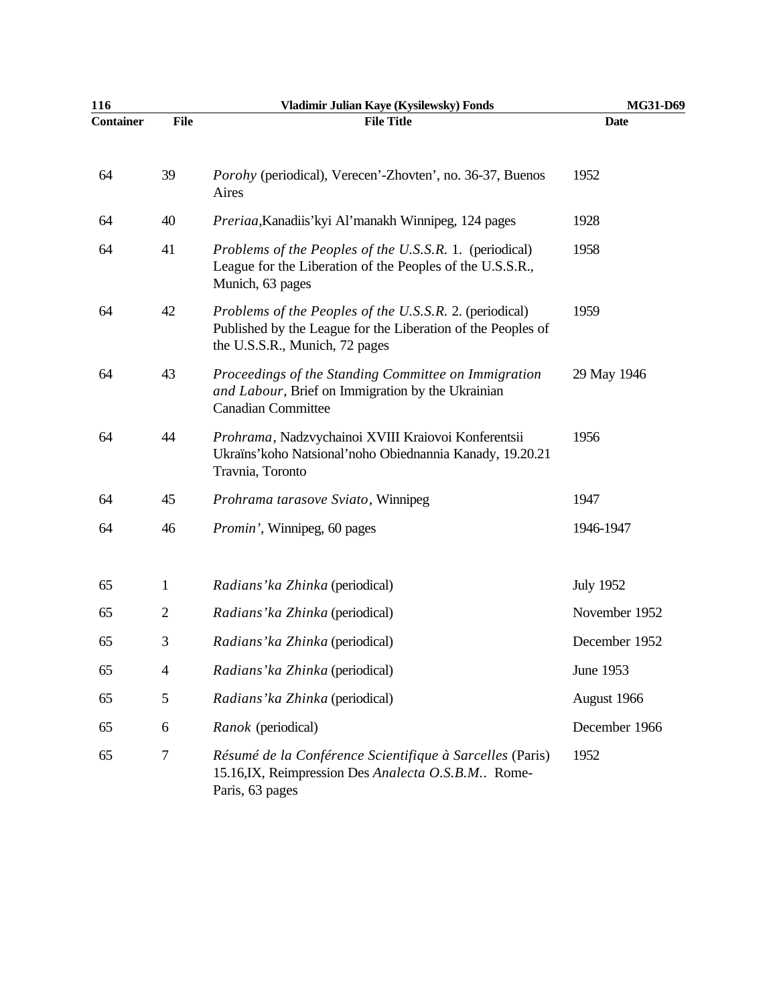| 116              |              | Vladimir Julian Kaye (Kysilewsky) Fonds                                                                                                                   | MG31-D69         |
|------------------|--------------|-----------------------------------------------------------------------------------------------------------------------------------------------------------|------------------|
| <b>Container</b> | <b>File</b>  | <b>File Title</b>                                                                                                                                         | <b>Date</b>      |
| 64               | 39           | <i>Porohy</i> (periodical), Verecen'-Zhovten', no. 36-37, Buenos<br>Aires                                                                                 | 1952             |
| 64               | 40           | Preriaa, Kanadiis' kyi Al'manakh Winnipeg, 124 pages                                                                                                      | 1928             |
| 64               | 41           | Problems of the Peoples of the U.S.S.R. 1. (periodical)<br>League for the Liberation of the Peoples of the U.S.S.R.,<br>Munich, 63 pages                  | 1958             |
| 64               | 42           | Problems of the Peoples of the U.S.S.R. 2. (periodical)<br>Published by the League for the Liberation of the Peoples of<br>the U.S.S.R., Munich, 72 pages | 1959             |
| 64               | 43           | Proceedings of the Standing Committee on Immigration<br>and Labour, Brief on Immigration by the Ukrainian<br><b>Canadian Committee</b>                    | 29 May 1946      |
| 64               | 44           | Prohrama, Nadzvychainoi XVIII Kraiovoi Konferentsii<br>Ukraïns' koho Natsional' noho Obiednannia Kanady, 19.20.21<br>Travnia, Toronto                     | 1956             |
| 64               | 45           | Prohrama tarasove Sviato, Winnipeg                                                                                                                        | 1947             |
| 64               | 46           | <i>Promin'</i> , Winnipeg, 60 pages                                                                                                                       | 1946-1947        |
| 65               | $\mathbf{1}$ | Radians' ka Zhinka (periodical)                                                                                                                           | <b>July 1952</b> |
| 65               | $\mathbf{2}$ | Radians' ka Zhinka (periodical)                                                                                                                           | November 1952    |
| 65               | 3            | Radians' ka Zhinka (periodical)                                                                                                                           | December 1952    |
| 65               | 4            | Radians' ka Zhinka (periodical)                                                                                                                           | June 1953        |
| 65               | 5            | Radians' ka Zhinka (periodical)                                                                                                                           | August 1966      |
| 65               | 6            | Ranok (periodical)                                                                                                                                        | December 1966    |
| 65               | 7            | Résumé de la Conférence Scientifique à Sarcelles (Paris)<br>15.16, IX, Reimpression Des Analecta O.S.B.M Rome-<br>Paris, 63 pages                         | 1952             |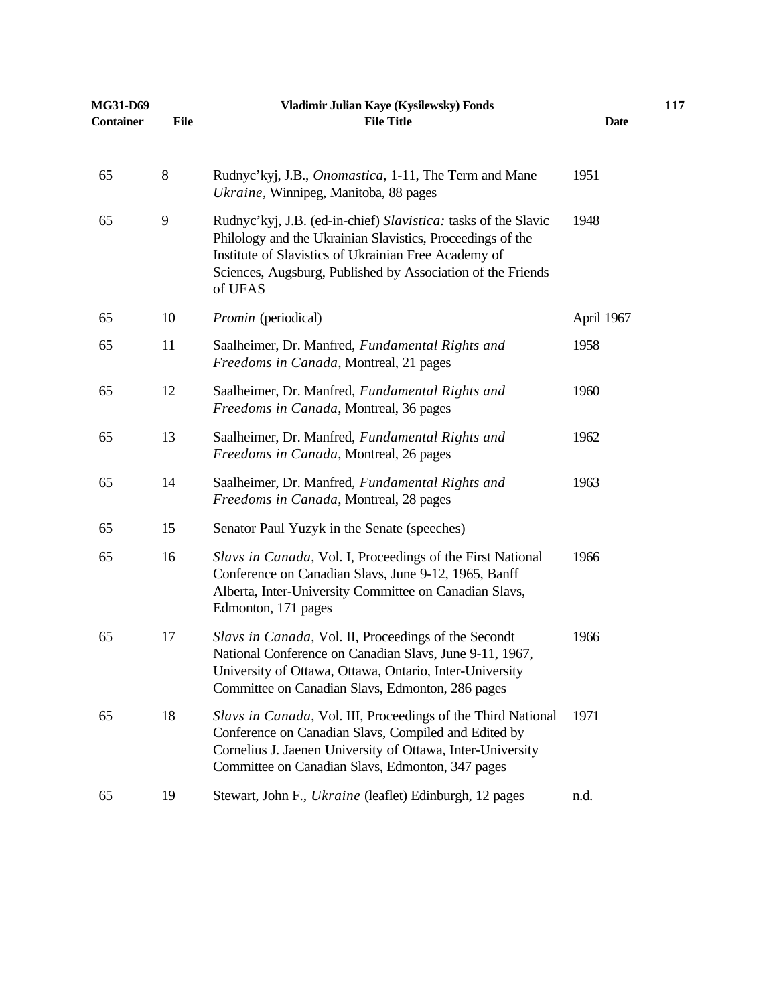| MG31-D69  |             | Vladimir Julian Kaye (Kysilewsky) Fonds                                                                                                                                                                                                                        |             | 117 |
|-----------|-------------|----------------------------------------------------------------------------------------------------------------------------------------------------------------------------------------------------------------------------------------------------------------|-------------|-----|
| Container | <b>File</b> | <b>File Title</b>                                                                                                                                                                                                                                              | <b>Date</b> |     |
| 65        | $8\,$       | Rudnyc'kyj, J.B., <i>Onomastica</i> , 1-11, The Term and Mane<br>Ukraine, Winnipeg, Manitoba, 88 pages                                                                                                                                                         | 1951        |     |
| 65        | 9           | Rudnyc'kyj, J.B. (ed-in-chief) Slavistica: tasks of the Slavic<br>Philology and the Ukrainian Slavistics, Proceedings of the<br>Institute of Slavistics of Ukrainian Free Academy of<br>Sciences, Augsburg, Published by Association of the Friends<br>of UFAS | 1948        |     |
| 65        | 10          | <i>Promin</i> (periodical)                                                                                                                                                                                                                                     | April 1967  |     |
| 65        | 11          | Saalheimer, Dr. Manfred, Fundamental Rights and<br>Freedoms in Canada, Montreal, 21 pages                                                                                                                                                                      | 1958        |     |
| 65        | 12          | Saalheimer, Dr. Manfred, Fundamental Rights and<br>Freedoms in Canada, Montreal, 36 pages                                                                                                                                                                      | 1960        |     |
| 65        | 13          | Saalheimer, Dr. Manfred, Fundamental Rights and<br>Freedoms in Canada, Montreal, 26 pages                                                                                                                                                                      | 1962        |     |
| 65        | 14          | Saalheimer, Dr. Manfred, Fundamental Rights and<br>Freedoms in Canada, Montreal, 28 pages                                                                                                                                                                      | 1963        |     |
| 65        | 15          | Senator Paul Yuzyk in the Senate (speeches)                                                                                                                                                                                                                    |             |     |
| 65        | 16          | Slavs in Canada, Vol. I, Proceedings of the First National<br>Conference on Canadian Slavs, June 9-12, 1965, Banff<br>Alberta, Inter-University Committee on Canadian Slavs,<br>Edmonton, 171 pages                                                            | 1966        |     |
| 65        | 17          | Slavs in Canada, Vol. II, Proceedings of the Secondt<br>National Conference on Canadian Slavs, June 9-11, 1967,<br>University of Ottawa, Ottawa, Ontario, Inter-University<br>Committee on Canadian Slavs, Edmonton, 286 pages                                 | 1966        |     |
| 65        | 18          | Slavs in Canada, Vol. III, Proceedings of the Third National<br>Conference on Canadian Slavs, Compiled and Edited by<br>Cornelius J. Jaenen University of Ottawa, Inter-University<br>Committee on Canadian Slavs, Edmonton, 347 pages                         | 1971        |     |
| 65        | 19          | Stewart, John F., Ukraine (leaflet) Edinburgh, 12 pages                                                                                                                                                                                                        | n.d.        |     |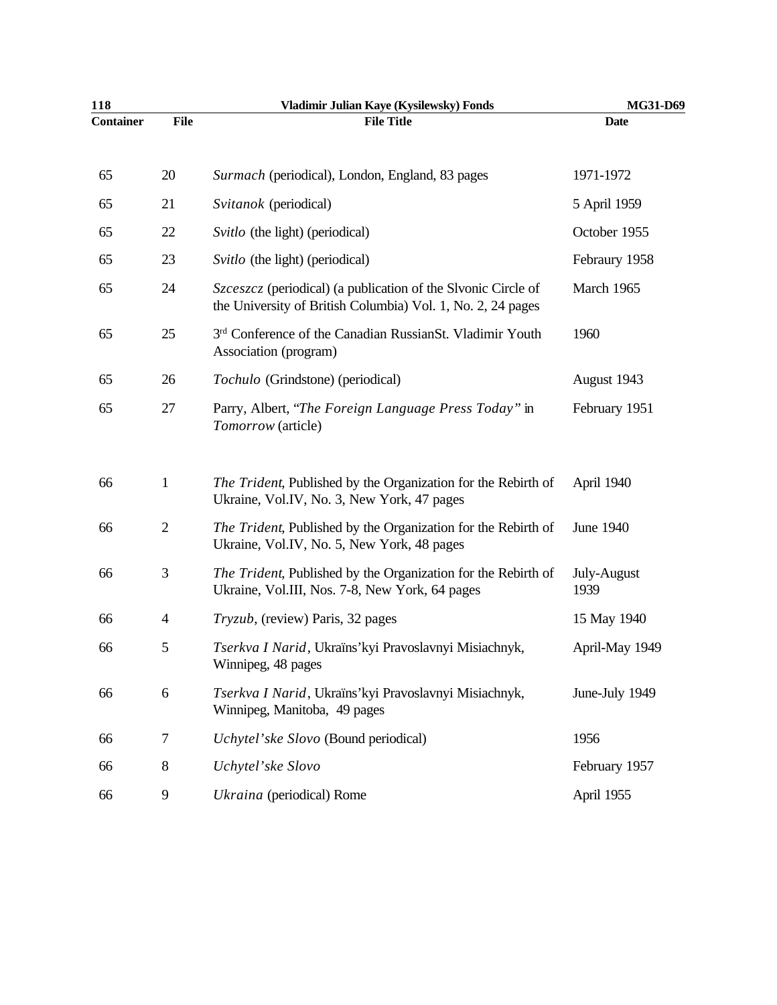| 118              |                | Vladimir Julian Kaye (Kysilewsky) Fonds                                                                                             | MG31-D69            |
|------------------|----------------|-------------------------------------------------------------------------------------------------------------------------------------|---------------------|
| <b>Container</b> | <b>File</b>    | <b>File Title</b>                                                                                                                   | <b>Date</b>         |
| 65               | 20             | Surmach (periodical), London, England, 83 pages                                                                                     | 1971-1972           |
| 65               | 21             | Svitanok (periodical)                                                                                                               | 5 April 1959        |
| 65               | 22             | Svitlo (the light) (periodical)                                                                                                     | October 1955        |
| 65               | 23             | Svitlo (the light) (periodical)                                                                                                     | Febraury 1958       |
| 65               | 24             | <i>Szceszcz</i> (periodical) (a publication of the Slvonic Circle of<br>the University of British Columbia) Vol. 1, No. 2, 24 pages | March 1965          |
| 65               | 25             | 3 <sup>rd</sup> Conference of the Canadian RussianSt. Vladimir Youth<br>Association (program)                                       | 1960                |
| 65               | 26             | Tochulo (Grindstone) (periodical)                                                                                                   | August 1943         |
| 65               | 27             | Parry, Albert, "The Foreign Language Press Today" in<br>Tomorrow (article)                                                          | February 1951       |
| 66               | $\mathbf{1}$   | The Trident, Published by the Organization for the Rebirth of<br>Ukraine, Vol.IV, No. 3, New York, 47 pages                         | April 1940          |
| 66               | $\overline{2}$ | The Trident, Published by the Organization for the Rebirth of<br>Ukraine, Vol.IV, No. 5, New York, 48 pages                         | June 1940           |
| 66               | 3              | The Trident, Published by the Organization for the Rebirth of<br>Ukraine, Vol.III, Nos. 7-8, New York, 64 pages                     | July-August<br>1939 |
| 66               | 4              | Tryzub, (review) Paris, 32 pages                                                                                                    | 15 May 1940         |
| 66               | 5              | Tserkva I Narid, Ukraïns' kyi Pravoslavnyi Misiachnyk,<br>Winnipeg, 48 pages                                                        | April-May 1949      |
| 66               | 6              | Tserkva I Narid, Ukraïns' kyi Pravoslavnyi Misiachnyk,<br>Winnipeg, Manitoba, 49 pages                                              | June-July 1949      |
| 66               | 7              | Uchytel'ske Slovo (Bound periodical)                                                                                                | 1956                |
| 66               | 8              | Uchytel'ske Slovo                                                                                                                   | February 1957       |
| 66               | 9              | Ukraina (periodical) Rome                                                                                                           | April 1955          |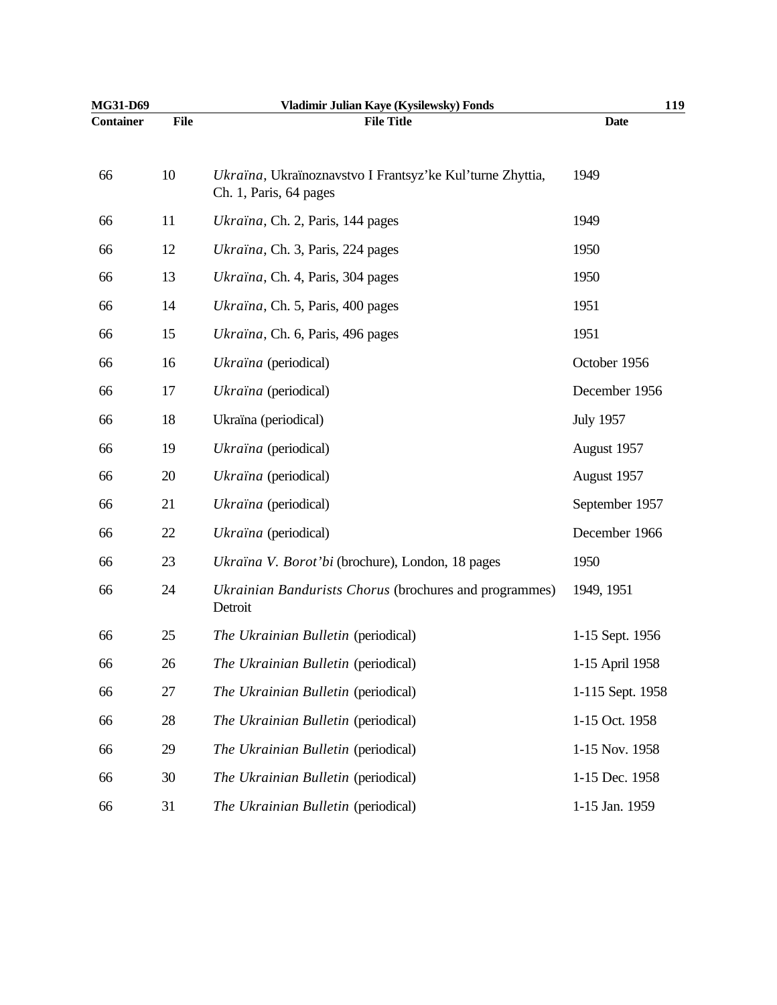| MG31-D69         |             | Vladimir Julian Kaye (Kysilewsky) Fonds                                             | 119              |
|------------------|-------------|-------------------------------------------------------------------------------------|------------------|
| <b>Container</b> | <b>File</b> | <b>File Title</b>                                                                   | <b>Date</b>      |
| 66               | 10          | Ukraïna, Ukraïnoznavstvo I Frantsyz'ke Kul'turne Zhyttia,<br>Ch. 1, Paris, 64 pages | 1949             |
| 66               | 11          | Ukraïna, Ch. 2, Paris, 144 pages                                                    | 1949             |
| 66               | 12          | Ukraïna, Ch. 3, Paris, 224 pages                                                    | 1950             |
| 66               | 13          | Ukraïna, Ch. 4, Paris, 304 pages                                                    | 1950             |
| 66               | 14          | Ukraïna, Ch. 5, Paris, 400 pages                                                    | 1951             |
| 66               | 15          | Ukraïna, Ch. 6, Paris, 496 pages                                                    | 1951             |
| 66               | 16          | Ukraïna (periodical)                                                                | October 1956     |
| 66               | 17          | Ukraïna (periodical)                                                                | December 1956    |
| 66               | 18          | Ukraïna (periodical)                                                                | <b>July 1957</b> |
| 66               | 19          | Ukraïna (periodical)                                                                | August 1957      |
| 66               | 20          | Ukraïna (periodical)                                                                | August 1957      |
| 66               | 21          | Ukraïna (periodical)                                                                | September 1957   |
| 66               | 22          | Ukraïna (periodical)                                                                | December 1966    |
| 66               | 23          | Ukraïna V. Borot'bi (brochure), London, 18 pages                                    | 1950             |
| 66               | 24          | Ukrainian Bandurists Chorus (brochures and programmes)<br>Detroit                   | 1949, 1951       |
| 66               | 25          | The Ukrainian Bulletin (periodical)                                                 | 1-15 Sept. 1956  |
| 66               | 26          | The Ukrainian Bulletin (periodical)                                                 | 1-15 April 1958  |
| 66               | 27          | The Ukrainian Bulletin (periodical)                                                 | 1-115 Sept. 1958 |
| 66               | 28          | The Ukrainian Bulletin (periodical)                                                 | 1-15 Oct. 1958   |
| 66               | 29          | The Ukrainian Bulletin (periodical)                                                 | 1-15 Nov. 1958   |
| 66               | 30          | The Ukrainian Bulletin (periodical)                                                 | 1-15 Dec. 1958   |
| 66               | 31          | The Ukrainian Bulletin (periodical)                                                 | 1-15 Jan. 1959   |
|                  |             |                                                                                     |                  |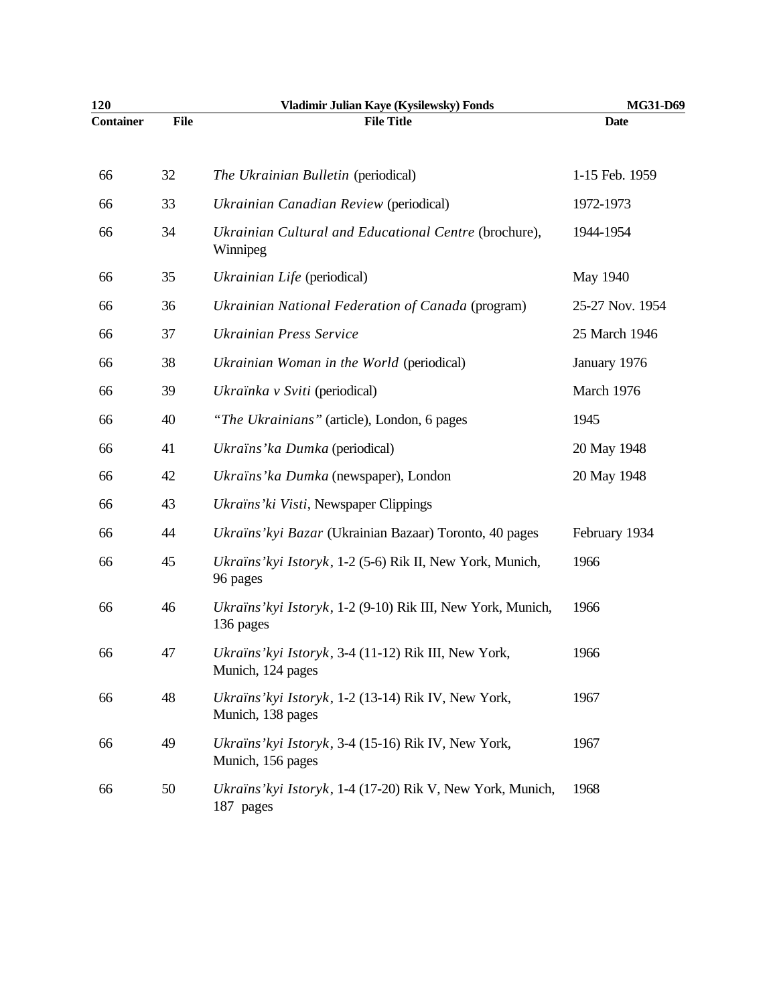| 120              |             | Vladimir Julian Kaye (Kysilewsky) Fonds                                   | MG31-D69        |
|------------------|-------------|---------------------------------------------------------------------------|-----------------|
| <b>Container</b> | <b>File</b> | <b>File Title</b>                                                         | <b>Date</b>     |
| 66               | 32          | The Ukrainian Bulletin (periodical)                                       | 1-15 Feb. 1959  |
| 66               | 33          | Ukrainian Canadian Review (periodical)                                    | 1972-1973       |
| 66               | 34          | Ukrainian Cultural and Educational Centre (brochure),<br>Winnipeg         | 1944-1954       |
| 66               | 35          | Ukrainian Life (periodical)                                               | May 1940        |
| 66               | 36          | Ukrainian National Federation of Canada (program)                         | 25-27 Nov. 1954 |
| 66               | 37          | <b>Ukrainian Press Service</b>                                            | 25 March 1946   |
| 66               | 38          | Ukrainian Woman in the World (periodical)                                 | January 1976    |
| 66               | 39          | Ukraïnka v Sviti (periodical)                                             | March 1976      |
| 66               | 40          | "The Ukrainians" (article), London, 6 pages                               | 1945            |
| 66               | 41          | Ukraïns' ka Dumka (periodical)                                            | 20 May 1948     |
| 66               | 42          | Ukraïns' ka Dumka (newspaper), London                                     | 20 May 1948     |
| 66               | 43          | Ukraïns' ki Visti, Newspaper Clippings                                    |                 |
| 66               | 44          | Ukraïns' kyi Bazar (Ukrainian Bazaar) Toronto, 40 pages                   | February 1934   |
| 66               | 45          | Ukraïns' kyi Istoryk, 1-2 (5-6) Rik II, New York, Munich,<br>96 pages     | 1966            |
| 66               | 46          | Ukraïns' kyi Istoryk, 1-2 (9-10) Rik III, New York, Munich,<br>136 pages  | 1966            |
| 66               | 47          | Ukraïns' kyi Istoryk, 3-4 (11-12) Rik III, New York,<br>Munich, 124 pages | 1966            |
| 66               | 48          | Ukraïns' kyi Istoryk, 1-2 (13-14) Rik IV, New York,<br>Munich, 138 pages  | 1967            |
| 66               | 49          | Ukraïns' kyi Istoryk, 3-4 (15-16) Rik IV, New York,<br>Munich, 156 pages  | 1967            |
| 66               | 50          | Ukraïns' kyi Istoryk, 1-4 (17-20) Rik V, New York, Munich,<br>187 pages   | 1968            |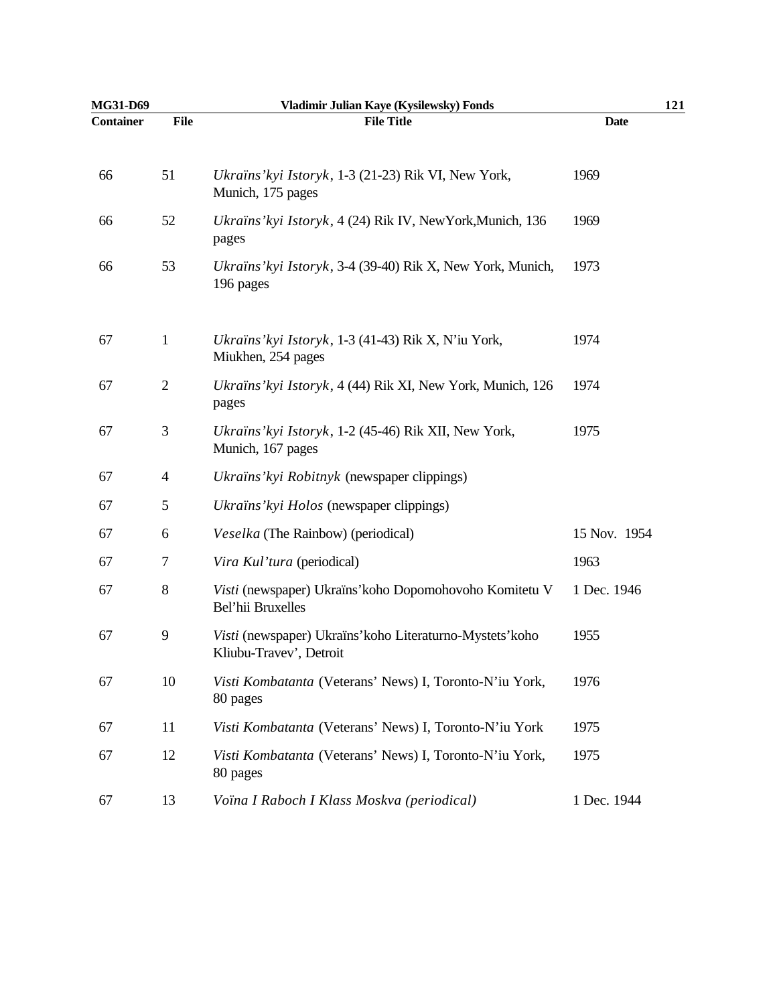| MG31-D69         |                | Vladimir Julian Kaye (Kysilewsky) Fonds                                              | 121          |
|------------------|----------------|--------------------------------------------------------------------------------------|--------------|
| <b>Container</b> | <b>File</b>    | <b>File Title</b>                                                                    | <b>Date</b>  |
| 66               | 51             | Ukraïns' kyi Istoryk, 1-3 (21-23) Rik VI, New York,<br>Munich, 175 pages             | 1969         |
| 66               | 52             | Ukraïns' kyi Istoryk, 4 (24) Rik IV, NewYork, Munich, 136<br>pages                   | 1969         |
| 66               | 53             | Ukraïns' kyi Istoryk, 3-4 (39-40) Rik X, New York, Munich,<br>196 pages              | 1973         |
| 67               | $\mathbf{1}$   | Ukraïns' kyi Istoryk, 1-3 (41-43) Rik X, N'iu York,<br>Miukhen, 254 pages            | 1974         |
| 67               | $\overline{2}$ | Ukraïns' kyi Istoryk, 4 (44) Rik XI, New York, Munich, 126<br>pages                  | 1974         |
| 67               | 3              | Ukraïns' kyi Istoryk, 1-2 (45-46) Rik XII, New York,<br>Munich, 167 pages            | 1975         |
| 67               | $\overline{4}$ | Ukraïns' kyi Robitnyk (newspaper clippings)                                          |              |
| 67               | 5              | Ukraïns' kyi Holos (newspaper clippings)                                             |              |
| 67               | 6              | Veselka (The Rainbow) (periodical)                                                   | 15 Nov. 1954 |
| 67               | 7              | Vira Kul'tura (periodical)                                                           | 1963         |
| 67               | $8\,$          | Visti (newspaper) Ukraïns' koho Dopomohovoho Komitetu V<br>Bel'hii Bruxelles         | 1 Dec. 1946  |
| 67               | 9              | Visti (newspaper) Ukraïns' koho Literaturno-Mystets' koho<br>Kliubu-Travev', Detroit | 1955         |
| 67               | 10             | Visti Kombatanta (Veterans' News) I, Toronto-N'iu York,<br>80 pages                  | 1976         |
| 67               | 11             | Visti Kombatanta (Veterans' News) I, Toronto-N'iu York                               | 1975         |
| 67               | 12             | Visti Kombatanta (Veterans' News) I, Toronto-N'iu York,<br>80 pages                  | 1975         |
| 67               | 13             | Voïna I Raboch I Klass Moskva (periodical)                                           | 1 Dec. 1944  |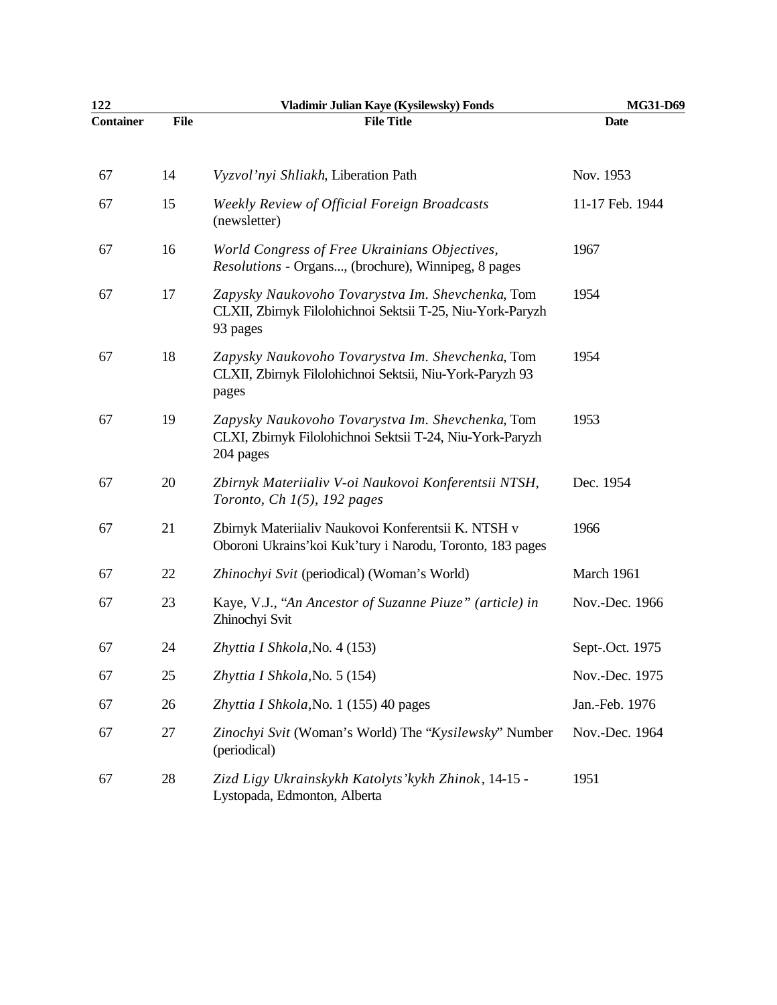| 122              |             | Vladimir Julian Kaye (Kysilewsky) Fonds                                                                                    | MG31-D69        |
|------------------|-------------|----------------------------------------------------------------------------------------------------------------------------|-----------------|
| <b>Container</b> | <b>File</b> | <b>File Title</b>                                                                                                          | <b>Date</b>     |
| 67               | 14          | Vyzvol'nyi Shliakh, Liberation Path                                                                                        | Nov. 1953       |
| 67               | 15          | Weekly Review of Official Foreign Broadcasts<br>(newsletter)                                                               | 11-17 Feb. 1944 |
| 67               | 16          | World Congress of Free Ukrainians Objectives,<br>Resolutions - Organs, (brochure), Winnipeg, 8 pages                       | 1967            |
| 67               | 17          | Zapysky Naukovoho Tovarystva Im. Shevchenka, Tom<br>CLXII, Zbirnyk Filolohichnoi Sektsii T-25, Niu-York-Paryzh<br>93 pages | 1954            |
| 67               | 18          | Zapysky Naukovoho Tovarystva Im. Shevchenka, Tom<br>CLXII, Zbirnyk Filolohichnoi Sektsii, Niu-York-Paryzh 93<br>pages      | 1954            |
| 67               | 19          | Zapysky Naukovoho Tovarystva Im. Shevchenka, Tom<br>CLXI, Zbirnyk Filolohichnoi Sektsii T-24, Niu-York-Paryzh<br>204 pages | 1953            |
| 67               | 20          | Zbirnyk Materiialiv V-oi Naukovoi Konferentsii NTSH,<br>Toronto, Ch $1(5)$ , 192 pages                                     | Dec. 1954       |
| 67               | 21          | Zbirnyk Materiialiv Naukovoi Konferentsii K. NTSH v<br>Oboroni Ukrains'koi Kuk'tury i Narodu, Toronto, 183 pages           | 1966            |
| 67               | 22          | Zhinochyi Svit (periodical) (Woman's World)                                                                                | March 1961      |
| 67               | 23          | Kaye, V.J., "An Ancestor of Suzanne Piuze" (article) in<br>Zhinochyi Svit                                                  | Nov.-Dec. 1966  |
| 67               | 24          | Zhyttia I Shkola, No. 4 (153)                                                                                              | Sept-.Oct. 1975 |
| 67               | 25          | Zhyttia I Shkola, No. 5 (154)                                                                                              | Nov.-Dec. 1975  |
| 67               | 26          | Zhyttia I Shkola, No. 1 (155) 40 pages                                                                                     | Jan.-Feb. 1976  |
| 67               | 27          | Zinochyi Svit (Woman's World) The "Kysilewsky" Number<br>(periodical)                                                      | Nov.-Dec. 1964  |
| 67               | 28          | Zizd Ligy Ukrainskykh Katolyts' kykh Zhinok, 14-15 -<br>Lystopada, Edmonton, Alberta                                       | 1951            |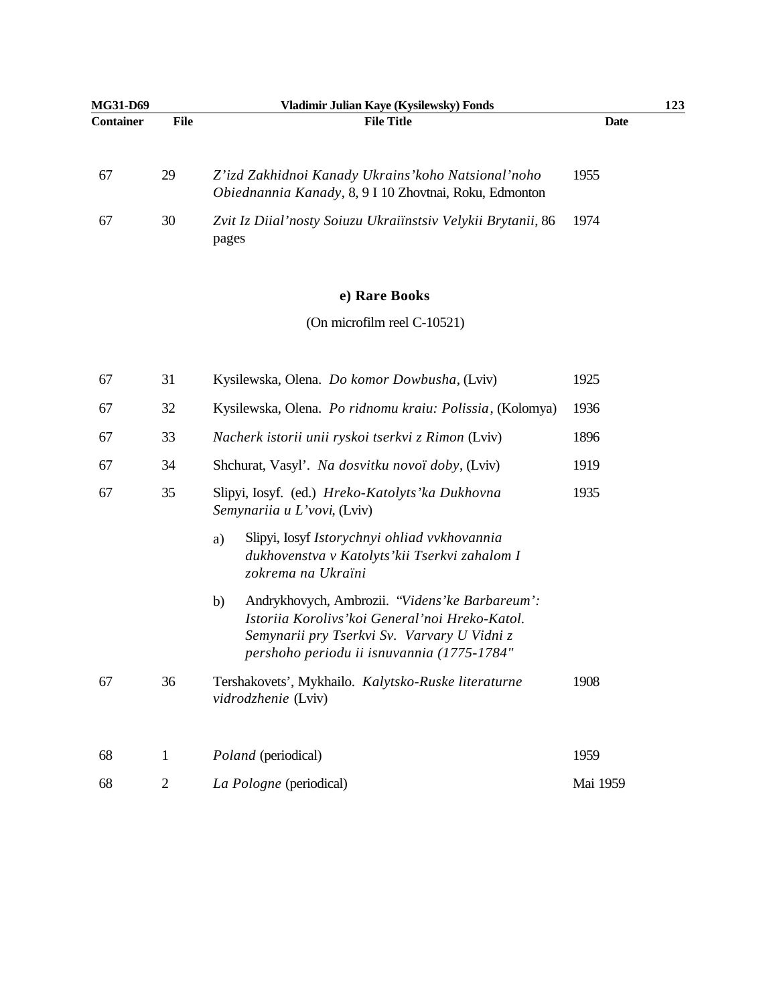| <b>MG31-D69</b>  |      | Vladimir Julian Kave (Kysilewsky) Fonds                                                                        | 123  |
|------------------|------|----------------------------------------------------------------------------------------------------------------|------|
| <b>Container</b> | File | <b>File Title</b>                                                                                              | Date |
| 67               | 29   | Z'izd Zakhidnoi Kanady Ukrains' koho Natsional' noho<br>Obiednannia Kanady, 8, 9 I 10 Zhovtnai, Roku, Edmonton | 1955 |
| 67               | 30   | Zvit Iz Diial'nosty Soiuzu Ukraiinstsiv Velykii Brytanii, 86<br>pages                                          | 1974 |

## **e) Rare Books**

(On microfilm reel C-10521)

| 67 | 31 | Kysilewska, Olena. Do komor Dowbusha, (Lviv)                                                                                                                                                           | 1925     |
|----|----|--------------------------------------------------------------------------------------------------------------------------------------------------------------------------------------------------------|----------|
| 67 | 32 | Kysilewska, Olena. Po ridnomu kraiu: Polissia, (Kolomya)                                                                                                                                               | 1936     |
| 67 | 33 | Nacherk istorii unii ryskoi tserkvi z Rimon (Lviv)                                                                                                                                                     | 1896     |
| 67 | 34 | Shchurat, Vasyl'. Na dosvitku novoï doby, (Lviv)                                                                                                                                                       | 1919     |
| 67 | 35 | Slipyi, Iosyf. (ed.) Hreko-Katolyts' ka Dukhovna<br>Semynariia u L'vovi, (Lviv)                                                                                                                        | 1935     |
|    |    | Slipyi, Iosyf Istorychnyi ohliad vvkhovannia<br>a)<br>dukhovenstva v Katolyts' kii Tserkvi zahalom I<br>zokrema na Ukraïni                                                                             |          |
|    |    | Andrykhovych, Ambrozii. "Videns' ke Barbareum':<br>b)<br>Istoriia Korolivs' koi General' noi Hreko-Katol.<br>Semynarii pry Tserkvi Sv. Varvary U Vidni z<br>pershoho periodu ii isnuvannia (1775-1784" |          |
| 67 | 36 | Tershakovets', Mykhailo. Kalytsko-Ruske literaturne<br>vidrodzhenie (Lviv)                                                                                                                             | 1908     |
| 68 | 1  | <i>Poland</i> (periodical)                                                                                                                                                                             | 1959     |
| 68 | 2  | La Pologne (periodical)                                                                                                                                                                                | Mai 1959 |